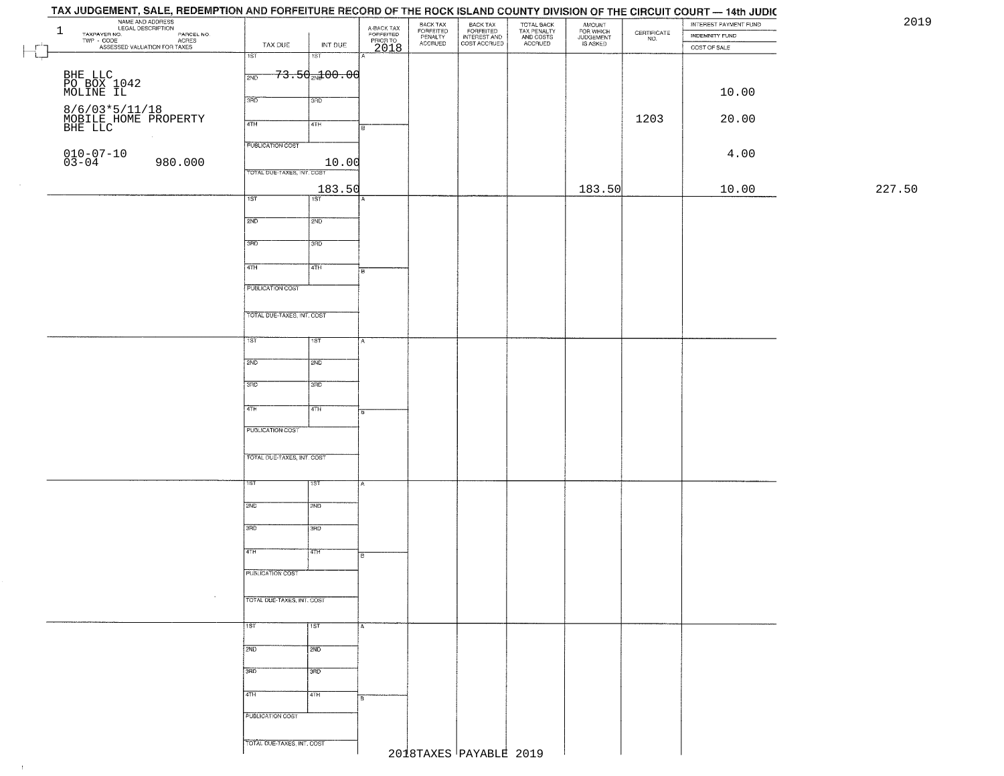|        | INTEREST PAYMENT FUND<br>INDEMNITY FUND | $\begin{array}{c} \text{CERTIFICATE} \\ \text{NO.} \end{array}$ |                                              |                                                   |                                                       |                                             |                                             |                                 |                            |                                                                  | NAME AND ADDRESS<br>LEGAL DESCRIPTION<br>TAXPAYER NO.<br>$\mathbf{1}$ |
|--------|-----------------------------------------|-----------------------------------------------------------------|----------------------------------------------|---------------------------------------------------|-------------------------------------------------------|---------------------------------------------|---------------------------------------------|---------------------------------|----------------------------|------------------------------------------------------------------|-----------------------------------------------------------------------|
|        | COST OF SALE                            |                                                                 | AMOUNT<br>FOR WHICH<br>JUDGEMENT<br>IS ASKED | TOTAL BACK<br>TAX PENALTY<br>AND COSTS<br>ACCRUED | BACK TAX<br>FORFEITED<br>INTEREST AND<br>COST ACCRUED | BACK TAX<br>FORFEITED<br>PENALTY<br>ACCRUED | A-BACK TAX<br>FORFEITED<br>PRIOR TO<br>2018 | INT DUE                         | TAX DUE                    | TAXPAYER NO.<br>TWP - CODE AGRES<br>ASSESSED VALUATION FOR TAXES |                                                                       |
|        |                                         |                                                                 |                                              |                                                   |                                                       |                                             |                                             | $\overline{181}$                | 1ST                        |                                                                  |                                                                       |
|        |                                         |                                                                 |                                              |                                                   |                                                       |                                             |                                             | $-73.50$ <sub>2N</sub> $100.00$ |                            |                                                                  |                                                                       |
|        |                                         |                                                                 |                                              |                                                   |                                                       |                                             |                                             |                                 | 2ND                        |                                                                  | BHE LLC<br>PO BOX 1042<br>MOLINE IL                                   |
|        | 10.00                                   |                                                                 |                                              |                                                   |                                                       |                                             |                                             | 3RD                             | 3RD                        |                                                                  |                                                                       |
|        | 20.00                                   | 1203                                                            |                                              |                                                   |                                                       |                                             |                                             |                                 |                            |                                                                  |                                                                       |
|        |                                         |                                                                 |                                              |                                                   |                                                       |                                             |                                             | 4TH                             | 4TH                        |                                                                  | 8/6/03*5/11/18<br>MOBILE HOME PROPERTY<br>BHE LLC                     |
|        |                                         |                                                                 |                                              |                                                   |                                                       |                                             |                                             |                                 | <b>PUBLICATION COST</b>    |                                                                  |                                                                       |
|        | 4.00                                    |                                                                 |                                              |                                                   |                                                       |                                             |                                             |                                 |                            |                                                                  | $010 - 07 - 10$<br>$03 - 04$                                          |
|        |                                         |                                                                 |                                              |                                                   |                                                       |                                             |                                             | 10.00                           | TOTAL DUE-TAXES, INT. COST | 980.000                                                          |                                                                       |
| 227.50 | 10.00                                   |                                                                 | 183.50                                       |                                                   |                                                       |                                             |                                             | 183.50                          |                            |                                                                  |                                                                       |
|        |                                         |                                                                 |                                              |                                                   |                                                       |                                             |                                             | $\overline{1ST}$                | 1ST                        |                                                                  |                                                                       |
|        |                                         |                                                                 |                                              |                                                   |                                                       |                                             |                                             | 2ND                             | 2ND                        |                                                                  |                                                                       |
|        |                                         |                                                                 |                                              |                                                   |                                                       |                                             |                                             |                                 |                            |                                                                  |                                                                       |
|        |                                         |                                                                 |                                              |                                                   |                                                       |                                             |                                             | 3RD                             | 3RD                        |                                                                  |                                                                       |
|        |                                         |                                                                 |                                              |                                                   |                                                       |                                             |                                             |                                 |                            |                                                                  |                                                                       |
|        |                                         |                                                                 |                                              |                                                   |                                                       |                                             | łв                                          | 4TH                             | 47H                        |                                                                  |                                                                       |
|        |                                         |                                                                 |                                              |                                                   |                                                       |                                             |                                             |                                 | PUBLICATION COST           |                                                                  |                                                                       |
|        |                                         |                                                                 |                                              |                                                   |                                                       |                                             |                                             |                                 |                            |                                                                  |                                                                       |
|        |                                         |                                                                 |                                              |                                                   |                                                       |                                             |                                             |                                 | TOTAL DUE-TAXES, INT. COST |                                                                  |                                                                       |
|        |                                         |                                                                 |                                              |                                                   |                                                       |                                             | $\mathbf{A}$                                | 1ST                             | 1ST.                       |                                                                  |                                                                       |
|        |                                         |                                                                 |                                              |                                                   |                                                       |                                             |                                             |                                 |                            |                                                                  |                                                                       |
|        |                                         |                                                                 |                                              |                                                   |                                                       |                                             |                                             | 2ND                             | 2ND                        |                                                                  |                                                                       |
|        |                                         |                                                                 |                                              |                                                   |                                                       |                                             |                                             | 3RD                             | 3BD                        |                                                                  |                                                                       |
|        |                                         |                                                                 |                                              |                                                   |                                                       |                                             |                                             |                                 |                            |                                                                  |                                                                       |
|        |                                         |                                                                 |                                              |                                                   |                                                       |                                             | Гē                                          | 4TH                             | 4TH                        |                                                                  |                                                                       |
|        |                                         |                                                                 |                                              |                                                   |                                                       |                                             |                                             |                                 | PUBLICATION COST           |                                                                  |                                                                       |
|        |                                         |                                                                 |                                              |                                                   |                                                       |                                             |                                             |                                 |                            |                                                                  |                                                                       |
|        |                                         |                                                                 |                                              |                                                   |                                                       |                                             |                                             |                                 | TOTAL OUE-TAXES, INT. COST |                                                                  |                                                                       |
|        |                                         |                                                                 |                                              |                                                   |                                                       |                                             |                                             |                                 |                            |                                                                  |                                                                       |
|        |                                         |                                                                 |                                              |                                                   |                                                       |                                             |                                             | ৰঙ্গ                            | 1ST                        |                                                                  |                                                                       |
|        |                                         |                                                                 |                                              |                                                   |                                                       |                                             |                                             |                                 |                            |                                                                  |                                                                       |
|        |                                         |                                                                 |                                              |                                                   |                                                       |                                             |                                             | 2ND                             | 2ND                        |                                                                  |                                                                       |
|        |                                         |                                                                 |                                              |                                                   |                                                       |                                             |                                             | 3HD                             | 3RD                        |                                                                  |                                                                       |
|        |                                         |                                                                 |                                              |                                                   |                                                       |                                             |                                             |                                 |                            |                                                                  |                                                                       |
|        |                                         |                                                                 |                                              |                                                   |                                                       |                                             | ΓēΞ                                         | 77H                             | 4TH                        |                                                                  |                                                                       |
|        |                                         |                                                                 |                                              |                                                   |                                                       |                                             |                                             |                                 | PUBLICATION COST           |                                                                  |                                                                       |
|        |                                         |                                                                 |                                              |                                                   |                                                       |                                             |                                             |                                 |                            |                                                                  |                                                                       |
|        |                                         |                                                                 |                                              |                                                   |                                                       |                                             |                                             |                                 | TOTAL DUE-TAXES, INT. COST |                                                                  |                                                                       |
|        |                                         |                                                                 |                                              |                                                   |                                                       |                                             |                                             |                                 |                            |                                                                  |                                                                       |
|        |                                         |                                                                 |                                              |                                                   |                                                       |                                             |                                             | 1ST                             | 1ST <sup>1</sup>           |                                                                  |                                                                       |
|        |                                         |                                                                 |                                              |                                                   |                                                       |                                             |                                             | 2ND                             | 2ND                        |                                                                  |                                                                       |
|        |                                         |                                                                 |                                              |                                                   |                                                       |                                             |                                             |                                 |                            |                                                                  |                                                                       |
|        |                                         |                                                                 |                                              |                                                   |                                                       |                                             |                                             | 3 <sub>RD</sub>                 | 3RD                        |                                                                  |                                                                       |
|        |                                         |                                                                 |                                              |                                                   |                                                       |                                             |                                             | 4TH                             | 4TH                        |                                                                  |                                                                       |
|        |                                         |                                                                 |                                              |                                                   |                                                       |                                             |                                             |                                 |                            |                                                                  |                                                                       |
|        |                                         |                                                                 |                                              |                                                   |                                                       |                                             |                                             |                                 | PUBLICATION COST           |                                                                  |                                                                       |
|        |                                         |                                                                 |                                              |                                                   |                                                       |                                             |                                             |                                 |                            |                                                                  |                                                                       |
|        |                                         |                                                                 |                                              | 2018TAXES PAYABLE 2019                            |                                                       |                                             |                                             |                                 | TOTAL DUE-TAXES, INT. COST |                                                                  |                                                                       |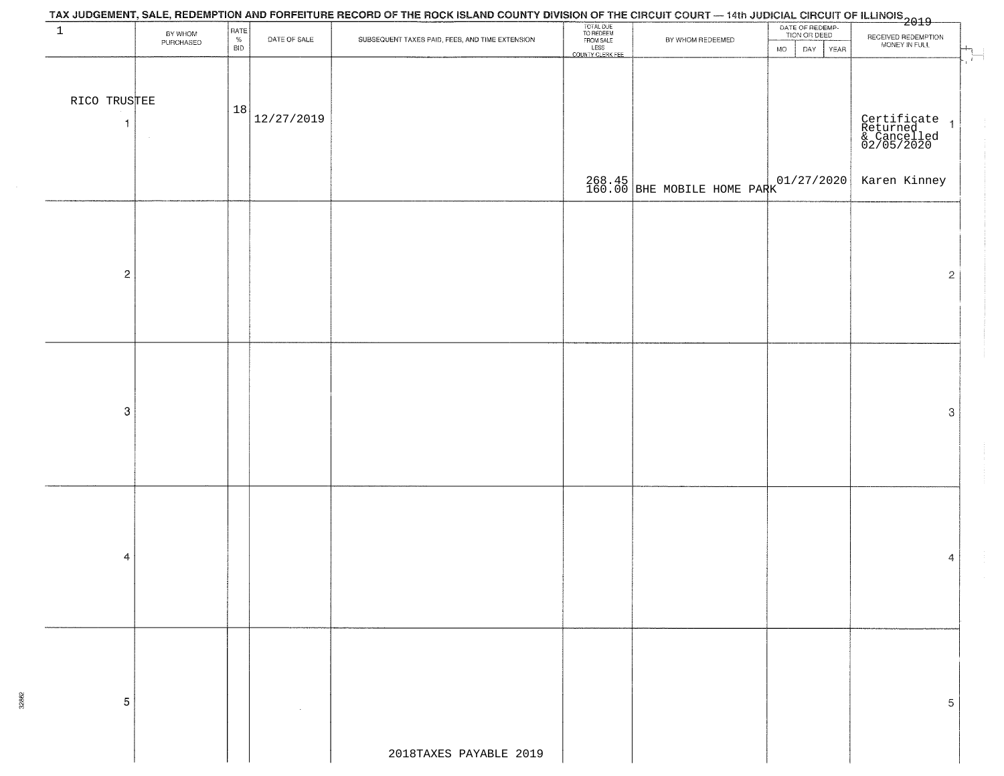| $\mathbf{1}$       | BY WHOM<br>PURCHASED | $\begin{array}{c} \mathsf{RATE} \\ \mathsf{\%} \end{array}$<br><b>BID</b> | DATE OF SALE | SUBSEQUENT TAXES PAID, FEES, AND TIME EXTENSION | TOTAL DUE<br>TO REDEEM<br>FROM SALE<br>LESS<br>COUNTY CLERK FEE | BY WHOM REDEEMED                           | DATE OF REDEMP-<br>TION OR DEED<br>DAY YEAR<br>MO. | RECEIVED REDEMPTION<br>MONEY IN FULL                     |
|--------------------|----------------------|---------------------------------------------------------------------------|--------------|-------------------------------------------------|-----------------------------------------------------------------|--------------------------------------------|----------------------------------------------------|----------------------------------------------------------|
| RICO TRUSTEE<br>-1 |                      | 18                                                                        | 12/27/2019   |                                                 |                                                                 |                                            |                                                    | Certificate 1<br>Returned 1<br>& Cancelled<br>02/05/2020 |
|                    |                      |                                                                           |              |                                                 |                                                                 | $268.45$ $01/27/2020$ BHE MOBILE HOME PARK |                                                    | Karen Kinney                                             |
| $\overline{c}$     |                      |                                                                           |              |                                                 |                                                                 |                                            |                                                    | $\mathbf{2}$                                             |
| $\boldsymbol{3}$   |                      |                                                                           |              |                                                 |                                                                 |                                            |                                                    | 3                                                        |
| 4                  |                      |                                                                           |              |                                                 |                                                                 |                                            |                                                    | 4                                                        |
| 5                  |                      |                                                                           |              | 2018TAXES PAYABLE 2019                          |                                                                 |                                            |                                                    | 5                                                        |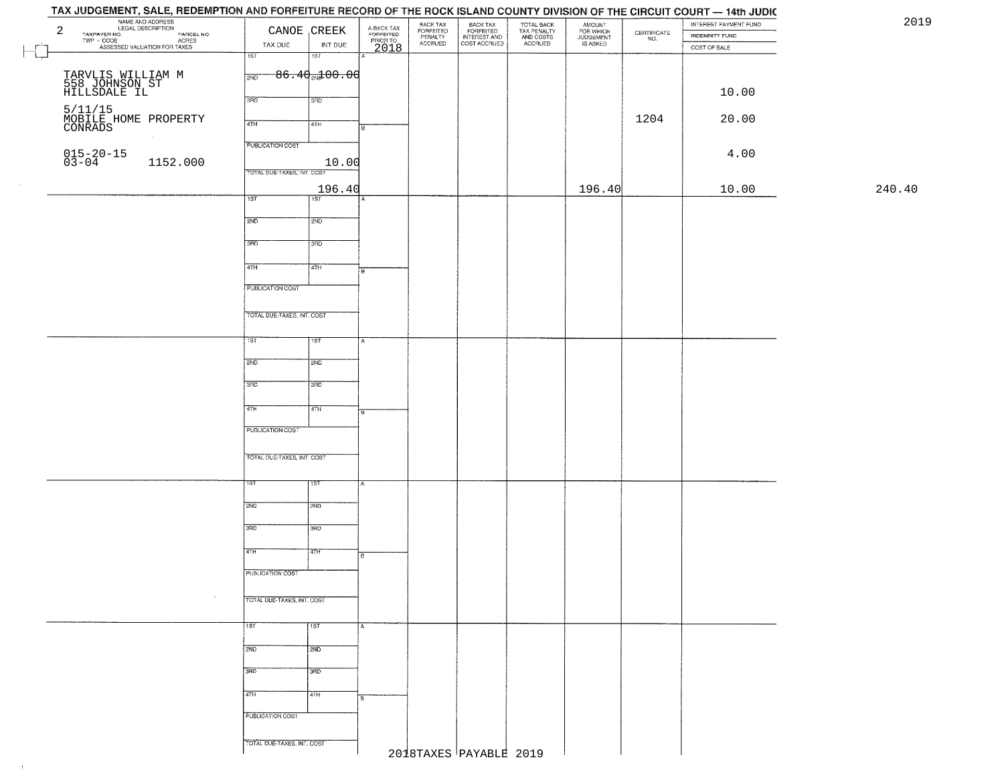## TAX JUDGEMENT, SALE, REDEMPTION AND FORFEITURE RECORD OF THE ROCK ISLAND COUNTY DIVISION OF THE CIRCUIT COURT - 14th JUDIC NAME AND ADDRESS<br>
TAXPAYER NO.<br>
TWP - COOL DESCRIPTION<br>
ASSESSED VALUATION FOR TAXES<br>
TAX DUE INT DUE BACK TAX<br>FORFEITED<br>INTEREST AND<br>COST ACCRUED 2019TOTAL BACK<br>TAX PENALTY<br>AND COSTS AMOUNT<br>FOR WHICH<br>JUDGEMENT<br>IS ASKED INTEREST PAYMENT FUND BACK TAX FORFEITED<br>PENALTY<br>ACCRUED  $\begin{array}{c} \text{CEPTIFICATE} \\ \text{NO.} \end{array}$ INDEMNITY FUND TAX DUE INT DUE ACCRUED COST OF SALE 2018  $\Box$ गडा IST  $-86.40$ <sub>2N</sub> $100.00$  $TARVLIS$  WILLIAM M  $\frac{1}{2ND}$ 558 JOHNSON ST HILLSDALE IL 10.00 5/11/15<br>MOBILE HOME PROPERTY<br>CONRADS 1204 20.00 **PUBLICATION COST** 015-20-15<br>03-04 1152.000 10.00 4.00 TOTAL DUE-TAXES INT COST 196.40 196.40 10.00 240.40 $\overline{1ST}$ 1ST<sup>1</sup>  $2ND$ 12ND 3RD 3RD  $\overline{47H}$ 4TH **FUBLICATION COST** TOTAL DUE-TAXES, INT. COST TST ST  $2ND$ **SMD**  $3BD$ 3RD  $4TH$  $4TH$ PUBLICATION COST TOTAL OUE-TAXES, INT. COST 2ND 12MD 3RD tarao 4TH īΤH PUBLICATION COST TOTAL DUE-TAXES, INT. COST 1ST 1ST  $2ND$  $\frac{1}{2ND}$ 3RD 3RD 4TH ath **PUBLICATION COST** TOTAL DUE-TAXES, INT. COST 2018TAXES PAYABLE 2019

 $\pm 1$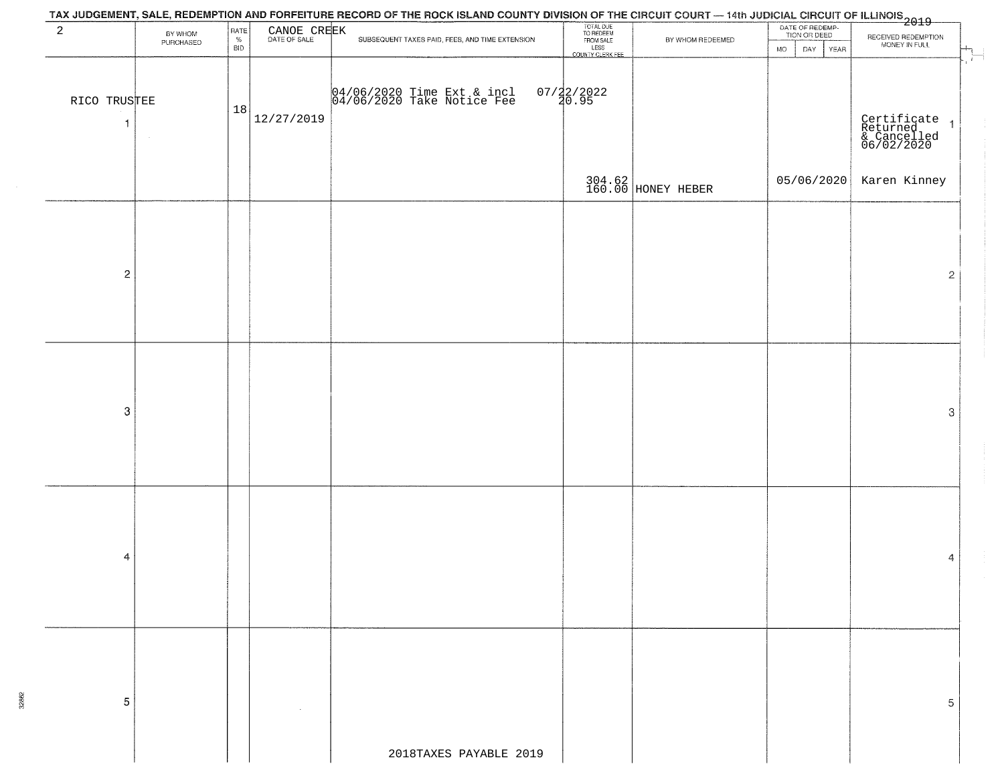| 2                       |                      | RATE       |                             | TAX JUDGEMENT, SALE, REDEMPTION AND FORFEITURE RECORD OF THE ROCK ISLAND COUNTY DIVISION OF THE CIRCUIT COURT — 14th JUDICIAL CIRCUIT OF ILLINOIS 2019 | TOTAL DUE<br>TO REDEEM<br>FROM SALE |                              | DATE OF REDEMP-<br>TION OR DEED |                                                      |
|-------------------------|----------------------|------------|-----------------------------|--------------------------------------------------------------------------------------------------------------------------------------------------------|-------------------------------------|------------------------------|---------------------------------|------------------------------------------------------|
|                         | BY WHOM<br>PURCHASED | $\%$       | CANOE CREEK<br>DATE OF SALE | SUBSEQUENT TAXES PAID, FEES, AND TIME EXTENSION                                                                                                        |                                     | BY WHOM REDEEMED             |                                 | RECEIVED REDEMPTION<br>MONEY IN FULL                 |
|                         |                      | <b>BID</b> |                             |                                                                                                                                                        | LESS<br>LESS<br>COUNTY CLERK FEE    |                              | <b>MO</b><br>DAY<br>YEAR        |                                                      |
| RICO TRUSTEE<br>1       |                      | 18         | 12/27/2019                  | 04/06/2020 Time Ext & incl<br>04/06/2020 Take Notice Fee                                                                                               | $07/22/2022$<br>$40.95$             |                              |                                 | Certificate<br>Returned<br>& Cancelled<br>06/02/2020 |
|                         |                      |            |                             |                                                                                                                                                        |                                     | 304.62<br>160.00 HONEY HEBER | 05/06/2020                      | Karen Kinney                                         |
| $\overline{\mathbf{c}}$ |                      |            |                             |                                                                                                                                                        |                                     |                              |                                 | $\overline{2}$                                       |
| 3                       |                      |            |                             |                                                                                                                                                        |                                     |                              |                                 | 3                                                    |
| 4                       |                      |            |                             |                                                                                                                                                        |                                     |                              |                                 | 4                                                    |
| 5                       |                      |            |                             |                                                                                                                                                        |                                     |                              |                                 | 5                                                    |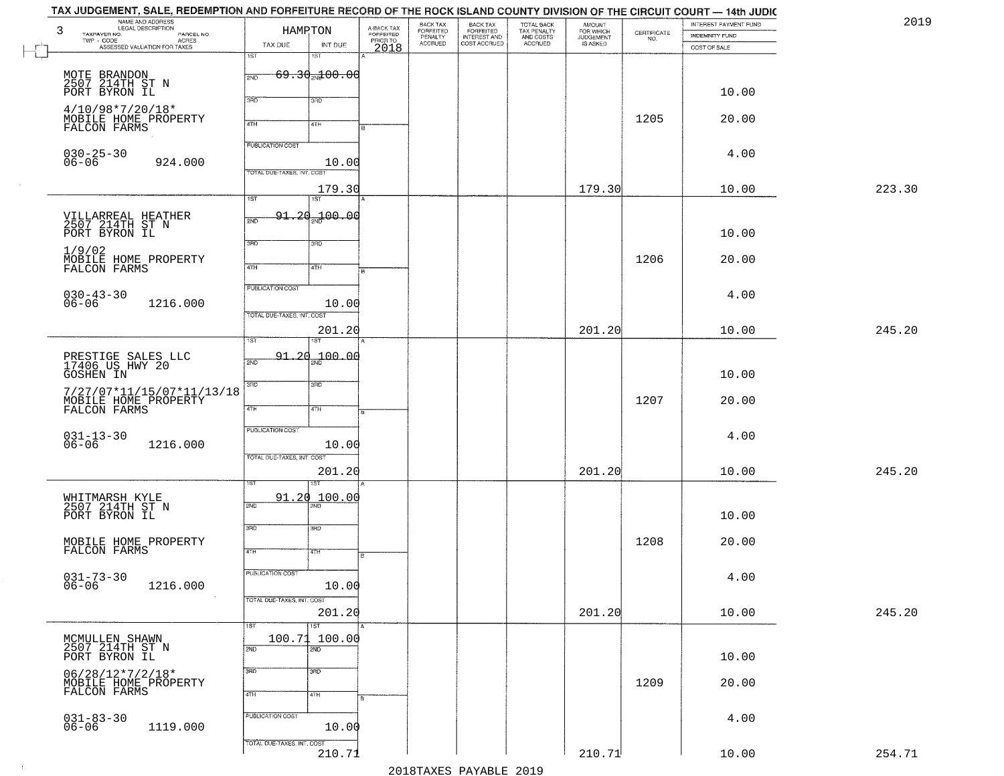| 2019   | INTEREST PAYMENT FUND |                    | <b>AMOUNT</b>                      |                                                   |                                                       | BACK TAX<br>FORFEITED     |                                     |                                        | HAMRTON                    | LEGAL DESCRIPTION<br>3                                 |
|--------|-----------------------|--------------------|------------------------------------|---------------------------------------------------|-------------------------------------------------------|---------------------------|-------------------------------------|----------------------------------------|----------------------------|--------------------------------------------------------|
|        | <b>INDEMNITY FUND</b> | CERTIFICATE<br>NO. | FOR WHICH<br>JUDGEMENT<br>IS ASKED | TOTAL BACK<br>TAX PENALTY<br>AND COSTS<br>ACCRUED | BACK TAX<br>FORFEITED<br>INTEREST AND<br>COST ACCRUED | PENALTY<br><b>ACCRUED</b> | A-BACK TAX<br>FORFEITED<br>PRIOR TO |                                        |                            | PARCEL NO.<br>TAXPAYER NO.<br>ACRES<br>TWP - CODE      |
|        | COST OF SALE          |                    |                                    |                                                   |                                                       |                           | 2018                                | INT DUE<br>1ST                         | TAX DUE<br>1ST             | ASSESSED VALUATION FOR TAXES                           |
|        |                       |                    |                                    |                                                   |                                                       |                           |                                     | $69.30$ $100.00$                       |                            |                                                        |
|        |                       |                    |                                    |                                                   |                                                       |                           |                                     |                                        | 2ND                        | MOTE BRANDON<br>2507 214TH ST N                        |
|        | 10.00                 |                    |                                    |                                                   |                                                       |                           |                                     | 3RD                                    | 3BD                        | PORT BYRON IL                                          |
|        | 20.00                 | 1205               |                                    |                                                   |                                                       |                           |                                     |                                        |                            | $4/10/98*7/20/18*$                                     |
|        |                       |                    |                                    |                                                   |                                                       |                           |                                     | 4TH                                    | 4TH                        | MOBILE HOME PROPERTY<br>FALCON FARMS                   |
|        | 4.00                  |                    |                                    |                                                   |                                                       |                           |                                     |                                        | <b>PUBLICATION COST</b>    |                                                        |
|        |                       |                    |                                    |                                                   |                                                       |                           |                                     | 10.00                                  |                            | $030 - 25 - 30$<br>06-06<br>924.000                    |
|        |                       |                    |                                    |                                                   |                                                       |                           |                                     |                                        | TOTAL DUE-TAXES, INT. COST |                                                        |
| 223.30 | 10.00                 |                    | 179.30                             |                                                   |                                                       |                           |                                     | 179.30<br>1ST                          | $\overline{1ST}$           |                                                        |
|        |                       |                    |                                    |                                                   |                                                       |                           |                                     | 91.20 <sub>3M</sub> 100.00             |                            |                                                        |
|        | 10.00                 |                    |                                    |                                                   |                                                       |                           |                                     |                                        | 2ND                        | VILLARREAL HEATHER<br>2507 214TH ST N<br>PORT BYRON IL |
|        |                       |                    |                                    |                                                   |                                                       |                           |                                     | 3RD                                    | 3RD                        |                                                        |
|        | 20.00                 | 1206               |                                    |                                                   |                                                       |                           |                                     | 4TH                                    | $\overline{47H}$           | 1/9/02<br>MOBILE HOME PROPERTY<br>FALCON FARMS         |
|        |                       |                    |                                    |                                                   |                                                       |                           |                                     |                                        |                            |                                                        |
|        | 4.00                  |                    |                                    |                                                   |                                                       |                           |                                     |                                        | PUBLICATION COST           | $030 - 43 - 30$                                        |
|        |                       |                    |                                    |                                                   |                                                       |                           |                                     | 10.00                                  | TOTAL DUE-TAXES, INT. COST | $06 - 06$<br>1216.000                                  |
| 245.20 | 10.00                 |                    | 201.20                             |                                                   |                                                       |                           |                                     | 201.20                                 |                            |                                                        |
|        |                       |                    |                                    |                                                   |                                                       |                           |                                     | 1ST                                    | ist                        |                                                        |
|        |                       |                    |                                    |                                                   |                                                       |                           |                                     | <del>91.2</del> d <sub>ad</sub> 100.00 | 2ND                        | PRESTIGE SALES LLC<br>17406 US HWY 20                  |
|        | 10.00                 |                    |                                    |                                                   |                                                       |                           |                                     |                                        |                            | GOSHEN IN                                              |
|        |                       |                    |                                    |                                                   |                                                       |                           |                                     | 3RD                                    | 3RD                        | 7/27/07*11/15/07*11/13/18                              |
|        | 20.00                 | 1207               |                                    |                                                   |                                                       |                           |                                     | 4TH                                    | 4TH                        | MOBILE HOME PROPERTY<br>FALCON FARMS                   |
|        |                       |                    |                                    |                                                   |                                                       |                           |                                     |                                        | <b>PUBLICATION COST</b>    |                                                        |
|        | 4.00                  |                    |                                    |                                                   |                                                       |                           |                                     | 10.00                                  |                            | $031 - 13 - 30$<br>06-06<br>1216.000                   |
|        |                       |                    |                                    |                                                   |                                                       |                           |                                     |                                        | TOTAL OUE-TAXES, INT. COST |                                                        |
| 245.20 | 10.00                 |                    | 201.20                             |                                                   |                                                       |                           |                                     | 201.20                                 |                            |                                                        |
|        |                       |                    |                                    |                                                   |                                                       |                           |                                     | 100.00                                 | 91.20                      |                                                        |
|        |                       |                    |                                    |                                                   |                                                       |                           |                                     |                                        | 2ND                        | WHITMARSH KYLE<br>2507 214TH ST N                      |
|        | 10.00                 |                    |                                    |                                                   |                                                       |                           |                                     | 3BD                                    | 3RD                        | PORT BYRON IL                                          |
|        | 20.00                 | 1208               |                                    |                                                   |                                                       |                           |                                     |                                        |                            | MOBILE HOME PROPERTY<br>FALCON FARMS                   |
|        |                       |                    |                                    |                                                   |                                                       |                           |                                     | वाम                                    | 4TH                        |                                                        |
|        | 4.00                  |                    |                                    |                                                   |                                                       |                           |                                     |                                        | PUBLICATION COST           |                                                        |
|        |                       |                    |                                    |                                                   |                                                       |                           |                                     | 10.00                                  |                            | $031 - 73 - 30$<br>06-06<br>1216.000                   |
| 245.20 | 10.00                 |                    | 201.20                             |                                                   |                                                       |                           |                                     | 201.20                                 | TOTAL DUE-TAXES, INT. COST |                                                        |
|        |                       |                    |                                    |                                                   |                                                       |                           |                                     | $\overline{\text{1ST}}$                | 1ST                        |                                                        |
|        |                       |                    |                                    |                                                   |                                                       |                           |                                     | 100.71 100.00                          |                            | MCMULLEN SHAWN<br>2507 214TH ST N                      |
|        | 10.00                 |                    |                                    |                                                   |                                                       |                           |                                     | 2ND                                    | 2ND                        | PORT BYRON IL                                          |
|        |                       |                    |                                    |                                                   |                                                       |                           |                                     | 3 <sub>BD</sub>                        | 3RD                        | $06/28/12*7/2/18*$                                     |
|        | 20.00                 | 1209               |                                    |                                                   |                                                       |                           |                                     | 4TH                                    | 4TH                        | MOBILE HOME PROPERTY<br>FALCON FARMS                   |
|        |                       |                    |                                    |                                                   |                                                       |                           |                                     |                                        |                            |                                                        |
|        | 4.00                  |                    |                                    |                                                   |                                                       |                           |                                     | 10.00                                  | PUBLICATION COST           | $031 - 83 - 30$<br>06-06<br>1119.000                   |
|        |                       |                    |                                    |                                                   |                                                       |                           |                                     |                                        | TOTAL DUE-TAXES, INT. COST |                                                        |
|        |                       |                    | 210.71                             |                                                   |                                                       |                           |                                     |                                        |                            |                                                        |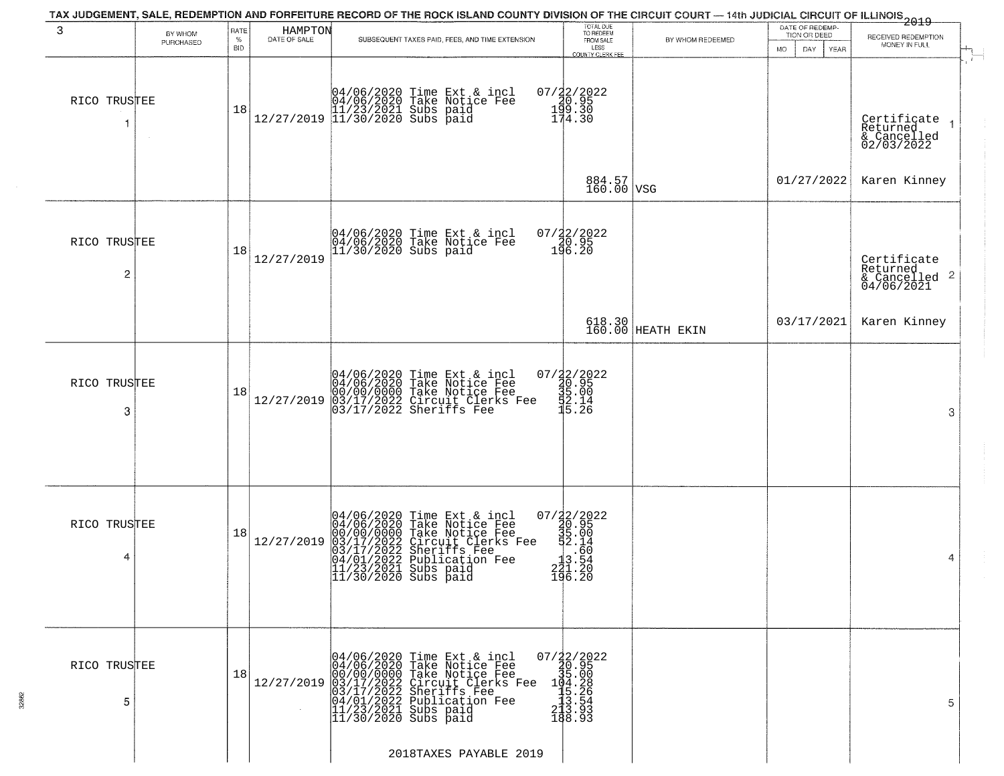|                      | RATE       |                         | TAX JUDGEMENT, SALE, REDEMPTION AND FORFEITURE RECORD OF THE ROCK ISLAND COUNTY DIVISION OF THE CIRCUIT COURT — 14th JUDICIAL CIRCUIT OF ILLINOIS 2019                                                                            | TOTAL DUE<br>TO REDEEM                                                                                                                           |                                                                                                                                                                                                                                                                                         | DATE OF REDEMP-           |                                                                    |
|----------------------|------------|-------------------------|-----------------------------------------------------------------------------------------------------------------------------------------------------------------------------------------------------------------------------------|--------------------------------------------------------------------------------------------------------------------------------------------------|-----------------------------------------------------------------------------------------------------------------------------------------------------------------------------------------------------------------------------------------------------------------------------------------|---------------------------|--------------------------------------------------------------------|
| BY WHOM<br>PURCHASED | $\%$       | HAMPTON<br>DATE OF SALE | SUBSEQUENT TAXES PAID, FEES, AND TIME EXTENSION                                                                                                                                                                                   | FROM SALE                                                                                                                                        | BY WHOM REDEEMED                                                                                                                                                                                                                                                                        | TION OR DEED              | RECEIVED REDEMPTION                                                |
|                      | <b>BID</b> |                         |                                                                                                                                                                                                                                   | LESS<br>COUNTY CLERK FEE                                                                                                                         |                                                                                                                                                                                                                                                                                         | <b>MO</b><br>DAY.<br>YEAR | MONEY IN FULL                                                      |
| RICO TRUSTEE         | 18         |                         | $[04/06/2020 \t\t Time \t\t Ext & incl \\ 04/06/2020 \t\t Take \t Notice \tFe \\ 11/23/2021 \tSubs \t paid \\ 12/27/2019 \t\t 11/30/2020 \tSubs \t paid \\$                                                                       | $07/22/2022$<br>120.95<br>199.30<br>174.30                                                                                                       |                                                                                                                                                                                                                                                                                         |                           | Certificate<br>Returned<br>& Cancelled<br>02/03/2022               |
|                      |            |                         |                                                                                                                                                                                                                                   | 884.57<br>160.00 VSG                                                                                                                             |                                                                                                                                                                                                                                                                                         | 01/27/2022                | Karen Kinney                                                       |
| RICO TRUSTEE         | 18         | 12/27/2019              | 04/06/2020 Time Ext & incl<br>04/06/2020 Take Notice Fee<br>11/30/2020 Subs paid                                                                                                                                                  | 07/22/2022<br>20.95<br>196.20                                                                                                                    |                                                                                                                                                                                                                                                                                         |                           | Certificate<br>Returned<br>$\frac{1}{6}$ Cancelled 2<br>04/06/2021 |
|                      |            |                         |                                                                                                                                                                                                                                   |                                                                                                                                                  | 618.30<br>160.00 HEATH EKIN                                                                                                                                                                                                                                                             | 03/17/2021                | Karen Kinney                                                       |
| RICO TRUSTEE         | 18         | 12/27/2019              | 04/06/2020 Time Ext & incl<br>04/06/2020 Take Notice Fee<br>00/00/0000 Take Notice Fee<br>03/17/2022 Circuit Clerks Fee<br>03/17/2022 Sheriffs Fee                                                                                | $\begin{array}{r} 07/22/2022 \\ 20.95 \\ 35.00 \\ \textrm{=} \begin{array}{c} 12/2022 \\ 40.95 \\ 52.14 \\ \textrm{=} \end{array} \end{array}$   |                                                                                                                                                                                                                                                                                         |                           | 3                                                                  |
| RICO TRUSTEE         | 18         | 12/27/2019              | 04/06/2020 Time Ext & incl<br>04/06/2020 Take Notice Fee<br>00/00/0000 Take Notice Fee<br>03/17/2022 Circuit Clerks Fee<br>03/17/2022 Suberiffs Fee<br>04/01/2022 Publication Fee<br>11/23/2021 Subs paid<br>11/30/2020 Subs paid | 07/22/2022<br>20.95<br>30.95<br>35.00<br>34.14<br>.60<br>$2\overline{31}.\overline{54}$<br>$2\overline{41}.\overline{20}$<br>$196.\overline{20}$ |                                                                                                                                                                                                                                                                                         |                           | 4                                                                  |
| RICO TRUSTEE         | 18         | 12/27/2019              | 04/06/2020 Time Ext & incl 0<br>04/06/2020 Take Notice Fee<br>00/00/0000 Take Notice Fee<br>03/17/2022 Circuit Clerks Fee<br>04/01/2022 Sublication Fee<br>11/23/2021 Subs paid<br>11/30/2020 Subs paid                           |                                                                                                                                                  |                                                                                                                                                                                                                                                                                         |                           | 5.                                                                 |
|                      |            |                         |                                                                                                                                                                                                                                   | 2018TAXES PAYABLE 2019                                                                                                                           | $[ \begin{smallmatrix} 07 \end{smallmatrix} \begin{smallmatrix} 1 & 2 & 2 & 2 & 0 & 2 & 2 \\ 2 & 0 & 9 & 5 & 5 & 2 \\ 3 & 0 & 5 & 5 & 0 & 0 \\ 1 & 0 & 5 & 2 & 8 & 6 \\ 1 & 1 & 5 & 2 & 5 & 6 \\ 1 & 1 & 3 & 5 & 5 & 4 \\ 2 & 1 & 3 & 5 & 9 & 3 \\ 1 & 8 & 9 & 9 & 3 \end{smallmatrix}$ |                           |                                                                    |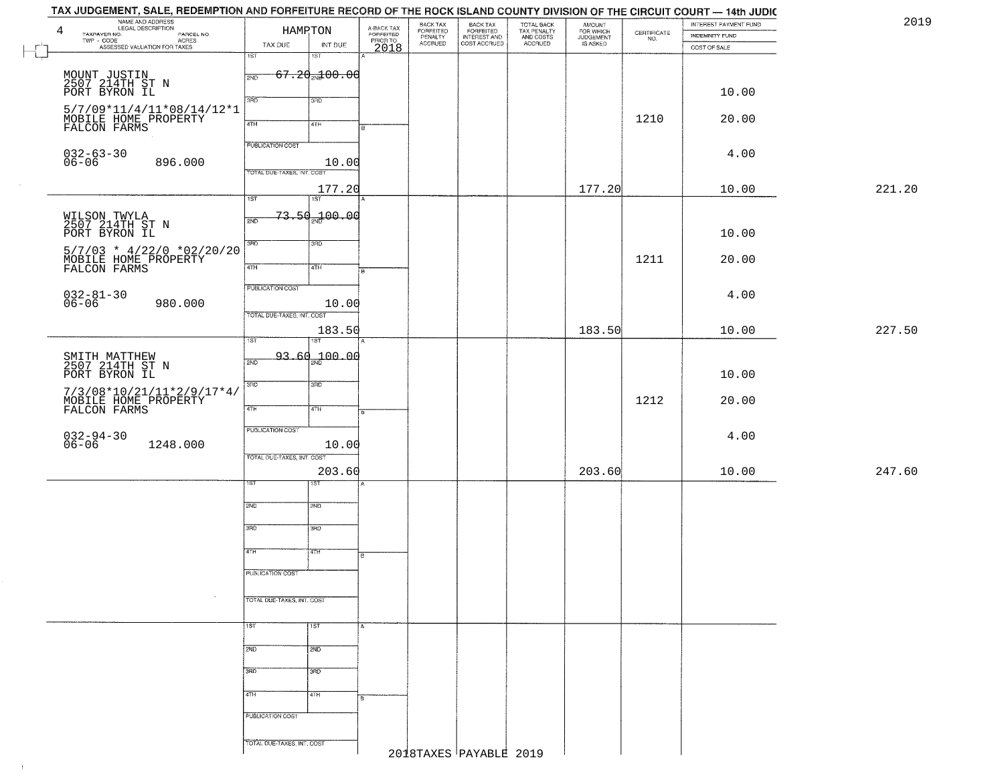|        | TAX JUDGEMENT, SALE, REDEMPTION AND FORFEITURE RECORD OF THE ROCK ISLAND COUNTY DIVISION OF THE CIRCUIT COURT - 14th JUDIC |                                    |                                     |                         |                                 |                                                       |                                                   |                                    |                    |                       |        |
|--------|----------------------------------------------------------------------------------------------------------------------------|------------------------------------|-------------------------------------|-------------------------|---------------------------------|-------------------------------------------------------|---------------------------------------------------|------------------------------------|--------------------|-----------------------|--------|
|        | NAME AND ADDRESS<br>LEGAL DESCRIPTION<br>4                                                                                 |                                    | HAMPTON                             | A-BACK TAX<br>FORFEITED | BACK TAX                        | BACK TAX<br>FORFEITED<br>INTEREST AND<br>COST ACCRUED | TOTAL BACK<br>TAX PENALTY<br>AND COSTS<br>ACCRUED | <b>AMOUNT</b>                      |                    | INTEREST PAYMENT FUND | 2019   |
|        | TAXPAYER NO.<br>PARCEL NO.<br>$TWP - CODE$<br>- CODE<br>ASSESSED VALUATION FOR TAXES                                       |                                    |                                     | PRIOR TO                | FORFEITED<br>PENALTY<br>ACCRUED |                                                       |                                                   | FOR WHICH<br>JUDGEMENT<br>IS ASKED | CERTIFICATE<br>NO. | <b>INDEMNITY FUND</b> |        |
| $\Box$ |                                                                                                                            | TAX DUE<br>$\overline{\text{1ST}}$ | INT DUE<br>1ST                      | 2018                    |                                 |                                                       |                                                   |                                    |                    | COST OF SALE          |        |
|        |                                                                                                                            |                                    |                                     |                         |                                 |                                                       |                                                   |                                    |                    |                       |        |
|        |                                                                                                                            | 2ND                                | $67.20$ <sub>2N</sub> $200.00$      |                         |                                 |                                                       |                                                   |                                    |                    |                       |        |
|        | MOUNT JUSTIN<br>2507 214TH ST N<br>PORT BYRON IL                                                                           |                                    |                                     |                         |                                 |                                                       |                                                   |                                    |                    | 10.00                 |        |
|        | 5/7/09*11/4/11*08/14/12*1                                                                                                  | 3RD                                | 3RD                                 |                         |                                 |                                                       |                                                   |                                    |                    |                       |        |
|        | MOBILE HOME PROPERTY<br>FALCON FARMS                                                                                       | 4TH                                | 4TH                                 |                         |                                 |                                                       |                                                   |                                    | 1210               | 20.00                 |        |
|        |                                                                                                                            |                                    |                                     |                         |                                 |                                                       |                                                   |                                    |                    |                       |        |
|        |                                                                                                                            | <b>PUBLICATION COST</b>            |                                     |                         |                                 |                                                       |                                                   |                                    |                    | 4.00                  |        |
|        | 032-63-30<br>06-06<br>896.000                                                                                              |                                    | 10.00                               |                         |                                 |                                                       |                                                   |                                    |                    |                       |        |
|        |                                                                                                                            | TOTAL DUE-TAXES, INT. COST         |                                     |                         |                                 |                                                       |                                                   |                                    |                    |                       |        |
|        |                                                                                                                            |                                    | 177.20                              |                         |                                 |                                                       |                                                   | 177.20                             |                    | 10.00                 | 221.20 |
|        |                                                                                                                            | 1ST                                | 1ST                                 |                         |                                 |                                                       |                                                   |                                    |                    |                       |        |
|        | WILSON TWYLA<br>2507 214TH ST N                                                                                            | 2ND                                | <del>73.50<sub>%</sub>1</del> 00.00 |                         |                                 |                                                       |                                                   |                                    |                    |                       |        |
|        | PORT BYRON IL                                                                                                              |                                    |                                     |                         |                                 |                                                       |                                                   |                                    |                    | 10.00                 |        |
|        | $5/7/03$ * $4/22/0$ * 02/20/20                                                                                             | 3BD                                | 3RD                                 |                         |                                 |                                                       |                                                   |                                    |                    |                       |        |
|        | MOBILE HOME PROPERTY<br>FALCON FARMS                                                                                       |                                    |                                     |                         |                                 |                                                       |                                                   |                                    | 1211               | 20.00                 |        |
|        |                                                                                                                            | 47H                                | 4TH                                 | ŀв                      |                                 |                                                       |                                                   |                                    |                    |                       |        |
|        |                                                                                                                            | PUBLICATION COST                   |                                     |                         |                                 |                                                       |                                                   |                                    |                    |                       |        |
|        | $032 - 81 - 30$<br>$06 - 06$<br>980.000                                                                                    |                                    | 10.00                               |                         |                                 |                                                       |                                                   |                                    |                    | 4.00                  |        |
|        |                                                                                                                            | TOTAL DUE-TAXES, INT. COST         |                                     |                         |                                 |                                                       |                                                   |                                    |                    |                       |        |
|        |                                                                                                                            |                                    | 183.50                              |                         |                                 |                                                       |                                                   | 183.50                             |                    | 10.00                 | 227.50 |
|        |                                                                                                                            | īst                                | 1ST                                 |                         |                                 |                                                       |                                                   |                                    |                    |                       |        |
|        | SMITH MATTHEW<br>2507 214TH ST N<br>PORT BYRON IL                                                                          | 2ND                                | 93.60 100.00                        |                         |                                 |                                                       |                                                   |                                    |                    |                       |        |
|        |                                                                                                                            |                                    |                                     |                         |                                 |                                                       |                                                   |                                    |                    | 10.00                 |        |
|        |                                                                                                                            | 3BD                                | 3BD                                 |                         |                                 |                                                       |                                                   |                                    |                    |                       |        |
|        | $\begin{array}{c} 7/3/08{*}10/21/11{*}2/9/17{*}4/\\ {\tt MOBILE HOME PROPERTY} \\ {\tt FALCON FARMS} \end{array}$          | 4TH                                | 4TH                                 |                         |                                 |                                                       |                                                   |                                    | 1212               | 20.00                 |        |
|        |                                                                                                                            |                                    |                                     |                         |                                 |                                                       |                                                   |                                    |                    |                       |        |
|        |                                                                                                                            | <b>PUBLICATION COST</b>            |                                     |                         |                                 |                                                       |                                                   |                                    |                    | 4.00                  |        |
|        | 032-94-30<br>06-06<br>1248.000                                                                                             |                                    | 10.00                               |                         |                                 |                                                       |                                                   |                                    |                    |                       |        |
|        |                                                                                                                            | TOTAL OUE-TAXES, INT. COST         |                                     |                         |                                 |                                                       |                                                   |                                    |                    |                       |        |
|        |                                                                                                                            |                                    | 203.60                              |                         |                                 |                                                       |                                                   | 203.60                             |                    | 10.00                 | 247.60 |
|        |                                                                                                                            | sт                                 | डिक                                 |                         |                                 |                                                       |                                                   |                                    |                    |                       |        |
|        |                                                                                                                            | 2ND                                | 2ND                                 |                         |                                 |                                                       |                                                   |                                    |                    |                       |        |
|        |                                                                                                                            |                                    |                                     |                         |                                 |                                                       |                                                   |                                    |                    |                       |        |
|        |                                                                                                                            | 3RD                                | 3BD                                 |                         |                                 |                                                       |                                                   |                                    |                    |                       |        |
|        |                                                                                                                            | 4TH                                | 47H                                 | <b>B</b>                |                                 |                                                       |                                                   |                                    |                    |                       |        |
|        |                                                                                                                            |                                    |                                     |                         |                                 |                                                       |                                                   |                                    |                    |                       |        |
|        |                                                                                                                            | PUBLICATION COST                   |                                     |                         |                                 |                                                       |                                                   |                                    |                    |                       |        |
|        |                                                                                                                            |                                    |                                     |                         |                                 |                                                       |                                                   |                                    |                    |                       |        |
|        |                                                                                                                            | TOTAL DUE-TAXES, INT. COST         |                                     |                         |                                 |                                                       |                                                   |                                    |                    |                       |        |
|        |                                                                                                                            | 1ST                                | 1ST                                 | A                       |                                 |                                                       |                                                   |                                    |                    |                       |        |
|        |                                                                                                                            |                                    |                                     |                         |                                 |                                                       |                                                   |                                    |                    |                       |        |
|        |                                                                                                                            | 2ND                                | 2ND                                 |                         |                                 |                                                       |                                                   |                                    |                    |                       |        |
|        |                                                                                                                            |                                    |                                     |                         |                                 |                                                       |                                                   |                                    |                    |                       |        |
|        |                                                                                                                            | 3RD                                | 3RD                                 |                         |                                 |                                                       |                                                   |                                    |                    |                       |        |
|        |                                                                                                                            | 4TH                                | 4TH                                 | l B                     |                                 |                                                       |                                                   |                                    |                    |                       |        |
|        |                                                                                                                            |                                    |                                     |                         |                                 |                                                       |                                                   |                                    |                    |                       |        |
|        |                                                                                                                            | PUBLICATION COST                   |                                     |                         |                                 |                                                       |                                                   |                                    |                    |                       |        |
|        |                                                                                                                            | TOTAL DUE-TAXES, INT. COST         |                                     |                         |                                 |                                                       |                                                   |                                    |                    |                       |        |
|        |                                                                                                                            |                                    |                                     |                         |                                 | 2018TAXES PAYABLE 2019                                |                                                   |                                    |                    |                       |        |
|        |                                                                                                                            |                                    |                                     |                         |                                 |                                                       |                                                   |                                    |                    |                       |        |

 $\langle \uparrow \rangle$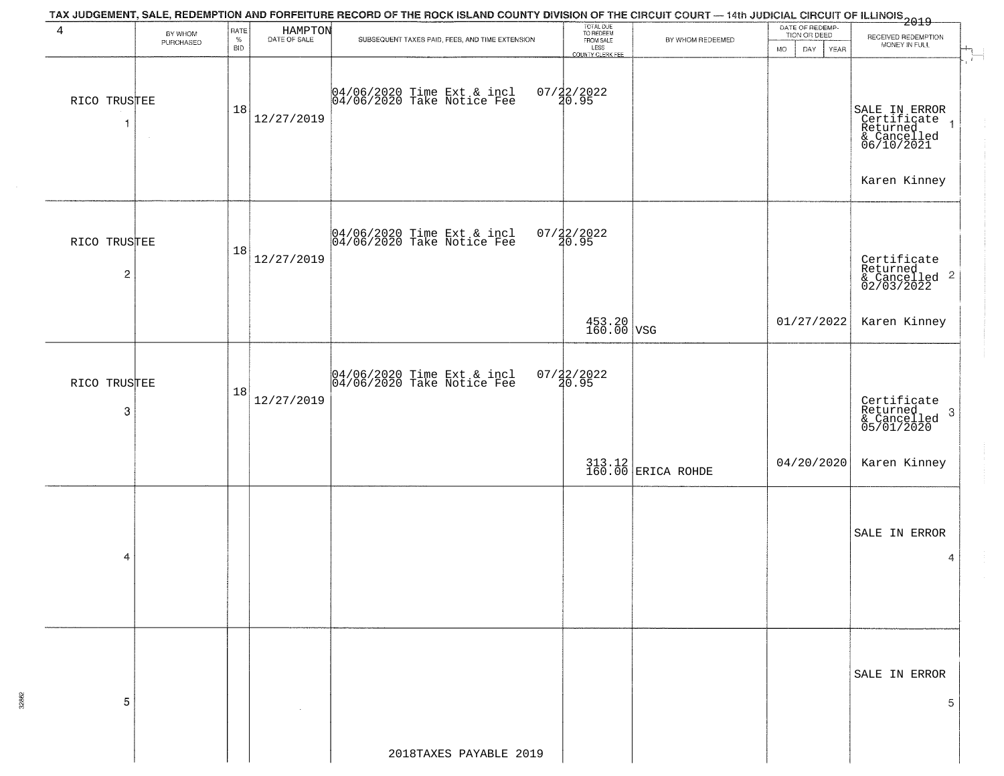|                                         |                      |              |                         | TAX JUDGEMENT, SALE, REDEMPTION AND FORFEITURE RECORD OF THE ROCK ISLAND COUNTY DIVISION OF THE CIRCUIT COURT — 14th JUDICIAL CIRCUIT OF ILLINOIS 2019 |                                     |                              | DATE OF REDEMP-    |                                                                                       |
|-----------------------------------------|----------------------|--------------|-------------------------|--------------------------------------------------------------------------------------------------------------------------------------------------------|-------------------------------------|------------------------------|--------------------|---------------------------------------------------------------------------------------|
| 4                                       | BY WHOM<br>PURCHASED | RATE<br>$\%$ | HAMPTON<br>DATE OF SALE | SUBSEQUENT TAXES PAID, FEES, AND TIME EXTENSION                                                                                                        | TOTAL DUE<br>TO REDEEM<br>FROM SALE | BY WHOM REDEEMED             | TION OR DEED       | RECEIVED REDEMPTION                                                                   |
|                                         |                      | <b>BID</b>   |                         |                                                                                                                                                        | LESS<br>COUNTY CLERK FEE            |                              | MO.<br>DAY<br>YEAR | MONEY IN FULL<br>$\frac{1}{\Gamma}$                                                   |
| RICO TRUSTEE<br>-1                      |                      | 18           | 12/27/2019              | 04/06/2020 Time Ext & incl<br>04/06/2020 Take Notice Fee                                                                                               | $07/22/2022$<br>20.95               |                              |                    | SALE IN ERROR<br>Certificate<br>Returned<br>& Cancelled<br>06/10/2021<br>Karen Kinney |
| RICO TRUSTEE<br>$\overline{\mathbf{c}}$ |                      | 18           | 12/27/2019              | 04/06/2020 Time Ext & incl<br>04/06/2020 Take Notice Fee                                                                                               | $07/22/2022$<br>$20.95$             |                              |                    | Certificate<br>Returned<br>& Cancelled <sup>2</sup><br>02/03/2022                     |
|                                         |                      |              |                         |                                                                                                                                                        | 453.20<br>160.00 VSG                |                              | 01/27/2022         | Karen Kinney                                                                          |
| RICO TRUSTEE<br>3                       |                      | 18           | 12/27/2019              | 04/06/2020 Time Ext & incl<br>04/06/2020 Take Notice Fee                                                                                               | $07/22/2022$<br>$20.95$             |                              |                    | Certificate<br>Returned<br>3<br>& Cancelled<br>05/01/2020                             |
|                                         |                      |              |                         |                                                                                                                                                        |                                     | 313.12<br>160.00 ERICA ROHDE | 04/20/2020         | Karen Kinney                                                                          |
| 4                                       |                      |              |                         |                                                                                                                                                        |                                     |                              |                    | SALE IN ERROR<br>4                                                                    |
| 5                                       |                      |              |                         |                                                                                                                                                        |                                     |                              |                    | SALE IN ERROR<br>5                                                                    |
|                                         |                      |              |                         | 2018TAXES PAYABLE 2019                                                                                                                                 |                                     |                              |                    |                                                                                       |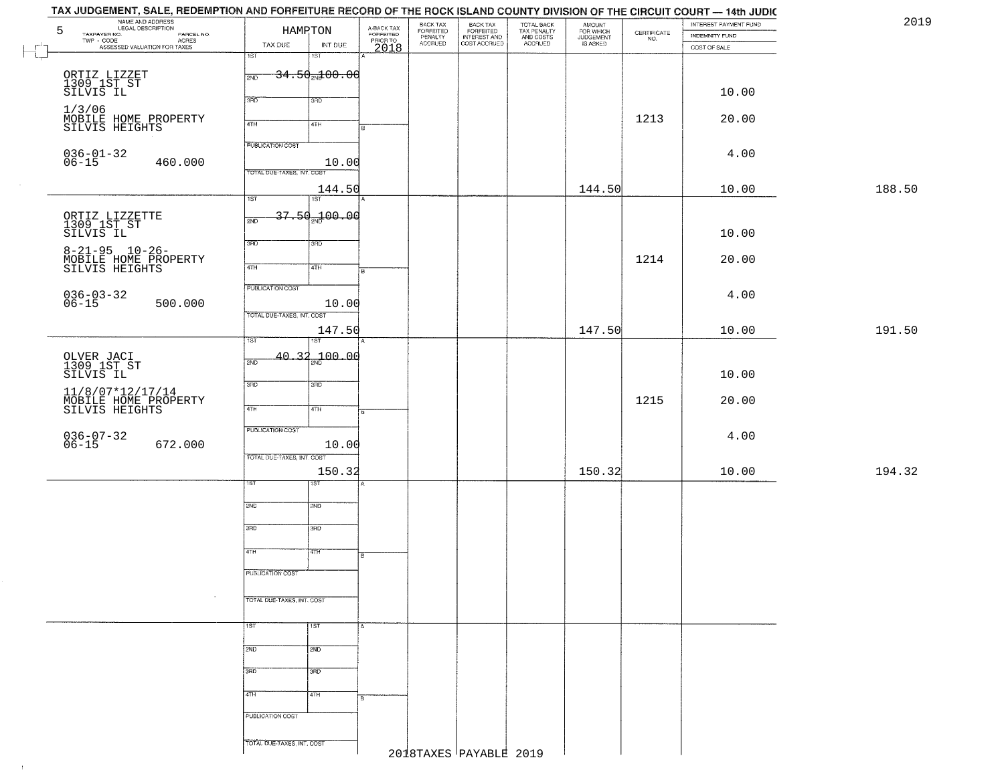| BACK TAX<br>FORFEITED<br>INTEREST AND<br>COST ACCRUED<br>A-BACK TAX<br>FORFEITED<br>PRIOR TO<br>FOR WHICH<br>JUDGEMENT<br>IS ASKED<br>$\begin{array}{c} \text{CERTIFICATE} \\ \text{NO.} \end{array}$<br>TAXPAYER NO.<br>LEGAL DESCRIPTION PARCEL NO.<br>- CODE ACRES<br>- ASSESSED VALUATION FOR TAXES<br><b>INDEMNITY FUND</b><br>PENALTY<br>TWP - CODE<br><b>ACCRUED</b><br>ACCRUED<br>TAX DUE<br>INT DUE<br>2018<br>COST OF SALE<br>$\Box$<br>15T<br>1ST<br>$-34.50 - 00.00$<br>ORTIZ LIZZET<br>1309 1ST ST<br>SILVIS IL<br>2ND<br>10.00<br>3RD<br>3RD<br>1/3/06<br>1213<br>MOBILE HOME PROPERTY<br>SILVIS HEIGHTS<br>20.00<br>4TH<br>4TH<br>в<br><b>PUBLICATION COST</b><br>4.00<br>$036 - 01 - 32$<br>$06 - 15$<br>460.000<br>10.00<br>TOTAL DUE-TAXES, INT. COST<br>144.50<br>144.50<br>10.00<br>1ST<br>१ऽ४<br>37.50 <sub>37</sub> 00.00<br>ORTIZ LIZZETTE<br>1309 1ST ST<br>2ND<br>SILVIS IL<br>10.00<br>3RD<br>3RD<br>$8 - 21 - 95$ 10-26-<br>1214<br>MOBILE HOME PROPERTY<br>SILVIS HEIGHTS<br>20.00<br>47H<br>4TH<br>i B<br>PUBLICATION COST<br>$036 - 03 - 32$<br>4.00<br>$06 - 15$<br>500.000<br>10.00<br>TOTAL DUE-TAXES, INT. COST<br>147.50<br>147.50<br>10.00<br>TST<br>1ST<br>$40.32 - 100.00$<br>OLVER JACI<br>1309 1ST ST<br>2ND<br>SILVIS IL<br>10.00<br>3RD<br>3 <sub>BD</sub><br>11/8/07*12/17/14<br>MOBILE HOME PROPERTY<br>SILVIS HEIGHTS<br>1215<br>20.00<br>4TH<br>4TH<br>F<br><b>PUBLICATION COST</b><br>036-07-32<br>06-15<br>4.00<br>672.000<br>10.00<br>TOTAL OUE-TAXES, INT. COST<br>150.32<br>10.00<br>150.32<br>ख़<br>2ND<br>2ND<br>3RD<br>3BD<br>4TH<br>47H<br>╔<br><b>PUBLICATION COST</b><br>TOTAL DUE-TAXES, INT. COST<br>1ST<br>1ST<br>2ND<br>2ND<br>3RD<br>3 <sub>BD</sub><br>4TH<br>4TH<br>PUBLICATION COST<br>TOTAL DUE-TAXES, INT. COST<br>2018TAXES PAYABLE 2019 | NAME AND ADDRESS<br>LEGAL DESCRIPTION<br>5 | HAMPTON | BACK TAX<br>FORFEITED | TOTAL BACK<br>TAX PENALTY<br>AND COSTS | <b>AMOUNT</b> | INTEREST PAYMENT FUND | 2019   |
|--------------------------------------------------------------------------------------------------------------------------------------------------------------------------------------------------------------------------------------------------------------------------------------------------------------------------------------------------------------------------------------------------------------------------------------------------------------------------------------------------------------------------------------------------------------------------------------------------------------------------------------------------------------------------------------------------------------------------------------------------------------------------------------------------------------------------------------------------------------------------------------------------------------------------------------------------------------------------------------------------------------------------------------------------------------------------------------------------------------------------------------------------------------------------------------------------------------------------------------------------------------------------------------------------------------------------------------------------------------------------------------------------------------------------------------------------------------------------------------------------------------------------------------------------------------------------------------------------------------------------------------------------------------------------------------------------------------------------------------------------------------------------------------------------------------|--------------------------------------------|---------|-----------------------|----------------------------------------|---------------|-----------------------|--------|
|                                                                                                                                                                                                                                                                                                                                                                                                                                                                                                                                                                                                                                                                                                                                                                                                                                                                                                                                                                                                                                                                                                                                                                                                                                                                                                                                                                                                                                                                                                                                                                                                                                                                                                                                                                                                              |                                            |         |                       |                                        |               |                       |        |
|                                                                                                                                                                                                                                                                                                                                                                                                                                                                                                                                                                                                                                                                                                                                                                                                                                                                                                                                                                                                                                                                                                                                                                                                                                                                                                                                                                                                                                                                                                                                                                                                                                                                                                                                                                                                              |                                            |         |                       |                                        |               |                       |        |
|                                                                                                                                                                                                                                                                                                                                                                                                                                                                                                                                                                                                                                                                                                                                                                                                                                                                                                                                                                                                                                                                                                                                                                                                                                                                                                                                                                                                                                                                                                                                                                                                                                                                                                                                                                                                              |                                            |         |                       |                                        |               |                       |        |
|                                                                                                                                                                                                                                                                                                                                                                                                                                                                                                                                                                                                                                                                                                                                                                                                                                                                                                                                                                                                                                                                                                                                                                                                                                                                                                                                                                                                                                                                                                                                                                                                                                                                                                                                                                                                              |                                            |         |                       |                                        |               |                       |        |
|                                                                                                                                                                                                                                                                                                                                                                                                                                                                                                                                                                                                                                                                                                                                                                                                                                                                                                                                                                                                                                                                                                                                                                                                                                                                                                                                                                                                                                                                                                                                                                                                                                                                                                                                                                                                              |                                            |         |                       |                                        |               |                       |        |
|                                                                                                                                                                                                                                                                                                                                                                                                                                                                                                                                                                                                                                                                                                                                                                                                                                                                                                                                                                                                                                                                                                                                                                                                                                                                                                                                                                                                                                                                                                                                                                                                                                                                                                                                                                                                              |                                            |         |                       |                                        |               |                       |        |
|                                                                                                                                                                                                                                                                                                                                                                                                                                                                                                                                                                                                                                                                                                                                                                                                                                                                                                                                                                                                                                                                                                                                                                                                                                                                                                                                                                                                                                                                                                                                                                                                                                                                                                                                                                                                              |                                            |         |                       |                                        |               |                       |        |
|                                                                                                                                                                                                                                                                                                                                                                                                                                                                                                                                                                                                                                                                                                                                                                                                                                                                                                                                                                                                                                                                                                                                                                                                                                                                                                                                                                                                                                                                                                                                                                                                                                                                                                                                                                                                              |                                            |         |                       |                                        |               |                       |        |
|                                                                                                                                                                                                                                                                                                                                                                                                                                                                                                                                                                                                                                                                                                                                                                                                                                                                                                                                                                                                                                                                                                                                                                                                                                                                                                                                                                                                                                                                                                                                                                                                                                                                                                                                                                                                              |                                            |         |                       |                                        |               |                       |        |
|                                                                                                                                                                                                                                                                                                                                                                                                                                                                                                                                                                                                                                                                                                                                                                                                                                                                                                                                                                                                                                                                                                                                                                                                                                                                                                                                                                                                                                                                                                                                                                                                                                                                                                                                                                                                              |                                            |         |                       |                                        |               |                       |        |
|                                                                                                                                                                                                                                                                                                                                                                                                                                                                                                                                                                                                                                                                                                                                                                                                                                                                                                                                                                                                                                                                                                                                                                                                                                                                                                                                                                                                                                                                                                                                                                                                                                                                                                                                                                                                              |                                            |         |                       |                                        |               |                       |        |
|                                                                                                                                                                                                                                                                                                                                                                                                                                                                                                                                                                                                                                                                                                                                                                                                                                                                                                                                                                                                                                                                                                                                                                                                                                                                                                                                                                                                                                                                                                                                                                                                                                                                                                                                                                                                              |                                            |         |                       |                                        |               |                       | 188.50 |
|                                                                                                                                                                                                                                                                                                                                                                                                                                                                                                                                                                                                                                                                                                                                                                                                                                                                                                                                                                                                                                                                                                                                                                                                                                                                                                                                                                                                                                                                                                                                                                                                                                                                                                                                                                                                              |                                            |         |                       |                                        |               |                       |        |
|                                                                                                                                                                                                                                                                                                                                                                                                                                                                                                                                                                                                                                                                                                                                                                                                                                                                                                                                                                                                                                                                                                                                                                                                                                                                                                                                                                                                                                                                                                                                                                                                                                                                                                                                                                                                              |                                            |         |                       |                                        |               |                       |        |
|                                                                                                                                                                                                                                                                                                                                                                                                                                                                                                                                                                                                                                                                                                                                                                                                                                                                                                                                                                                                                                                                                                                                                                                                                                                                                                                                                                                                                                                                                                                                                                                                                                                                                                                                                                                                              |                                            |         |                       |                                        |               |                       |        |
|                                                                                                                                                                                                                                                                                                                                                                                                                                                                                                                                                                                                                                                                                                                                                                                                                                                                                                                                                                                                                                                                                                                                                                                                                                                                                                                                                                                                                                                                                                                                                                                                                                                                                                                                                                                                              |                                            |         |                       |                                        |               |                       |        |
|                                                                                                                                                                                                                                                                                                                                                                                                                                                                                                                                                                                                                                                                                                                                                                                                                                                                                                                                                                                                                                                                                                                                                                                                                                                                                                                                                                                                                                                                                                                                                                                                                                                                                                                                                                                                              |                                            |         |                       |                                        |               |                       |        |
|                                                                                                                                                                                                                                                                                                                                                                                                                                                                                                                                                                                                                                                                                                                                                                                                                                                                                                                                                                                                                                                                                                                                                                                                                                                                                                                                                                                                                                                                                                                                                                                                                                                                                                                                                                                                              |                                            |         |                       |                                        |               |                       |        |
|                                                                                                                                                                                                                                                                                                                                                                                                                                                                                                                                                                                                                                                                                                                                                                                                                                                                                                                                                                                                                                                                                                                                                                                                                                                                                                                                                                                                                                                                                                                                                                                                                                                                                                                                                                                                              |                                            |         |                       |                                        |               |                       |        |
|                                                                                                                                                                                                                                                                                                                                                                                                                                                                                                                                                                                                                                                                                                                                                                                                                                                                                                                                                                                                                                                                                                                                                                                                                                                                                                                                                                                                                                                                                                                                                                                                                                                                                                                                                                                                              |                                            |         |                       |                                        |               |                       |        |
|                                                                                                                                                                                                                                                                                                                                                                                                                                                                                                                                                                                                                                                                                                                                                                                                                                                                                                                                                                                                                                                                                                                                                                                                                                                                                                                                                                                                                                                                                                                                                                                                                                                                                                                                                                                                              |                                            |         |                       |                                        |               |                       |        |
|                                                                                                                                                                                                                                                                                                                                                                                                                                                                                                                                                                                                                                                                                                                                                                                                                                                                                                                                                                                                                                                                                                                                                                                                                                                                                                                                                                                                                                                                                                                                                                                                                                                                                                                                                                                                              |                                            |         |                       |                                        |               |                       | 191.50 |
|                                                                                                                                                                                                                                                                                                                                                                                                                                                                                                                                                                                                                                                                                                                                                                                                                                                                                                                                                                                                                                                                                                                                                                                                                                                                                                                                                                                                                                                                                                                                                                                                                                                                                                                                                                                                              |                                            |         |                       |                                        |               |                       |        |
|                                                                                                                                                                                                                                                                                                                                                                                                                                                                                                                                                                                                                                                                                                                                                                                                                                                                                                                                                                                                                                                                                                                                                                                                                                                                                                                                                                                                                                                                                                                                                                                                                                                                                                                                                                                                              |                                            |         |                       |                                        |               |                       |        |
|                                                                                                                                                                                                                                                                                                                                                                                                                                                                                                                                                                                                                                                                                                                                                                                                                                                                                                                                                                                                                                                                                                                                                                                                                                                                                                                                                                                                                                                                                                                                                                                                                                                                                                                                                                                                              |                                            |         |                       |                                        |               |                       |        |
|                                                                                                                                                                                                                                                                                                                                                                                                                                                                                                                                                                                                                                                                                                                                                                                                                                                                                                                                                                                                                                                                                                                                                                                                                                                                                                                                                                                                                                                                                                                                                                                                                                                                                                                                                                                                              |                                            |         |                       |                                        |               |                       |        |
|                                                                                                                                                                                                                                                                                                                                                                                                                                                                                                                                                                                                                                                                                                                                                                                                                                                                                                                                                                                                                                                                                                                                                                                                                                                                                                                                                                                                                                                                                                                                                                                                                                                                                                                                                                                                              |                                            |         |                       |                                        |               |                       |        |
|                                                                                                                                                                                                                                                                                                                                                                                                                                                                                                                                                                                                                                                                                                                                                                                                                                                                                                                                                                                                                                                                                                                                                                                                                                                                                                                                                                                                                                                                                                                                                                                                                                                                                                                                                                                                              |                                            |         |                       |                                        |               |                       |        |
|                                                                                                                                                                                                                                                                                                                                                                                                                                                                                                                                                                                                                                                                                                                                                                                                                                                                                                                                                                                                                                                                                                                                                                                                                                                                                                                                                                                                                                                                                                                                                                                                                                                                                                                                                                                                              |                                            |         |                       |                                        |               |                       |        |
|                                                                                                                                                                                                                                                                                                                                                                                                                                                                                                                                                                                                                                                                                                                                                                                                                                                                                                                                                                                                                                                                                                                                                                                                                                                                                                                                                                                                                                                                                                                                                                                                                                                                                                                                                                                                              |                                            |         |                       |                                        |               |                       |        |
|                                                                                                                                                                                                                                                                                                                                                                                                                                                                                                                                                                                                                                                                                                                                                                                                                                                                                                                                                                                                                                                                                                                                                                                                                                                                                                                                                                                                                                                                                                                                                                                                                                                                                                                                                                                                              |                                            |         |                       |                                        |               |                       |        |
|                                                                                                                                                                                                                                                                                                                                                                                                                                                                                                                                                                                                                                                                                                                                                                                                                                                                                                                                                                                                                                                                                                                                                                                                                                                                                                                                                                                                                                                                                                                                                                                                                                                                                                                                                                                                              |                                            |         |                       |                                        |               |                       |        |
|                                                                                                                                                                                                                                                                                                                                                                                                                                                                                                                                                                                                                                                                                                                                                                                                                                                                                                                                                                                                                                                                                                                                                                                                                                                                                                                                                                                                                                                                                                                                                                                                                                                                                                                                                                                                              |                                            |         |                       |                                        |               |                       | 194.32 |
|                                                                                                                                                                                                                                                                                                                                                                                                                                                                                                                                                                                                                                                                                                                                                                                                                                                                                                                                                                                                                                                                                                                                                                                                                                                                                                                                                                                                                                                                                                                                                                                                                                                                                                                                                                                                              |                                            |         |                       |                                        |               |                       |        |
|                                                                                                                                                                                                                                                                                                                                                                                                                                                                                                                                                                                                                                                                                                                                                                                                                                                                                                                                                                                                                                                                                                                                                                                                                                                                                                                                                                                                                                                                                                                                                                                                                                                                                                                                                                                                              |                                            |         |                       |                                        |               |                       |        |
|                                                                                                                                                                                                                                                                                                                                                                                                                                                                                                                                                                                                                                                                                                                                                                                                                                                                                                                                                                                                                                                                                                                                                                                                                                                                                                                                                                                                                                                                                                                                                                                                                                                                                                                                                                                                              |                                            |         |                       |                                        |               |                       |        |
|                                                                                                                                                                                                                                                                                                                                                                                                                                                                                                                                                                                                                                                                                                                                                                                                                                                                                                                                                                                                                                                                                                                                                                                                                                                                                                                                                                                                                                                                                                                                                                                                                                                                                                                                                                                                              |                                            |         |                       |                                        |               |                       |        |
|                                                                                                                                                                                                                                                                                                                                                                                                                                                                                                                                                                                                                                                                                                                                                                                                                                                                                                                                                                                                                                                                                                                                                                                                                                                                                                                                                                                                                                                                                                                                                                                                                                                                                                                                                                                                              |                                            |         |                       |                                        |               |                       |        |
|                                                                                                                                                                                                                                                                                                                                                                                                                                                                                                                                                                                                                                                                                                                                                                                                                                                                                                                                                                                                                                                                                                                                                                                                                                                                                                                                                                                                                                                                                                                                                                                                                                                                                                                                                                                                              |                                            |         |                       |                                        |               |                       |        |
|                                                                                                                                                                                                                                                                                                                                                                                                                                                                                                                                                                                                                                                                                                                                                                                                                                                                                                                                                                                                                                                                                                                                                                                                                                                                                                                                                                                                                                                                                                                                                                                                                                                                                                                                                                                                              |                                            |         |                       |                                        |               |                       |        |
|                                                                                                                                                                                                                                                                                                                                                                                                                                                                                                                                                                                                                                                                                                                                                                                                                                                                                                                                                                                                                                                                                                                                                                                                                                                                                                                                                                                                                                                                                                                                                                                                                                                                                                                                                                                                              |                                            |         |                       |                                        |               |                       |        |
|                                                                                                                                                                                                                                                                                                                                                                                                                                                                                                                                                                                                                                                                                                                                                                                                                                                                                                                                                                                                                                                                                                                                                                                                                                                                                                                                                                                                                                                                                                                                                                                                                                                                                                                                                                                                              |                                            |         |                       |                                        |               |                       |        |
|                                                                                                                                                                                                                                                                                                                                                                                                                                                                                                                                                                                                                                                                                                                                                                                                                                                                                                                                                                                                                                                                                                                                                                                                                                                                                                                                                                                                                                                                                                                                                                                                                                                                                                                                                                                                              |                                            |         |                       |                                        |               |                       |        |
|                                                                                                                                                                                                                                                                                                                                                                                                                                                                                                                                                                                                                                                                                                                                                                                                                                                                                                                                                                                                                                                                                                                                                                                                                                                                                                                                                                                                                                                                                                                                                                                                                                                                                                                                                                                                              |                                            |         |                       |                                        |               |                       |        |
|                                                                                                                                                                                                                                                                                                                                                                                                                                                                                                                                                                                                                                                                                                                                                                                                                                                                                                                                                                                                                                                                                                                                                                                                                                                                                                                                                                                                                                                                                                                                                                                                                                                                                                                                                                                                              |                                            |         |                       |                                        |               |                       |        |
|                                                                                                                                                                                                                                                                                                                                                                                                                                                                                                                                                                                                                                                                                                                                                                                                                                                                                                                                                                                                                                                                                                                                                                                                                                                                                                                                                                                                                                                                                                                                                                                                                                                                                                                                                                                                              |                                            |         |                       |                                        |               |                       |        |
|                                                                                                                                                                                                                                                                                                                                                                                                                                                                                                                                                                                                                                                                                                                                                                                                                                                                                                                                                                                                                                                                                                                                                                                                                                                                                                                                                                                                                                                                                                                                                                                                                                                                                                                                                                                                              |                                            |         |                       |                                        |               |                       |        |
|                                                                                                                                                                                                                                                                                                                                                                                                                                                                                                                                                                                                                                                                                                                                                                                                                                                                                                                                                                                                                                                                                                                                                                                                                                                                                                                                                                                                                                                                                                                                                                                                                                                                                                                                                                                                              |                                            |         |                       |                                        |               |                       |        |
|                                                                                                                                                                                                                                                                                                                                                                                                                                                                                                                                                                                                                                                                                                                                                                                                                                                                                                                                                                                                                                                                                                                                                                                                                                                                                                                                                                                                                                                                                                                                                                                                                                                                                                                                                                                                              |                                            |         |                       |                                        |               |                       |        |
|                                                                                                                                                                                                                                                                                                                                                                                                                                                                                                                                                                                                                                                                                                                                                                                                                                                                                                                                                                                                                                                                                                                                                                                                                                                                                                                                                                                                                                                                                                                                                                                                                                                                                                                                                                                                              |                                            |         |                       |                                        |               |                       |        |
|                                                                                                                                                                                                                                                                                                                                                                                                                                                                                                                                                                                                                                                                                                                                                                                                                                                                                                                                                                                                                                                                                                                                                                                                                                                                                                                                                                                                                                                                                                                                                                                                                                                                                                                                                                                                              |                                            |         |                       |                                        |               |                       |        |
|                                                                                                                                                                                                                                                                                                                                                                                                                                                                                                                                                                                                                                                                                                                                                                                                                                                                                                                                                                                                                                                                                                                                                                                                                                                                                                                                                                                                                                                                                                                                                                                                                                                                                                                                                                                                              |                                            |         |                       |                                        |               |                       |        |
|                                                                                                                                                                                                                                                                                                                                                                                                                                                                                                                                                                                                                                                                                                                                                                                                                                                                                                                                                                                                                                                                                                                                                                                                                                                                                                                                                                                                                                                                                                                                                                                                                                                                                                                                                                                                              |                                            |         |                       |                                        |               |                       |        |
|                                                                                                                                                                                                                                                                                                                                                                                                                                                                                                                                                                                                                                                                                                                                                                                                                                                                                                                                                                                                                                                                                                                                                                                                                                                                                                                                                                                                                                                                                                                                                                                                                                                                                                                                                                                                              |                                            |         |                       |                                        |               |                       |        |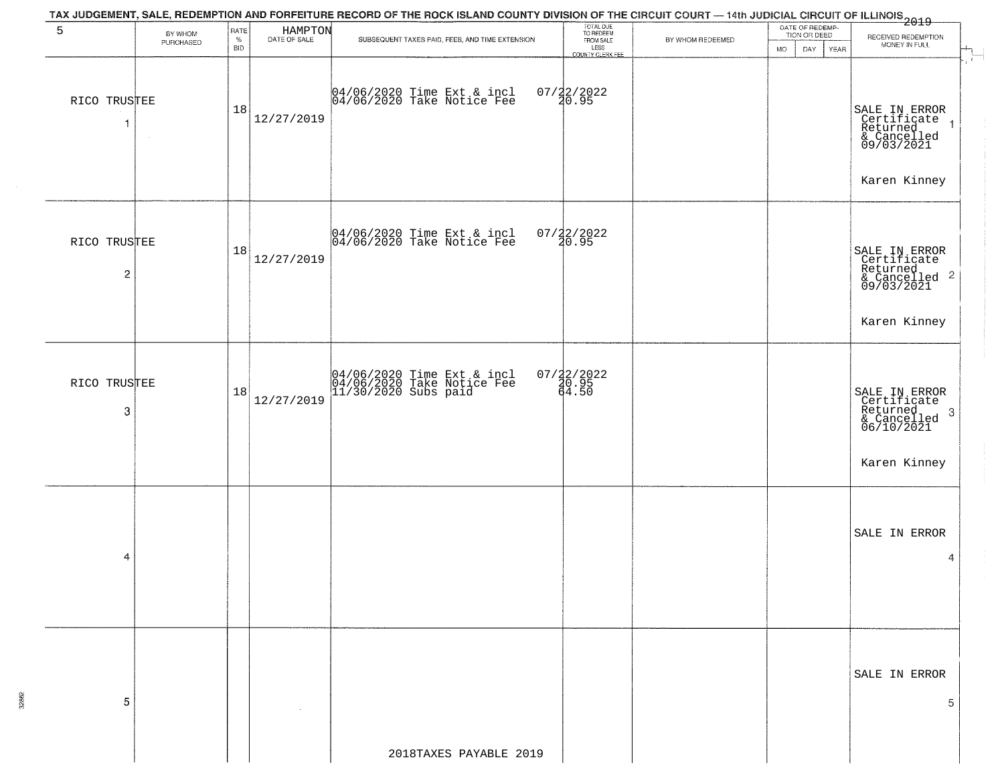| 5                                       |                      | RATE       |                         | TAX JUDGEMENT, SALE, REDEMPTION AND FORFEITURE RECORD OF THE ROCK ISLAND COUNTY DIVISION OF THE CIRCUIT COURT — 14th JUDICIAL CIRCUIT OF ILLINOIS 2019 | TOTAL DUE<br>TO REDEEM         |                  | DATE OF REDEMP-     |                                                                                             |  |
|-----------------------------------------|----------------------|------------|-------------------------|--------------------------------------------------------------------------------------------------------------------------------------------------------|--------------------------------|------------------|---------------------|---------------------------------------------------------------------------------------------|--|
|                                         | BY WHOM<br>PURCHASED | $\%$       | HAMPTON<br>DATE OF SALE | SUBSEQUENT TAXES PAID, FEES, AND TIME EXTENSION                                                                                                        | FROM SALE                      | BY WHOM REDEEMED | TION OR DEED        | RECEIVED REDEMPTION<br>MONEY IN FULL                                                        |  |
|                                         |                      | <b>BID</b> |                         |                                                                                                                                                        | LESS<br>COUNTY CLERK FEE       |                  | DAY.<br>YEAR<br>MO. |                                                                                             |  |
| RICO TRUSTEE<br>-1                      |                      | 18         | 12/27/2019              | 04/06/2020 Time Ext & incl<br>04/06/2020 Take Notice Fee                                                                                               | $07/22/2022$<br>20.95          |                  |                     | SALE IN ERROR<br>Certificate 1<br>Returned 4<br>& Cancelled<br>09/03/2021                   |  |
|                                         |                      |            |                         |                                                                                                                                                        |                                |                  |                     | Karen Kinney                                                                                |  |
| RICO TRUSTEE<br>$\overline{\mathbf{c}}$ |                      | 18         | 12/27/2019              | 04/06/2020 Time Ext & incl<br>04/06/2020 Take Notice Fee                                                                                               | $07/22/2022$<br>$20.95$        |                  |                     | SALE IN ERROR<br>Certificate<br>Returned<br>& Cancelled 2<br>09/03/2021<br>Karen Kinney     |  |
|                                         |                      |            |                         |                                                                                                                                                        |                                |                  |                     |                                                                                             |  |
| RICO TRUSTEE<br>3                       |                      | 18         | 12/27/2019              | 04/06/2020 Time Ext & incl<br>04/06/2020 Take Notice Fee<br>11/30/2020 Subs paid                                                                       | $07/22/2022$<br>20.95<br>64.50 |                  |                     | SALE IN ERROR<br>Certificate<br>Returned<br>-3<br>& Cancelled<br>06/10/2021<br>Karen Kinney |  |
| 4                                       |                      |            |                         |                                                                                                                                                        |                                |                  |                     | SALE IN ERROR<br>4                                                                          |  |
| 5                                       |                      |            |                         |                                                                                                                                                        |                                |                  |                     | SALE IN ERROR<br>5                                                                          |  |
|                                         |                      |            |                         |                                                                                                                                                        |                                |                  |                     |                                                                                             |  |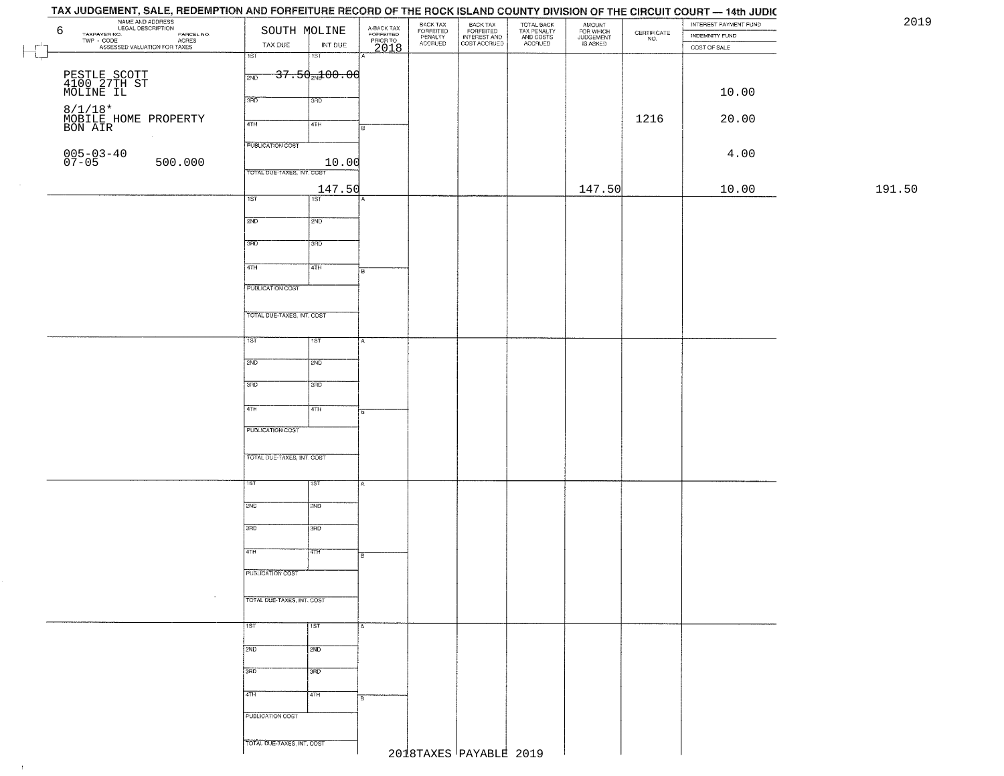| 6 | NAME AND ADDRESS<br>LEGAL DESCRIPTION                                                             | SOUTH MOLINE               |                                |                                     | BACK TAX                               |                                                       |                                                   |                                              |                                                                 | INTEREST PAYMENT FUND |        |
|---|---------------------------------------------------------------------------------------------------|----------------------------|--------------------------------|-------------------------------------|----------------------------------------|-------------------------------------------------------|---------------------------------------------------|----------------------------------------------|-----------------------------------------------------------------|-----------------------|--------|
|   | TAXPAYER NO.<br>ECONOMIC DESCRIPTION PARCEL NO.<br>- CODE ACRES<br>- ASSESSED VALUATION FOR TAXES |                            |                                | A-BACK TAX<br>FORFEITED<br>PRIOR TO | FORFEITED<br>PENALTY<br><b>ACCRUED</b> | BACK TAX<br>FORFEITED<br>INTEREST AND<br>COST ACCRUED | TOTAL BACK<br>TAX PENALTY<br>AND COSTS<br>ACCRUED | AMOUNT<br>FOR WHICH<br>JUDGEMENT<br>IS ASKED | $\begin{array}{c} \text{CERTIFICATE} \\ \text{NO.} \end{array}$ | INDEMNITY FUND        |        |
|   |                                                                                                   | TAX DUE                    | INT DUE                        | 2018                                |                                        |                                                       |                                                   |                                              |                                                                 | COST OF SALE          |        |
|   |                                                                                                   | 1ST                        | 1ST                            |                                     |                                        |                                                       |                                                   |                                              |                                                                 |                       |        |
|   |                                                                                                   |                            | $37.50$ <sub>2N</sub> $200.00$ |                                     |                                        |                                                       |                                                   |                                              |                                                                 |                       |        |
|   | PESTLE SCOTT<br>4100 27TH ST<br>MOLINE IL                                                         | 2ND                        |                                |                                     |                                        |                                                       |                                                   |                                              |                                                                 |                       |        |
|   |                                                                                                   |                            |                                |                                     |                                        |                                                       |                                                   |                                              |                                                                 | 10.00                 |        |
|   |                                                                                                   | 3RD                        | 3RD                            |                                     |                                        |                                                       |                                                   |                                              |                                                                 |                       |        |
|   | $8/1/18*$                                                                                         |                            |                                |                                     |                                        |                                                       |                                                   |                                              |                                                                 |                       |        |
|   | MOBILE HOME PROPERTY<br>BON AIR                                                                   | 4TH                        | 4TH                            |                                     |                                        |                                                       |                                                   |                                              | 1216                                                            | 20.00                 |        |
|   |                                                                                                   |                            |                                |                                     |                                        |                                                       |                                                   |                                              |                                                                 |                       |        |
|   |                                                                                                   | <b>PUBLICATION COST</b>    |                                |                                     |                                        |                                                       |                                                   |                                              |                                                                 |                       |        |
|   | 005-03-40<br>07-05                                                                                |                            |                                |                                     |                                        |                                                       |                                                   |                                              |                                                                 | 4.00                  |        |
|   | 500.000                                                                                           | TOTAL DUE-TAXES, INT. COST | 10.00                          |                                     |                                        |                                                       |                                                   |                                              |                                                                 |                       |        |
|   |                                                                                                   |                            |                                |                                     |                                        |                                                       |                                                   |                                              |                                                                 |                       |        |
|   |                                                                                                   |                            | $\frac{147.50}{1181}$          |                                     |                                        |                                                       |                                                   | 147.50                                       |                                                                 | 10.00                 | 191.50 |
|   |                                                                                                   | 1ST                        |                                |                                     |                                        |                                                       |                                                   |                                              |                                                                 |                       |        |
|   |                                                                                                   |                            |                                |                                     |                                        |                                                       |                                                   |                                              |                                                                 |                       |        |
|   |                                                                                                   | 2ND                        | 2ND                            |                                     |                                        |                                                       |                                                   |                                              |                                                                 |                       |        |
|   |                                                                                                   |                            |                                |                                     |                                        |                                                       |                                                   |                                              |                                                                 |                       |        |
|   |                                                                                                   | 3BD                        | 3RD                            |                                     |                                        |                                                       |                                                   |                                              |                                                                 |                       |        |
|   |                                                                                                   |                            |                                |                                     |                                        |                                                       |                                                   |                                              |                                                                 |                       |        |
|   |                                                                                                   | $\overline{47H}$           | 4TH                            | в                                   |                                        |                                                       |                                                   |                                              |                                                                 |                       |        |
|   |                                                                                                   |                            |                                |                                     |                                        |                                                       |                                                   |                                              |                                                                 |                       |        |
|   |                                                                                                   | PUBLICATION COST           |                                |                                     |                                        |                                                       |                                                   |                                              |                                                                 |                       |        |
|   |                                                                                                   |                            |                                |                                     |                                        |                                                       |                                                   |                                              |                                                                 |                       |        |
|   |                                                                                                   | TOTAL DUE-TAXES, INT. COST |                                |                                     |                                        |                                                       |                                                   |                                              |                                                                 |                       |        |
|   |                                                                                                   |                            |                                |                                     |                                        |                                                       |                                                   |                                              |                                                                 |                       |        |
|   |                                                                                                   |                            |                                |                                     |                                        |                                                       |                                                   |                                              |                                                                 |                       |        |
|   |                                                                                                   | 1ST <sup>"</sup>           | 1ST                            |                                     |                                        |                                                       |                                                   |                                              |                                                                 |                       |        |
|   |                                                                                                   |                            |                                |                                     |                                        |                                                       |                                                   |                                              |                                                                 |                       |        |
|   |                                                                                                   | 2ND                        | 2ND                            |                                     |                                        |                                                       |                                                   |                                              |                                                                 |                       |        |
|   |                                                                                                   |                            |                                |                                     |                                        |                                                       |                                                   |                                              |                                                                 |                       |        |
|   |                                                                                                   | 3RD                        | 3RD                            |                                     |                                        |                                                       |                                                   |                                              |                                                                 |                       |        |
|   |                                                                                                   |                            |                                |                                     |                                        |                                                       |                                                   |                                              |                                                                 |                       |        |
|   |                                                                                                   | 4TH                        | 4TH                            | 8                                   |                                        |                                                       |                                                   |                                              |                                                                 |                       |        |
|   |                                                                                                   |                            |                                |                                     |                                        |                                                       |                                                   |                                              |                                                                 |                       |        |
|   |                                                                                                   | PUBLICATION COST           |                                |                                     |                                        |                                                       |                                                   |                                              |                                                                 |                       |        |
|   |                                                                                                   |                            |                                |                                     |                                        |                                                       |                                                   |                                              |                                                                 |                       |        |
|   |                                                                                                   | TOTAL OUE-TAXES, INT. COST |                                |                                     |                                        |                                                       |                                                   |                                              |                                                                 |                       |        |
|   |                                                                                                   |                            |                                |                                     |                                        |                                                       |                                                   |                                              |                                                                 |                       |        |
|   |                                                                                                   |                            |                                |                                     |                                        |                                                       |                                                   |                                              |                                                                 |                       |        |
|   |                                                                                                   | 1ST                        | १९४                            |                                     |                                        |                                                       |                                                   |                                              |                                                                 |                       |        |
|   |                                                                                                   |                            |                                |                                     |                                        |                                                       |                                                   |                                              |                                                                 |                       |        |
|   |                                                                                                   | 2ND                        | 2ND                            |                                     |                                        |                                                       |                                                   |                                              |                                                                 |                       |        |
|   |                                                                                                   |                            |                                |                                     |                                        |                                                       |                                                   |                                              |                                                                 |                       |        |
|   |                                                                                                   | 3RD                        | 3BD                            |                                     |                                        |                                                       |                                                   |                                              |                                                                 |                       |        |
|   |                                                                                                   |                            |                                |                                     |                                        |                                                       |                                                   |                                              |                                                                 |                       |        |
|   |                                                                                                   | 4TH                        | 47H                            | в                                   |                                        |                                                       |                                                   |                                              |                                                                 |                       |        |
|   |                                                                                                   |                            |                                |                                     |                                        |                                                       |                                                   |                                              |                                                                 |                       |        |
|   |                                                                                                   | PUBLICATION COST           |                                |                                     |                                        |                                                       |                                                   |                                              |                                                                 |                       |        |
|   |                                                                                                   |                            |                                |                                     |                                        |                                                       |                                                   |                                              |                                                                 |                       |        |
|   | $\sim$                                                                                            | TOTAL DUE-TAXES, INT. COST |                                |                                     |                                        |                                                       |                                                   |                                              |                                                                 |                       |        |
|   |                                                                                                   |                            |                                |                                     |                                        |                                                       |                                                   |                                              |                                                                 |                       |        |
|   |                                                                                                   |                            |                                |                                     |                                        |                                                       |                                                   |                                              |                                                                 |                       |        |
|   |                                                                                                   | 1ST                        | 1ST                            |                                     |                                        |                                                       |                                                   |                                              |                                                                 |                       |        |
|   |                                                                                                   |                            |                                |                                     |                                        |                                                       |                                                   |                                              |                                                                 |                       |        |
|   |                                                                                                   | 2ND                        | 2ND                            |                                     |                                        |                                                       |                                                   |                                              |                                                                 |                       |        |
|   |                                                                                                   |                            |                                |                                     |                                        |                                                       |                                                   |                                              |                                                                 |                       |        |
|   |                                                                                                   | 3RD                        | 3BD                            |                                     |                                        |                                                       |                                                   |                                              |                                                                 |                       |        |
|   |                                                                                                   |                            |                                |                                     |                                        |                                                       |                                                   |                                              |                                                                 |                       |        |
|   |                                                                                                   | 4TH                        | 4TH                            | B                                   |                                        |                                                       |                                                   |                                              |                                                                 |                       |        |
|   |                                                                                                   |                            |                                |                                     |                                        |                                                       |                                                   |                                              |                                                                 |                       |        |
|   |                                                                                                   | PUBLICATION COST           |                                |                                     |                                        |                                                       |                                                   |                                              |                                                                 |                       |        |
|   |                                                                                                   |                            |                                |                                     |                                        |                                                       |                                                   |                                              |                                                                 |                       |        |
|   |                                                                                                   | TOTAL DUE-TAXES, INT. COST |                                |                                     |                                        |                                                       |                                                   |                                              |                                                                 |                       |        |
|   |                                                                                                   |                            |                                |                                     |                                        | 2018TAXES PAYABLE 2019                                |                                                   |                                              |                                                                 |                       |        |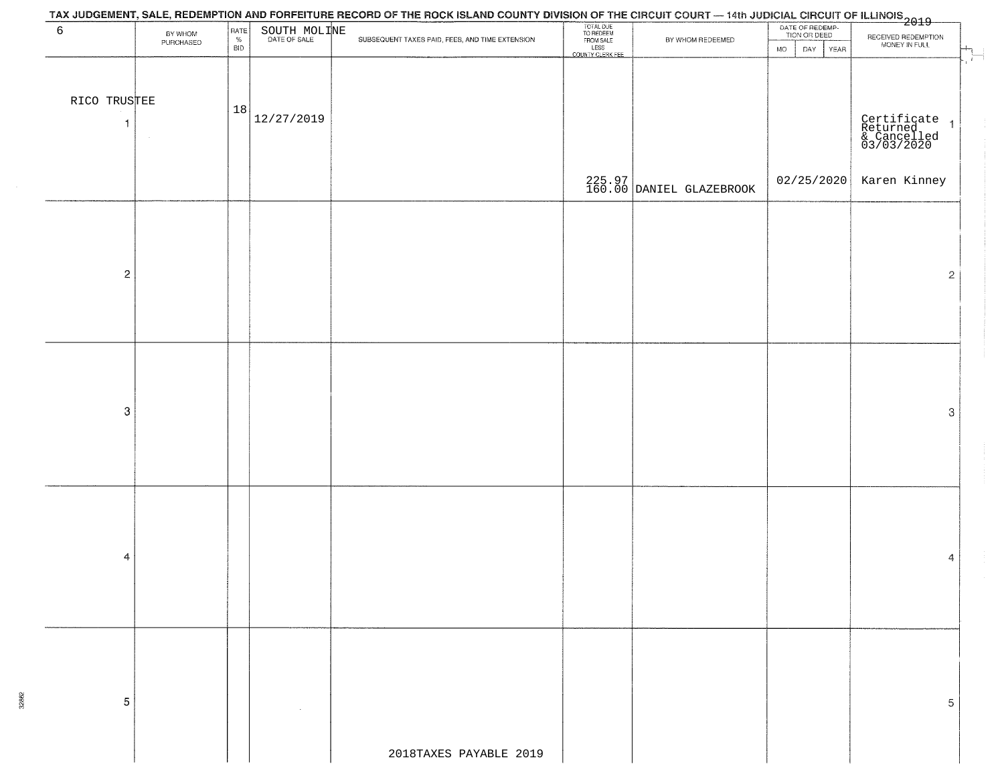| $\sqrt{6}$                   | BY WHOM<br>PURCHASED | $\ensuremath{\mathsf{RATE}}\xspace_{\%}$<br><b>BID</b> | SOUTH MOLINE | SUBSEQUENT TAXES PAID, FEES, AND TIME EXTENSION | TOTAL DUE<br>TO REDEEM<br>FROM SALE<br>LESS<br>COUNTY CLERK FEE | BY WHOM REDEEMED                   | DATE OF REDEMP-<br>TION OR DEED<br>DAY YEAR<br><b>MO</b> | RECEIVED REDEMPTION<br>MONEY IN FULL                                    |
|------------------------------|----------------------|--------------------------------------------------------|--------------|-------------------------------------------------|-----------------------------------------------------------------|------------------------------------|----------------------------------------------------------|-------------------------------------------------------------------------|
| RICO TRUSTEE<br>$\mathbf{1}$ |                      | 18                                                     | 12/27/2019   |                                                 |                                                                 |                                    |                                                          | $\hat{I}$ .<br>Certificate 1<br>Returned 1<br>& Cancelled<br>03/03/2020 |
|                              |                      |                                                        |              |                                                 |                                                                 | 225.97<br>160.00 DANIEL GLAZEBROOK | 02/25/2020                                               | Karen Kinney                                                            |
| $\overline{c}$               |                      |                                                        |              |                                                 |                                                                 |                                    |                                                          | $\mathbf{2}$                                                            |
| $\boldsymbol{3}$             |                      |                                                        |              |                                                 |                                                                 |                                    |                                                          | 3                                                                       |
| 4                            |                      |                                                        |              |                                                 |                                                                 |                                    |                                                          | 4                                                                       |
| 5                            |                      |                                                        |              |                                                 |                                                                 |                                    |                                                          | 5                                                                       |
|                              |                      |                                                        |              | 2018TAXES PAYABLE 2019                          |                                                                 |                                    |                                                          |                                                                         |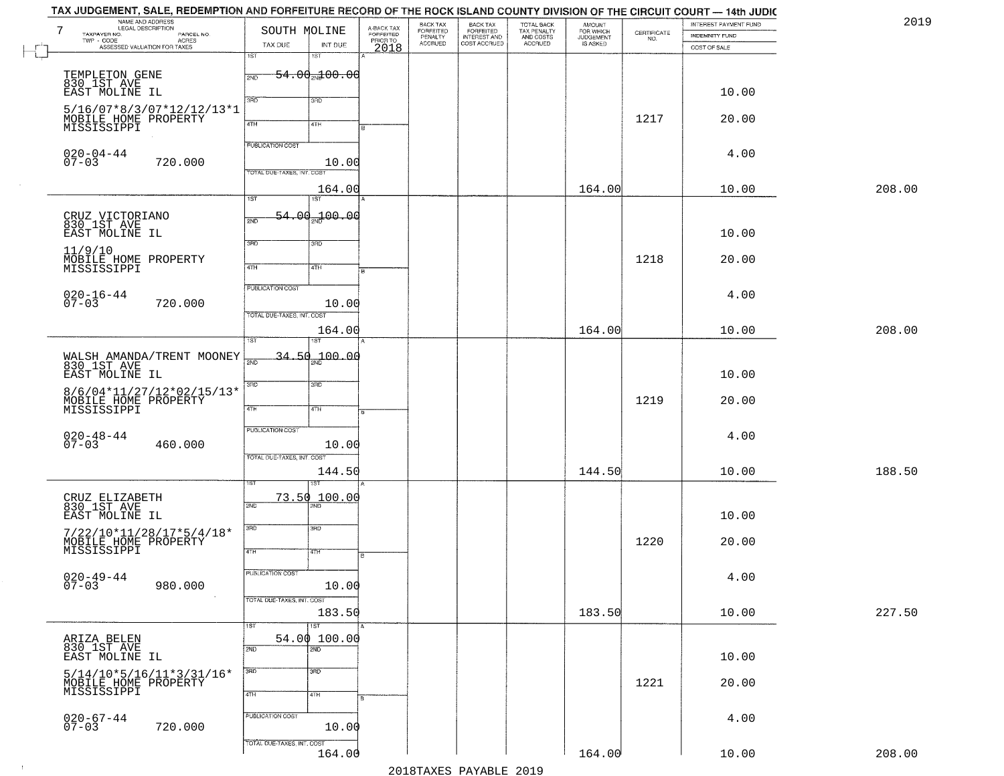| 2019   | INTEREST PAYMENT FUND |                    | <b>AMOUNT</b>                      |                                                   | BACK TAX<br>FORFEITED<br>INTEREST AND | BACK TAX<br>FORFEITED |                                     |                     | SOUTH MOLINE               | NAME AND ADDRESS<br>LEGAL DESCRIPTION                           |
|--------|-----------------------|--------------------|------------------------------------|---------------------------------------------------|---------------------------------------|-----------------------|-------------------------------------|---------------------|----------------------------|-----------------------------------------------------------------|
|        | <b>INDEMNITY FUND</b> | CERTIFICATE<br>NO. | FOR WHICH<br>JUDGEMENT<br>IS ASKED | TOTAL BACK<br>TAX PENALTY<br>AND COSTS<br>ACCRUED | COST ACCRUED                          | PENALTY               | A-BACK TAX<br>FORFEITED<br>PRIOR TO |                     |                            | TAXPAYER NO.<br>PARCEL NO.<br>ACRES<br>TWP - CODE               |
|        | COST OF SALE          |                    |                                    |                                                   |                                       | <b>ACCRUED</b>        | 2018                                | INT DUE<br>1ST      | TAX DUE<br>1ST             | ASSESSED VALUATION FOR TAXES                                    |
|        |                       |                    |                                    |                                                   |                                       |                       |                                     |                     |                            |                                                                 |
|        |                       |                    |                                    |                                                   |                                       |                       |                                     | $-54.00 - 00.00$    | 2ND                        | TEMPLETON GENE<br>830 1ST AVE<br>EAST MOLINE IL                 |
|        | 10.00                 |                    |                                    |                                                   |                                       |                       |                                     |                     |                            |                                                                 |
|        |                       |                    |                                    |                                                   |                                       |                       |                                     | 3RD                 | 3BD                        | 5/16/07*8/3/07*12/12/13*1                                       |
|        | 20.00                 | 1217               |                                    |                                                   |                                       |                       |                                     | 4TH                 | 4TH                        | MOBILE HOME PROPERTY<br>MISSISSIPPI                             |
|        |                       |                    |                                    |                                                   |                                       |                       |                                     |                     |                            |                                                                 |
|        | 4.00                  |                    |                                    |                                                   |                                       |                       |                                     |                     | PUBLICATION COST           | $020 - 04 - 44$<br>07-03                                        |
|        |                       |                    |                                    |                                                   |                                       |                       |                                     | 10.00               | TOTAL DUE-TAXES, INT. COST | 720.000                                                         |
|        |                       |                    |                                    |                                                   |                                       |                       |                                     |                     |                            |                                                                 |
| 208.00 | 10.00                 |                    | 164.00                             |                                                   |                                       |                       |                                     | 164.00<br>1ST       | $\overline{1ST}$           |                                                                 |
|        |                       |                    |                                    |                                                   |                                       |                       |                                     | 54.00 100.00        |                            |                                                                 |
|        |                       |                    |                                    |                                                   |                                       |                       |                                     |                     | 2ND                        | CRUZ VICTORIANO<br>830 1ST AVE                                  |
|        | 10.00                 |                    |                                    |                                                   |                                       |                       |                                     | 3RD                 | 3RD                        | EAST MOLINE IL                                                  |
|        | 20.00                 | 1218               |                                    |                                                   |                                       |                       |                                     |                     |                            | 11/9/10                                                         |
|        |                       |                    |                                    |                                                   |                                       |                       |                                     | 4TH                 | $\overline{47H}$           | MOBILE HOME PROPERTY<br>MISSISSIPPI                             |
|        |                       |                    |                                    |                                                   |                                       |                       |                                     |                     | PUBLICATION COST           |                                                                 |
|        | 4.00                  |                    |                                    |                                                   |                                       |                       |                                     | 10.00               |                            | $020 - 16 - 44$<br>$07 - 03$<br>720.000                         |
|        |                       |                    |                                    |                                                   |                                       |                       |                                     |                     | TOTAL DUE-TAXES, INT. COST |                                                                 |
| 208.00 | 10.00                 |                    | 164.00                             |                                                   |                                       |                       |                                     | 164.00              |                            |                                                                 |
|        |                       |                    |                                    |                                                   |                                       |                       |                                     | 187                 | is T                       |                                                                 |
|        |                       |                    |                                    |                                                   |                                       |                       |                                     | $-34.50 - 00.00$    |                            | WALSH AMANDA/TRENT MOONEY<br>830_1ST AVE                        |
|        | 10.00                 |                    |                                    |                                                   |                                       |                       |                                     |                     |                            | EAST MOLINE IL                                                  |
|        |                       |                    |                                    |                                                   |                                       |                       |                                     | 3RD                 | 3BD                        | 8/6/04*11/27/12*02/15/13*                                       |
|        | 20.00                 | 1219               |                                    |                                                   |                                       |                       |                                     | 4TH                 | 4TH                        | MOBILE HOME PROPERTY                                            |
|        |                       |                    |                                    |                                                   |                                       |                       |                                     |                     |                            |                                                                 |
|        | 4.00                  |                    |                                    |                                                   |                                       |                       |                                     |                     | <b>PUBLICATION COST</b>    |                                                                 |
|        |                       |                    |                                    |                                                   |                                       |                       |                                     | 10.00               |                            | $020 - 48 - 44$<br>07-03<br>460.000                             |
|        |                       |                    |                                    |                                                   |                                       |                       |                                     |                     | TOTAL OUE-TAXES, INT. COST |                                                                 |
| 188.50 | 10.00                 |                    | 144.50                             |                                                   |                                       |                       |                                     | 144.50              |                            |                                                                 |
|        |                       |                    |                                    |                                                   |                                       |                       |                                     | 100.00              | 73.50                      |                                                                 |
|        |                       |                    |                                    |                                                   |                                       |                       |                                     |                     | 2ND                        | CRUZ ELIZABETH<br>830 1ST AVE                                   |
|        | 10.00                 |                    |                                    |                                                   |                                       |                       |                                     | 3BD                 | 3RD                        | EAST MOLINE IL                                                  |
|        | 20.00                 | 1220               |                                    |                                                   |                                       |                       |                                     |                     |                            | 7/22/10*11/28/17*5/4/18*<br>MOBILE HOME PROPERTY                |
|        |                       |                    |                                    |                                                   |                                       |                       |                                     | वाम                 | 4TH                        | MISSISSIPPI                                                     |
|        |                       |                    |                                    |                                                   |                                       |                       |                                     |                     | PUBLICATION COST           |                                                                 |
|        | 4.00                  |                    |                                    |                                                   |                                       |                       |                                     | 10.00               |                            | $020 - 49 - 44$<br>07-03<br>980.000                             |
|        |                       |                    |                                    |                                                   |                                       |                       |                                     |                     | TOTAL DUE-TAXES, INT. COST |                                                                 |
| 227.50 | 10.00                 |                    | 183.50                             |                                                   |                                       |                       |                                     | 183.50              |                            |                                                                 |
|        |                       |                    |                                    |                                                   |                                       |                       |                                     | 1ST                 | 1ST                        |                                                                 |
|        |                       |                    |                                    |                                                   |                                       |                       |                                     | 54.00 100.00<br>2ND | 2ND                        | ARIZA BELEN<br>830_1ST_AVE                                      |
|        | 10.00                 |                    |                                    |                                                   |                                       |                       |                                     |                     |                            | EAST MOLINE IL                                                  |
|        |                       |                    |                                    |                                                   |                                       |                       |                                     | 3 <sub>BD</sub>     | 3RD                        |                                                                 |
|        | 20.00                 | 1221               |                                    |                                                   |                                       |                       |                                     |                     |                            | 5/14/10*5/16/11*3/31/16*<br>MOBILE HOME PROPERTY<br>MISSISSIPPI |
|        |                       |                    |                                    |                                                   |                                       |                       |                                     | 4TH                 | 4TH                        |                                                                 |
|        | 4.00                  |                    |                                    |                                                   |                                       |                       |                                     |                     | PUBLICATION COST           |                                                                 |
|        |                       |                    |                                    |                                                   |                                       |                       |                                     | 10.00               |                            | $020 - 67 - 44$<br>07-03<br>720.000                             |
|        |                       |                    |                                    |                                                   |                                       |                       |                                     |                     | TOTAL DUE-TAXES, INT. COST |                                                                 |
| 208.00 | 10.00                 |                    | 164.00                             |                                                   |                                       |                       |                                     | 164.00              |                            |                                                                 |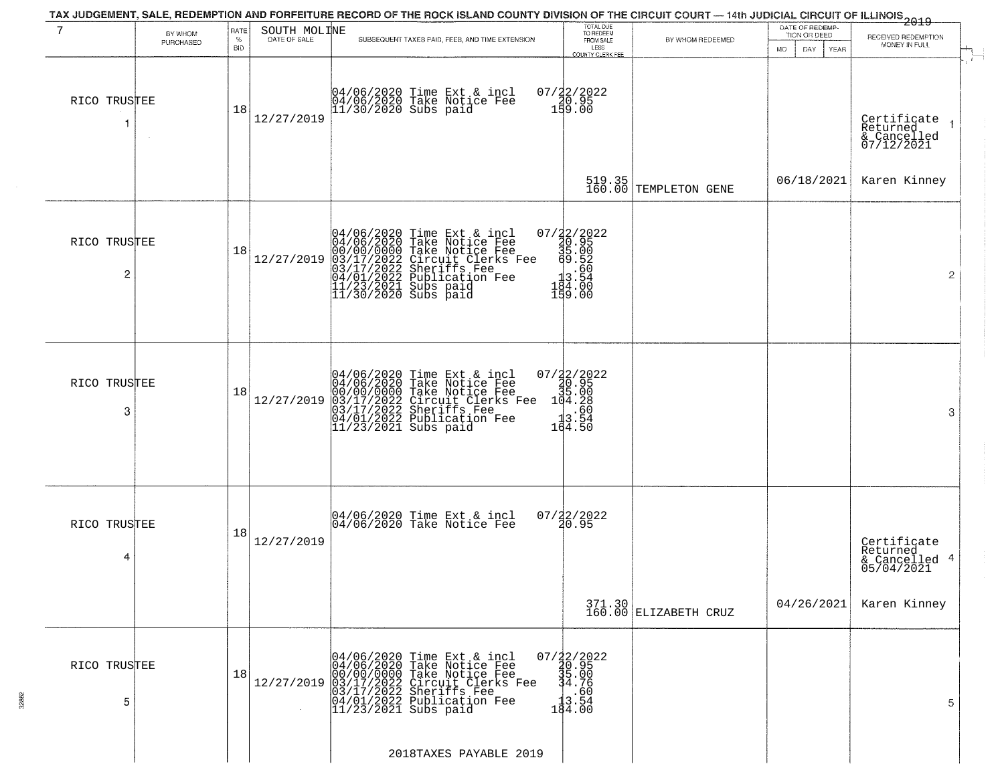|                   |           |              |              | TAX JUDGEMENT, SALE, REDEMPTION AND FORFEITURE RECORD OF THE ROCK ISLAND COUNTY DIVISION OF THE CIRCUIT COURT — 14th JUDICIAL CIRCUIT OF ILLINOIS 2019                                                                                                                                                                                      |                                                                                               |                                 |                                 |                                                           |
|-------------------|-----------|--------------|--------------|---------------------------------------------------------------------------------------------------------------------------------------------------------------------------------------------------------------------------------------------------------------------------------------------------------------------------------------------|-----------------------------------------------------------------------------------------------|---------------------------------|---------------------------------|-----------------------------------------------------------|
| 7                 | BY WHOM   | RATE<br>$\%$ | SOUTH MOLINE | SUBSEQUENT TAXES PAID, FEES, AND TIME EXTENSION                                                                                                                                                                                                                                                                                             | TOTAL DUE<br>TO REDEEM<br>FROM SALE                                                           | BY WHOM REDEEMED                | DATE OF REDEMP-<br>TION OR DEED | RECEIVED REDEMPTION                                       |
|                   | PURCHASED | <b>BID</b>   |              |                                                                                                                                                                                                                                                                                                                                             | LESS<br>COUNTY CLERK FEE                                                                      |                                 | MO.<br>DAY.<br>YEAR             | MONEY IN FULL                                             |
| RICO TRUSTEE<br>1 |           | 18           | 12/27/2019   | 04/06/2020 Time Ext & incl<br>04/06/2020 Take Notice Fee<br>11/30/2020 Subs paid                                                                                                                                                                                                                                                            | 07/22/2022<br>20.95<br>159.00                                                                 |                                 |                                 | Certificate<br>Returned<br>& Cancelled<br>07/12/2021      |
|                   |           |              |              |                                                                                                                                                                                                                                                                                                                                             |                                                                                               | 519.35<br>160.00 TEMPLETON GENE | 06/18/2021                      | Karen Kinney                                              |
| RICO TRUSTEE<br>2 |           | 18           |              | $[04/06/2020 \text{ Time Ext & incl} \quad 04/06/2020 \text{ Take Notice Free} \quad 00/00/00000 \text{ Take Notice Free} \quad 12/27/2019 \text{ [03/17/2022 Circuit Clerks Free} \quad 03/17/2022 \text{ Sheriffs Tree} \quad 04/01/2022 \text{ Publications Tree} \quad 11/23/2021 \text{ Subs paid} \quad 11/30/2020 \text{ Subs paid}$ | 07/22/2022<br>20.95<br>35.00<br>39.52<br>$13.54$<br>$13.54$<br>$194.00$<br>159.00             |                                 |                                 | $\overline{2}$                                            |
| RICO TRUSTEE<br>3 |           | 18           | 12/27/2019   | 04/06/2020 Time Ext & incl<br>04/06/2020 Take Notice Fee<br>00/00/00000 Take Notice Fee<br>03/17/2022 Circuit Clerks Fee<br>03/17/2022 Sheriffs Fee<br>04/01/2022 Publication Fee<br>11/23/2021 Subs paid                                                                                                                                   | $07/22/2022$<br>$-20.95$<br>$-35.00$<br>104.28<br>$-13.50$<br>$13.54$<br>$164.50$             |                                 |                                 | 3                                                         |
| RICO TRUSTEE<br>4 |           | 18           | 12/27/2019   | 04/06/2020 Time Ext & incl<br>04/06/2020 Take Notice Fee                                                                                                                                                                                                                                                                                    | $07/22/2022$<br>20.95                                                                         |                                 |                                 | Certificate<br>Returned<br>& Cancelled<br>05/04/2021<br>4 |
|                   |           |              |              |                                                                                                                                                                                                                                                                                                                                             |                                                                                               | 371.30<br>160.00 ELIZABETH CRUZ | 04/26/2021                      | Karen Kinney                                              |
| RICO TRUSTEE<br>5 |           | 18           | 12/27/2019   | 04/06/2020 Time Ext & incl<br>04/06/2020 Take Notice Fee<br>00/00/00000 Take Notice Fee<br>03/17/2022 Circuit Clerks Fee<br>03/17/2022 Sheriffs Fee<br>04/01/2022 Publication Fee<br>11/23/2021 Subs paid                                                                                                                                   | $07/\frac{1}{4}2/\frac{2022}{95}$<br>$\frac{40.95}{35.00}$<br>34.76<br>.60<br>.3.54<br>184.00 |                                 |                                 | 5                                                         |
|                   |           |              |              | 2018TAXES PAYABLE 2019                                                                                                                                                                                                                                                                                                                      |                                                                                               |                                 |                                 |                                                           |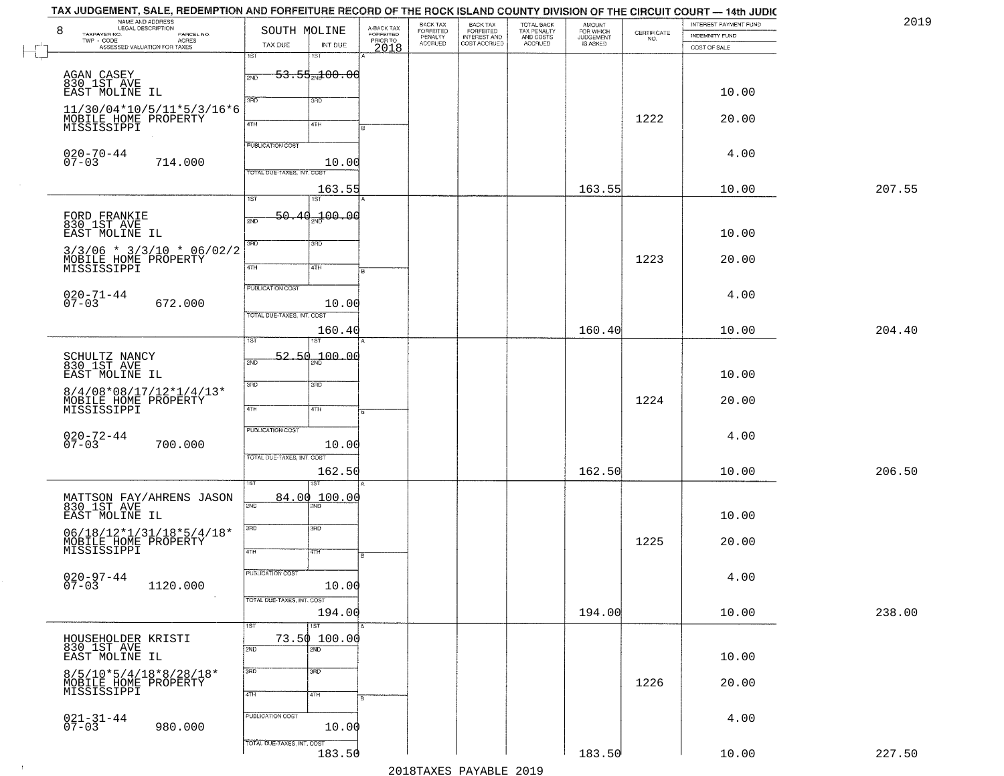|        | INTEREST PAYMENT FUND |                    | <b>AMOUNT</b>                      |                                                   | BACK TAX<br>FORFEITED<br>INTEREST AND | BACK TAX<br>FORFEITED     |                                     |                            | SOUTH MOLINE               | NAME AND ADDRESS<br>LEGAL DESCRIPTION                         | 8         |
|--------|-----------------------|--------------------|------------------------------------|---------------------------------------------------|---------------------------------------|---------------------------|-------------------------------------|----------------------------|----------------------------|---------------------------------------------------------------|-----------|
|        | <b>INDEMNITY FUND</b> | CERTIFICATE<br>NO. | FOR WHICH<br>JUDGEMENT<br>IS ASKED | TOTAL BACK<br>TAX PENALTY<br>AND COSTS<br>ACCRUED | COST ACCRUED                          | PENALTY<br><b>ACCRUED</b> | A-BACK TAX<br>FORFEITED<br>PRIOR TO |                            |                            | TAXPAYER NO.<br>PARCEL NO.<br>ACRES<br>TWP - CODE             |           |
|        | COST OF SALE          |                    |                                    |                                                   |                                       |                           | 2018                                | INT DUE<br>1ST             | TAX DUE<br>1ST             | ASSESSED VALUATION FOR TAXES                                  |           |
|        |                       |                    |                                    |                                                   |                                       |                           |                                     |                            |                            |                                                               |           |
|        |                       |                    |                                    |                                                   |                                       |                           |                                     | 53.55 <sub>20</sub> 100.00 | 2ND                        | AGAN CASEY<br>830_1ST_AVE                                     |           |
|        | 10.00                 |                    |                                    |                                                   |                                       |                           |                                     | 3RD                        | 3RD                        | EAST MOLINE IL                                                |           |
|        | 20.00                 | 1222               |                                    |                                                   |                                       |                           |                                     |                            |                            | 11/30/04*10/5/11*5/3/16*6                                     |           |
|        |                       |                    |                                    |                                                   |                                       |                           |                                     | 4TH                        | 4TH                        | MOBILE HOME PROPERTY<br>MISSISSIPPI                           |           |
|        |                       |                    |                                    |                                                   |                                       |                           |                                     |                            | PUBLICATION COST           |                                                               |           |
|        | 4.00                  |                    |                                    |                                                   |                                       |                           |                                     | 10.00                      |                            | $020 - 70 - 44$<br>714.000                                    | $07 - 03$ |
|        |                       |                    |                                    |                                                   |                                       |                           |                                     |                            | TOTAL DUE-TAXES, INT. COST |                                                               |           |
| 207.55 | 10.00                 |                    | 163.55                             |                                                   |                                       |                           |                                     | 163.55                     |                            |                                                               |           |
|        |                       |                    |                                    |                                                   |                                       |                           |                                     | 1ST                        | $\overline{1ST}$           |                                                               |           |
|        |                       |                    |                                    |                                                   |                                       |                           |                                     | 700.00                     | 50.40<br>2ND               | FORD FRANKIE<br>830 1ST AVE                                   |           |
|        | 10.00                 |                    |                                    |                                                   |                                       |                           |                                     |                            |                            | EAST MOLINE IL                                                |           |
|        |                       |                    |                                    |                                                   |                                       |                           |                                     | 3RD                        | $\overline{3BD}$           | $3/3/06$ * $3/3/10$ * 06/02/2                                 |           |
|        | 20.00                 | 1223               |                                    |                                                   |                                       |                           |                                     | 4TH                        | 47H                        | MOBILE HOME PROPERTY                                          |           |
|        |                       |                    |                                    |                                                   |                                       |                           |                                     |                            | PUBLICATION COST           |                                                               |           |
|        | 4.00                  |                    |                                    |                                                   |                                       |                           |                                     | 10.00                      |                            | $020 - 71 - 44$<br>672.000                                    | $07 - 03$ |
|        |                       |                    |                                    |                                                   |                                       |                           |                                     |                            | TOTAL DUE-TAXES, INT. COST |                                                               |           |
| 204.40 | 10.00                 |                    | 160.40                             |                                                   |                                       |                           |                                     | 160.40                     |                            |                                                               |           |
|        |                       |                    |                                    |                                                   |                                       |                           |                                     | 187                        | ist                        |                                                               |           |
|        |                       |                    |                                    |                                                   |                                       |                           |                                     | 52.50 <sub>an</sub> 100.00 | 2ND                        | SCHULTZ NANCY<br>830 1ST AVE                                  |           |
|        | 10.00                 |                    |                                    |                                                   |                                       |                           |                                     |                            |                            | EAST MOLINE IL                                                |           |
|        |                       |                    |                                    |                                                   |                                       |                           |                                     | 3 <sub>BD</sub>            | 3BD                        | $8/4/08*08/17/12*1/4/13*$                                     |           |
|        | 20.00                 | 1224               |                                    |                                                   |                                       |                           |                                     | 4TH                        | 4TH                        | MOBILE HOME PROPERTY<br>MISSISSIPPI                           |           |
|        |                       |                    |                                    |                                                   |                                       |                           |                                     |                            |                            |                                                               |           |
|        | 4.00                  |                    |                                    |                                                   |                                       |                           |                                     |                            | <b>PUBLICATION COST</b>    | $020 - 72 - 44$<br>07-03                                      |           |
|        |                       |                    |                                    |                                                   |                                       |                           |                                     | 10.00                      | TOTAL OUE-TAXES, INT. COST | 700.000                                                       |           |
| 206.50 | 10.00                 |                    | 162.50                             |                                                   |                                       |                           |                                     | 162.50                     |                            |                                                               |           |
|        |                       |                    |                                    |                                                   |                                       |                           |                                     |                            |                            |                                                               |           |
|        |                       |                    |                                    |                                                   |                                       |                           |                                     | 100.00                     | 84.00<br>2ND               | MATTSON FAY/AHRENS JASON<br>830 1ST AVE                       |           |
|        | 10.00                 |                    |                                    |                                                   |                                       |                           |                                     |                            |                            | EAST MOLINE IL                                                |           |
|        |                       |                    |                                    |                                                   |                                       |                           |                                     | 3BD                        | 3RD                        | 06/18/12*1/31/18*5/4/18*<br>MOBILE HOME PROPERTY              |           |
|        | 20.00                 | 1225               |                                    |                                                   |                                       |                           |                                     | वाम                        | 4TH                        | MISSISSIPPI                                                   |           |
|        |                       |                    |                                    |                                                   |                                       |                           |                                     |                            |                            |                                                               |           |
|        | 4.00                  |                    |                                    |                                                   |                                       |                           |                                     |                            | PUBLICATION COST           | 020-97-44<br>07-03                                            |           |
|        |                       |                    |                                    |                                                   |                                       |                           |                                     | 10.00                      | TOTAL DUE-TAXES, INT. COST | 1120.000                                                      |           |
| 238.00 | 10.00                 |                    | 194.00                             |                                                   |                                       |                           |                                     | 194.00                     |                            |                                                               |           |
|        |                       |                    |                                    |                                                   |                                       |                           |                                     | $\overline{\text{1ST}}$    | 1ST                        |                                                               |           |
|        |                       |                    |                                    |                                                   |                                       |                           |                                     | 73.50 100.00               |                            | HOUSEHOLDER KRISTI                                            |           |
|        | 10.00                 |                    |                                    |                                                   |                                       |                           |                                     | कांठ                       | 2ND                        | 830 IST AVE<br>EAST MOLINE IL                                 |           |
|        |                       |                    |                                    |                                                   |                                       |                           |                                     | 3 <sub>BD</sub>            | 3RD                        |                                                               |           |
|        | 20.00                 | 1226               |                                    |                                                   |                                       |                           |                                     |                            |                            | 8/5/10*5/4/18*8/28/18*<br>MOBILE HOME PROPERTY<br>MISSISSIPPI |           |
|        |                       |                    |                                    |                                                   |                                       |                           |                                     | 4TH                        | 4TH                        |                                                               |           |
|        | 4.00                  |                    |                                    |                                                   |                                       |                           |                                     |                            | PUBLICATION COST           | $021 - 31 - 44$<br>07-03                                      |           |
|        |                       |                    |                                    |                                                   |                                       |                           |                                     | 10.00                      |                            | 980.000                                                       |           |
| 227.50 |                       |                    | 183.50                             |                                                   |                                       |                           |                                     | 183.50                     | TOTAL DUE-TAXES, INT. COST |                                                               |           |
|        | 10.00                 |                    |                                    |                                                   | 2010                                  |                           |                                     |                            |                            |                                                               |           |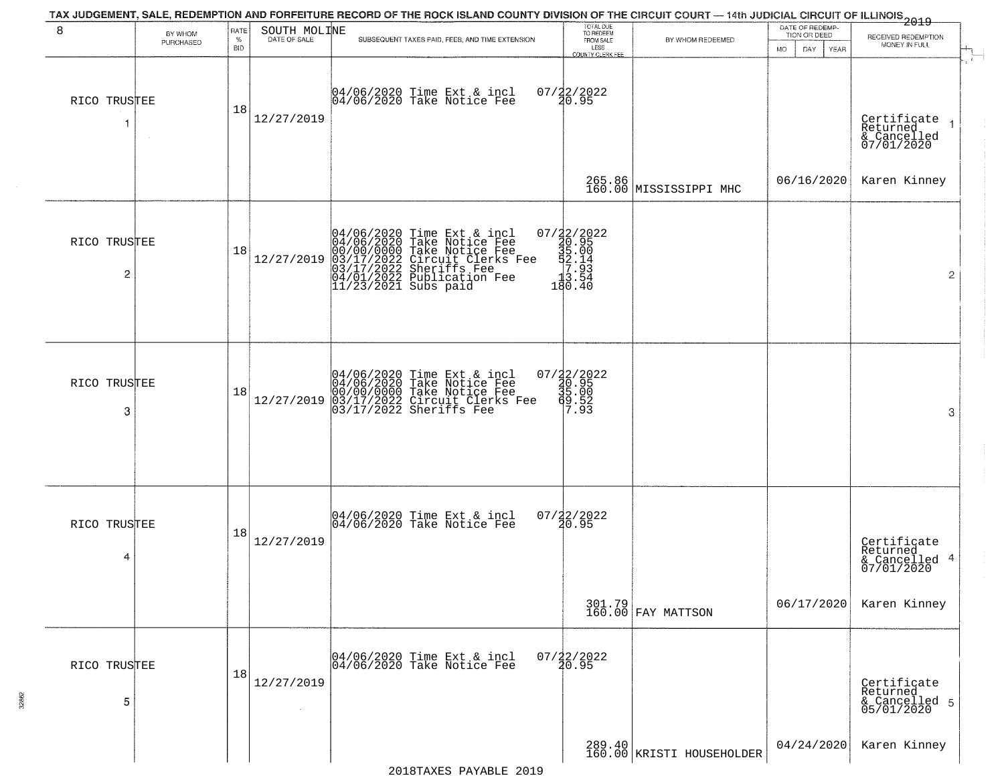|                   |                      |                            |                              | TAX JUDGEMENT, SALE, REDEMPTION AND FORFEITURE RECORD OF THE ROCK ISLAND COUNTY DIVISION OF THE CIRCUIT COURT — 14th JUDICIAL CIRCUIT OF ILLINOIS 2019                                                   |                                                                                                                    |                                     |                                                              |                                                        |
|-------------------|----------------------|----------------------------|------------------------------|----------------------------------------------------------------------------------------------------------------------------------------------------------------------------------------------------------|--------------------------------------------------------------------------------------------------------------------|-------------------------------------|--------------------------------------------------------------|--------------------------------------------------------|
| 8                 | BY WHOM<br>PURCHASED | RATE<br>$\%$<br><b>BID</b> | SOUTH MOLINE<br>DATE OF SALE | SUBSEQUENT TAXES PAID, FEES, AND TIME EXTENSION                                                                                                                                                          | TOTAL DUE<br>TO REDEEM<br>FROM SALE<br>LESS<br>COUNTY CLERK FEE                                                    | BY WHOM REDEEMED                    | DATE OF REDEMP-<br>TION OR DEED<br><b>DAY</b><br>YEAR<br>MO. | RECEIVED REDEMPTION<br>MONEY IN FULL                   |
| RICO TRUSTEE<br>1 | $\sim$               | 18                         | 12/27/2019                   | 04/06/2020 Time Ext & incl<br>04/06/2020 Take Notice Fee                                                                                                                                                 | $07/22/2022$<br>20.95                                                                                              |                                     |                                                              | Certificate<br>Returned<br>& Cancelled<br>07/01/2020   |
|                   |                      |                            |                              |                                                                                                                                                                                                          |                                                                                                                    | 265.86<br>160.00 MISSISSIPPI MHC    | 06/16/2020                                                   | Karen Kinney                                           |
| RICO TRUSTEE<br>2 |                      | 18                         | 12/27/2019                   | 04/06/2020 Time Ext & incl<br>04/06/2020 Take Notice Fee<br>00/00/0000 Take Notice Fee<br>03/17/2022 Circuit Clerks Fee<br>03/17/2022 Sheriffs Fee<br>04/01/2022 Publication Fee<br>11/23/2021 Subs paid | $=\begin{smallmatrix} 07/32/2022\\ 40/95\\ 39/95\\ 42/14\\ 7\cdot 93\\ 13\cdot 54\\ 160\cdot 40 \end{smallmatrix}$ |                                     |                                                              | $\overline{2}$                                         |
| RICO TRUSTEE<br>3 |                      | 18                         | 12/27/2019                   | 04/06/2020 Time Ext & incl<br>04/06/2020 Take Notice Fee<br>00/00/0000 Take Notice Fee<br>03/17/2022 Circuit Clerks Fee<br>03/17/2022 Sheriffs Fee                                                       | $\begin{array}{r} 07/22/2022 \\ 20.95 \\ 35.00 \\ 99.52 \\ 7.93 \end{array}$                                       |                                     |                                                              | 3                                                      |
| RICO TRUSTEE<br>4 |                      | 18                         | 12/27/2019                   | 04/06/2020 Time Ext & incl<br>04/06/2020 Take Notice Fee                                                                                                                                                 | $07/22/2022$<br>20.95                                                                                              |                                     |                                                              | Certificate<br>Returned<br>& Cancelled 4<br>07/01/2020 |
|                   |                      |                            |                              |                                                                                                                                                                                                          |                                                                                                                    | 301.79<br>160.00 FAY MATTSON        | 06/17/2020                                                   | Karen Kinney                                           |
| RICO TRUSTEE<br>5 |                      | 18                         | 12/27/2019                   | 04/06/2020 Time Ext & incl<br>04/06/2020 Take Notice Fee                                                                                                                                                 | $07/22/2022$<br>$20.95$                                                                                            |                                     |                                                              | Certificate<br>Returned<br>& Cancelled 5<br>05/01/2020 |
|                   |                      |                            |                              |                                                                                                                                                                                                          |                                                                                                                    | 289.40<br>160.00 KRISTI HOUSEHOLDER | 04/24/2020                                                   | Karen Kinney                                           |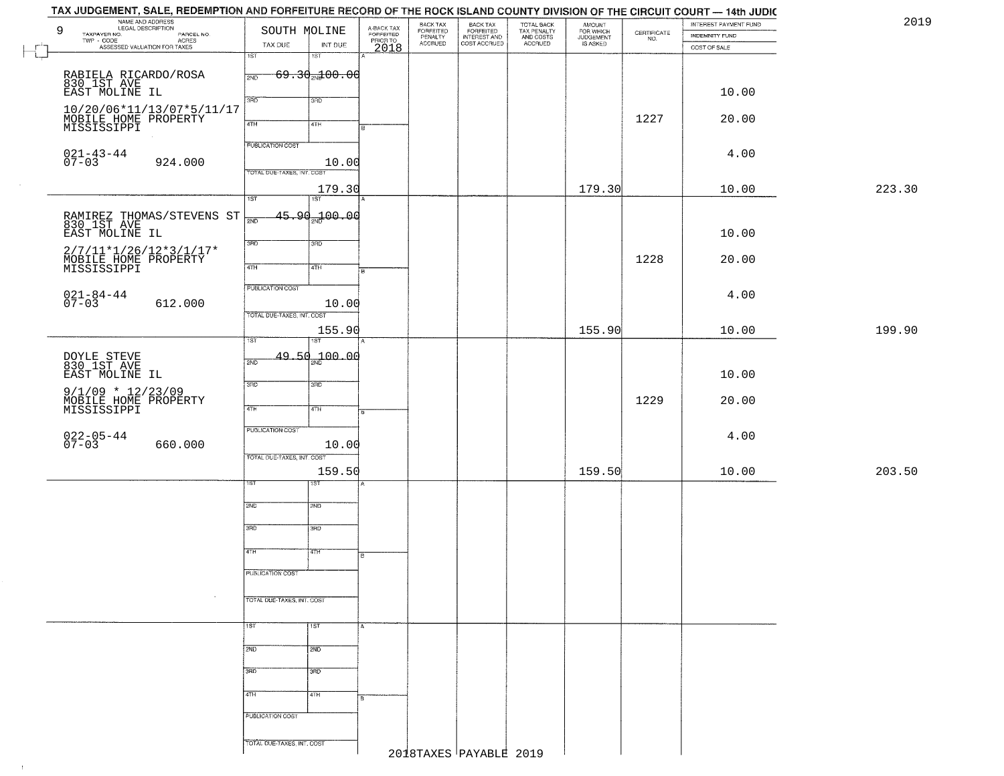| NAME AND ADDRESS<br>LEGAL DESCRIPTION<br>9                                             |                            | SOUTH MOLINE                        |                                     | BACK TAX<br>FORFEITED     | BACK TAX<br>FORFEITED<br>INTEREST AND<br>COST ACCRUED | TOTAL BACK<br>TAX PENALTY<br>AND COSTS | AMOUNT                             | CERTIFICATE | INTEREST PAYMENT FUND | 2019   |
|----------------------------------------------------------------------------------------|----------------------------|-------------------------------------|-------------------------------------|---------------------------|-------------------------------------------------------|----------------------------------------|------------------------------------|-------------|-----------------------|--------|
| TAXPAYER NO.<br>PARCEL NO.<br>TWP - CODE<br>CODE AGRES<br>ASSESSED VALUATION FOR TAXES | TAX DUE                    |                                     | A-BACK TAX<br>FORFEITED<br>PRIOR TO | PENALTY<br><b>ACCRUED</b> |                                                       | ACCRUED                                | FOR WHICH<br>JUDGEMENT<br>IS ASKED | NO.         | <b>INDEMNITY FUND</b> |        |
|                                                                                        | 1ST                        | INT DUE<br>15T                      | 2018                                |                           |                                                       |                                        |                                    |             | COST OF SALE          |        |
|                                                                                        |                            |                                     |                                     |                           |                                                       |                                        |                                    |             |                       |        |
|                                                                                        | 2ND                        | <del>69.30<sub>2N</sub>100.00</del> |                                     |                           |                                                       |                                        |                                    |             |                       |        |
| RABIELA RICARDO/ROSA<br>830 IST AVE<br>EAST MOLINE IL                                  |                            |                                     |                                     |                           |                                                       |                                        |                                    |             | 10.00                 |        |
| 10/20/06*11/13/07*5/11/17                                                              | 3RD                        | 3RD                                 |                                     |                           |                                                       |                                        |                                    |             |                       |        |
| MOBILE HOME PROPERTY<br>MISSISSIPPI                                                    | 4TH                        | 4TH                                 |                                     |                           |                                                       |                                        |                                    | 1227        | 20.00                 |        |
|                                                                                        |                            |                                     | в                                   |                           |                                                       |                                        |                                    |             |                       |        |
|                                                                                        | <b>PUBLICATION COST</b>    |                                     |                                     |                           |                                                       |                                        |                                    |             |                       |        |
| $021 - 43 - 44$<br>07-03<br>924.000                                                    |                            | 10.00                               |                                     |                           |                                                       |                                        |                                    |             | 4.00                  |        |
|                                                                                        | TOTAL DUE-TAXES, INT. COST |                                     |                                     |                           |                                                       |                                        |                                    |             |                       |        |
|                                                                                        |                            | 179.30                              |                                     |                           |                                                       |                                        | 179.30                             |             | 10.00                 | 223.30 |
|                                                                                        | $\overline{1ST}$           | १ऽ४                                 |                                     |                           |                                                       |                                        |                                    |             |                       |        |
| RAMIREZ THOMAS/STEVENS ST<br>830_1ST_AVE _                                             | 2ND                        | 45.90 <sub>37</sub> 00.00           |                                     |                           |                                                       |                                        |                                    |             |                       |        |
| EAST MOLINE IL                                                                         |                            |                                     |                                     |                           |                                                       |                                        |                                    |             | 10.00                 |        |
|                                                                                        | 3RD                        | 3RD                                 |                                     |                           |                                                       |                                        |                                    |             |                       |        |
| $2/7/11*1/26/12*3/1/17*$                                                               |                            |                                     |                                     |                           |                                                       |                                        |                                    | 1228        | 20.00                 |        |
| MOBILE HOME PROPERTY<br>MISSISSIPPI                                                    | 47H                        | 4TH                                 | i B                                 |                           |                                                       |                                        |                                    |             |                       |        |
|                                                                                        | PUBLICATION COST           |                                     |                                     |                           |                                                       |                                        |                                    |             |                       |        |
| $021 - 84 - 44$                                                                        |                            |                                     |                                     |                           |                                                       |                                        |                                    |             | 4.00                  |        |
| $07 - 03$<br>612.000                                                                   | TOTAL DUE-TAXES, INT. COST | 10.00                               |                                     |                           |                                                       |                                        |                                    |             |                       |        |
|                                                                                        |                            |                                     |                                     |                           |                                                       |                                        |                                    |             |                       |        |
|                                                                                        | 1ST                        | 155.90<br>1ST                       |                                     |                           |                                                       |                                        | 155.90                             |             | 10.00                 | 199.90 |
|                                                                                        |                            |                                     |                                     |                           |                                                       |                                        |                                    |             |                       |        |
| DOYLE STEVE<br>830 1ST AVE                                                             | 2ND                        | 49.50 <sub>2Nd</sub> 200.00         |                                     |                           |                                                       |                                        |                                    |             |                       |        |
| EAST MOLINE IL                                                                         |                            |                                     |                                     |                           |                                                       |                                        |                                    |             | 10.00                 |        |
|                                                                                        | 3RD                        | 3 <sub>BD</sub>                     |                                     |                           |                                                       |                                        |                                    |             |                       |        |
| 9/1/09 * 12/23/09<br>MOBILE HOME PROPERTY<br>MISSISSIPPI                               | 4TH                        | 4TH                                 |                                     |                           |                                                       |                                        |                                    | 1229        | 20.00                 |        |
|                                                                                        |                            |                                     | F                                   |                           |                                                       |                                        |                                    |             |                       |        |
|                                                                                        | <b>PUBLICATION COST</b>    |                                     |                                     |                           |                                                       |                                        |                                    |             | 4.00                  |        |
| 022-05-44<br>07-03<br>660.000                                                          |                            | 10.00                               |                                     |                           |                                                       |                                        |                                    |             |                       |        |
|                                                                                        | TOTAL OUE-TAXES, INT. COST |                                     |                                     |                           |                                                       |                                        |                                    |             |                       |        |
|                                                                                        |                            | 159.50                              |                                     |                           |                                                       |                                        | 159.50                             |             | 10.00                 | 203.50 |
|                                                                                        |                            | ख़                                  |                                     |                           |                                                       |                                        |                                    |             |                       |        |
|                                                                                        | 2ND                        | 2ND                                 |                                     |                           |                                                       |                                        |                                    |             |                       |        |
|                                                                                        |                            |                                     |                                     |                           |                                                       |                                        |                                    |             |                       |        |
|                                                                                        | 3RD                        | 3BD                                 |                                     |                           |                                                       |                                        |                                    |             |                       |        |
|                                                                                        |                            |                                     |                                     |                           |                                                       |                                        |                                    |             |                       |        |
|                                                                                        | 4TH                        | 47H                                 | ╔                                   |                           |                                                       |                                        |                                    |             |                       |        |
|                                                                                        | PUBLICATION COST           |                                     |                                     |                           |                                                       |                                        |                                    |             |                       |        |
|                                                                                        |                            |                                     |                                     |                           |                                                       |                                        |                                    |             |                       |        |
|                                                                                        | TOTAL DUE-TAXES, INT. COST |                                     |                                     |                           |                                                       |                                        |                                    |             |                       |        |
|                                                                                        |                            |                                     |                                     |                           |                                                       |                                        |                                    |             |                       |        |
|                                                                                        | 1ST                        | 1ST                                 |                                     |                           |                                                       |                                        |                                    |             |                       |        |
|                                                                                        |                            |                                     |                                     |                           |                                                       |                                        |                                    |             |                       |        |
|                                                                                        | 2ND                        | 2ND                                 |                                     |                           |                                                       |                                        |                                    |             |                       |        |
|                                                                                        |                            |                                     |                                     |                           |                                                       |                                        |                                    |             |                       |        |
|                                                                                        | 3RD                        | 3 <sub>BD</sub>                     |                                     |                           |                                                       |                                        |                                    |             |                       |        |
|                                                                                        | 4TH                        | 4TH                                 |                                     |                           |                                                       |                                        |                                    |             |                       |        |
|                                                                                        |                            |                                     |                                     |                           |                                                       |                                        |                                    |             |                       |        |
|                                                                                        | PUBLICATION COST           |                                     |                                     |                           |                                                       |                                        |                                    |             |                       |        |
|                                                                                        |                            |                                     |                                     |                           |                                                       |                                        |                                    |             |                       |        |
|                                                                                        | TOTAL DUE-TAXES, INT. COST |                                     |                                     |                           |                                                       |                                        |                                    |             |                       |        |
|                                                                                        |                            |                                     |                                     |                           | 2018TAXES PAYABLE 2019                                |                                        |                                    |             |                       |        |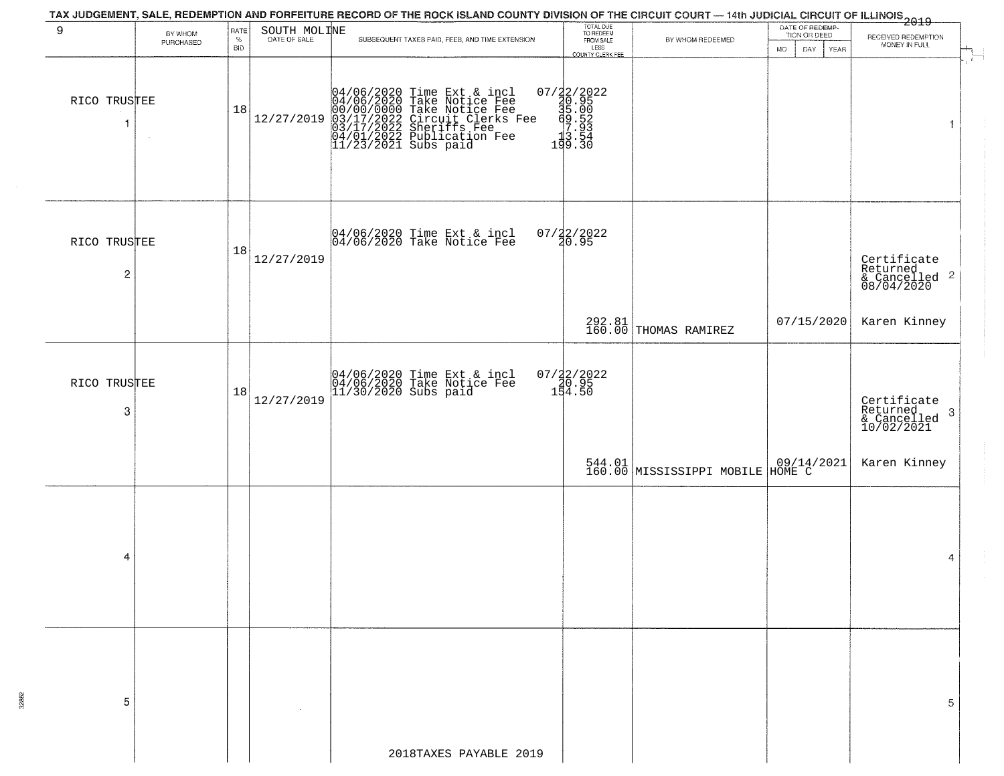| 9                                       | BY WHOM<br>PURCHASED | RATE<br>$\%$<br><b>BID</b> | SOUTH MOLINE | SUBSEQUENT TAXES PAID, FEES, AND TIME EXTENSION                                                                                                                                                          | TOTAL DUE<br>TO REDEEM<br>FROM SALE<br>LESS<br>COUNTY CLERK FEE | BY WHOM REDEEMED                      | DATE OF REDEMP-<br>TION OR DEED<br><b>MO</b><br>DAY.<br><b>YEAR</b> | RECEIVED REDEMPTION<br>MONEY IN FULL                                     |
|-----------------------------------------|----------------------|----------------------------|--------------|----------------------------------------------------------------------------------------------------------------------------------------------------------------------------------------------------------|-----------------------------------------------------------------|---------------------------------------|---------------------------------------------------------------------|--------------------------------------------------------------------------|
| RICO TRUSTEE<br>$\mathbf{1}$            |                      | 18                         | 12/27/2019   | 04/06/2020 Time Ext & incl<br>04/06/2020 Take Notice Fee<br>00/00/0000 Take Notice Fee<br>03/17/2022 Circuit Clerks Fee<br>03/17/2022 Sheriffs Fee<br>04/01/2022 Publication Fee<br>11/23/2021 Subs paid | 07/22/2022<br>30.95<br>30.95<br>3.52<br>3.53<br>19.30<br>19.30  |                                       |                                                                     | $\overline{1}$<br>$\mathbf{1}$                                           |
| RICO TRUSTEE<br>$\overline{\mathbf{c}}$ |                      | 18                         | 12/27/2019   | 04/06/2020 Time Ext & incl<br>04/06/2020 Take Notice Fee                                                                                                                                                 | $07/22/2022$<br>$20.95$                                         |                                       |                                                                     | Certificate<br>Returned<br>& Cancelled <sup>2</sup><br>08/04/2020        |
|                                         |                      |                            |              |                                                                                                                                                                                                          | 292.81<br>160.00                                                | THOMAS RAMIREZ                        | 07/15/2020                                                          | Karen Kinney                                                             |
| RICO TRUSTEE<br>3                       |                      | 18                         | 12/27/2019   | 04/06/2020 Time Ext & incl<br>04/06/2020 Take Notice Fee<br>11/30/2020 Subs paid                                                                                                                         | 07/22/2022<br>20.95<br>154.50                                   |                                       |                                                                     | Certificate<br>Returned<br>$\boldsymbol{3}$<br>& Cancelled<br>10/02/2021 |
|                                         |                      |                            |              |                                                                                                                                                                                                          |                                                                 | 544.01 MISSISSIPPI MOBILE 109/14/2021 |                                                                     | Karen Kinney                                                             |
| 4                                       |                      |                            |              |                                                                                                                                                                                                          |                                                                 |                                       |                                                                     | 4                                                                        |
| 5                                       |                      |                            |              |                                                                                                                                                                                                          |                                                                 |                                       |                                                                     | 5                                                                        |
|                                         |                      |                            |              | 2018TAXES PAYABLE 2019                                                                                                                                                                                   |                                                                 |                                       |                                                                     |                                                                          |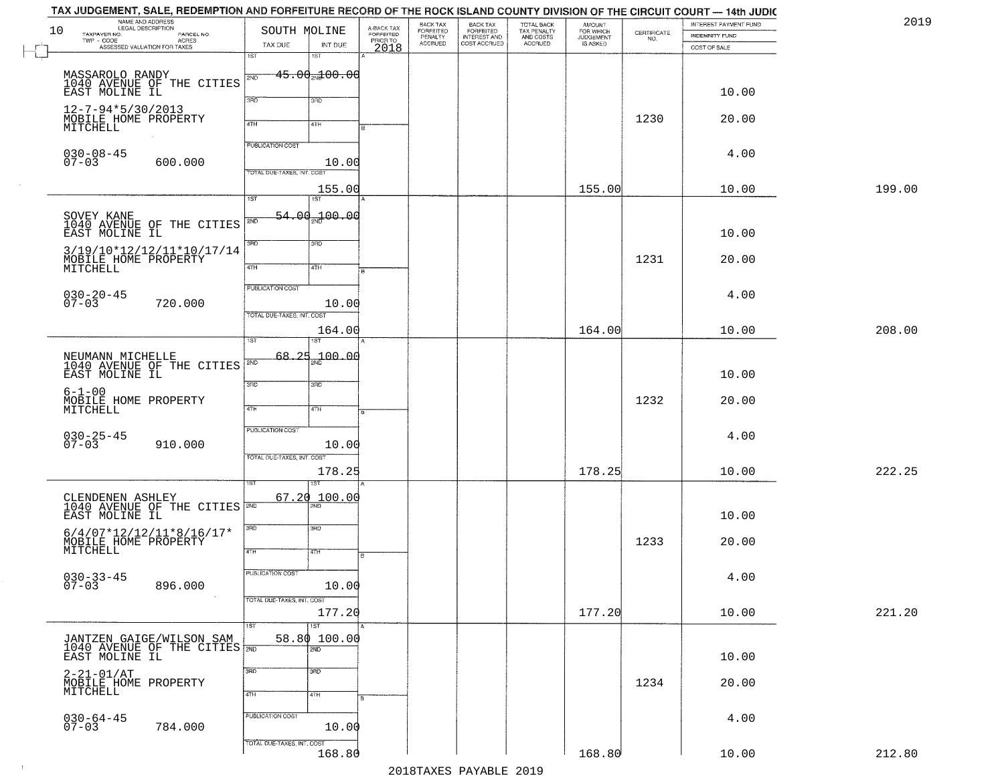|        | INTEREST PAYMENT FUND<br>INDEMNITY FUND | $\begin{array}{c} \text{CERTIFICATE} \\ \text{NO.} \end{array}$ | AMOUNT<br>FOR WHICH          | TOTAL BACK<br>TAX PENALTY<br>AND COSTS | BACK TAX<br>FORFEITED<br>INTEREST AND | BACK TAX<br>FORFEITED<br>PENALTY | A-BACK TAX<br>FORFEITED<br>PRIOR TO |                         | SOUTH MOLINE               | LEGAL DESCRIPTION<br>PARCEL NO.                      | 10<br>TAXPAYER NO.            |
|--------|-----------------------------------------|-----------------------------------------------------------------|------------------------------|----------------------------------------|---------------------------------------|----------------------------------|-------------------------------------|-------------------------|----------------------------|------------------------------------------------------|-------------------------------|
|        | COST OF SALE                            |                                                                 | <b>JUDGEMENT</b><br>IS ASKED | ACCRUED                                | COST ACCRUED                          | <b>ACCRUED</b>                   | 2018                                | INT DUE                 | TAX DUE                    | - CODE<br>CODE ACRES<br>ASSESSED VALUATION FOR TAXES | $TWP - CODE$                  |
|        |                                         |                                                                 |                              |                                        |                                       |                                  |                                     | 1ST                     | 1ST                        |                                                      |                               |
|        |                                         |                                                                 |                              |                                        |                                       |                                  |                                     | $45.00 - 00.00$         | 2ND                        |                                                      | MASSAROLO RANDY               |
|        | 10.00                                   |                                                                 |                              |                                        |                                       |                                  |                                     |                         |                            | 1040 AVENUE OF THE CITIES<br>EAST MOLINE IL          |                               |
|        |                                         |                                                                 |                              |                                        |                                       |                                  |                                     | 3RD                     | 3RD                        |                                                      | $12 - 7 - 94 * 5 / 30 / 2013$ |
|        | 20.00                                   | 1230                                                            |                              |                                        |                                       |                                  |                                     | 41H                     | 4TH                        | MOBILE HOME PROPERTY                                 | MITCHELL                      |
|        |                                         |                                                                 |                              |                                        |                                       |                                  |                                     |                         |                            |                                                      |                               |
|        | 4.00                                    |                                                                 |                              |                                        |                                       |                                  |                                     |                         | <b>PUBLICATION COST</b>    |                                                      | $030 - 08 - 45$               |
|        |                                         |                                                                 |                              |                                        |                                       |                                  |                                     | 10.00                   | TOTAL DUE-TAXES, INT. COST | 600.000                                              | $07 - 03$                     |
| 199.00 | 10.00                                   |                                                                 | 155.00                       |                                        |                                       |                                  |                                     | 155.00                  |                            |                                                      |                               |
|        |                                         |                                                                 |                              |                                        |                                       |                                  |                                     | 1ST                     | 1ST                        |                                                      |                               |
|        |                                         |                                                                 |                              |                                        |                                       |                                  |                                     | <del>54.00.100.00</del> |                            | SOVEY KANE<br>1040 AVENUE OF THE CITIES              |                               |
|        | 10.00                                   |                                                                 |                              |                                        |                                       |                                  |                                     |                         | 2ND                        |                                                      | EAST MOLINE IL                |
|        |                                         |                                                                 |                              |                                        |                                       |                                  |                                     | 3RD                     | उप्तर                      | $3/19/10*12/12/11*10/17/14$                          |                               |
|        | 20.00                                   | 1231                                                            |                              |                                        |                                       |                                  |                                     | 4TH                     | 47H                        | MOBILE HOME PROPERTY<br>MITCHELL                     |                               |
|        |                                         |                                                                 |                              |                                        |                                       |                                  |                                     |                         |                            |                                                      |                               |
|        | 4.00                                    |                                                                 |                              |                                        |                                       |                                  |                                     |                         | PUBLICATION COST           |                                                      |                               |
|        |                                         |                                                                 |                              |                                        |                                       |                                  |                                     | 10.00                   |                            | 720.000                                              | $030 - 20 - 45$<br>07-03      |
| 208.00 |                                         |                                                                 |                              |                                        |                                       |                                  |                                     |                         | TOTAL DUE-TAXES, INT. COST |                                                      |                               |
|        | 10.00                                   |                                                                 | 164.00                       |                                        |                                       |                                  |                                     | 164.00                  | ist                        |                                                      |                               |
|        |                                         |                                                                 |                              |                                        |                                       |                                  |                                     | 00.0d <sub>می</sub> ا   | 68.25                      |                                                      |                               |
|        | 10.00                                   |                                                                 |                              |                                        |                                       |                                  |                                     |                         | 2ND                        | NEUMANN MICHELLE<br>1040 AVENUE OF THE CITIES        | EAST MOLINE IL                |
|        |                                         |                                                                 |                              |                                        |                                       |                                  |                                     | 3 <sub>BD</sub>         | 3RD                        |                                                      |                               |
|        | 20.00                                   | 1232                                                            |                              |                                        |                                       |                                  |                                     |                         |                            | MOBILE HOME PROPERTY                                 | $6 - 1 - 00$                  |
|        |                                         |                                                                 |                              |                                        |                                       |                                  |                                     | 4TH                     | 4TH                        |                                                      | MITCHELL                      |
|        | 4.00                                    |                                                                 |                              |                                        |                                       |                                  |                                     |                         | <b>PUBLICATION COST</b>    |                                                      |                               |
|        |                                         |                                                                 |                              |                                        |                                       |                                  |                                     | 10.00                   |                            | 910.000                                              | $030 - 25 - 45$<br>07-03      |
|        |                                         |                                                                 |                              |                                        |                                       |                                  |                                     |                         | TOTAL OUE-TAXES, INT. COST |                                                      |                               |
| 222.25 | 10.00                                   |                                                                 | 178.25                       |                                        |                                       |                                  |                                     | 178.25                  |                            |                                                      |                               |
|        |                                         |                                                                 |                              |                                        |                                       |                                  |                                     | 100.00                  | 67.20                      |                                                      | CLENDENEN ASHLEY              |
|        | 10.00                                   |                                                                 |                              |                                        |                                       |                                  |                                     |                         |                            | 1040 AVENUE OF THE CITIES                            | EAST MOLINE IL                |
|        |                                         |                                                                 |                              |                                        |                                       |                                  |                                     | $\overline{3BD}$        | 3RD                        | $6/4/07*12/12/11*8/16/17*$                           |                               |
|        | 20.00                                   | 1233                                                            |                              |                                        |                                       |                                  |                                     |                         |                            | MOBILE HOME PROPERTY                                 |                               |
|        |                                         |                                                                 |                              |                                        |                                       |                                  | в                                   | 47H                     | 4TH                        |                                                      |                               |
|        | 4.00                                    |                                                                 |                              |                                        |                                       |                                  |                                     |                         | <b>PUBLICATION COST</b>    |                                                      | $030 - 33 - 45$               |
|        |                                         |                                                                 |                              |                                        |                                       |                                  |                                     | 10.00                   |                            | 896.000                                              | $07 - 03$                     |
|        |                                         |                                                                 |                              |                                        |                                       |                                  |                                     |                         | TOTAL DUE-TAXES, INT. COST |                                                      |                               |
| 221.20 | 10.00                                   |                                                                 | 177.20                       |                                        |                                       |                                  |                                     | 177.20<br>1ST           | 1ST                        |                                                      |                               |
|        |                                         |                                                                 |                              |                                        |                                       |                                  |                                     | 58.80 100.00            |                            | JANTZEN GAIGE/WILSON SAM                             |                               |
|        | 10.00                                   |                                                                 |                              |                                        |                                       |                                  |                                     | 2ND                     |                            | 1040 AVENUE OF THE CITIES NO                         |                               |
|        |                                         |                                                                 |                              |                                        |                                       |                                  |                                     | 3HD                     | 3RD                        |                                                      | $2 - 21 - 01/AT$              |
|        | 20.00                                   | 1234                                                            |                              |                                        |                                       |                                  |                                     |                         |                            | MOBILE HOME PROPERTY                                 |                               |
|        |                                         |                                                                 |                              |                                        |                                       |                                  |                                     | 4TH                     | 4TH                        |                                                      | MITCHELL                      |
|        | 4.00                                    |                                                                 |                              |                                        |                                       |                                  |                                     |                         | PUBLICATION COST           |                                                      |                               |
|        |                                         |                                                                 |                              |                                        |                                       |                                  |                                     | 10.00                   |                            | 784.000                                              | $030 - 64 - 45$<br>07-03      |
|        |                                         |                                                                 |                              |                                        |                                       |                                  |                                     |                         | TOTAL DUE-TAXES, INT. COST |                                                      |                               |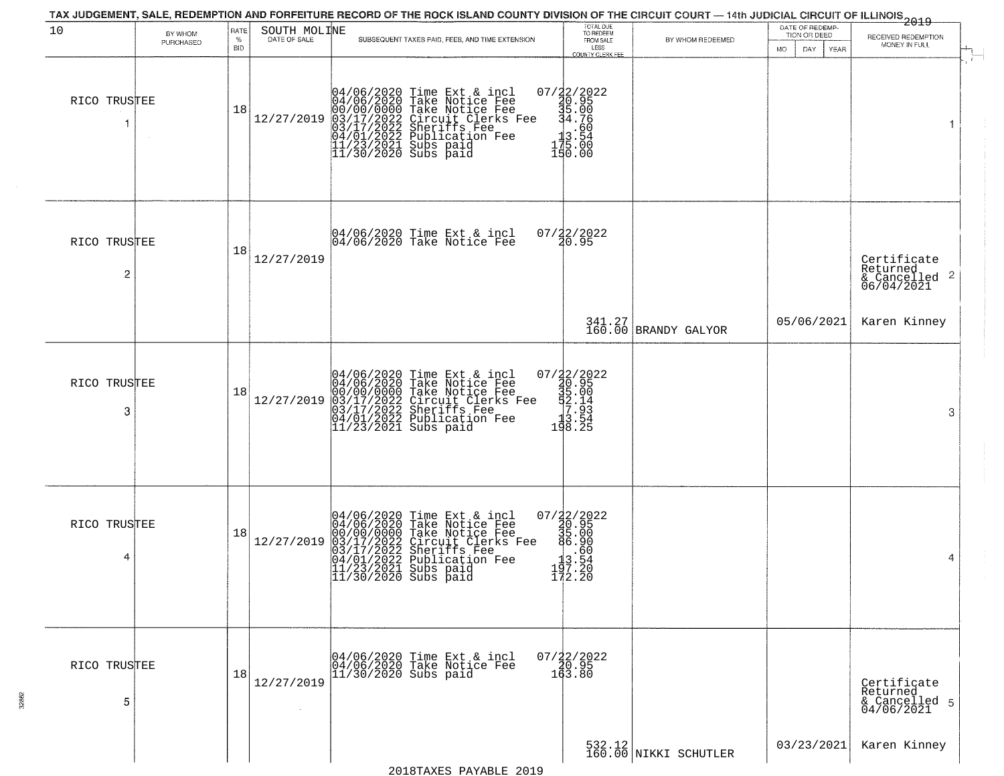| 10                             | BY WHOM   | RATE               | SOUTH MOLINE | TAX JUDGEMENT, SALE, REDEMPTION AND FORFEITURE RECORD OF THE ROCK ISLAND COUNTY DIVISION OF THE CIRCUIT COURT — 14th JUDICIAL CIRCUIT OF ILLINOIS 2019                                                                                | TOTAL DUE<br>TO REDEEM<br>FROM SALE                                                                                     |                                                                                      | DATE OF REDEMP-<br>TION OR DEED |                                                                        |
|--------------------------------|-----------|--------------------|--------------|---------------------------------------------------------------------------------------------------------------------------------------------------------------------------------------------------------------------------------------|-------------------------------------------------------------------------------------------------------------------------|--------------------------------------------------------------------------------------|---------------------------------|------------------------------------------------------------------------|
|                                | PURCHASED | $\%$<br><b>BID</b> | DATE OF SALE | SUBSEQUENT TAXES PAID, FEES, AND TIME EXTENSION                                                                                                                                                                                       | LESS<br><b>COUNTY CLERK FEE</b>                                                                                         | BY WHOM REDEEMED                                                                     | MO.<br>DAY<br><b>YEAR</b>       | RECEIVED REDEMPTION<br>MONEY IN FULL                                   |
| RICO TRUSTEE<br>-1             |           | 18                 | 12/27/2019   | 04/06/2020 Time Ext & incl<br>04/06/2020 Take Notice Fee<br>00/00/00/000 Take Notice Fee<br>03/17/2022 Circuit Clerks Fee<br>03/17/2022 Sublication Fee<br>04/01/2022 Publication Fee<br>11/23/2021 Subs paid<br>11/30/2020 Subs paid | 07/22/2022<br>20.95<br>34.95<br>34.76<br>13.54<br>175.00<br>190.00                                                      |                                                                                      |                                 | 1                                                                      |
| RICO TRUSTEE<br>$\overline{c}$ |           | 18                 | 12/27/2019   | 04/06/2020 Time Ext & incl<br>04/06/2020 Take Notice Fee                                                                                                                                                                              | 07/32/2022<br>20.95                                                                                                     |                                                                                      |                                 | Certificate<br>Returned<br>$\overline{2}$<br>& Cancelled<br>06/04/2021 |
|                                |           |                    |              |                                                                                                                                                                                                                                       |                                                                                                                         | $\begin{array}{ c c c c }\hline 341.27 & \text{BRANDY GALYOR} \\ \hline \end{array}$ | 05/06/2021                      | Karen Kinney                                                           |
| RICO TRUSTEE<br>3              |           | 18                 | 12/27/2019   | 04/06/2020 Time Ext & incl<br>04/06/2020 Take Notice Fee<br>00/00/00000 Take Notice Fee<br>03/17/2022 Circuit Clerks Fee<br>03/17/2022 Sheriffs Fee<br>04/01/2022 Publication Fee<br>11/23/2021 Subs paid                             | $\begin{array}{r} 07 \overline{)2}2 \overline{)20}22 \\ 30.95 \\ 35.00 \\ -3.14 \\ 7.93 \\ 13.54 \\ 198.25 \end{array}$ |                                                                                      |                                 | 3                                                                      |
| RICO TRUSTEE<br>4              |           | 18                 | 12/27/2019   | 04/06/2020 Time Ext & incl<br>04/06/2020 Take Notice Fee<br>00/00/00000 Take Notice Fee<br>03/17/2022 Circuit Clerks Fee<br>03/17/2022 Sheriffs Fee<br>04/01/2022 Publication Fee<br>11/23/2021 Subs paid<br>11/30/2020 Subs paid     | 07/22/2022<br>30.95<br>35.00<br>36.90<br>30.50<br>$1\frac{1}{3}\cdot\frac{5}{20}$<br>197.20<br>172.20                   |                                                                                      |                                 | 4                                                                      |
| RICO TRUSTEE<br>5              |           | 18                 | 12/27/2019   | 04/06/2020 Time Ext & incl<br>04/06/2020 Take Notice Fee<br>11/30/2020 Subs paid                                                                                                                                                      | $07/\frac{2}{20}.95$<br>143.80                                                                                          |                                                                                      |                                 | Certificate<br>Returned<br>& Cancelled 5<br>04/06/2021                 |
|                                |           |                    |              |                                                                                                                                                                                                                                       |                                                                                                                         | $532.12$<br>160.00 NIKKI SCHUTLER                                                    | 03/23/2021                      | Karen Kinney                                                           |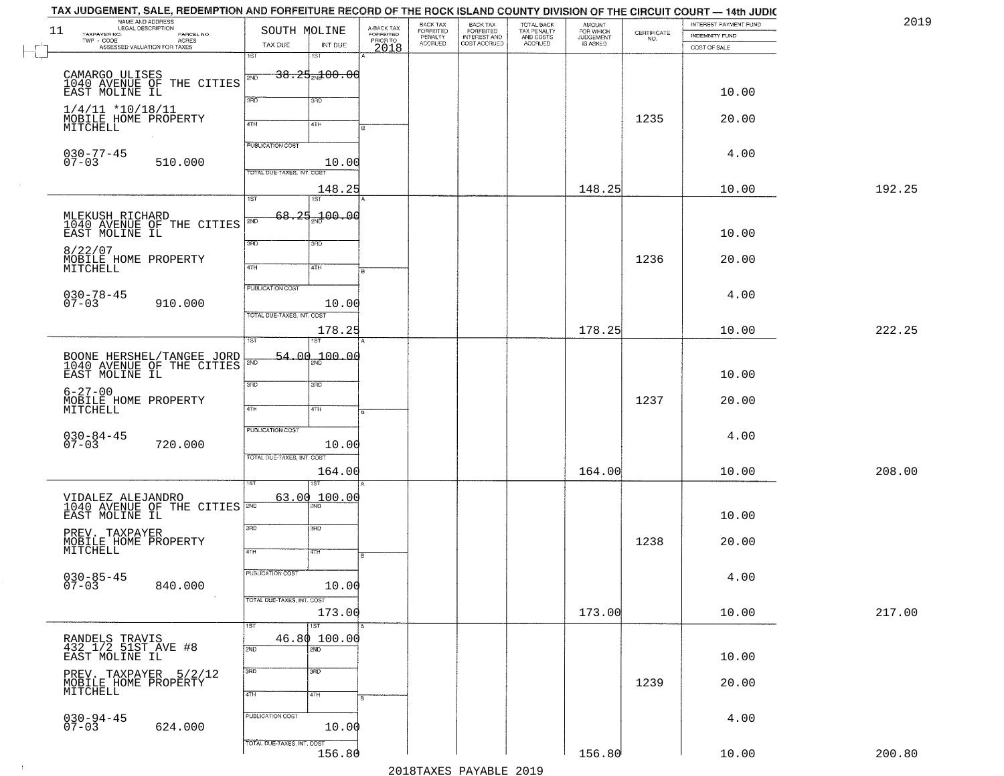| NAME AND ADDRESS<br>LEGAL DESCRIPTION                                       |                            |                            |                                     | BACK TAX<br>FORFEITED<br>PENALTY | BACK TAX<br>FORFEITED        |                                                   | <b>AMOUNT</b>                      |                    | INTEREST PAYMENT FUND |        |
|-----------------------------------------------------------------------------|----------------------------|----------------------------|-------------------------------------|----------------------------------|------------------------------|---------------------------------------------------|------------------------------------|--------------------|-----------------------|--------|
| TAXPAYER NO.<br>PARCEL NO.<br><b>ACRES</b><br>TWP - CODE                    |                            | SOUTH MOLINE               | A-BACK TAX<br>FORFEITED<br>PRIOR TO |                                  | INTEREST AND<br>COST ACCRUED | TOTAL BACK<br>TAX PENALTY<br>AND COSTS<br>ACCRUED | FOR WHICH<br>JUDGEMENT<br>IS ASKED | CERTIFICATE<br>NO. | <b>INDEMNITY FUND</b> |        |
| ASSESSED VALUATION FOR TAXES                                                | TAX DUE                    | INT DUE                    | 2018                                | <b>ACCRUED</b>                   |                              |                                                   |                                    |                    | COST OF SALE          |        |
|                                                                             | 1ST                        | 1ST                        |                                     |                                  |                              |                                                   |                                    |                    |                       |        |
|                                                                             | 2ND                        | 38.25 <sub>20</sub> 100.00 |                                     |                                  |                              |                                                   |                                    |                    |                       |        |
| CAMARGO ULISES<br>1040 AVENUE OF THE CITIES<br>EAST MOLINE IL               |                            |                            |                                     |                                  |                              |                                                   |                                    |                    | 10.00                 |        |
|                                                                             | 3RD                        | 3RD                        |                                     |                                  |                              |                                                   |                                    |                    |                       |        |
| $1/4/11$ *10/18/11                                                          |                            |                            |                                     |                                  |                              |                                                   |                                    | 1235               | 20.00                 |        |
| MOBILE HOME PROPERTY<br>MITCHELL                                            | 4TH                        | 41H                        |                                     |                                  |                              |                                                   |                                    |                    |                       |        |
|                                                                             | <b>FUBLICATION COST</b>    |                            |                                     |                                  |                              |                                                   |                                    |                    |                       |        |
| $030 - 77 - 45$                                                             |                            |                            |                                     |                                  |                              |                                                   |                                    |                    | 4.00                  |        |
| $07 - 03$<br>510.000                                                        | TOTAL DUE-TAXES, INT. COST | 10.00                      |                                     |                                  |                              |                                                   |                                    |                    |                       |        |
|                                                                             |                            |                            |                                     |                                  |                              |                                                   |                                    |                    |                       |        |
|                                                                             | $\overline{1ST}$           | 148.25<br>1ST              |                                     |                                  |                              |                                                   | 148.25                             |                    | 10.00                 | 192.25 |
|                                                                             |                            |                            |                                     |                                  |                              |                                                   |                                    |                    |                       |        |
| MLEKUSH RICHARD<br>1040 AVENUE OF THE CITIES                                | 68.25<br>2ND               | 00.00 مي <sub>س</sub>      |                                     |                                  |                              |                                                   |                                    |                    |                       |        |
| EAST MOLINE IL                                                              |                            |                            |                                     |                                  |                              |                                                   |                                    |                    | 10.00                 |        |
| 8/22/07                                                                     | 3RD                        | 3HD                        |                                     |                                  |                              |                                                   |                                    |                    |                       |        |
| MOBILE HOME PROPERTY<br>MITCHELL                                            | 47H                        | 4TH                        |                                     |                                  |                              |                                                   |                                    | 1236               | 20.00                 |        |
|                                                                             |                            |                            |                                     |                                  |                              |                                                   |                                    |                    |                       |        |
|                                                                             | PUBLICATION COST           |                            |                                     |                                  |                              |                                                   |                                    |                    |                       |        |
| $030 - 78 - 45$<br>$07 - 03$<br>910.000                                     |                            | 10.00                      |                                     |                                  |                              |                                                   |                                    |                    | 4.00                  |        |
|                                                                             | TOTAL DUE-TAXES, INT. COST |                            |                                     |                                  |                              |                                                   |                                    |                    |                       |        |
|                                                                             |                            | 178.25                     |                                     |                                  |                              |                                                   | 178.25                             |                    | 10.00                 | 222.25 |
|                                                                             | 1ST                        | 1ST                        |                                     |                                  |                              |                                                   |                                    |                    |                       |        |
|                                                                             | 2ND                        | 54.00 <sub>m</sub> 100.00  |                                     |                                  |                              |                                                   |                                    |                    |                       |        |
| BOONE HERSHEL/TANGEE JORD<br>1040 AVENUE OF THE CITIES<br>EAST MOLINE IL    |                            |                            |                                     |                                  |                              |                                                   |                                    |                    | 10.00                 |        |
|                                                                             | 3RD                        | 3RD                        |                                     |                                  |                              |                                                   |                                    |                    |                       |        |
| $6 - 27 - 00$<br>MOBILE HOME PROPERTY                                       |                            |                            |                                     |                                  |                              |                                                   |                                    | 1237               | 20.00                 |        |
| MITCHELL                                                                    | 4TH                        | 4TH                        |                                     |                                  |                              |                                                   |                                    |                    |                       |        |
|                                                                             |                            |                            |                                     |                                  |                              |                                                   |                                    |                    |                       |        |
| $030 - 84 - 45$<br>07-03                                                    | <b>PUBLICATION COST</b>    |                            |                                     |                                  |                              |                                                   |                                    |                    | 4.00                  |        |
| 720.000                                                                     |                            | 10.00                      |                                     |                                  |                              |                                                   |                                    |                    |                       |        |
|                                                                             | TOTAL OUE-TAXES, INT. COST |                            |                                     |                                  |                              |                                                   |                                    |                    |                       |        |
|                                                                             |                            | 164.00                     |                                     |                                  |                              |                                                   | 164.00                             |                    | 10.00                 | 208.00 |
|                                                                             |                            |                            |                                     |                                  |                              |                                                   |                                    |                    |                       |        |
|                                                                             |                            | 63.00 100.00               |                                     |                                  |                              |                                                   |                                    |                    |                       |        |
| VIDALEZ ALEJANDRO<br>1040 AVENUE OF THE CITIES <b>AND</b><br>EAST MOLINE IL |                            |                            |                                     |                                  |                              |                                                   |                                    |                    | 10.00                 |        |
| PREV. TAXPAYER                                                              | 3RD                        | 3RD                        |                                     |                                  |                              |                                                   |                                    |                    |                       |        |
| MOBILE HOME PROPERTY<br>MITCHELL                                            |                            |                            |                                     |                                  |                              |                                                   |                                    | 1238               | 20.00                 |        |
|                                                                             | 4TH                        | 4TH                        | ۱B.                                 |                                  |                              |                                                   |                                    |                    |                       |        |
|                                                                             | PUBLICATION COST           |                            |                                     |                                  |                              |                                                   |                                    |                    | 4.00                  |        |
| $030 - 85 - 45$<br>07-03<br>840.000                                         |                            | 10.00                      |                                     |                                  |                              |                                                   |                                    |                    |                       |        |
|                                                                             | TOTAL DUE-TAXES, INT. COST |                            |                                     |                                  |                              |                                                   |                                    |                    |                       |        |
|                                                                             |                            | 173.00                     |                                     |                                  |                              |                                                   | 173.00                             |                    | 10.00                 | 217.00 |
|                                                                             | 1ST                        | 1ST                        |                                     |                                  |                              |                                                   |                                    |                    |                       |        |
|                                                                             |                            | 46.80 100.00               |                                     |                                  |                              |                                                   |                                    |                    |                       |        |
| RANDELS TRAVIS<br>432 1/2 51ST AVE #8<br>EAST MOLINE IL                     | 2ND                        | $\overline{2ND}$           |                                     |                                  |                              |                                                   |                                    |                    | 10.00                 |        |
|                                                                             | 3RD                        | $\overline{3}$ RD          |                                     |                                  |                              |                                                   |                                    |                    |                       |        |
| PREV. TAXPAYER 5/2/12                                                       |                            |                            |                                     |                                  |                              |                                                   |                                    | 1239               | 20.00                 |        |
| MOBILE HOME PROPERTY<br>MITCHELL                                            | 4TH                        | 4TH                        |                                     |                                  |                              |                                                   |                                    |                    |                       |        |
|                                                                             |                            |                            |                                     |                                  |                              |                                                   |                                    |                    |                       |        |
| $030 - 94 - 45$<br>07-03                                                    | PUBLICATION COST           |                            |                                     |                                  |                              |                                                   |                                    |                    | 4.00                  |        |
| 624.000                                                                     |                            | 10.00                      |                                     |                                  |                              |                                                   |                                    |                    |                       |        |
|                                                                             | TOTAL DUE-TAXES, INT. COST |                            |                                     |                                  |                              |                                                   |                                    |                    |                       |        |
|                                                                             |                            | 156.80                     |                                     |                                  |                              |                                                   | 156.80                             |                    | 10.00                 | 200.80 |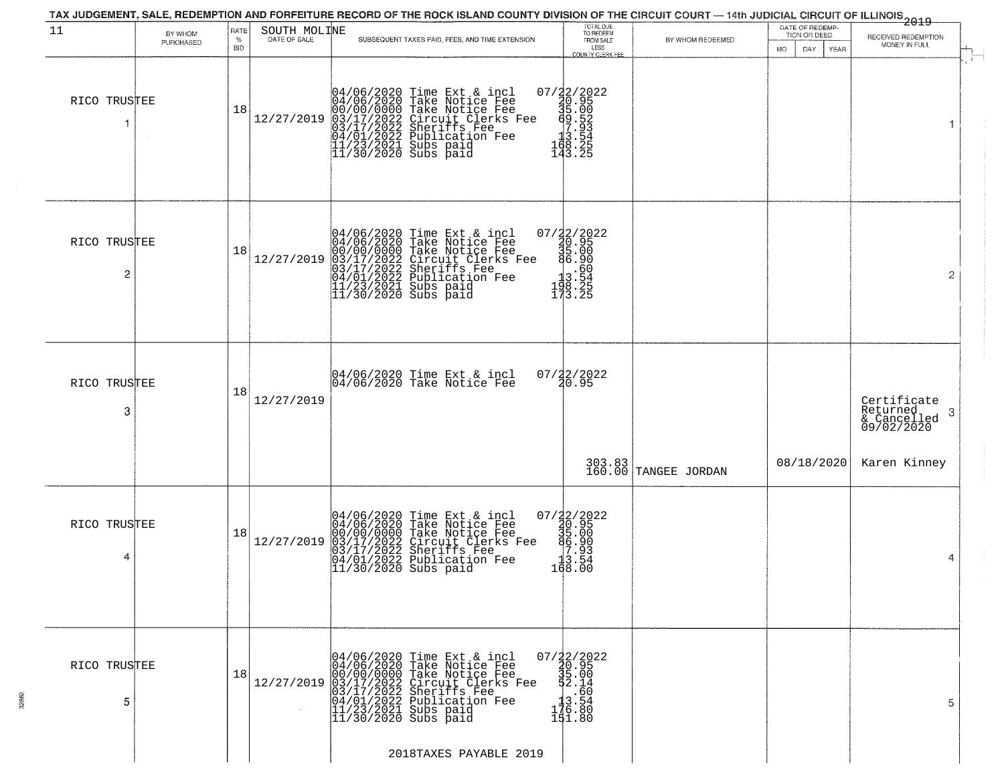| BY WHOM<br>PURCHASED | $\%$                                                                                                          | DATE OF SALE |                                                          |                                                                                                                                                                                                                                                                                                                                                                                                                                                                                                                                                                                                                                                                                                                                                                                                                                                                                                                                                             |                                                                                                                                                                                                                                                                                                                                                                                                                                                                                          | TION OR DEED                    |                                                           |
|----------------------|---------------------------------------------------------------------------------------------------------------|--------------|----------------------------------------------------------|-------------------------------------------------------------------------------------------------------------------------------------------------------------------------------------------------------------------------------------------------------------------------------------------------------------------------------------------------------------------------------------------------------------------------------------------------------------------------------------------------------------------------------------------------------------------------------------------------------------------------------------------------------------------------------------------------------------------------------------------------------------------------------------------------------------------------------------------------------------------------------------------------------------------------------------------------------------|------------------------------------------------------------------------------------------------------------------------------------------------------------------------------------------------------------------------------------------------------------------------------------------------------------------------------------------------------------------------------------------------------------------------------------------------------------------------------------------|---------------------------------|-----------------------------------------------------------|
|                      | <b>BID</b>                                                                                                    |              | SUBSEQUENT TAXES PAID, FEES, AND TIME EXTENSION          | TOTAL DUE<br>TO REDEEM<br>FROM SALE<br>LESS<br><b>COUNTY CLERK FEE</b>                                                                                                                                                                                                                                                                                                                                                                                                                                                                                                                                                                                                                                                                                                                                                                                                                                                                                      | BY WHOM REDEEMED                                                                                                                                                                                                                                                                                                                                                                                                                                                                         | <b>MO</b><br>DAY<br><b>YEAR</b> | RECEIVED REDEMPTION<br>MONEY IN FULL                      |
|                      | 18                                                                                                            | 12/27/2019   |                                                          |                                                                                                                                                                                                                                                                                                                                                                                                                                                                                                                                                                                                                                                                                                                                                                                                                                                                                                                                                             |                                                                                                                                                                                                                                                                                                                                                                                                                                                                                          |                                 |                                                           |
|                      | 18                                                                                                            | 12/27/2019   |                                                          |                                                                                                                                                                                                                                                                                                                                                                                                                                                                                                                                                                                                                                                                                                                                                                                                                                                                                                                                                             |                                                                                                                                                                                                                                                                                                                                                                                                                                                                                          |                                 | $\overline{2}$                                            |
|                      | 18                                                                                                            | 12/27/2019   |                                                          |                                                                                                                                                                                                                                                                                                                                                                                                                                                                                                                                                                                                                                                                                                                                                                                                                                                                                                                                                             |                                                                                                                                                                                                                                                                                                                                                                                                                                                                                          |                                 | Certificate<br>Returned<br>3<br>& Cancelled<br>09/02/2020 |
|                      |                                                                                                               |              |                                                          | 303.83<br>160.00                                                                                                                                                                                                                                                                                                                                                                                                                                                                                                                                                                                                                                                                                                                                                                                                                                                                                                                                            |                                                                                                                                                                                                                                                                                                                                                                                                                                                                                          | 08/18/2020                      | Karen Kinney                                              |
|                      | 18                                                                                                            | 12/27/2019   |                                                          |                                                                                                                                                                                                                                                                                                                                                                                                                                                                                                                                                                                                                                                                                                                                                                                                                                                                                                                                                             |                                                                                                                                                                                                                                                                                                                                                                                                                                                                                          |                                 | 4                                                         |
|                      | 18                                                                                                            | 12/27/2019   | 04/06/2020 Time Ext & incl<br>04/06/2020 Take Notice Fee |                                                                                                                                                                                                                                                                                                                                                                                                                                                                                                                                                                                                                                                                                                                                                                                                                                                                                                                                                             |                                                                                                                                                                                                                                                                                                                                                                                                                                                                                          |                                 | 5                                                         |
|                      | RICO TRUSTEE<br>RICO TRUSTEE<br>$\overline{c}$<br>RICO TRUSTEE<br>3<br>RICO TRUSTEE<br>4<br>RICO TRUSTEE<br>5 |              |                                                          | $04/06/2020$ Time Ext & incl<br>04/06/2020 Take Notice Fee<br>00/00/00000 Take Notice Fee<br>03/17/2022 Circuit Clerks Fee<br>03/17/2022 Sublication Fee<br>04/01/2022 Publication Fee<br>11/23/2021 Subs paid<br>11/30/2020 Subs paid<br>04/06/2020 Time Ext & incl<br>04/06/2020 Take Notice Fee<br>00/00/0000 Take Notice Fee<br>03/17/2022 Circuit Clerks Fee<br>03/17/2022 Sublication Fee<br>04/01/2022 Publication Fee<br>11/23/2021 Subs paid<br>11/30/2020 Subs paid<br>04/06/2020 Time Ext & incl<br>04/06/2020 Take Notice Fee<br>04/06/2020 Time Ext & incl<br>04/06/2020 Take Notice Fee<br>00/00/0000 Take Notice Fee<br>03/17/2022 Circuit Clerks Fee<br>03/17/2022 Sheriffs Fee<br>04/01/2022 Publication Fee<br>11/30/2020 Subs paid<br>00/00/2020 Take Notice Fee<br>03/17/2022 Circuit Clerks Fee<br>03/17/2022 Sheriffs Fee<br>03/17/2022 Publication Fee<br>04/01/2022 Publication Fee<br>11/23/2021 Subs paid<br>11/30/2020 Subs paid | $\begin{smallmatrix} 07/22/2022\\ 20.95\\ 30.95\\ 45.00\\ 9.52\\ 14.53\\ 13.54\\ 168.25\\ 143.25 \end{smallmatrix}$<br>07/22/2022<br>30.95<br>35.00<br>86.90<br>3.564<br>103.54<br>198.25<br>173.25<br>07/22/2022<br>20.95<br>$=\begin{smallmatrix} 07/32/2022\\ 40.95\\ 36.95\\ 66.90\\ 7\cdot 93\\ 13\cdot 54\\ 168.00 \end{smallmatrix}$<br>$07/22/2022$<br>$20.95$<br>$\begin{array}{r} 41.300 \\ 1.1400 \\ 1.1600 \\ 1.1600 \\ 1.1600 \\ 1.1600 \\ 1.1600 \\ \end{array}$<br>151.80 | TANGEE JORDAN                   |                                                           |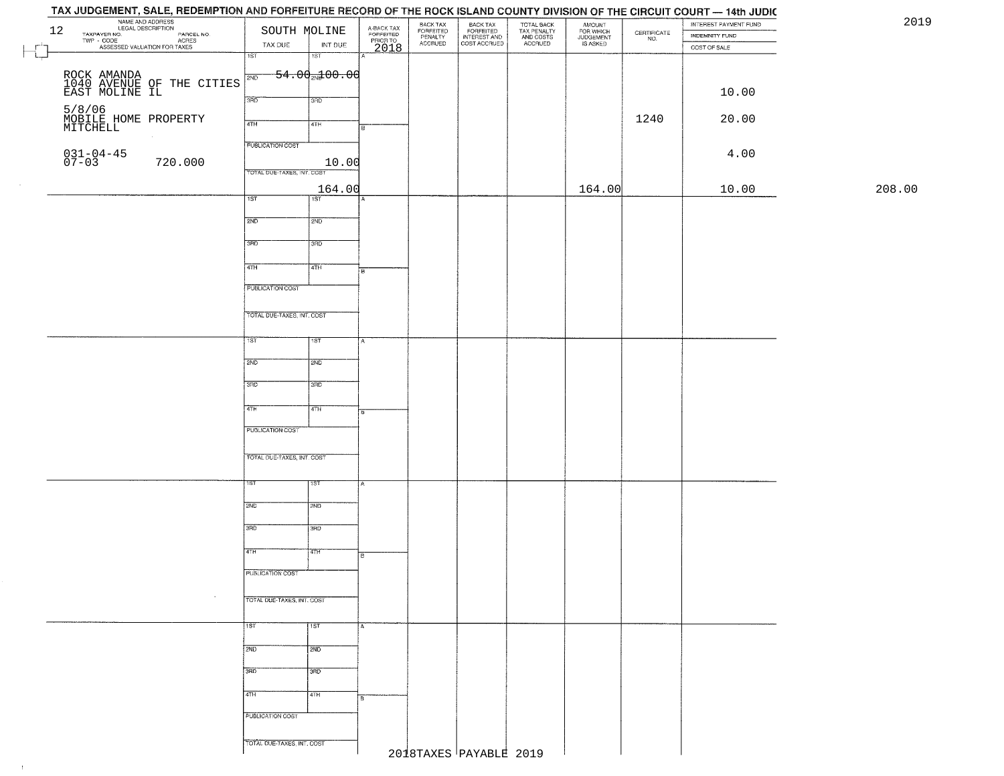|        | INTEREST PAYMENT FUND<br>INDEMNITY FUND | $\begin{array}{c} \text{CERTIFICATE} \\ \text{NO.} \end{array}$ | <b>AMOUNT</b><br>FOR WHICH<br>JUDGEMENT<br>IS ASKED | TOTAL BACK<br>TAX PENALTY<br>AND COSTS<br>ACCRUED | BACK TAX<br>FORFEITED<br>INTEREST AND<br>COST ACCRUED | BACK TAX<br>FORFEITED<br>PENALTY<br>ACCRUED | A-BACK TAX<br>FORFEITED<br>PRIOR TO |                  | SOUTH MOLINE               | NAME AND ADDRESS<br>LEGAL DESCRIPTION                                                         | 12                                         |
|--------|-----------------------------------------|-----------------------------------------------------------------|-----------------------------------------------------|---------------------------------------------------|-------------------------------------------------------|---------------------------------------------|-------------------------------------|------------------|----------------------------|-----------------------------------------------------------------------------------------------|--------------------------------------------|
|        | COST OF SALE                            |                                                                 |                                                     |                                                   |                                                       |                                             | 2018                                | INT DUE          | TAX DUE                    | TAXPAYER NO. LUGAL DESCRIPTION PARCEL NO.<br>TWP - CODE ACRES<br>ASSESSED VALUATION FOR TAXES |                                            |
|        |                                         |                                                                 |                                                     |                                                   |                                                       |                                             |                                     | 15T              | 1ST                        |                                                                                               |                                            |
|        |                                         |                                                                 |                                                     |                                                   |                                                       |                                             |                                     | $-54.00 + 00.00$ | 2ND                        |                                                                                               |                                            |
|        | 10.00                                   |                                                                 |                                                     |                                                   |                                                       |                                             |                                     |                  |                            | ROCK AMANDA<br>1040 AVENUE OF THE CITIES<br>EAST MOLINE IL                                    |                                            |
|        |                                         |                                                                 |                                                     |                                                   |                                                       |                                             |                                     | 3RD              | 3RD                        |                                                                                               |                                            |
|        | 20.00                                   | 1240                                                            |                                                     |                                                   |                                                       |                                             |                                     |                  |                            |                                                                                               |                                            |
|        |                                         |                                                                 |                                                     |                                                   |                                                       |                                             |                                     | 4TH              | 4TH                        |                                                                                               | 5/8/06<br>MOBILE HOME PROPERTY<br>MITCHELL |
|        |                                         |                                                                 |                                                     |                                                   |                                                       |                                             |                                     |                  | PUBLICATION COST           |                                                                                               |                                            |
|        | 4.00                                    |                                                                 |                                                     |                                                   |                                                       |                                             |                                     |                  |                            |                                                                                               | $031 - 04 - 45$<br>07-03                   |
|        |                                         |                                                                 |                                                     |                                                   |                                                       |                                             |                                     | 10.00            | TOTAL DUE-TAXES, INT. COST | 720.000                                                                                       |                                            |
| 208.00 | 10.00                                   |                                                                 | 164.00                                              |                                                   |                                                       |                                             |                                     | 164.00           |                            |                                                                                               |                                            |
|        |                                         |                                                                 |                                                     |                                                   |                                                       |                                             |                                     | $\overline{1ST}$ | 1ST                        |                                                                                               |                                            |
|        |                                         |                                                                 |                                                     |                                                   |                                                       |                                             |                                     |                  |                            |                                                                                               |                                            |
|        |                                         |                                                                 |                                                     |                                                   |                                                       |                                             |                                     | 2ND              | 2ND                        |                                                                                               |                                            |
|        |                                         |                                                                 |                                                     |                                                   |                                                       |                                             |                                     | 3RD              | 3RD                        |                                                                                               |                                            |
|        |                                         |                                                                 |                                                     |                                                   |                                                       |                                             |                                     |                  |                            |                                                                                               |                                            |
|        |                                         |                                                                 |                                                     |                                                   |                                                       |                                             | 'nв                                 | 4TH              | $\sqrt{47H}$               |                                                                                               |                                            |
|        |                                         |                                                                 |                                                     |                                                   |                                                       |                                             |                                     |                  | PUBLICATION COST           |                                                                                               |                                            |
|        |                                         |                                                                 |                                                     |                                                   |                                                       |                                             |                                     |                  |                            |                                                                                               |                                            |
|        |                                         |                                                                 |                                                     |                                                   |                                                       |                                             |                                     |                  | TOTAL DUE-TAXES, INT. COST |                                                                                               |                                            |
|        |                                         |                                                                 |                                                     |                                                   |                                                       |                                             |                                     |                  |                            |                                                                                               |                                            |
|        |                                         |                                                                 |                                                     |                                                   |                                                       |                                             |                                     | 1ST              | 1ST                        |                                                                                               |                                            |
|        |                                         |                                                                 |                                                     |                                                   |                                                       |                                             |                                     | 2ND              | 2ND                        |                                                                                               |                                            |
|        |                                         |                                                                 |                                                     |                                                   |                                                       |                                             |                                     |                  |                            |                                                                                               |                                            |
|        |                                         |                                                                 |                                                     |                                                   |                                                       |                                             |                                     | 3RD              | 3RD                        |                                                                                               |                                            |
|        |                                         |                                                                 |                                                     |                                                   |                                                       |                                             |                                     |                  |                            |                                                                                               |                                            |
|        |                                         |                                                                 |                                                     |                                                   |                                                       |                                             |                                     | 4TH              | 4TH                        |                                                                                               |                                            |
|        |                                         |                                                                 |                                                     |                                                   |                                                       |                                             |                                     |                  | <b>PUBLICATION COST</b>    |                                                                                               |                                            |
|        |                                         |                                                                 |                                                     |                                                   |                                                       |                                             |                                     |                  |                            |                                                                                               |                                            |
|        |                                         |                                                                 |                                                     |                                                   |                                                       |                                             |                                     |                  | TOTAL OUE-TAXES, INT. COST |                                                                                               |                                            |
|        |                                         |                                                                 |                                                     |                                                   |                                                       |                                             |                                     |                  |                            |                                                                                               |                                            |
|        |                                         |                                                                 |                                                     |                                                   |                                                       |                                             |                                     | ৰৱা              | 1ST                        |                                                                                               |                                            |
|        |                                         |                                                                 |                                                     |                                                   |                                                       |                                             |                                     | 2ND              | 2ND                        |                                                                                               |                                            |
|        |                                         |                                                                 |                                                     |                                                   |                                                       |                                             |                                     |                  |                            |                                                                                               |                                            |
|        |                                         |                                                                 |                                                     |                                                   |                                                       |                                             |                                     | 3BD              | 3RD                        |                                                                                               |                                            |
|        |                                         |                                                                 |                                                     |                                                   |                                                       |                                             |                                     | 4TH              | 4TH                        |                                                                                               |                                            |
|        |                                         |                                                                 |                                                     |                                                   |                                                       |                                             | ╔                                   |                  |                            |                                                                                               |                                            |
|        |                                         |                                                                 |                                                     |                                                   |                                                       |                                             |                                     |                  | PUBLICATION COST           |                                                                                               |                                            |
|        |                                         |                                                                 |                                                     |                                                   |                                                       |                                             |                                     |                  |                            | $\sim$                                                                                        |                                            |
|        |                                         |                                                                 |                                                     |                                                   |                                                       |                                             |                                     |                  | TOTAL DUE-TAXES, INT. COST |                                                                                               |                                            |
|        |                                         |                                                                 |                                                     |                                                   |                                                       |                                             | А                                   | 1ST              | 1ST                        |                                                                                               |                                            |
|        |                                         |                                                                 |                                                     |                                                   |                                                       |                                             |                                     |                  |                            |                                                                                               |                                            |
|        |                                         |                                                                 |                                                     |                                                   |                                                       |                                             |                                     | 2ND              | 2ND                        |                                                                                               |                                            |
|        |                                         |                                                                 |                                                     |                                                   |                                                       |                                             |                                     | 3BD              | 3BD                        |                                                                                               |                                            |
|        |                                         |                                                                 |                                                     |                                                   |                                                       |                                             |                                     |                  |                            |                                                                                               |                                            |
|        |                                         |                                                                 |                                                     |                                                   |                                                       |                                             |                                     | 4TH              | 4TH                        |                                                                                               |                                            |
|        |                                         |                                                                 |                                                     |                                                   |                                                       |                                             |                                     |                  |                            |                                                                                               |                                            |
|        |                                         |                                                                 |                                                     |                                                   |                                                       |                                             |                                     |                  | PUBLICATION COST           |                                                                                               |                                            |
|        |                                         |                                                                 |                                                     |                                                   |                                                       |                                             |                                     |                  | TOTAL DUE-TAXES, INT. COST |                                                                                               |                                            |
|        |                                         |                                                                 |                                                     |                                                   | 2018TAXES PAYABLE 2019                                |                                             |                                     |                  |                            |                                                                                               |                                            |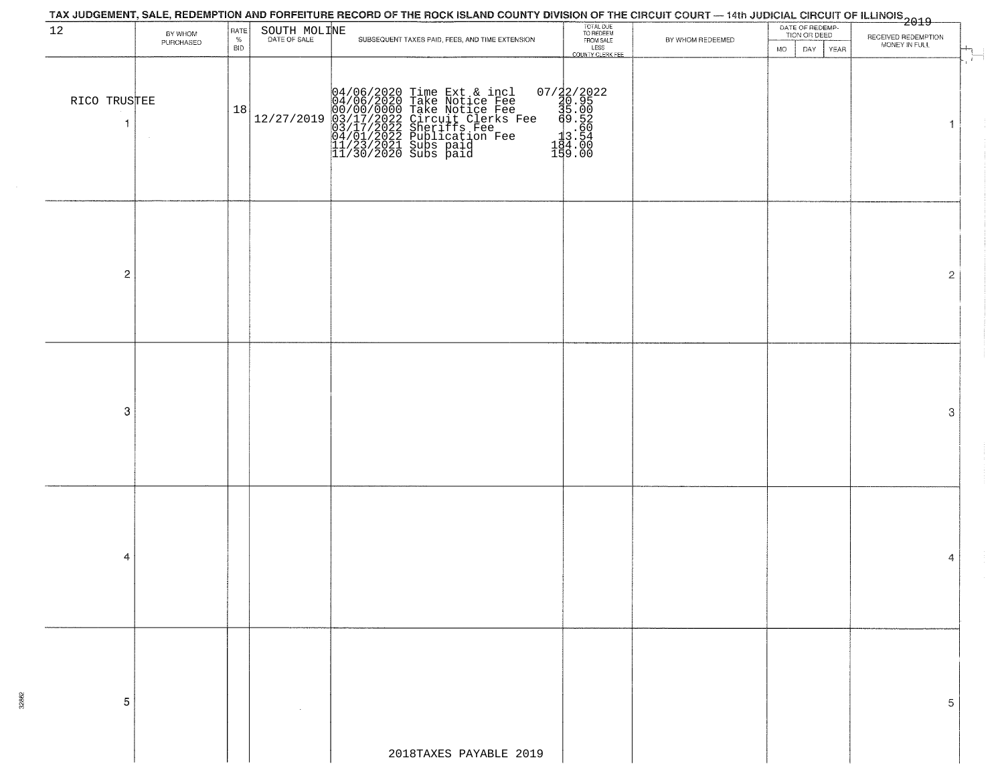| 12                | BY WHOM<br>PURCHASED | <b>RATE</b><br>$\%$<br><b>BID</b> | SOUTH MOLINE | SUBSEQUENT TAXES PAID, FEES, AND TIME EXTENSION                                                                                                                                                                                         | TOTAL DUE<br>TO REDEEM<br>FROM SALE<br>LESS<br>COUNTY CLERK FEE                                                 | BY WHOM REDEEMED | DATE OF REDEMP-<br>TION OR DEED<br>MO.<br>DAY<br>YEAR | RECEIVED REDEMPTION<br>MONEY IN FULL |
|-------------------|----------------------|-----------------------------------|--------------|-----------------------------------------------------------------------------------------------------------------------------------------------------------------------------------------------------------------------------------------|-----------------------------------------------------------------------------------------------------------------|------------------|-------------------------------------------------------|--------------------------------------|
| RICO TRUSTEE<br>1 |                      | 18                                | 12/27/2019   | 04/06/2020 Time Ext & incl 0<br>04/06/2020 Take Notice Fee<br>00/00/00/000 Take Notice Fee<br>03/17/2022 Circuit Clerks Fee<br>03/17/2022 Dublication Fee<br>04/01/2022 Publication Fee<br>11/23/2021 Subs paid<br>11/30/2020 Subs paid | $[ \begin{smallmatrix} 07/22/2022\\ 20.95\\ 39.52\\ 69.52\\ 13.56\\ 13.54\\ 14.00\\ 159.00 \end{smallmatrix} ]$ |                  |                                                       | $\mathbf{r}$                         |
| $\overline{2}$    |                      |                                   |              |                                                                                                                                                                                                                                         |                                                                                                                 |                  |                                                       | $\overline{2}$                       |
| 3                 |                      |                                   |              |                                                                                                                                                                                                                                         |                                                                                                                 |                  |                                                       | 3                                    |
| 4                 |                      |                                   |              |                                                                                                                                                                                                                                         |                                                                                                                 |                  |                                                       | 4                                    |
| 5                 |                      |                                   |              | 2018TAXES PAYABLE 2019                                                                                                                                                                                                                  |                                                                                                                 |                  |                                                       | 5                                    |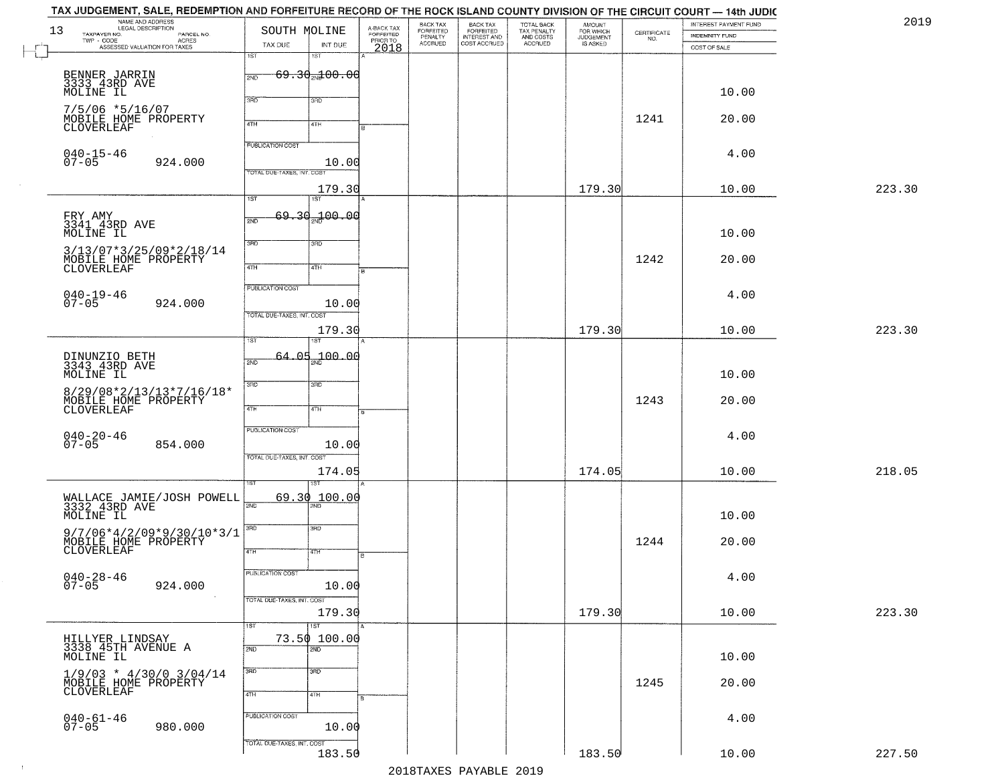|        | INTEREST PAYMENT FUND<br><b>INDEMNITY FUND</b> | $\begin{array}{c} \text{CEPTIFICATE} \\ \text{NO.} \end{array}$ | <b>AMOUNT</b><br>FOR WHICH<br>JUDGEMENT<br>IS ASKED | TOTAL BACK<br>TAX PENALTY<br>AND COSTS<br>ACCRUED | BACK TAX<br>FORFEITED<br>INTEREST AND<br>COST ACCRUED | BACK TAX<br>FORFEITED | A-BACK TAX<br>FORFEITED |                                         | SOUTH MOLINE                     | NAME AND ADDRESS<br>LEGAL DESCRIPTION<br>TAXPAYER NO.<br>PARCEL NO. | 13 |
|--------|------------------------------------------------|-----------------------------------------------------------------|-----------------------------------------------------|---------------------------------------------------|-------------------------------------------------------|-----------------------|-------------------------|-----------------------------------------|----------------------------------|---------------------------------------------------------------------|----|
|        | COST OF SALE                                   |                                                                 |                                                     |                                                   |                                                       | PENALTY<br>ACCRUED    | PRIOR TO<br>2018        | INT DUE<br>1ST                          | TAX DUE<br>1ST                   | TWP - CODE<br>- CODE ACRES<br>ASSESSED VALUATION FOR TAXES          |    |
|        |                                                |                                                                 |                                                     |                                                   |                                                       |                       |                         | $69.30 + 00.00$                         |                                  |                                                                     |    |
|        | 10.00                                          |                                                                 |                                                     |                                                   |                                                       |                       |                         |                                         | 2ND                              | BENNER JARRIN<br>3333 43RD AVE<br>MOLINE IL                         |    |
|        |                                                |                                                                 |                                                     |                                                   |                                                       |                       |                         | 3RD                                     | 3BD                              | $7/5/06$ *5/16/07                                                   |    |
|        | 20.00                                          | 1241                                                            |                                                     |                                                   |                                                       |                       |                         | 4TH                                     | 4TH                              | MOBILE HOME PROPERTY<br>CLOVERLEAF                                  |    |
|        | 4.00                                           |                                                                 |                                                     |                                                   |                                                       |                       |                         |                                         | <b>PUBLICATION COST</b>          | $040 - 15 - 46$                                                     |    |
|        |                                                |                                                                 |                                                     |                                                   |                                                       |                       |                         | 10.00                                   | TOTAL DUE-TAXES, INT. COST       | $07 - 05$<br>924.000                                                |    |
| 223.30 | 10.00                                          |                                                                 | 179.30                                              |                                                   |                                                       |                       |                         | 179.30                                  |                                  |                                                                     |    |
|        |                                                |                                                                 |                                                     |                                                   |                                                       |                       |                         | $\overline{1ST}$<br><del>제 00.0</del> 0 | $\overline{\text{1ST}}$<br>69,30 |                                                                     |    |
|        | 10.00                                          |                                                                 |                                                     |                                                   |                                                       |                       |                         |                                         | 2ND                              | FRY AMY<br>3341 43RD AVE<br>MOLINE IL                               |    |
|        |                                                |                                                                 |                                                     |                                                   |                                                       |                       |                         | 3RD                                     | 3RD                              | 3/13/07*3/25/09*2/18/14                                             |    |
|        | 20.00                                          | 1242                                                            |                                                     |                                                   |                                                       |                       |                         | 4TH                                     | 47H                              | MOBILE HOME PROPERTY<br>CLOVERLEAF                                  |    |
|        | 4.00                                           |                                                                 |                                                     |                                                   |                                                       |                       |                         |                                         | PUBLICATION COST                 | $040 - 19 - 46$                                                     |    |
|        |                                                |                                                                 |                                                     |                                                   |                                                       |                       |                         | 10.00                                   | TOTAL DUE-TAXES, INT. COST       | $07 - 05$<br>924.000                                                |    |
| 223.30 | 10.00                                          |                                                                 | 179.30                                              |                                                   |                                                       |                       |                         | 179.30                                  |                                  |                                                                     |    |
|        |                                                |                                                                 |                                                     |                                                   |                                                       |                       |                         | -05 100 - 00                            | ist<br>64.                       |                                                                     |    |
|        | 10.00                                          |                                                                 |                                                     |                                                   |                                                       |                       |                         |                                         | 2ND                              | DINUNZIO BETH<br>3343 43RD AVE<br>MOLINE IL                         |    |
|        |                                                |                                                                 |                                                     |                                                   |                                                       |                       |                         | 3RD                                     | 3RD                              | $8/29/08*2/13/13*7/16/18*$                                          |    |
|        | 20.00                                          | 1243                                                            |                                                     |                                                   |                                                       |                       |                         | 4TH                                     | 4TH                              | MOBILE HOME PROPERTY<br>CLOVERLEAF                                  |    |
|        | 4.00                                           |                                                                 |                                                     |                                                   |                                                       |                       |                         |                                         | <b>PUBLICATION COST</b>          | 040-20-46<br>07-05                                                  |    |
|        |                                                |                                                                 |                                                     |                                                   |                                                       |                       |                         | 10.00                                   | TOTAL OUE-TAXES, INT. COST       | 854.000                                                             |    |
| 218.05 | 10.00                                          |                                                                 | 174.05                                              |                                                   |                                                       |                       |                         | 174.05                                  |                                  |                                                                     |    |
|        |                                                |                                                                 |                                                     |                                                   |                                                       |                       |                         | इइ<br>100.00                            | 69.30                            | WALLACE JAMIE/JOSH POWELL<br>3332 43RD AVE                          |    |
|        | 10.00                                          |                                                                 |                                                     |                                                   |                                                       |                       |                         |                                         | 2ND                              | MOLINE IL                                                           |    |
|        | 20.00                                          | 1244                                                            |                                                     |                                                   |                                                       |                       |                         | 3BD                                     | 3RD                              | $9/7/06*4/2/09*9/30/10*3/1$ MOBILE HOME PROPERTY<br>CLOVERLEAF      |    |
|        |                                                |                                                                 |                                                     |                                                   |                                                       |                       |                         | 47H                                     | 4TH                              |                                                                     |    |
|        | 4.00                                           |                                                                 |                                                     |                                                   |                                                       |                       |                         |                                         | PUBLICATION COST                 | 040-28-46<br>07-05                                                  |    |
|        |                                                |                                                                 |                                                     |                                                   |                                                       |                       |                         | 10.00                                   | TOTAL DUE-TAXES, INT. COST       | 924.000                                                             |    |
| 223.30 | 10.00                                          |                                                                 | 179.30                                              |                                                   |                                                       |                       |                         | 179.30<br>$\overline{151}$              | 1ST                              |                                                                     |    |
|        |                                                |                                                                 |                                                     |                                                   |                                                       |                       |                         | 73.50 100.00                            |                                  | HILLYER LINDSAY<br>3338 45TH AVENUE A                               |    |
|        | 10.00                                          |                                                                 |                                                     |                                                   |                                                       |                       |                         | 2ND                                     | 2ND                              | MOLINE IL                                                           |    |
|        | 20.00                                          | 1245                                                            |                                                     |                                                   |                                                       |                       |                         | 3 <sub>RD</sub>                         | 3RD                              | $1/9/03$ * $4/30/0$ $3/04/14$                                       |    |
|        |                                                |                                                                 |                                                     |                                                   |                                                       |                       |                         | 4TH                                     | 4TH                              | MOBILE HOME PROPERTY                                                |    |
|        | 4.00                                           |                                                                 |                                                     |                                                   |                                                       |                       |                         |                                         | PUBLICATION COST                 | $040 - 61 - 46$<br>07-05<br>980.000                                 |    |
|        |                                                |                                                                 |                                                     |                                                   |                                                       |                       |                         | 10.00                                   | TOTAL DUE-TAXES, INT. COST       |                                                                     |    |
| 227.50 | 10.00                                          |                                                                 | 183.50                                              |                                                   |                                                       |                       |                         | 183.50                                  |                                  |                                                                     |    |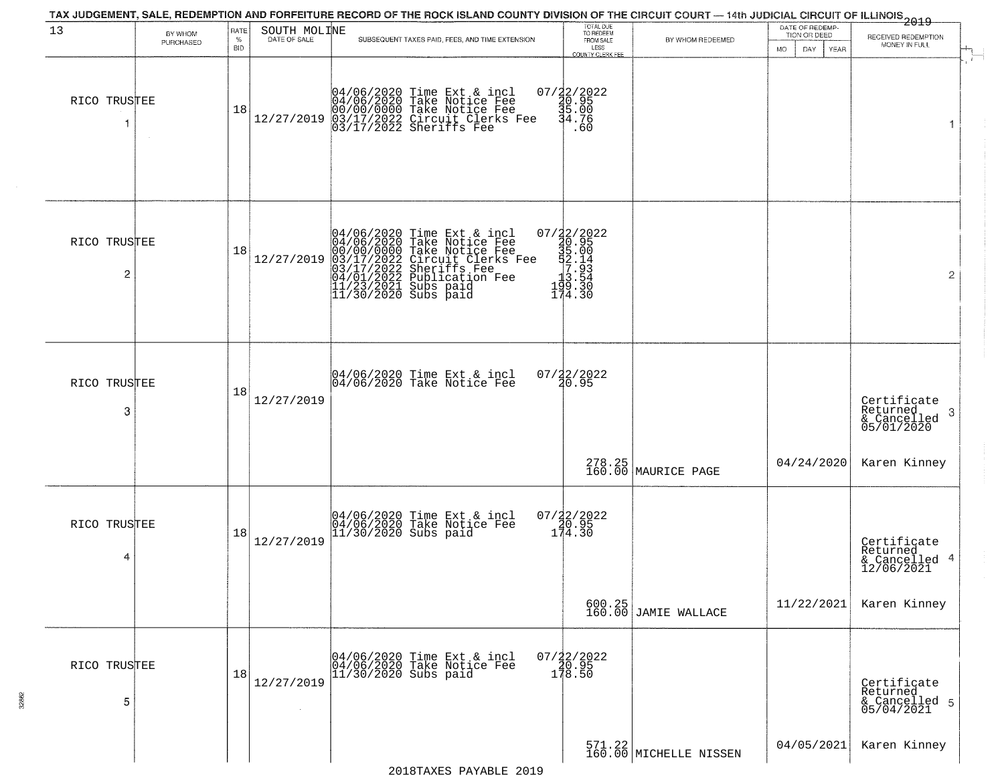| 13                             | BY WHOM<br>PURCHASED | RATE<br>%<br><b>BID</b> | SOUTH MOLINE<br>DATE OF SALE | TAX JUDGEMENT, SALE, REDEMPTION AND FORFEITURE RECORD OF THE ROCK ISLAND COUNTY DIVISION OF THE CIRCUIT COURT — 14th JUDICIAL CIRCUIT OF ILLINOIS 2019<br>SUBSEQUENT TAXES PAID, FEES, AND TIME EXTENSION                          | TOTAL DUE<br>TO REDEEM<br>FROM SALE<br>LESS<br>COUNTY CLERK FEI                                                  | BY WHOM REDEEMED                 | DATE OF REDEMP-<br>TION OR DEED<br>MO.<br>DAY.<br><b>YEAR</b> | RECEIVED REDEMPTION<br>MONEY IN FULL                      |
|--------------------------------|----------------------|-------------------------|------------------------------|------------------------------------------------------------------------------------------------------------------------------------------------------------------------------------------------------------------------------------|------------------------------------------------------------------------------------------------------------------|----------------------------------|---------------------------------------------------------------|-----------------------------------------------------------|
| RICO TRUSTEE                   |                      | 18                      | 12/27/2019                   | 04/06/2020 Time Ext & incl<br>04/06/2020 Take Notice Fee<br>00/00/0000 Take Notice Fee<br>03/17/2022 Circuit Clerks Fee<br>03/17/2022 Sheriffs Fee                                                                                 | 07/22/2022<br>20.95<br>35.00<br>34.76<br>34.76                                                                   |                                  |                                                               | 1                                                         |
| RICO TRUSTEE<br>$\overline{c}$ |                      | 18                      | 12/27/2019                   | 04/06/2020 Time Ext & incl<br>04/06/2020 Take Notice Fee<br>00/00/00000 Take Notice Fee<br>03/17/2022 Circuit Clerks Fee<br>03/17/2022 Suberiffs Fee<br>04/01/2022 Publication Fee<br>11/23/2021 Subs paid<br>11/30/2020 Subs paid | $\begin{smallmatrix} 07/32/2022\\ 40.95\\ 39.5\\ 5.00\\ 42.14\\ 7.13\\ 13.54\\ 19.30\\ 174.30 \end{smallmatrix}$ |                                  |                                                               | $\overline{2}$                                            |
| RICO TRUSTEE<br>3              |                      | 18                      | 12/27/2019                   | 04/06/2020 Time Ext & incl<br>04/06/2020 Take Notice Fee                                                                                                                                                                           | $07/22/2022$<br>20.95                                                                                            |                                  |                                                               | Certificate<br>Returned<br>-3<br>$\frac{1}{05/01/2020}$   |
|                                |                      |                         |                              |                                                                                                                                                                                                                                    |                                                                                                                  | 278.25<br>160.00 MAURICE PAGE    | 04/24/2020                                                    | Karen Kinney                                              |
| RICO TRUSTEE<br>4              |                      | 18                      | 12/27/2019                   | 04/06/2020 Time Ext & incl<br>04/06/2020 Take Notice Fee<br>11/30/2020 Subs paid                                                                                                                                                   | 07/22/2022<br>20.95<br>174.30                                                                                    |                                  |                                                               | Certificate<br>Returned<br>4<br>& Cancelled<br>12/06/2021 |
|                                |                      |                         |                              |                                                                                                                                                                                                                                    |                                                                                                                  | 600.25<br>160.00 JAMIE WALLACE   | 11/22/2021                                                    | Karen Kinney                                              |
| RICO TRUSTEE<br>5              |                      | 18                      | 12/27/2019                   | 04/06/2020 Time Ext & incl<br>04/06/2020 Take Notice Fee<br>11/30/2020 Subs paid                                                                                                                                                   | $07/\frac{2}{2}2/\frac{2022}{95}$<br>178.50                                                                      |                                  |                                                               | Certificate<br>Returned<br>& Cancelled 5<br>05/04/2021    |
|                                |                      |                         |                              |                                                                                                                                                                                                                                    |                                                                                                                  | 571.22<br>160.00 MICHELLE NISSEN | 04/05/2021                                                    | Karen Kinney                                              |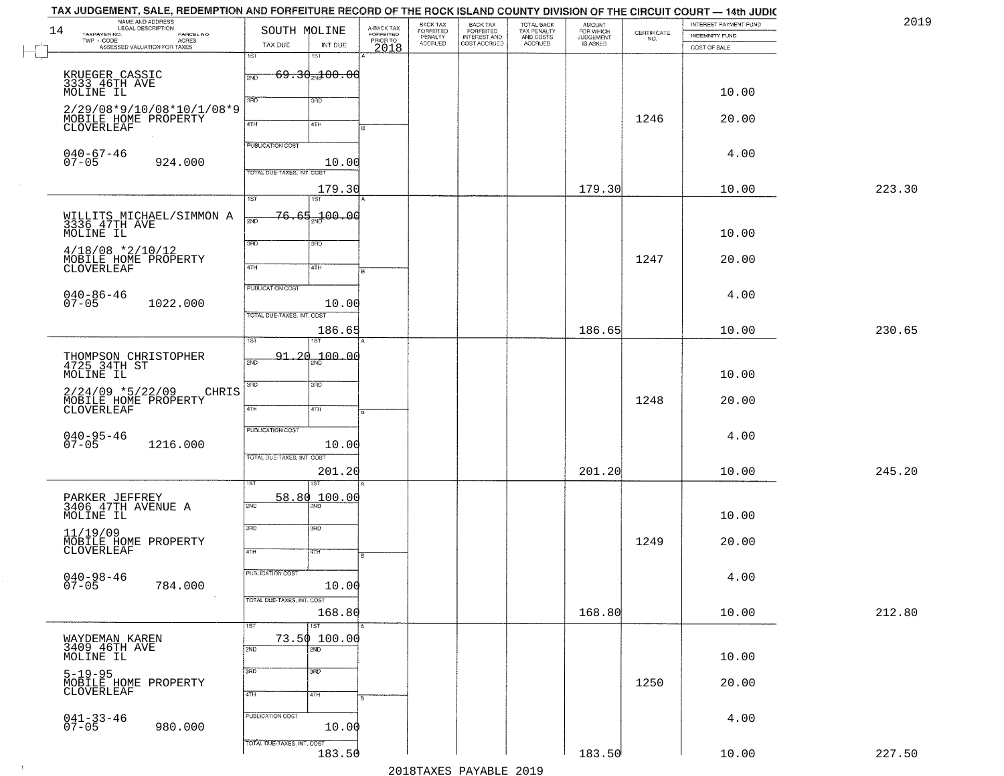| 14<br>TAXPAYER NO.           | NAME AND ADDRESS<br>LEGAL DESCRIPTION<br>PARCEL NO.               | SOUTH MOLINE               |                                        | A-BACK TAX<br>FORFEITED<br>PRIOR TO | BACK TAX<br>FORFEITED<br>PENALTY | BACK TAX<br>FORFEITED<br>INTEREST AND | TOTAL BACK<br>TAX PENALTY<br>AND COSTS | AMOUNT<br>FOR WHICH<br>JUDGEMENT | $\begin{array}{c} \text{CERTIFICATE} \\ \text{NO.} \end{array}$ | INTEREST PAYMENT FUND<br>INDEMNITY FUND |  |
|------------------------------|-------------------------------------------------------------------|----------------------------|----------------------------------------|-------------------------------------|----------------------------------|---------------------------------------|----------------------------------------|----------------------------------|-----------------------------------------------------------------|-----------------------------------------|--|
| $TWP - CODE$                 | - CODE<br>CODE ACRES<br>ASSESSED VALUATION FOR TAXES              | TAX DUE                    | INT DUE                                | 2018                                | <b>ACCRUED</b>                   | COST ACCRUED                          | ACCRUED                                | IS ASKED                         |                                                                 | COST OF SALE                            |  |
|                              |                                                                   | 1ST                        | 1ST                                    |                                     |                                  |                                       |                                        |                                  |                                                                 |                                         |  |
|                              | KRUEGER CASSIC<br>3333 46TH AVE                                   | 2ND                        | <del>69.30<sub>20</sub>100.00</del>    |                                     |                                  |                                       |                                        |                                  |                                                                 |                                         |  |
| <b>MÕLINE</b> IL             |                                                                   | 3PD                        | 3RD                                    |                                     |                                  |                                       |                                        |                                  |                                                                 | 10.00                                   |  |
|                              | 2/29/08*9/10/08*10/1/08*9                                         |                            |                                        |                                     |                                  |                                       |                                        |                                  |                                                                 |                                         |  |
| CLOVERLEAF                   | MOBILE HOME PROPERTY                                              | 4TH                        | 41H                                    |                                     |                                  |                                       |                                        |                                  | 1246                                                            | 20.00                                   |  |
|                              |                                                                   | <b>PUBLICATION COST</b>    |                                        |                                     |                                  |                                       |                                        |                                  |                                                                 |                                         |  |
| $040 - 67 - 46$<br>$07 - 05$ | 924.000                                                           |                            | 10.00                                  |                                     |                                  |                                       |                                        |                                  |                                                                 | 4.00                                    |  |
|                              |                                                                   | TOTAL DUE-TAXES, INT. COST |                                        |                                     |                                  |                                       |                                        |                                  |                                                                 |                                         |  |
|                              |                                                                   | 1ST                        | 179.30<br>1ST                          |                                     |                                  |                                       |                                        | 179.30                           |                                                                 | 10.00                                   |  |
|                              |                                                                   |                            | <del>76.65.100.00</del>                |                                     |                                  |                                       |                                        |                                  |                                                                 |                                         |  |
| MOLINE IL                    | WILLITS MICHAEL/SIMMON A<br>3336 47TH AVE                         | 2ND                        |                                        |                                     |                                  |                                       |                                        |                                  |                                                                 | 10.00                                   |  |
|                              | $4/18/08$ *2/10/12                                                | उन्नठ                      | 3RD                                    |                                     |                                  |                                       |                                        |                                  |                                                                 |                                         |  |
|                              | MOBILE HOME PROPERTY<br>CLOVERLEAF                                | $\overline{47H}$           | 4TH                                    |                                     |                                  |                                       |                                        |                                  | 1247                                                            | 20.00                                   |  |
|                              |                                                                   |                            |                                        |                                     |                                  |                                       |                                        |                                  |                                                                 |                                         |  |
| $040 - 86 - 46$<br>07-05     |                                                                   | PUBLICATION COST           |                                        |                                     |                                  |                                       |                                        |                                  |                                                                 | 4.00                                    |  |
|                              | 1022.000                                                          | TOTAL DUE-TAXES, INT. COST | 10.00                                  |                                     |                                  |                                       |                                        |                                  |                                                                 |                                         |  |
|                              |                                                                   |                            | 186.65                                 |                                     |                                  |                                       |                                        | 186.65                           |                                                                 | 10.00                                   |  |
|                              |                                                                   | 1ST                        |                                        |                                     |                                  |                                       |                                        |                                  |                                                                 |                                         |  |
|                              | THOMPSON CHRISTOPHER<br>4725 34TH ST                              | 2ND                        | <del>91.2</del> d <sub>2N</sub> 200.00 |                                     |                                  |                                       |                                        |                                  |                                                                 |                                         |  |
| MOLINE IL                    |                                                                   | 3 <sub>BD</sub>            | 3RD                                    |                                     |                                  |                                       |                                        |                                  |                                                                 | 10.00                                   |  |
|                              | $2/24/09$ *5/22/09<br>CHRIS<br>MOBILE HOME PROPERTY<br>CLOVERLEAF |                            |                                        |                                     |                                  |                                       |                                        |                                  | 1248                                                            | 20.00                                   |  |
|                              |                                                                   | 4TH                        | 4TH                                    |                                     |                                  |                                       |                                        |                                  |                                                                 |                                         |  |
|                              |                                                                   | <b>PUBLICATION COST</b>    |                                        |                                     |                                  |                                       |                                        |                                  |                                                                 | 4.00                                    |  |
| $040 - 95 - 46$<br>07-05     | 1216.000                                                          | TOTAL OUE-TAXES, INT. COST | 10.00                                  |                                     |                                  |                                       |                                        |                                  |                                                                 |                                         |  |
|                              |                                                                   |                            | 201.20                                 |                                     |                                  |                                       |                                        | 201.20                           |                                                                 | 10.00                                   |  |
|                              |                                                                   |                            |                                        |                                     |                                  |                                       |                                        |                                  |                                                                 |                                         |  |
|                              | PARKER JEFFREY<br>3406 47TH AVENUE A                              | 58.80<br>2ND               | 100.00                                 |                                     |                                  |                                       |                                        |                                  |                                                                 |                                         |  |
| MOLINE IL                    |                                                                   |                            |                                        |                                     |                                  |                                       |                                        |                                  |                                                                 | 10.00                                   |  |
| 11/19/09                     | MOBILE HOME PROPERTY                                              | 3RD                        | 3BD                                    |                                     |                                  |                                       |                                        |                                  | 1249                                                            | 20.00                                   |  |
| CLOVERLEAF                   |                                                                   | 4TH                        | बाम                                    | в.                                  |                                  |                                       |                                        |                                  |                                                                 |                                         |  |
|                              |                                                                   | PUBLICATION COST           |                                        |                                     |                                  |                                       |                                        |                                  |                                                                 | 4.00                                    |  |
| $040 - 98 - 46$<br>07-05     | 784.000                                                           |                            | 10.00                                  |                                     |                                  |                                       |                                        |                                  |                                                                 |                                         |  |
|                              | $\sim 100$                                                        | TOTAL DUE-TAXES, INT. COST |                                        |                                     |                                  |                                       |                                        |                                  |                                                                 |                                         |  |
|                              |                                                                   | 1ST                        | 168.80<br>1ST                          |                                     |                                  |                                       |                                        | 168.80                           |                                                                 | 10.00                                   |  |
|                              | WAYDEMAN KAREN                                                    |                            | 73.50 100.00                           |                                     |                                  |                                       |                                        |                                  |                                                                 |                                         |  |
| 3409 46TH AVE<br>MOLINE IL   |                                                                   | 2ND                        | 2ND                                    |                                     |                                  |                                       |                                        |                                  |                                                                 | 10.00                                   |  |
| $5 - 19 - 95$                |                                                                   | 3RD                        | 3HD                                    |                                     |                                  |                                       |                                        |                                  |                                                                 |                                         |  |
| CLOVERLEAF                   | MOBILE HOME PROPERTY                                              | 4TH                        | 4TH                                    |                                     |                                  |                                       |                                        |                                  | 1250                                                            | 20.00                                   |  |
|                              |                                                                   |                            |                                        |                                     |                                  |                                       |                                        |                                  |                                                                 |                                         |  |
| $041 - 33 - 46$<br>07-05     | 980.000                                                           | PUBLICATION COST           | 10.00                                  |                                     |                                  |                                       |                                        |                                  |                                                                 | 4.00                                    |  |
|                              |                                                                   | TOTAL DUE-TAXES, INT. COST |                                        |                                     |                                  |                                       |                                        |                                  |                                                                 |                                         |  |
|                              |                                                                   |                            | 183.50                                 |                                     |                                  |                                       |                                        | 183.50                           |                                                                 | 10.00                                   |  |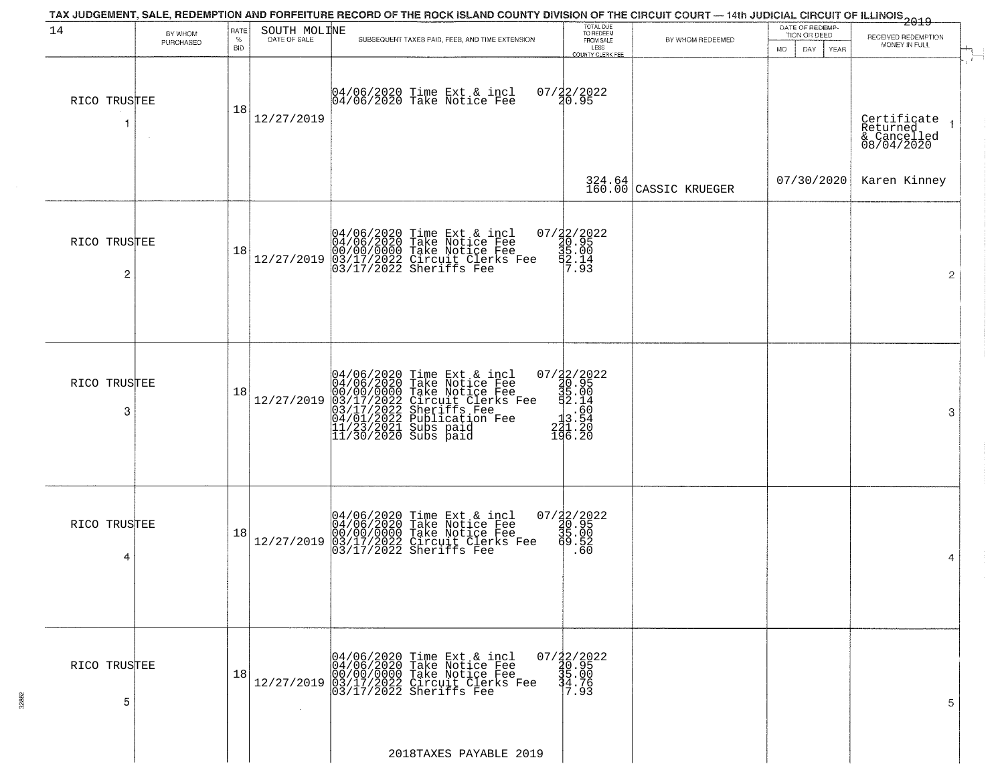|                                |           |                     |                              | TAX JUDGEMENT, SALE, REDEMPTION AND FORFEITURE RECORD OF THE ROCK ISLAND COUNTY DIVISION OF THE CIRCUIT COURT — 14th JUDICIAL CIRCUIT OF ILLINOIS 2019                                                                                |                                                                                                                                                         |                                 | DATE OF REDEMP-     |                                                      |
|--------------------------------|-----------|---------------------|------------------------------|---------------------------------------------------------------------------------------------------------------------------------------------------------------------------------------------------------------------------------------|---------------------------------------------------------------------------------------------------------------------------------------------------------|---------------------------------|---------------------|------------------------------------------------------|
| 14                             | BY WHOM   | <b>RATE</b><br>$\%$ | SOUTH MOLINE<br>DATE OF SALE | SUBSEQUENT TAXES PAID, FEES, AND TIME EXTENSION                                                                                                                                                                                       | TOTAL DUE<br>TO REDEEM<br>FROM SALE                                                                                                                     | BY WHOM REDEEMED                | TION OR DEED        | RECEIVED REDEMPTION                                  |
|                                | PURCHASED | BID                 |                              |                                                                                                                                                                                                                                       | LESS<br><b>COUNTY CLERK FEE</b>                                                                                                                         |                                 | DAY.<br>YEAR<br>MO. | MONEY IN FULL                                        |
| RICO TRUSTEE<br>-1             |           | 18                  | 12/27/2019                   | 04/06/2020 Time Ext & incl<br>04/06/2020 Take Notice Fee                                                                                                                                                                              | $07/22/2022$<br>20.95                                                                                                                                   |                                 |                     | Certifiçate<br>Returned<br>& Cancelled<br>08/04/2020 |
|                                |           |                     |                              |                                                                                                                                                                                                                                       |                                                                                                                                                         | 324.64<br>160.00 CASSIC KRUEGER | 07/30/2020          | Karen Kinney                                         |
| RICO TRUSTEE<br>$\overline{c}$ |           | 18                  | 12/27/2019                   | 04/06/2020 Time Ext & incl<br>04/06/2020 Take Notice Fee<br>00/00/0000 Take Notice Fee<br>03/17/2022 Circuit Clerks Fee<br>03/17/2022 Sheriffs Fee                                                                                    | 07/22/2022<br>30.95<br>35.00<br>32.14<br>37.93                                                                                                          |                                 |                     | $\overline{2}$                                       |
| RICO TRUSTEE<br>3              |           | 18                  | 12/27/2019                   | 04/06/2020 Time Ext & incl<br>04/06/2020 Take Notice Fee<br>00/00/00/000 Take Notice Fee<br>03/17/2022 Circuit Clerks Fee<br>03/17/2022 Sublication Fee<br>04/01/2022 Publication Fee<br>11/23/2021 Subs paid<br>11/30/2020 Subs paid | $\begin{array}{r} 07 \overline{)2} \overline{)2} \overline{)3} \\ 20.95 \\ 30.95 \\ -35.00 \\ -14.4 \\ -13.54 \\ -24.20 \\ 24.20 \\ 196.20 \end{array}$ |                                 |                     | 3                                                    |
| RICO TRUSTEE<br>4              |           | 18                  | 12/27/2019                   | 04/06/2020 Time Ext & incl<br>04/06/2020 Take Notice Fee<br>00/00/0000 Take Notice Fee<br>03/17/2022 Circuit Clerks Fee<br>03/17/2022 Sheriffs Fee                                                                                    | $\begin{array}{r} 07/22/2022 \\ 20.95 \\ 35.00 \\ \textrm{=} \phantom{0}9.52 \\ \textrm{=} \phantom{0}0 \end{array}$                                    |                                 |                     | 4                                                    |
| RICO TRUSTEE<br>5              |           | 18                  | 12/27/2019                   | 04/06/2020 Time Ext & incl<br>04/06/2020 Take Notice Fee<br>00/00/0000 Take Notice Fee<br>03/17/2022 Circuit Clerks Fee<br>03/17/2022 Sheriffs Fee                                                                                    | $07/22/2022$<br>$20.95$<br>$\frac{35.00}{34.76}$                                                                                                        |                                 |                     | 5                                                    |
|                                |           |                     |                              | 2018TAXES PAYABLE 2019                                                                                                                                                                                                                |                                                                                                                                                         |                                 |                     |                                                      |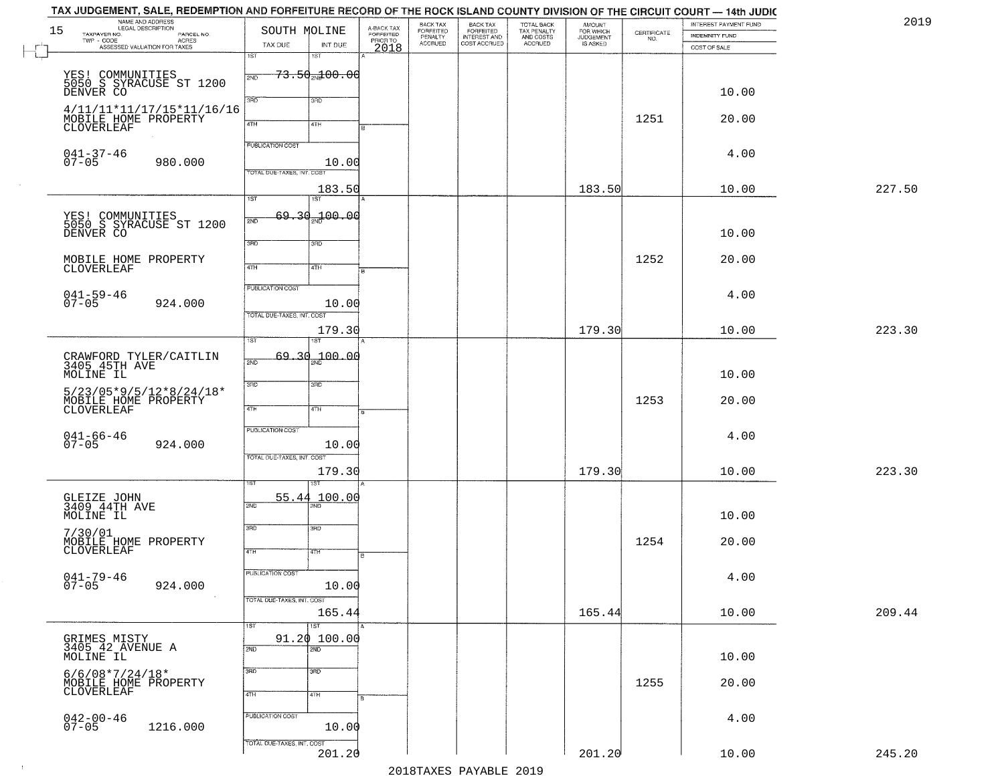|        | INTEREST PAYMENT FUND |                    | <b>AMOUNT</b>                      |                                                   |                                                       | BACK TAX<br>FORFEITED<br>PENALTY |                                     |                                     | SOUTH MOLINE               | NAME AND ADDRESS<br>LEGAL DESCRIPTION                    | 15      |
|--------|-----------------------|--------------------|------------------------------------|---------------------------------------------------|-------------------------------------------------------|----------------------------------|-------------------------------------|-------------------------------------|----------------------------|----------------------------------------------------------|---------|
|        | <b>INDEMNITY FUND</b> | CERTIFICATE<br>NO. | FOR WHICH<br>JUDGEMENT<br>IS ASKED | TOTAL BACK<br>TAX PENALTY<br>AND COSTS<br>ACCRUED | BACK TAX<br>FORFEITED<br>INTEREST AND<br>COST ACCRUED |                                  | A-BACK TAX<br>FORFEITED<br>PRIOR TO |                                     |                            | TAXPAYER NO.<br>PARCEL NO.<br><b>ACRES</b><br>TWP - CODE |         |
|        | COST OF SALE          |                    |                                    |                                                   |                                                       | <b>ACCRUED</b>                   | 2018                                | INT DUE<br>1ST                      | TAX DUE<br>1ST             | ASSESSED VALUATION FOR TAXES                             |         |
|        |                       |                    |                                    |                                                   |                                                       |                                  |                                     |                                     |                            |                                                          |         |
|        |                       |                    |                                    |                                                   |                                                       |                                  |                                     | <del>73.50<sub>2N</sub>100.00</del> | 2ND                        |                                                          |         |
|        | 10.00                 |                    |                                    |                                                   |                                                       |                                  |                                     |                                     |                            | YES! COMMUNITIES<br>5050 S SYRACUSE ST 1200<br>DENVER CO |         |
|        |                       |                    |                                    |                                                   |                                                       |                                  |                                     | 3RD                                 | 3RD                        |                                                          |         |
|        |                       |                    |                                    |                                                   |                                                       |                                  |                                     |                                     |                            | 4/11/11*11/17/15*11/16/16                                |         |
|        | 20.00                 | 1251               |                                    |                                                   |                                                       |                                  |                                     | 4TH                                 | 4TH                        | MOBILE HOME PROPERTY<br>CLOVERLEAF                       |         |
|        |                       |                    |                                    |                                                   |                                                       |                                  |                                     |                                     |                            |                                                          |         |
|        | 4.00                  |                    |                                    |                                                   |                                                       |                                  |                                     |                                     | <b>PUBLICATION COST</b>    |                                                          |         |
|        |                       |                    |                                    |                                                   |                                                       |                                  |                                     | 10.00                               |                            | $041 - 37 - 46$<br>07-05<br>980.000                      |         |
|        |                       |                    |                                    |                                                   |                                                       |                                  |                                     |                                     | TOTAL DUE-TAXES, INT. COST |                                                          |         |
| 227.50 | 10.00                 |                    | 183.50                             |                                                   |                                                       |                                  |                                     | 183.50                              |                            |                                                          |         |
|        |                       |                    |                                    |                                                   |                                                       |                                  |                                     | 1ST                                 | $\overline{1ST}$           |                                                          |         |
|        |                       |                    |                                    |                                                   |                                                       |                                  |                                     | <del>400.00</del>                   | 69.30                      |                                                          |         |
|        |                       |                    |                                    |                                                   |                                                       |                                  |                                     |                                     | 2ND                        | YES! COMMUNITIES<br>5050 S SYRACUSE ST 1200              |         |
|        | 10.00                 |                    |                                    |                                                   |                                                       |                                  |                                     | 3RD                                 | 3RD                        | DENVER CO                                                |         |
|        |                       |                    |                                    |                                                   |                                                       |                                  |                                     |                                     |                            |                                                          |         |
|        | 20.00                 | 1252               |                                    |                                                   |                                                       |                                  |                                     | 4TH                                 | 47H                        | MOBILE HOME PROPERTY<br>CLOVERLEAF                       |         |
|        |                       |                    |                                    |                                                   |                                                       |                                  | я                                   |                                     |                            |                                                          |         |
|        |                       |                    |                                    |                                                   |                                                       |                                  |                                     |                                     | PUBLICATION COST           |                                                          |         |
|        | 4.00                  |                    |                                    |                                                   |                                                       |                                  |                                     | 10.00                               |                            | $041 - 59 - 46$<br>07-05<br>924.000                      |         |
|        |                       |                    |                                    |                                                   |                                                       |                                  |                                     |                                     | TOTAL DUE-TAXES, INT. COST |                                                          |         |
| 223.30 | 10.00                 |                    | 179.30                             |                                                   |                                                       |                                  |                                     | 179.30                              |                            |                                                          |         |
|        |                       |                    |                                    |                                                   |                                                       |                                  |                                     | 1ST                                 | ist                        |                                                          |         |
|        |                       |                    |                                    |                                                   |                                                       |                                  |                                     | 69.30 <sub>2N</sub> 100.00          |                            |                                                          |         |
|        |                       |                    |                                    |                                                   |                                                       |                                  |                                     |                                     | 2ND                        | CRAWFORD TYLER/CAITLIN<br>3405 45TH AVE                  |         |
|        | 10.00                 |                    |                                    |                                                   |                                                       |                                  |                                     | 3 <sub>BD</sub>                     | 3RD                        | MOLINE IL                                                |         |
|        |                       |                    |                                    |                                                   |                                                       |                                  |                                     |                                     |                            | $5/23/05*9/5/12*8/24/18*$                                |         |
|        | 20.00                 | 1253               |                                    |                                                   |                                                       |                                  |                                     | 4TH                                 | 4TH                        | MOBILE HOME PROPERTY<br>CLOVERLEAF                       |         |
|        |                       |                    |                                    |                                                   |                                                       |                                  |                                     |                                     |                            |                                                          |         |
|        | 4.00                  |                    |                                    |                                                   |                                                       |                                  |                                     |                                     | <b>PUBLICATION COST</b>    |                                                          |         |
|        |                       |                    |                                    |                                                   |                                                       |                                  |                                     | 10.00                               |                            | $041 - 66 - 46$<br>07-05<br>924.000                      |         |
|        |                       |                    |                                    |                                                   |                                                       |                                  |                                     |                                     | TOTAL OUE-TAXES, INT. COST |                                                          |         |
| 223.30 | 10.00                 |                    | 179.30                             |                                                   |                                                       |                                  |                                     | 179.30                              |                            |                                                          |         |
|        |                       |                    |                                    |                                                   |                                                       |                                  |                                     |                                     |                            |                                                          |         |
|        |                       |                    |                                    |                                                   |                                                       |                                  |                                     | 100.00                              | 55.44<br>2ND               | GLEIZE JOHN<br>3409 44TH AVE                             |         |
|        | 10.00                 |                    |                                    |                                                   |                                                       |                                  |                                     | 2ND                                 |                            | MOLINE IL                                                |         |
|        |                       |                    |                                    |                                                   |                                                       |                                  |                                     | 3RD                                 | 3RD                        |                                                          |         |
|        | 20.00                 | 1254               |                                    |                                                   |                                                       |                                  |                                     |                                     |                            | MOBILE HOME PROPERTY                                     | 7/30/01 |
|        |                       |                    |                                    |                                                   |                                                       |                                  | ۱B.                                 | 4TH                                 | 4TH                        | CLOVERLEAF                                               |         |
|        |                       |                    |                                    |                                                   |                                                       |                                  |                                     |                                     |                            |                                                          |         |
|        | 4.00                  |                    |                                    |                                                   |                                                       |                                  |                                     |                                     | PUBLICATION COST           | $041 - 79 - 46$<br>07-05                                 |         |
|        |                       |                    |                                    |                                                   |                                                       |                                  |                                     | 10.00                               |                            | 924.000                                                  |         |
|        |                       |                    |                                    |                                                   |                                                       |                                  |                                     |                                     | TOTAL DUE-TAXES, INT. COST |                                                          |         |
| 209.44 | 10.00                 |                    | 165.44                             |                                                   |                                                       |                                  |                                     | 165.44                              |                            |                                                          |         |
|        |                       |                    |                                    |                                                   |                                                       |                                  |                                     | $\overline{1ST}$                    | 1ST                        |                                                          |         |
|        |                       |                    |                                    |                                                   |                                                       |                                  |                                     | 100.00<br>$\overline{2ND}$          | 91.20                      | GRIMES MISTY<br>3405 42 AVENUE A<br>MOLINE IL            |         |
|        | 10.00                 |                    |                                    |                                                   |                                                       |                                  |                                     |                                     | 2ND                        |                                                          |         |
|        |                       |                    |                                    |                                                   |                                                       |                                  |                                     | 3BD                                 | 3RD                        |                                                          |         |
|        | 20.00                 | 1255               |                                    |                                                   |                                                       |                                  |                                     |                                     |                            | 6/6/08*7/24/18*<br>MOBILE HOME PROPERTY<br>CLOVERLEAF    |         |
|        |                       |                    |                                    |                                                   |                                                       |                                  |                                     | 4TH                                 | 4TH                        |                                                          |         |
|        |                       |                    |                                    |                                                   |                                                       |                                  |                                     |                                     |                            |                                                          |         |
|        | 4.00                  |                    |                                    |                                                   |                                                       |                                  |                                     |                                     | PUBLICATION COST           | $042 - 00 - 46$<br>07-05                                 |         |
|        |                       |                    |                                    |                                                   |                                                       |                                  |                                     | 10.00                               |                            | 1216.000                                                 |         |
| 245.20 |                       |                    |                                    |                                                   |                                                       |                                  |                                     |                                     | TOTAL DUE-TAXES, INT. COST |                                                          |         |
|        | 10.00                 |                    | 201.20                             |                                                   |                                                       |                                  |                                     | 201.20                              |                            |                                                          |         |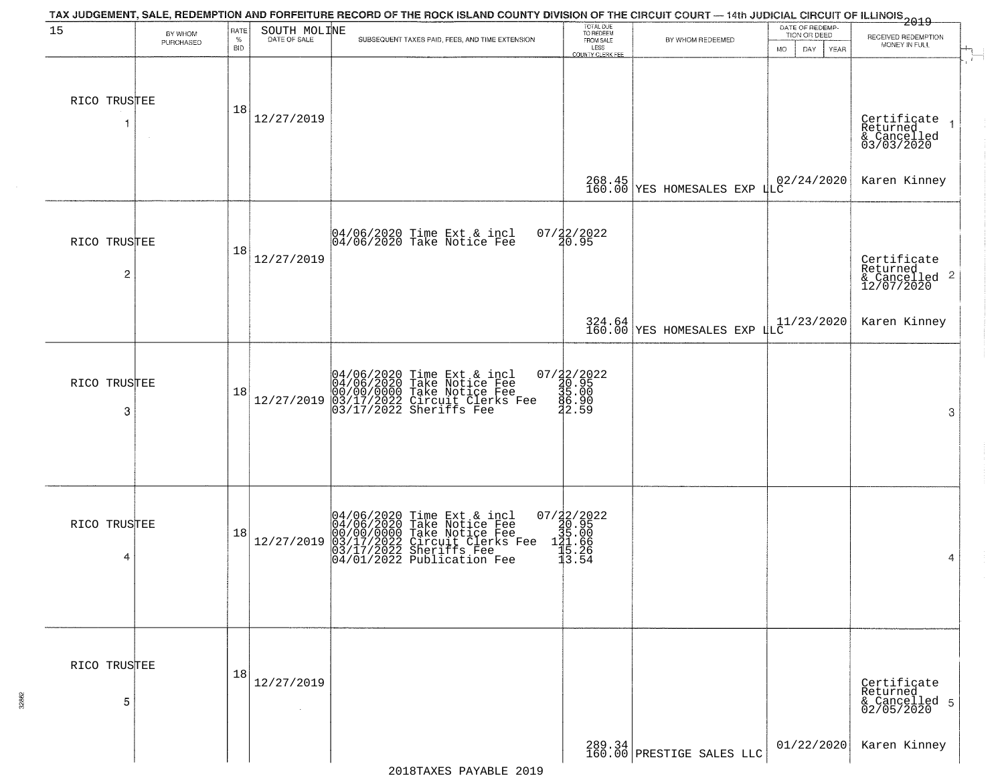|                   |                      |                            |                      | TAX JUDGEMENT, SALE, REDEMPTION AND FORFEITURE RECORD OF THE ROCK ISLAND COUNTY DIVISION OF THE CIRCUIT COURT — 14th JUDICIAL CIRCUIT OF ILLINOIS 2019                                                                                       |                                                                                     |                                      |                                                              |                                                        |
|-------------------|----------------------|----------------------------|----------------------|----------------------------------------------------------------------------------------------------------------------------------------------------------------------------------------------------------------------------------------------|-------------------------------------------------------------------------------------|--------------------------------------|--------------------------------------------------------------|--------------------------------------------------------|
| 15                | BY WHOM<br>PURCHASED | RATE<br>$\%$<br><b>BID</b> | SOUTH MOLINE         | SUBSEQUENT TAXES PAID, FEES, AND TIME EXTENSION                                                                                                                                                                                              | TOTAL DUE<br>TO REDEEM<br>FROM SALE                                                 | BY WHOM REDEEMED                     | DATE OF REDEMP-<br>TION OR DEED<br><b>MO</b><br>DAY.<br>YEAR | RECEIVED REDEMPTION<br>MONEY IN FULL                   |
| RICO TRUSTEE<br>1 |                      | 18                         | 12/27/2019           |                                                                                                                                                                                                                                              | LESS<br>COUNTY CLERK FEE                                                            |                                      |                                                              | Certificate<br>Returned<br>& Cancelled<br>03/03/2020   |
|                   |                      |                            |                      |                                                                                                                                                                                                                                              |                                                                                     | 268.45 360.00 YES HOMESALES EXP 1LC  |                                                              | Karen Kinney                                           |
| RICO TRUSTEE<br>2 |                      | 18                         | 12/27/2019           | 04/06/2020 Time Ext & incl<br>04/06/2020 Take Notice Fee                                                                                                                                                                                     | $07/22/2022$<br>$20.95$                                                             |                                      |                                                              | Certificate<br>Returned<br>& Cancelled 2<br>12/07/2020 |
|                   |                      |                            |                      |                                                                                                                                                                                                                                              |                                                                                     | $324.64$<br>160.00 YES HOMESALES EXP | 1/1/23/2020                                                  | Karen Kinney                                           |
| RICO TRUSTEE<br>3 |                      | 18                         | 12/27/2019           | 04/06/2020 Time Ext & incl<br>04/06/2020 Take Notice Fee<br>00/00/0000 Take Notice Fee<br>03/17/2022 Circuit Clerks Fee<br>03/17/2022 Sheriffs Fee                                                                                           | $=\begin{smallmatrix} 07/22/2022\\ 20.95\\ 35.00\\ 96.90\\ 22.59 \end{smallmatrix}$ |                                      |                                                              | 3                                                      |
| RICO TRUSTEE<br>4 |                      | 18                         |                      | $[04/06/2020 \t\t Time \t\t Ext & incl & 04/06/2020 \t\t Take \tNotice \tFee \\ 04/06/2020 \t\t Take \tNotice \tFee \\ 12/27/2019 \t\t 03/17/2022 \t\tSheritfs \tFee \\ 03/17/2022 \t\tSheritfs \tFe \\ 04/01/2022 \t\t Publication \tFe \\$ | $07/22/2022$<br>$-20.95$<br>$-35.00$<br>$121.66$<br>$15.26$<br>$13.54$              |                                      |                                                              | 4                                                      |
| RICO TRUSTEE<br>5 |                      | 18                         | 12/27/2019<br>$\sim$ |                                                                                                                                                                                                                                              |                                                                                     |                                      |                                                              | Certificate<br>Returned<br>& Cancelled 5<br>02/05/2020 |
|                   |                      |                            |                      |                                                                                                                                                                                                                                              |                                                                                     | $289.34$ PRESTIGE SALES LLC          | 01/22/2020                                                   | Karen Kinney                                           |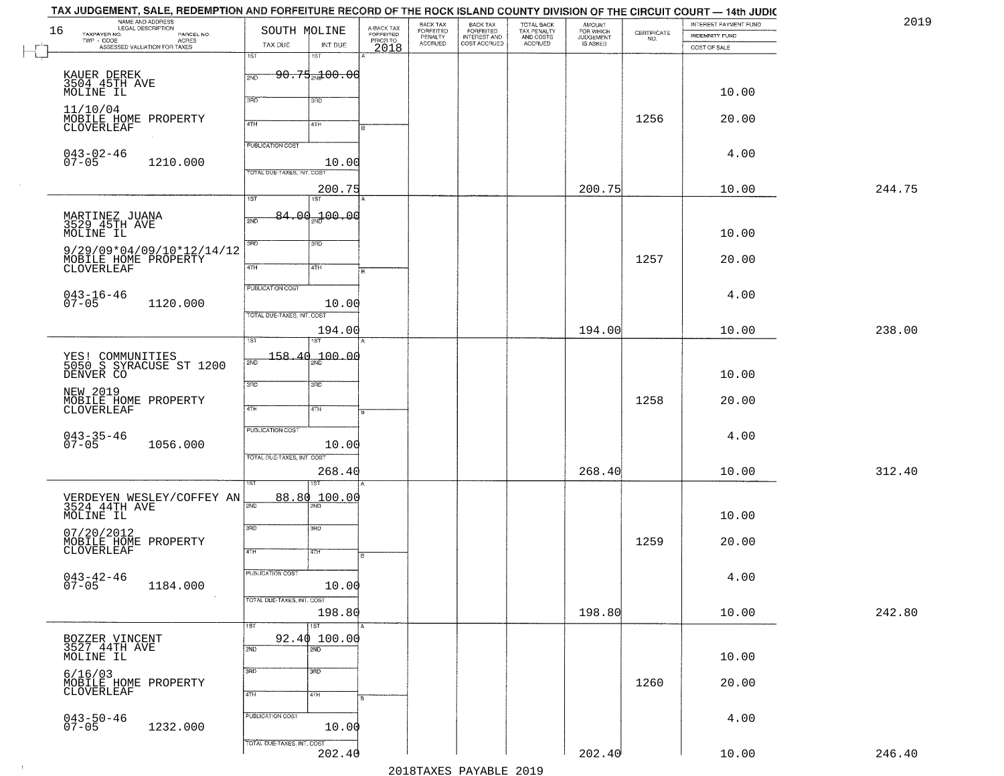| 16<br>TAXPAYER NO.                        | NAME AND ADDRESS<br>PARCEL NO.              | SOUTH MOLINE               |                         |                                             | BACK TAX                        | BACK TAX<br>FORFEITED<br>INTEREST AND | TOTAL BACK<br>TAX PENALTY<br>AND COSTS<br>ACCRUED | <b>AMOUNT</b><br>FOR WHICH<br>JUDGEMENT | $\begin{array}{c} \text{CERTIFICATE} \\ \text{NO.} \end{array}$ | INTEREST PAYMENT FUND<br>INDEMNITY FUND |  |
|-------------------------------------------|---------------------------------------------|----------------------------|-------------------------|---------------------------------------------|---------------------------------|---------------------------------------|---------------------------------------------------|-----------------------------------------|-----------------------------------------------------------------|-----------------------------------------|--|
|                                           | TWP - CODE<br>ASSESSED VALUATION FOR TAXES  | TAX DUE                    | INT DUE                 | A-BACK TAX<br>FORFEITED<br>PRIOR TO<br>2018 | FORFEITED<br>PENALTY<br>ACCRUED | COST ACCRUED                          |                                                   | IS ASKED                                |                                                                 | COST OF SALE                            |  |
|                                           |                                             | 1ST                        | 1ST                     |                                             |                                 |                                       |                                                   |                                         |                                                                 |                                         |  |
|                                           |                                             | 2ND                        | $90.75_{20}100.00$      |                                             |                                 |                                       |                                                   |                                         |                                                                 |                                         |  |
| KAUER DEREK<br>3504 45TH AVE<br>MOLINE IL |                                             |                            |                         |                                             |                                 |                                       |                                                   |                                         |                                                                 | 10.00                                   |  |
|                                           |                                             | 3BD                        | 3RD                     |                                             |                                 |                                       |                                                   |                                         |                                                                 |                                         |  |
| 11/10/04<br>MOBILE HOME PROPERTY          |                                             |                            |                         |                                             |                                 |                                       |                                                   |                                         | 1256                                                            | 20.00                                   |  |
| <b>CLOVERLEAF</b>                         |                                             | 4TH                        | 4TH                     |                                             |                                 |                                       |                                                   |                                         |                                                                 |                                         |  |
|                                           |                                             | <b>PUBLICATION COST</b>    |                         |                                             |                                 |                                       |                                                   |                                         |                                                                 |                                         |  |
| $043 - 02 - 46$<br>$07 - 05$              | 1210.000                                    |                            | 10.00                   |                                             |                                 |                                       |                                                   |                                         |                                                                 | 4.00                                    |  |
|                                           |                                             | TOTAL DUE-TAXES, INT. COST |                         |                                             |                                 |                                       |                                                   |                                         |                                                                 |                                         |  |
|                                           |                                             | $\overline{\text{1ST}}$    | 200.75<br>1ST           |                                             |                                 |                                       |                                                   | 200.75                                  |                                                                 | 10.00                                   |  |
|                                           |                                             |                            |                         |                                             |                                 |                                       |                                                   |                                         |                                                                 |                                         |  |
| MARTINEZ JUANA<br>3529 45TH AVE           |                                             | 2ND                        | 84.00.100.00            |                                             |                                 |                                       |                                                   |                                         |                                                                 |                                         |  |
| MOLINE IL                                 |                                             | $\overline{3\text{RD}}$    | 3RD                     |                                             |                                 |                                       |                                                   |                                         |                                                                 | 10.00                                   |  |
| MOBILE HOME PROPERTY                      | 9/29/09*04/09/10*12/14/12                   |                            |                         |                                             |                                 |                                       |                                                   |                                         | 1257                                                            | 20.00                                   |  |
| CLOVERLEAF                                |                                             | 47H                        | 4TH                     |                                             |                                 |                                       |                                                   |                                         |                                                                 |                                         |  |
|                                           |                                             | PUBLICATION COST           |                         |                                             |                                 |                                       |                                                   |                                         |                                                                 |                                         |  |
| $043 - 16 - 46$<br>07-05                  | 1120.000                                    |                            | 10.00                   |                                             |                                 |                                       |                                                   |                                         |                                                                 | 4.00                                    |  |
|                                           |                                             | TOTAL DUE-TAXES, INT. COST |                         |                                             |                                 |                                       |                                                   |                                         |                                                                 |                                         |  |
|                                           |                                             |                            | 194.00                  |                                             |                                 |                                       |                                                   | 194.00                                  |                                                                 | 10.00                                   |  |
|                                           |                                             | īsī                        |                         |                                             |                                 |                                       |                                                   |                                         |                                                                 |                                         |  |
|                                           | YES! COMMUNITIES<br>5050 S SYRACUSE ST 1200 | 2ND                        | $158.40 + 00.00$        |                                             |                                 |                                       |                                                   |                                         |                                                                 |                                         |  |
| DENVER CO                                 |                                             |                            |                         |                                             |                                 |                                       |                                                   |                                         |                                                                 | 10.00                                   |  |
| NEW 2019                                  |                                             | 3RD                        | 3BD                     |                                             |                                 |                                       |                                                   |                                         |                                                                 |                                         |  |
| MOBILE HOME PROPERTY<br>CLOVERLEAF        |                                             | 4TH                        | 4TH                     |                                             |                                 |                                       |                                                   |                                         | 1258                                                            | 20.00                                   |  |
|                                           |                                             |                            |                         |                                             |                                 |                                       |                                                   |                                         |                                                                 |                                         |  |
| 043-35-46<br>07-05                        | 1056.000                                    | <b>PUBLICATION COST</b>    | 10.00                   |                                             |                                 |                                       |                                                   |                                         |                                                                 | 4.00                                    |  |
|                                           |                                             | TOTAL OUE-TAXES, INT. COST |                         |                                             |                                 |                                       |                                                   |                                         |                                                                 |                                         |  |
|                                           |                                             |                            | 268.40                  |                                             |                                 |                                       |                                                   | 268.40                                  |                                                                 | 10.00                                   |  |
|                                           |                                             |                            |                         |                                             |                                 |                                       |                                                   |                                         |                                                                 |                                         |  |
|                                           | VERDEYEN WESLEY/COFFEY AN 3524 44TH AVE     | 2ND                        | 88.80 100.00            |                                             |                                 |                                       |                                                   |                                         |                                                                 |                                         |  |
| MOLINE IL                                 |                                             |                            |                         |                                             |                                 |                                       |                                                   |                                         |                                                                 | 10.00                                   |  |
| 07/20/2012                                |                                             | 3RD                        | 3BD                     |                                             |                                 |                                       |                                                   |                                         |                                                                 |                                         |  |
| MOBILE HOME PROPERTY<br>CLOVERLEAF        |                                             | 4TH                        | 47H                     |                                             |                                 |                                       |                                                   |                                         | 1259                                                            | 20.00                                   |  |
|                                           |                                             |                            |                         | в                                           |                                 |                                       |                                                   |                                         |                                                                 |                                         |  |
| $043 - 42 - 46$                           |                                             | <b>PUBLICATION COST</b>    |                         |                                             |                                 |                                       |                                                   |                                         |                                                                 | 4.00                                    |  |
| $07 - 05$                                 | 1184.000<br>$\sim$ 100 $\pm$                | TOTAL DUE-TAXES, INT. COST | 10.00                   |                                             |                                 |                                       |                                                   |                                         |                                                                 |                                         |  |
|                                           |                                             |                            | 198.80                  |                                             |                                 |                                       |                                                   | 198.80                                  |                                                                 | 10.00                                   |  |
|                                           |                                             | ist                        | $\overline{\text{1ST}}$ |                                             |                                 |                                       |                                                   |                                         |                                                                 |                                         |  |
| BOZZER VINCENT<br>3527 44TH AVE           |                                             |                            | 92.40100.00             |                                             |                                 |                                       |                                                   |                                         |                                                                 |                                         |  |
| MOLINE IL                                 |                                             | 2ND                        | $\overline{2ND}$        |                                             |                                 |                                       |                                                   |                                         |                                                                 | 10.00                                   |  |
| 6/16/03                                   |                                             | 3RD                        | 3 <sub>BD</sub>         |                                             |                                 |                                       |                                                   |                                         |                                                                 |                                         |  |
| MOBILE HOME PROPERTY<br>CLOVERLEAF        |                                             |                            |                         |                                             |                                 |                                       |                                                   |                                         | 1260                                                            | 20.00                                   |  |
|                                           |                                             | 4TH                        | 4TH                     |                                             |                                 |                                       |                                                   |                                         |                                                                 |                                         |  |
| $043 - 50 - 46$<br>07-05                  |                                             | PUBLICATION COST           |                         |                                             |                                 |                                       |                                                   |                                         |                                                                 | 4.00                                    |  |
|                                           | 1232.000                                    |                            | 10.00                   |                                             |                                 |                                       |                                                   |                                         |                                                                 |                                         |  |
|                                           |                                             | TOTAL DUE-TAXES, INT. COST |                         |                                             |                                 |                                       |                                                   |                                         |                                                                 |                                         |  |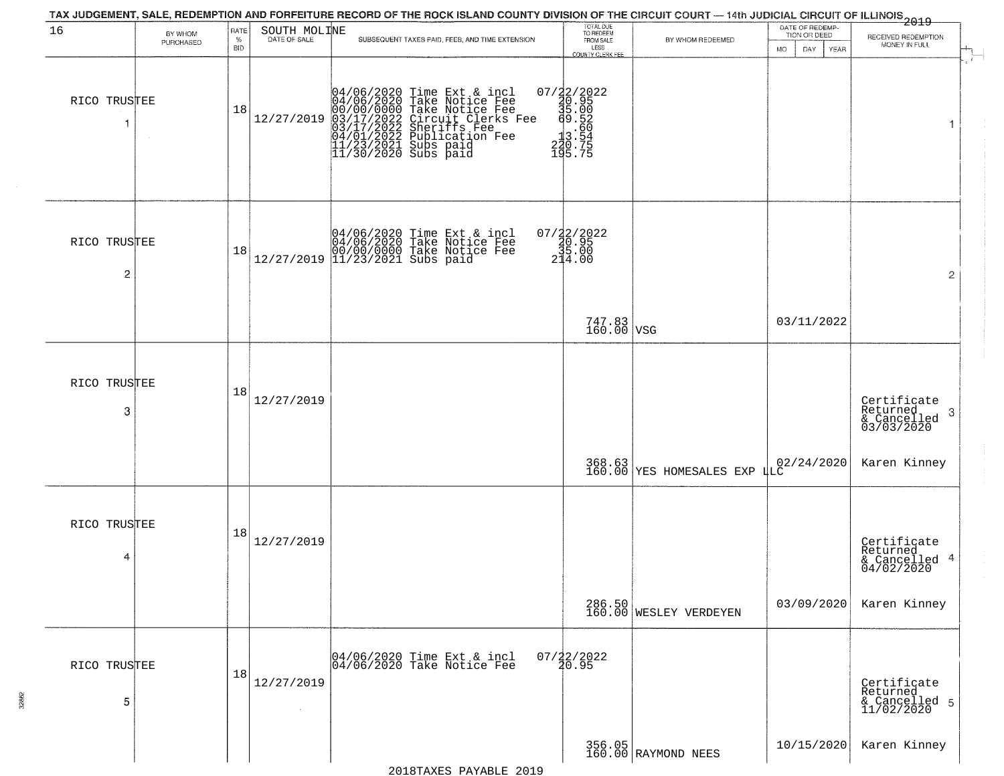| 16                | BY WHOM   | RATE               | SOUTH MOLINE         | TAX JUDGEMENT, SALE, REDEMPTION AND FORFEITURE RECORD OF THE ROCK ISLAND COUNTY DIVISION OF THE CIRCUIT COURT — 14th JUDICIAL CIRCUIT OF ILLINOIS 2019                                                                              | TOTAL DUE<br>TO REDEEM<br>FROM SALE                                                |                                    | DATE OF REDEMP-<br>TION OR DEED | RECEIVED REDEMPTION                                       |
|-------------------|-----------|--------------------|----------------------|-------------------------------------------------------------------------------------------------------------------------------------------------------------------------------------------------------------------------------------|------------------------------------------------------------------------------------|------------------------------------|---------------------------------|-----------------------------------------------------------|
|                   | PURCHASED | $\%$<br><b>BID</b> | DATE OF SALE         | SUBSEQUENT TAXES PAID, FEES, AND TIME EXTENSION                                                                                                                                                                                     | LESS<br><b>COUNTY CLERK FEE</b>                                                    | BY WHOM REDEEMED                   | MO.<br>DAY.<br>YEAR             | MONEY IN FULL                                             |
| RICO TRUSTEE      |           | 18                 | 12/27/2019           | 04/06/2020 Time Ext & incl<br>04/06/2020 Take Notice Fee<br>00/00/0000 Take Notice Fee<br>03/17/2022 Circuit Clerks Fee<br>03/17/2022 Sublication Fee<br>04/01/2022 Publication Fee<br>11/23/2021 Subs paid<br>11/30/2020 Subs paid | 07/22/2022<br>30.95<br>35.00<br>3.52<br>3.52<br>13.52<br>13:54<br>220:75<br>195.75 |                                    |                                 | $\mathbf{1}$                                              |
| RICO TRUSTEE<br>2 |           | 18                 |                      | $[04/06/2020 \t\t Time \t\t Ext & incl \\ 04/06/2020 \t\t Take \t Notice \t Free \\ 00/00/0000 \t\t Take \t Notice \t Free \\ 12/27/2019 \t\t 11/23/2021 \tSubs \t paid$                                                            | $07/22/2022$<br>$20.95$<br>$214.00$                                                |                                    |                                 | $\overline{2}$                                            |
|                   |           |                    |                      |                                                                                                                                                                                                                                     | 747.83<br>160.00 VSG                                                               |                                    | 03/11/2022                      |                                                           |
| RICO TRUSTEE<br>3 |           | 18                 | 12/27/2019           |                                                                                                                                                                                                                                     |                                                                                    |                                    |                                 | Certificate<br>Returned<br>3<br>& Cancelled<br>03/03/2020 |
|                   |           |                    |                      |                                                                                                                                                                                                                                     |                                                                                    | $368.63$ $ $ VES HOMESALES EXP LLC | 02/24/2020                      | Karen Kinney                                              |
| RICO TRUSTEE<br>4 |           | 18                 | 12/27/2019           |                                                                                                                                                                                                                                     |                                                                                    |                                    |                                 | Certificate<br>Returned<br>& Cancelled 4<br>04/02/2020    |
|                   |           |                    |                      |                                                                                                                                                                                                                                     |                                                                                    | 286.50<br>160.00 WESLEY VERDEYEN   | 03/09/2020                      | Karen Kinney                                              |
| RICO TRUSTEE<br>5 |           | 18                 | 12/27/2019<br>$\sim$ | 04/06/2020 Time Ext & incl<br>04/06/2020 Take Notice Fee                                                                                                                                                                            | $07/22/2022$<br>$20.95$                                                            |                                    |                                 | Certificate<br>Returned<br>& Cancelled 5<br>11/02/2020    |
|                   |           |                    |                      |                                                                                                                                                                                                                                     |                                                                                    | 356.05<br>160.00 RAYMOND NEES      | 10/15/2020                      | Karen Kinney                                              |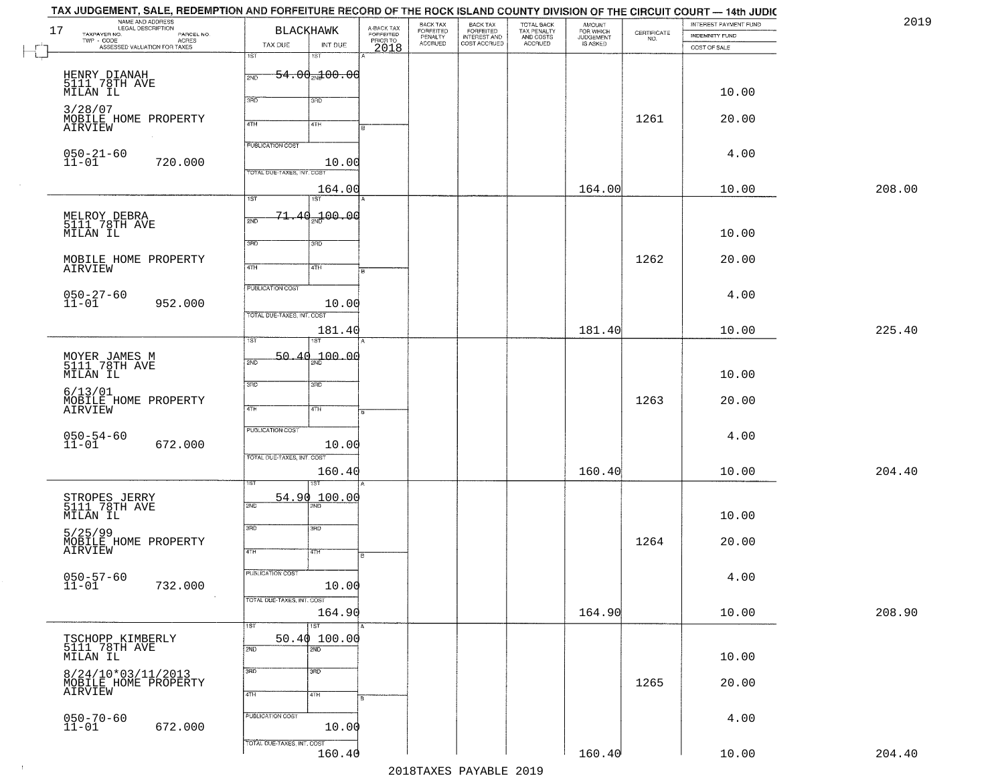| NAME AND ADDRESS<br>TAXPAYER NO.<br>PARCEL NO. |                            | <b>BLACKHAWK</b>         |                                             | BACK TAX                        | BACK TAX<br>FORFEITED<br>INTEREST AND<br>COST ACCRUED | TOTAL BACK<br>TAX PENALTY<br>AND COSTS<br>ACCRUED | AMOUNT<br>FOR WHICH<br>JUDGEMENT | $\begin{array}{c} \text{CERTIFICATE} \\ \text{NO.} \end{array}$ | INTEREST PAYMENT FUND<br>INDEMNITY FUND |        |
|------------------------------------------------|----------------------------|--------------------------|---------------------------------------------|---------------------------------|-------------------------------------------------------|---------------------------------------------------|----------------------------------|-----------------------------------------------------------------|-----------------------------------------|--------|
| TWP - CODE<br>ASSESSED VALUATION FOR TAXES     | TAX DUE                    | INT DUE                  | A-BACK TAX<br>FORFEITED<br>PRIOR TO<br>2018 | FORFEITED<br>PENALTY<br>ACCRUED |                                                       |                                                   | IS ASKED                         |                                                                 | COST OF SALE                            |        |
|                                                | 1ST                        | 1ST                      |                                             |                                 |                                                       |                                                   |                                  |                                                                 |                                         |        |
| HENRY DIANAH<br>5111 78TH AVE                  | 2ND                        | $-54.00 = 00.00$         |                                             |                                 |                                                       |                                                   |                                  |                                                                 |                                         |        |
| MILAN IL                                       |                            |                          |                                             |                                 |                                                       |                                                   |                                  |                                                                 | 10.00                                   |        |
| 3/28/07                                        | 3BD                        | 3RD                      |                                             |                                 |                                                       |                                                   |                                  |                                                                 |                                         |        |
| MOBILE HOME PROPERTY                           | 4TH                        | 4TH                      |                                             |                                 |                                                       |                                                   |                                  | 1261                                                            | 20.00                                   |        |
| AIRVIEW                                        |                            |                          |                                             |                                 |                                                       |                                                   |                                  |                                                                 |                                         |        |
|                                                | <b>PUBLICATION COST</b>    |                          |                                             |                                 |                                                       |                                                   |                                  |                                                                 | 4.00                                    |        |
| $050 - 21 - 60$<br>11-01<br>720.000            |                            | 10.00                    |                                             |                                 |                                                       |                                                   |                                  |                                                                 |                                         |        |
|                                                | TOTAL DUE-TAXES, INT. COST |                          |                                             |                                 |                                                       |                                                   |                                  |                                                                 |                                         |        |
|                                                | $\overline{\text{1ST}}$    | 164.00<br>1ST            |                                             |                                 |                                                       |                                                   | 164.00                           |                                                                 | 10.00                                   | 208.00 |
|                                                | 71                         | -40-100-00               |                                             |                                 |                                                       |                                                   |                                  |                                                                 |                                         |        |
| MELROY DEBRA<br>5111 78TH AVE                  | 2ND                        |                          |                                             |                                 |                                                       |                                                   |                                  |                                                                 |                                         |        |
| MILAN IL                                       | 3RD                        | 3RD                      |                                             |                                 |                                                       |                                                   |                                  |                                                                 | 10.00                                   |        |
| MOBILE HOME PROPERTY                           |                            |                          |                                             |                                 |                                                       |                                                   |                                  | 1262                                                            | 20.00                                   |        |
| AIRVIEW                                        | 47H                        | 4TH                      |                                             |                                 |                                                       |                                                   |                                  |                                                                 |                                         |        |
|                                                | PUBLICATION COST           |                          |                                             |                                 |                                                       |                                                   |                                  |                                                                 |                                         |        |
| $050 - 27 - 60$<br>11-01<br>952.000            |                            | 10.00                    |                                             |                                 |                                                       |                                                   |                                  |                                                                 | 4.00                                    |        |
|                                                | TOTAL DUE-TAXES, INT. COST |                          |                                             |                                 |                                                       |                                                   |                                  |                                                                 |                                         |        |
|                                                |                            | 181.40                   |                                             |                                 |                                                       |                                                   | 181.40                           |                                                                 | 10.00                                   | 225.40 |
|                                                | īst                        |                          |                                             |                                 |                                                       |                                                   |                                  |                                                                 |                                         |        |
| MOYER JAMES M<br>5111 78TH AVE                 | 50.<br>2ND                 | $-4q_{\text{2nd}} 00.00$ |                                             |                                 |                                                       |                                                   |                                  |                                                                 |                                         |        |
| MILAN IL                                       | 3RD                        | 3BD                      |                                             |                                 |                                                       |                                                   |                                  |                                                                 | 10.00                                   |        |
| 6/13/01                                        |                            |                          |                                             |                                 |                                                       |                                                   |                                  |                                                                 |                                         |        |
| MOBILE HOME PROPERTY<br>AIRVIEW                | 4TH                        | 4TH                      |                                             |                                 |                                                       |                                                   |                                  | 1263                                                            | 20.00                                   |        |
|                                                | <b>PUBLICATION COST</b>    |                          |                                             |                                 |                                                       |                                                   |                                  |                                                                 |                                         |        |
| $050 - 54 - 60$<br>11-01<br>672.000            |                            | 10.00                    |                                             |                                 |                                                       |                                                   |                                  |                                                                 | 4.00                                    |        |
|                                                | TOTAL OUE-TAXES, INT. COST |                          |                                             |                                 |                                                       |                                                   |                                  |                                                                 |                                         |        |
|                                                |                            | 160.40                   |                                             |                                 |                                                       |                                                   | 160.40                           |                                                                 | 10.00                                   | 204.40 |
|                                                |                            |                          |                                             |                                 |                                                       |                                                   |                                  |                                                                 |                                         |        |
| STROPES JERRY<br>5111 78TH AVE                 | 54.90<br>2ND               | 100.00                   |                                             |                                 |                                                       |                                                   |                                  |                                                                 |                                         |        |
| MILAN IL                                       |                            |                          |                                             |                                 |                                                       |                                                   |                                  |                                                                 | 10.00                                   |        |
| 5/25/99                                        | 3RD                        | 3BD                      |                                             |                                 |                                                       |                                                   |                                  |                                                                 |                                         |        |
| MOBILE HOME PROPERTY<br>AIRVIEW                | 4TH                        | 47H                      | в                                           |                                 |                                                       |                                                   |                                  | 1264                                                            | 20.00                                   |        |
|                                                |                            |                          |                                             |                                 |                                                       |                                                   |                                  |                                                                 |                                         |        |
| $050 - 57 - 60$<br>$11 - 01$<br>732.000        | PUBLICATION COST           | 10.00                    |                                             |                                 |                                                       |                                                   |                                  |                                                                 | 4.00                                    |        |
| $\sim$ 10 $\pm$                                | TOTAL DUE-TAXES, INT. COST |                          |                                             |                                 |                                                       |                                                   |                                  |                                                                 |                                         |        |
|                                                |                            | 164.90                   |                                             |                                 |                                                       |                                                   | 164.90                           |                                                                 | 10.00                                   | 208.90 |
|                                                | 1ST                        | 1ST                      |                                             |                                 |                                                       |                                                   |                                  |                                                                 |                                         |        |
| TSCHOPP KIMBERLY<br>5111 78TH AVE              |                            | 50.40100.00              |                                             |                                 |                                                       |                                                   |                                  |                                                                 |                                         |        |
| MILAN IL                                       | 2ND                        | 2ND                      |                                             |                                 |                                                       |                                                   |                                  |                                                                 | 10.00                                   |        |
| 8/24/10*03/11/2013                             | 3RD                        | 3 <sub>BD</sub>          |                                             |                                 |                                                       |                                                   |                                  |                                                                 |                                         |        |
| MOBILE HOME PROPERTY<br>AIRVIEW                |                            |                          |                                             |                                 |                                                       |                                                   |                                  | 1265                                                            | 20.00                                   |        |
|                                                | 4TH                        | 4TH                      |                                             |                                 |                                                       |                                                   |                                  |                                                                 |                                         |        |
| $050 - 70 - 60$<br>11-01                       | PUBLICATION COST           |                          |                                             |                                 |                                                       |                                                   |                                  |                                                                 | 4.00                                    |        |
| 672.000                                        |                            | 10.00                    |                                             |                                 |                                                       |                                                   |                                  |                                                                 |                                         |        |
|                                                |                            |                          |                                             |                                 |                                                       |                                                   |                                  |                                                                 |                                         |        |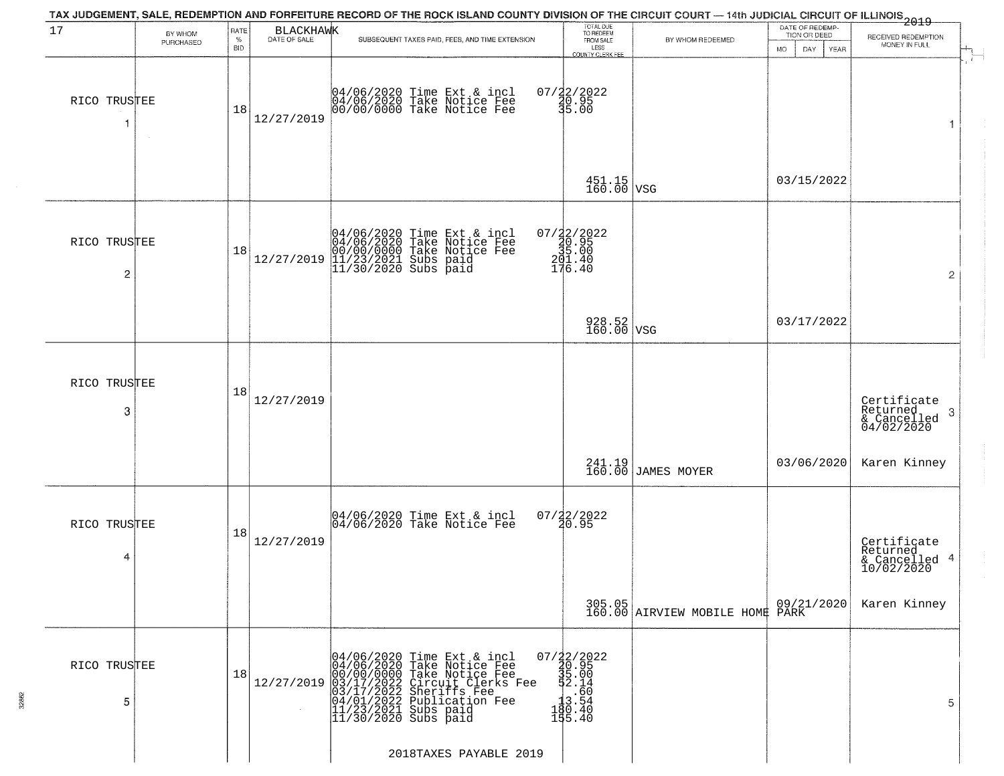| 17                |                      | RATE       |            | TAX JUDGEMENT, SALE, REDEMPTION AND FORFEITURE RECORD OF THE ROCK ISLAND COUNTY DIVISION OF THE CIRCUIT COURT — 14th JUDICIAL CIRCUIT OF ILLINOIS 2019                                                                            |                                                                                    |                                           | DATE OF REDEMP-          |                                                        |
|-------------------|----------------------|------------|------------|-----------------------------------------------------------------------------------------------------------------------------------------------------------------------------------------------------------------------------------|------------------------------------------------------------------------------------|-------------------------------------------|--------------------------|--------------------------------------------------------|
|                   | BY WHOM<br>PURCHASED | $\%$       | BLACKHAWK  | SUBSEQUENT TAXES PAID, FEES, AND TIME EXTENSION                                                                                                                                                                                   | TOTAL DUE<br>TO REDEEM<br>FROM SALE                                                | BY WHOM REDEEMED                          | TION OR DEED             | RECEIVED REDEMPTION<br>MONEY IN FULL                   |
|                   |                      | <b>BID</b> |            |                                                                                                                                                                                                                                   | LESS<br>COUNTY CLERK FEE                                                           |                                           | <b>MO</b><br>DAY<br>YEAR |                                                        |
| RICO TRUSTEE<br>1 |                      | 18         | 12/27/2019 | 04/06/2020 Time Ext & incl<br>04/06/2020 Take Notice Fee<br>00/00/0000 Take Notice Fee                                                                                                                                            | 07/22/2022<br>20.95<br>35.00                                                       |                                           |                          |                                                        |
|                   |                      |            |            |                                                                                                                                                                                                                                   | $\begin{array}{c c} 451.15 \\ 160.00 \end{array}$ VSG                              |                                           | 03/15/2022               |                                                        |
| RICO TRUSTEE<br>2 |                      | 18         | 12/27/2019 | 04/06/2020 Time Ext & incl<br>04/06/2020 Take Notice Fee<br>00/00/0000 Take Notice Fee<br>11/23/2021 Subs paid<br>11/30/2020 Subs paid                                                                                            | $07/32/202230.9535.00201.40176.40$                                                 |                                           |                          | $\overline{2}$                                         |
|                   |                      |            |            |                                                                                                                                                                                                                                   | 928.52<br>160.00 VSG                                                               |                                           | 03/17/2022               |                                                        |
| RICO TRUSTEE<br>3 |                      | 18         | 12/27/2019 |                                                                                                                                                                                                                                   |                                                                                    |                                           |                          | Certificate<br>Returned<br>3<br>$\frac{6}{04/02/2020}$ |
|                   |                      |            |            |                                                                                                                                                                                                                                   | $241.19$<br>$160.00$                                                               | JAMES MOYER                               | 03/06/2020               | Karen Kinney                                           |
| RICO TRUSTEE<br>4 |                      | 18         | 12/27/2019 | 04/06/2020 Time Ext & incl<br>04/06/2020 Take Notice Fee                                                                                                                                                                          | $07/22/2022$<br>20.95                                                              |                                           |                          | Certificate<br>Returned<br>& Cancelled 4<br>10/02/2020 |
|                   |                      |            |            |                                                                                                                                                                                                                                   |                                                                                    | 305.05<br>160.00 AIRVIEW MOBILE HOME PARK | 09/21/2020               | Karen Kinney                                           |
| RICO TRUSTEE<br>5 |                      | 18         | 12/27/2019 | 04/06/2020 Time Ext & incl<br>04/06/2020 Take Notice Fee<br>00/00/0000 Take Notice Fee<br>03/17/2022 Circuit Clerks Fee<br>03/17/2022 Subritist Fee<br>04/01/2022 Publication Fee<br>11/23/2021 Subs paid<br>11/30/2020 Subs paid | 07/22/2022<br>30.95<br>35.00<br>35.00<br>32.14<br>3.54<br>3.54<br>180.40<br>155.40 |                                           |                          | 5                                                      |
|                   |                      |            |            | 2018TAXES PAYABLE 2019                                                                                                                                                                                                            |                                                                                    |                                           |                          |                                                        |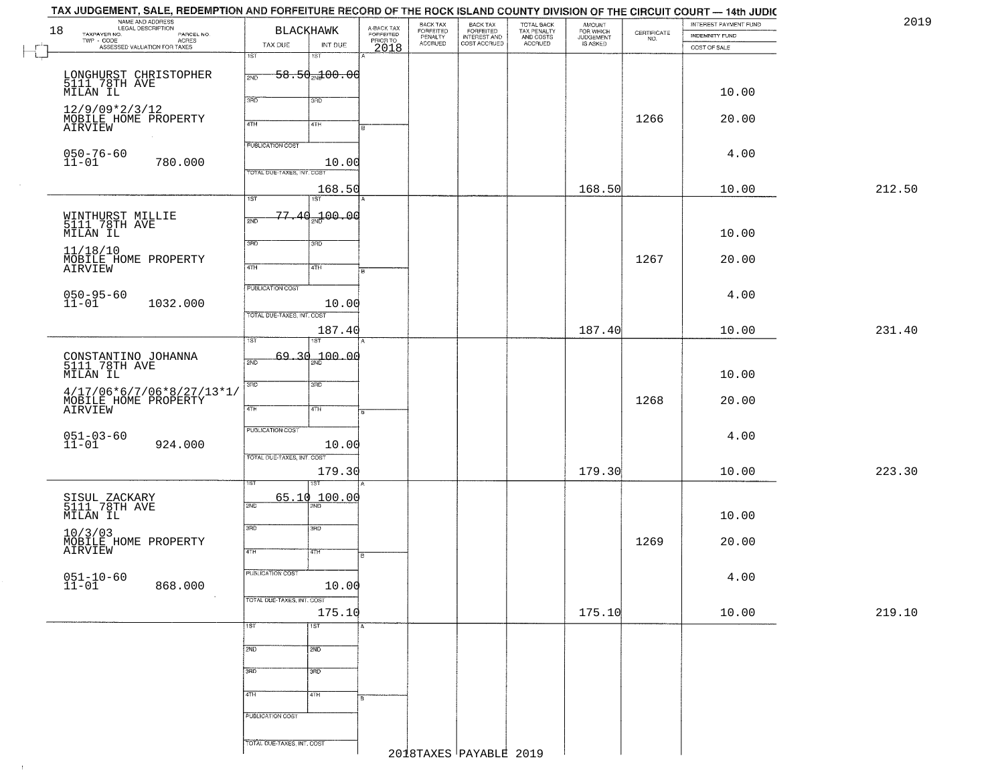| NAME AND ADDRESS<br>LEGAL DESCRIPTION<br>TAXPAYER NO.<br>18<br>PARCEL NO. |                            | <b>BLACKHAWK</b>                | A-BACK TAX<br>FORFEITED<br>PRIOR TO<br>2018 | BACK TAX<br>FORFEITED<br>PENALTY<br>ACCRUED | BACK TAX<br>FORFEITED<br>INTEREST AND<br>COST ACCRUED | TOTAL BACK<br>TAX PENALTY<br>AND COSTS<br>ACCRUED | AMOUNT<br>FOR WHICH<br>JUDGEMENT<br>IS ASKED | $\begin{array}{c} \text{CERTIFICATE} \\ \text{NO.} \end{array}$ | INTEREST PAYMENT FUND<br>INDEMNITY FUND | 2019   |
|---------------------------------------------------------------------------|----------------------------|---------------------------------|---------------------------------------------|---------------------------------------------|-------------------------------------------------------|---------------------------------------------------|----------------------------------------------|-----------------------------------------------------------------|-----------------------------------------|--------|
| TWP - CODE<br>ASSESSED VALUATION FOR TAXES                                | TAX DUE                    | INT DUE                         |                                             |                                             |                                                       |                                                   |                                              |                                                                 | COST OF SALE                            |        |
|                                                                           | 1ST                        | $\overline{1ST}$                |                                             |                                             |                                                       |                                                   |                                              |                                                                 |                                         |        |
|                                                                           | 2ND                        | $-58.50$ <sub>2N</sub> $100.00$ |                                             |                                             |                                                       |                                                   |                                              |                                                                 |                                         |        |
| LONGHURST CHRISTOPHER<br>5111 78TH AVE<br>MILAN IL                        |                            |                                 |                                             |                                             |                                                       |                                                   |                                              |                                                                 | 10.00                                   |        |
|                                                                           | 3RD                        | 3RD                             |                                             |                                             |                                                       |                                                   |                                              |                                                                 |                                         |        |
| 12/9/09*2/3/12<br>MOBILE HOME PROPERTY                                    | 4TH                        |                                 |                                             |                                             |                                                       |                                                   |                                              | 1266                                                            | 20.00                                   |        |
| AIRVIEW                                                                   |                            | 4TH                             |                                             |                                             |                                                       |                                                   |                                              |                                                                 |                                         |        |
|                                                                           | <b>FUBLICATION COST</b>    |                                 |                                             |                                             |                                                       |                                                   |                                              |                                                                 |                                         |        |
| $050 - 76 - 60$<br>11-01<br>780.000                                       |                            | 10.00                           |                                             |                                             |                                                       |                                                   |                                              |                                                                 | 4.00                                    |        |
|                                                                           | TOTAL DUE-TAXES, INT. COST |                                 |                                             |                                             |                                                       |                                                   |                                              |                                                                 |                                         |        |
|                                                                           | 1ST                        | 168.50<br>$\overline{1ST}$      |                                             |                                             |                                                       |                                                   | 168.50                                       |                                                                 | 10.00                                   | 212.50 |
|                                                                           |                            |                                 |                                             |                                             |                                                       |                                                   |                                              |                                                                 |                                         |        |
| WINTHURST MILLIE<br>5111 78TH AVE                                         | 2ND                        | <del>77.40 100.00</del>         |                                             |                                             |                                                       |                                                   |                                              |                                                                 |                                         |        |
| MILAN IL                                                                  | 3RD                        | 3RD                             |                                             |                                             |                                                       |                                                   |                                              |                                                                 | 10.00                                   |        |
| 11/18/10                                                                  |                            |                                 |                                             |                                             |                                                       |                                                   |                                              | 1267                                                            | 20.00                                   |        |
| MOBILE HOME PROPERTY<br>AIRVIEW                                           | 47H                        | 4TH                             | ŀн                                          |                                             |                                                       |                                                   |                                              |                                                                 |                                         |        |
|                                                                           | PUBLICATION COST           |                                 |                                             |                                             |                                                       |                                                   |                                              |                                                                 |                                         |        |
| $050 - 95 - 60$<br>11-01<br>1032.000                                      |                            | 10.00                           |                                             |                                             |                                                       |                                                   |                                              |                                                                 | 4.00                                    |        |
|                                                                           | TOTAL DUE-TAXES, INT. COST |                                 |                                             |                                             |                                                       |                                                   |                                              |                                                                 |                                         |        |
|                                                                           |                            | 187.40                          |                                             |                                             |                                                       |                                                   | 187.40                                       |                                                                 | 10.00                                   | 231.40 |
|                                                                           | īst                        |                                 |                                             |                                             |                                                       |                                                   |                                              |                                                                 |                                         |        |
| CONSTANTINO JOHANNA<br>5111 78TH AVE                                      | 2ND                        | $69.30_{20}100.00$              |                                             |                                             |                                                       |                                                   |                                              |                                                                 |                                         |        |
| MILAN IL                                                                  |                            |                                 |                                             |                                             |                                                       |                                                   |                                              |                                                                 | 10.00                                   |        |
| $4/17/06*6/7/06*8/27/13*1/$                                               | 3BD                        | 3RD                             |                                             |                                             |                                                       |                                                   |                                              |                                                                 |                                         |        |
| MOBILE HOME PROPERTY<br>AIRVIEW                                           | 4TH                        | 4TH                             | ГR                                          |                                             |                                                       |                                                   |                                              | 1268                                                            | 20.00                                   |        |
|                                                                           | <b>PUBLICATION COST</b>    |                                 |                                             |                                             |                                                       |                                                   |                                              |                                                                 |                                         |        |
| $051 - 03 - 60$<br>11-01<br>924.000                                       |                            | 10.00                           |                                             |                                             |                                                       |                                                   |                                              |                                                                 | 4.00                                    |        |
|                                                                           | TOTAL OUE-TAXES, INT. COST |                                 |                                             |                                             |                                                       |                                                   |                                              |                                                                 |                                         |        |
|                                                                           |                            | 179.30                          |                                             |                                             |                                                       |                                                   | 179.30                                       |                                                                 | 10.00                                   | 223.30 |
|                                                                           | ST                         | इङ                              |                                             |                                             |                                                       |                                                   |                                              |                                                                 |                                         |        |
| SISUL ZACKARY<br>5111 78TH AVE                                            | 2ND                        | 65.10 100.00                    |                                             |                                             |                                                       |                                                   |                                              |                                                                 |                                         |        |
| MILAN IL                                                                  |                            |                                 |                                             |                                             |                                                       |                                                   |                                              |                                                                 | 10.00                                   |        |
| 10/3/03                                                                   | 3RD                        | 3BD                             |                                             |                                             |                                                       |                                                   |                                              |                                                                 |                                         |        |
| MOBILE HOME PROPERTY<br>AIRVIEW                                           | 4TH                        | 47H                             |                                             |                                             |                                                       |                                                   |                                              | 1269                                                            | 20.00                                   |        |
|                                                                           |                            |                                 | l B                                         |                                             |                                                       |                                                   |                                              |                                                                 |                                         |        |
| $051 - 10 - 60$<br>11-01                                                  | PUBLICATION COST           |                                 |                                             |                                             |                                                       |                                                   |                                              |                                                                 | 4.00                                    |        |
| 868.000                                                                   | TOTAL DUE-TAXES, INT. COST | 10.00                           |                                             |                                             |                                                       |                                                   |                                              |                                                                 |                                         |        |
|                                                                           |                            | 175.10                          |                                             |                                             |                                                       |                                                   | 175.10                                       |                                                                 | 10.00                                   | 219.10 |
|                                                                           | 1ST                        | 1ST                             |                                             |                                             |                                                       |                                                   |                                              |                                                                 |                                         |        |
|                                                                           |                            |                                 |                                             |                                             |                                                       |                                                   |                                              |                                                                 |                                         |        |
|                                                                           | 2ND                        | 2ND                             |                                             |                                             |                                                       |                                                   |                                              |                                                                 |                                         |        |
|                                                                           | 3RD                        | अप                              |                                             |                                             |                                                       |                                                   |                                              |                                                                 |                                         |        |
|                                                                           |                            |                                 |                                             |                                             |                                                       |                                                   |                                              |                                                                 |                                         |        |
|                                                                           | 4TH                        | 4TH                             |                                             |                                             |                                                       |                                                   |                                              |                                                                 |                                         |        |
|                                                                           | PUBLICATION COST           |                                 |                                             |                                             |                                                       |                                                   |                                              |                                                                 |                                         |        |
|                                                                           |                            |                                 |                                             |                                             |                                                       |                                                   |                                              |                                                                 |                                         |        |
|                                                                           | TOTAL DUE-TAXES, INT. COST |                                 |                                             |                                             | 2018TAXES PAYABLE 2019                                |                                                   |                                              |                                                                 |                                         |        |

 $\sim 40$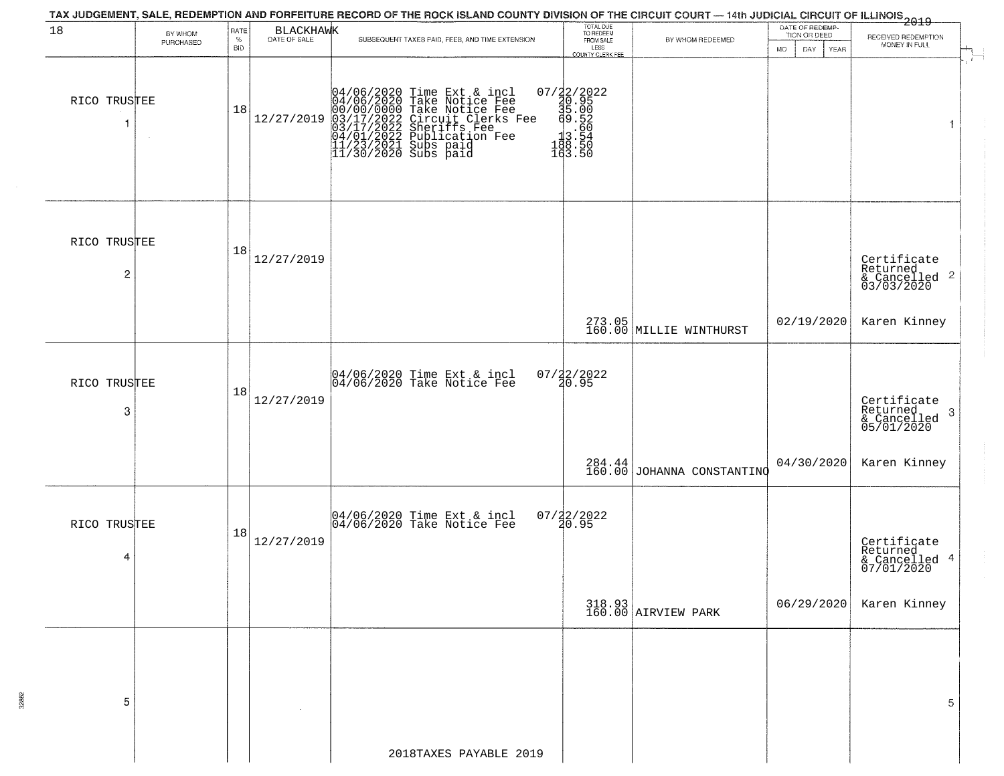|                   |                      |                            |            | TAX JUDGEMENT, SALE, REDEMPTION AND FORFEITURE RECORD OF THE ROCK ISLAND COUNTY DIVISION OF THE CIRCUIT COURT — 14th JUDICIAL CIRCUIT OF ILLINOIS 2019                                                                            |                                                                                                                     |                                      |                                                             |                                                                    |
|-------------------|----------------------|----------------------------|------------|-----------------------------------------------------------------------------------------------------------------------------------------------------------------------------------------------------------------------------------|---------------------------------------------------------------------------------------------------------------------|--------------------------------------|-------------------------------------------------------------|--------------------------------------------------------------------|
| 18                | BY WHOM<br>PURCHASED | RATE<br>$\%$<br><b>BID</b> | BLACKHAWK  | SUBSEQUENT TAXES PAID, FEES, AND TIME EXTENSION                                                                                                                                                                                   | TOTAL DUE<br>TO REDEEM<br>FROM SALE<br>LESS<br>COUNTY CLERK FEE                                                     | BY WHOM REDEEMED                     | DATE OF REDEMP-<br>TION OR DEED<br><b>MO</b><br>DAY<br>YEAR | RECEIVED REDEMPTION<br>MONEY IN FULL<br>$\mathcal{H}_{\mathbb{L}}$ |
| RICO TRUSTEE<br>1 | $\sim$               | 18                         | 12/27/2019 | 04/06/2020 Time Ext & incl<br>04/06/2020 Take Notice Fee<br>00/00/00000 Take Notice Fee<br>03/17/2022 Circuit Clerks Fee<br>03/17/2022 Subriffs Fee<br>04/01/2022 Publication Fee<br>11/23/2021 Subs paid<br>11/30/2020 Subs paid | $\begin{array}{r} 07 / 2 / 2 / 2022 \\ 40.95 \\ 45.00 \\ -10.52 \\ 13.52 \\ 148.50 \\ 163.50 \\ 163.50 \end{array}$ |                                      |                                                             | $\overline{r}$<br>-1                                               |
| RICO TRUSTEE<br>2 |                      | 18                         | 12/27/2019 |                                                                                                                                                                                                                                   |                                                                                                                     |                                      |                                                             | Certificate<br>Returned<br>$\frac{1}{2}$ Cancelled 2<br>03/03/2020 |
|                   |                      |                            |            |                                                                                                                                                                                                                                   |                                                                                                                     | 273.05<br>160.00 MILLIE WINTHURST    | 02/19/2020                                                  | Karen Kinney                                                       |
| RICO TRUSTEE<br>3 |                      | 18                         | 12/27/2019 | 04/06/2020 Time Ext & incl<br>04/06/2020 Take Notice Fee                                                                                                                                                                          | $07/22/2022$<br>20.95                                                                                               |                                      |                                                             | Certificate<br>Returned<br>3<br>& Cancelled<br>05/01/2020          |
|                   |                      |                            |            |                                                                                                                                                                                                                                   |                                                                                                                     | 284.44<br>160.00 JOHANNA CONSTANTINO | 04/30/2020                                                  | Karen Kinney                                                       |
| RICO TRUSTEE<br>4 |                      | 18                         | 12/27/2019 | 04/06/2020 Time Ext & incl<br>04/06/2020 Take Notice Fee                                                                                                                                                                          | $07/22/2022$<br>20.95                                                                                               |                                      |                                                             | Certificate<br>Returned<br>& Cancelled 4<br>07/01/2020             |
|                   |                      |                            |            |                                                                                                                                                                                                                                   |                                                                                                                     | 318.93<br>160.00 AIRVIEW PARK        | 06/29/2020                                                  | Karen Kinney                                                       |
| 5                 |                      |                            |            |                                                                                                                                                                                                                                   |                                                                                                                     |                                      |                                                             | $5^{\circ}$                                                        |
|                   |                      |                            |            | 2018TAXES PAYABLE 2019                                                                                                                                                                                                            |                                                                                                                     |                                      |                                                             |                                                                    |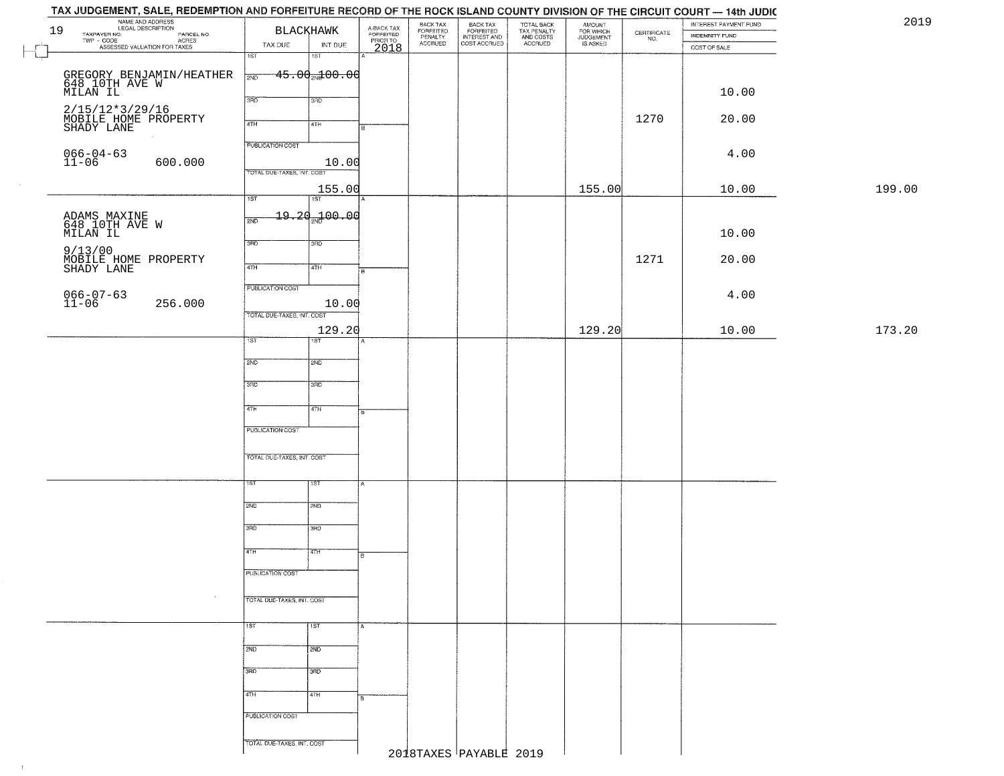| 2019   | INTEREST PAYMENT FUND                 |                                                                 | AMOUNT<br>FOR WHICH<br>JUDGEMENT | TOTAL BACK<br>TAX PENALTY<br>AND COSTS | BACK TAX<br>FORFEITED<br>INTEREST AND | BACK TAX<br>FORFEITED<br>PENALTY | A-BACK TAX<br>FORFEITED<br>PRIOR TO | <b>BLACKHAWK</b>                    | NAME AND ADDRESS<br>LEGAL DESCRIPTION<br>19                         |
|--------|---------------------------------------|-----------------------------------------------------------------|----------------------------------|----------------------------------------|---------------------------------------|----------------------------------|-------------------------------------|-------------------------------------|---------------------------------------------------------------------|
|        | <b>INDEMNITY FUND</b><br>COST OF SALE | $\begin{array}{c} \text{CEPTIFICATE} \\ \text{NO.} \end{array}$ | IS ASKED                         | ACCRUED                                | COST ACCRUED                          | <b>ACCRUED</b>                   |                                     | TAX DUE<br>INT DUE                  | TAXPAYER NO.<br>PARCEL NO.<br>ACRES<br>ASSESSED VALUATION FOR TAXES |
|        |                                       |                                                                 |                                  |                                        |                                       |                                  | 2018                                | 1ST<br>15T                          |                                                                     |
|        |                                       |                                                                 |                                  |                                        |                                       |                                  |                                     | $-45.00$ and $00.06$<br>2ND         |                                                                     |
|        | 10.00                                 |                                                                 |                                  |                                        |                                       |                                  |                                     |                                     | GREGORY BENJAMIN/HEATHER<br>648 10TH AVE W<br>MILAN IL              |
|        |                                       |                                                                 |                                  |                                        |                                       |                                  |                                     | 3RD<br>3RD                          |                                                                     |
|        | 20.00                                 | 1270                                                            |                                  |                                        |                                       |                                  |                                     |                                     | 2/15/12*3/29/16<br>MOBILE HOME PROPERTY<br>SHADY LANE               |
|        |                                       |                                                                 |                                  |                                        |                                       |                                  |                                     | 4TH<br>4TH                          |                                                                     |
|        |                                       |                                                                 |                                  |                                        |                                       |                                  |                                     | <b>PUBLICATION COST</b>             |                                                                     |
|        | 4.00                                  |                                                                 |                                  |                                        |                                       |                                  |                                     | 10.00                               | 066-04-63<br>11-06<br>600.000                                       |
|        |                                       |                                                                 |                                  |                                        |                                       |                                  |                                     | TOTAL DUE-TAXES, INT. COST          |                                                                     |
| 199.00 | 10.00                                 |                                                                 | 155.00                           |                                        |                                       |                                  |                                     | 155.00<br>$\overline{1ST}$          |                                                                     |
|        |                                       |                                                                 |                                  |                                        |                                       |                                  |                                     | 1ST                                 |                                                                     |
|        |                                       |                                                                 |                                  |                                        |                                       |                                  |                                     | <del>19.20.100.0</del> 0<br>2ND     | ADAMS MAXINE<br>648 10TH AVE W<br>MILAN IL                          |
|        | 10.00                                 |                                                                 |                                  |                                        |                                       |                                  |                                     | 3RD<br>3RD                          |                                                                     |
|        |                                       |                                                                 |                                  |                                        |                                       |                                  |                                     |                                     |                                                                     |
|        | 20.00                                 | 1271                                                            |                                  |                                        |                                       |                                  |                                     | 47H<br>4TH<br>łв                    | 9/13/00<br>MOBILE HOME PROPERTY<br>SHADY LANE                       |
|        |                                       |                                                                 |                                  |                                        |                                       |                                  |                                     | PUBLICATION COST                    |                                                                     |
|        | 4.00                                  |                                                                 |                                  |                                        |                                       |                                  |                                     |                                     | $066 - 07 - 63$<br>11-06                                            |
|        |                                       |                                                                 |                                  |                                        |                                       |                                  |                                     | 10.00<br>TOTAL DUE-TAXES, INT. COST | 256.000                                                             |
| 173.20 | 10.00                                 |                                                                 | 129.20                           |                                        |                                       |                                  |                                     | 129.20                              |                                                                     |
|        |                                       |                                                                 |                                  |                                        |                                       |                                  |                                     | 1ST<br>1ST                          |                                                                     |
|        |                                       |                                                                 |                                  |                                        |                                       |                                  |                                     | 2ND<br>2ND                          |                                                                     |
|        |                                       |                                                                 |                                  |                                        |                                       |                                  |                                     |                                     |                                                                     |
|        |                                       |                                                                 |                                  |                                        |                                       |                                  |                                     | 3 <sub>BD</sub><br>3 <sub>3</sub>   |                                                                     |
|        |                                       |                                                                 |                                  |                                        |                                       |                                  |                                     | 4TH<br>$\sqrt{4TH}$                 |                                                                     |
|        |                                       |                                                                 |                                  |                                        |                                       |                                  | я                                   |                                     |                                                                     |
|        |                                       |                                                                 |                                  |                                        |                                       |                                  |                                     | PUBLICATION COST                    |                                                                     |
|        |                                       |                                                                 |                                  |                                        |                                       |                                  |                                     |                                     |                                                                     |
|        |                                       |                                                                 |                                  |                                        |                                       |                                  |                                     | TOTAL OUE-TAXES, INT. COST          |                                                                     |
|        |                                       |                                                                 |                                  |                                        |                                       |                                  |                                     | 1ST<br>15T                          |                                                                     |
|        |                                       |                                                                 |                                  |                                        |                                       |                                  |                                     |                                     |                                                                     |
|        |                                       |                                                                 |                                  |                                        |                                       |                                  |                                     | 2ND<br>2ND                          |                                                                     |
|        |                                       |                                                                 |                                  |                                        |                                       |                                  |                                     | 3RD<br>3BD                          |                                                                     |
|        |                                       |                                                                 |                                  |                                        |                                       |                                  |                                     |                                     |                                                                     |
|        |                                       |                                                                 |                                  |                                        |                                       |                                  |                                     | 77H<br>4TH<br>١e                    |                                                                     |
|        |                                       |                                                                 |                                  |                                        |                                       |                                  |                                     | PUBLICATION COST                    |                                                                     |
|        |                                       |                                                                 |                                  |                                        |                                       |                                  |                                     |                                     |                                                                     |
|        |                                       |                                                                 |                                  |                                        |                                       |                                  |                                     | <b>TOTAL DUE-TAXES, INT. COST</b>   |                                                                     |
|        |                                       |                                                                 |                                  |                                        |                                       |                                  |                                     |                                     |                                                                     |
|        |                                       |                                                                 |                                  |                                        |                                       |                                  |                                     | 1ST <sup>1</sup><br>1ST<br>A.       |                                                                     |
|        |                                       |                                                                 |                                  |                                        |                                       |                                  |                                     | 2ND<br>2ND                          |                                                                     |
|        |                                       |                                                                 |                                  |                                        |                                       |                                  |                                     |                                     |                                                                     |
|        |                                       |                                                                 |                                  |                                        |                                       |                                  |                                     | 3RD<br>3RD                          |                                                                     |
|        |                                       |                                                                 |                                  |                                        |                                       |                                  |                                     | 4TH<br>4TH<br>в                     |                                                                     |
|        |                                       |                                                                 |                                  |                                        |                                       |                                  |                                     |                                     |                                                                     |
|        |                                       |                                                                 |                                  |                                        |                                       |                                  |                                     | PUBLICATION COST                    |                                                                     |
|        |                                       |                                                                 |                                  |                                        |                                       |                                  |                                     | TOTAL DUE-TAXES, INT. COST          |                                                                     |
|        |                                       |                                                                 |                                  |                                        | 2018TAXES PAYABLE 2019                |                                  |                                     |                                     |                                                                     |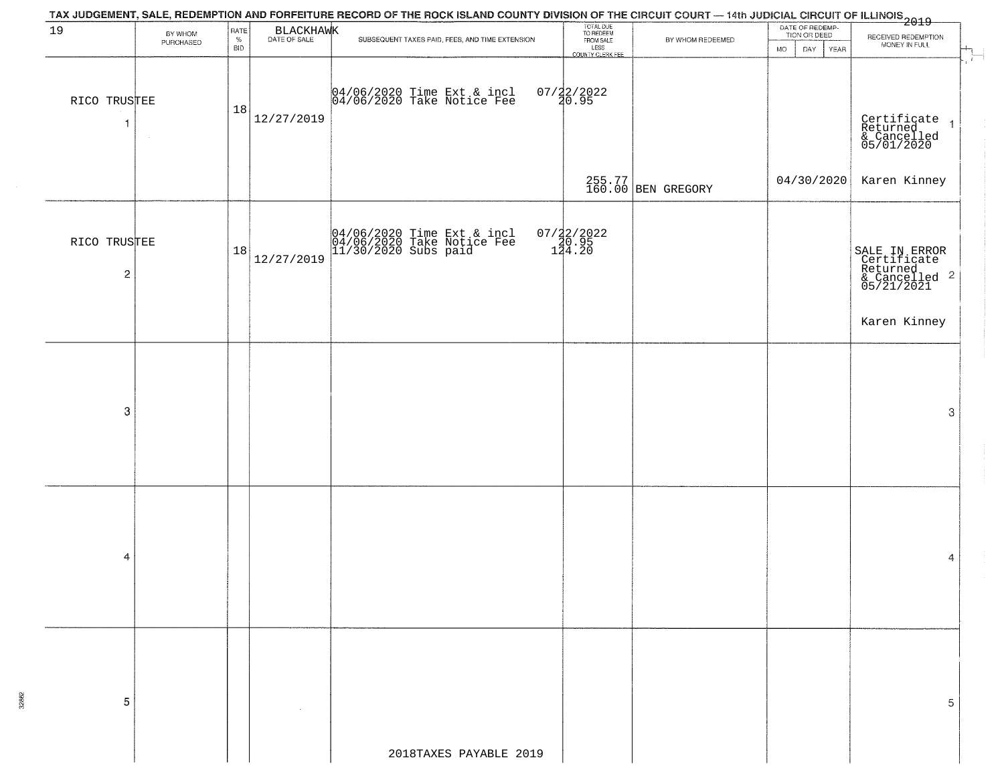| 19                                      | BY WHOM<br>PURCHASED | RATE<br>$\%$<br><b>BID</b> | BLACKHAWK  | SUBSEQUENT TAXES PAID, FEES, AND TIME EXTENSION                                  | TOTAL DUE<br>TO REDEEM<br>FROM SALE<br>LESS<br>COUNTY CLERK FEE | BY WHOM REDEEMED             | DATE OF REDEMP-<br>TION OR DEED<br>DAY<br>YEAR<br>MO. | RECEIVED REDEMPTION<br>MONEY IN FULL                                                 |
|-----------------------------------------|----------------------|----------------------------|------------|----------------------------------------------------------------------------------|-----------------------------------------------------------------|------------------------------|-------------------------------------------------------|--------------------------------------------------------------------------------------|
| RICO TRUSTEE<br>-1                      |                      | 18                         | 12/27/2019 | 04/06/2020 Time Ext & incl<br>04/06/2020 Take Notice Fee                         | $07/22/2022$<br>20.95                                           |                              |                                                       | $\ddot{r}$<br>Certificate<br>Returned<br>& Cancelled<br>05/01/2020<br>$\overline{1}$ |
|                                         |                      |                            |            |                                                                                  |                                                                 | 255.77<br>160.00 BEN GREGORY | 04/30/2020                                            | Karen Kinney                                                                         |
| RICO TRUSTEE<br>$\overline{\mathbf{c}}$ |                      | 18                         | 12/27/2019 | 04/06/2020 Time Ext & incl<br>04/06/2020 Take Notice Fee<br>11/30/2020 Subs paid | $07/22/2022$<br>$120.95$<br>$124.20$                            |                              |                                                       | SALE IN ERROR<br>Certificate<br>Returned<br>& Cancelled 2<br>05/21/2021              |
|                                         |                      |                            |            |                                                                                  |                                                                 |                              |                                                       | Karen Kinney                                                                         |
| 3                                       |                      |                            |            |                                                                                  |                                                                 |                              |                                                       | 3                                                                                    |
|                                         |                      |                            |            |                                                                                  |                                                                 |                              |                                                       |                                                                                      |
| 4                                       |                      |                            |            |                                                                                  |                                                                 |                              |                                                       | 4                                                                                    |
|                                         |                      |                            |            |                                                                                  |                                                                 |                              |                                                       |                                                                                      |
| 5                                       |                      |                            |            |                                                                                  |                                                                 |                              |                                                       | 5                                                                                    |
|                                         |                      |                            |            | 2018TAXES PAYABLE 2019                                                           |                                                                 |                              |                                                       |                                                                                      |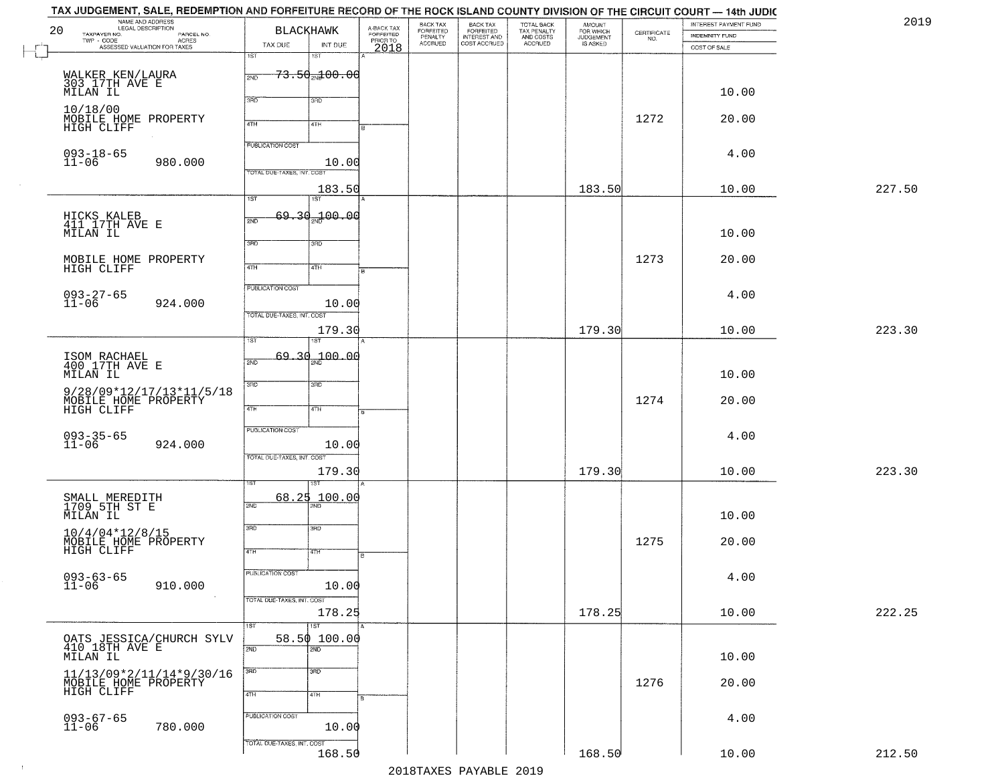| NAME AND ADDRESS<br>20<br>TAXPAYER NO.<br>PARCEL NO. |                            | <b>BLACKHAWK</b>                    |                                             | BACK TAX                        | BACK TAX<br>FORFEITED<br>INTEREST AND |                                                   | <b>AMOUNT</b><br>FOR WHICH<br>JUDGEMENT | $\begin{array}{c} \text{CERTIFICATE} \\ \text{NO.} \end{array}$ | INTEREST PAYMENT FUND          |        |
|------------------------------------------------------|----------------------------|-------------------------------------|---------------------------------------------|---------------------------------|---------------------------------------|---------------------------------------------------|-----------------------------------------|-----------------------------------------------------------------|--------------------------------|--------|
| TWP - CODE<br>ASSESSED VALUATION FOR TAXES           | TAX DUE                    | INT DUE                             | A-BACK TAX<br>FORFEITED<br>PRIOR TO<br>2018 | FORFEITED<br>PENALTY<br>ACCRUED | COST ACCRUED                          | TOTAL BACK<br>TAX PENALTY<br>AND COSTS<br>ACCRUED | IS ASKED                                |                                                                 | INDEMNITY FUND<br>COST OF SALE |        |
|                                                      | 1ST                        | 1ST                                 |                                             |                                 |                                       |                                                   |                                         |                                                                 |                                |        |
| WALKER KEN/LAURA<br>303 17TH AVE E                   | 2ND                        | <del>73.50<sub>20</sub>100.00</del> |                                             |                                 |                                       |                                                   |                                         |                                                                 |                                |        |
| MILAN IL                                             |                            |                                     |                                             |                                 |                                       |                                                   |                                         |                                                                 | 10.00                          |        |
| 10/18/00                                             | 3BD                        | 3RD                                 |                                             |                                 |                                       |                                                   |                                         |                                                                 |                                |        |
| MOBILE HOME PROPERTY<br>HIGH CLIFF                   | 4TH                        | 4TH                                 |                                             |                                 |                                       |                                                   |                                         | 1272                                                            | 20.00                          |        |
|                                                      |                            |                                     |                                             |                                 |                                       |                                                   |                                         |                                                                 |                                |        |
| $093 - 18 - 65$                                      | <b>PUBLICATION COST</b>    |                                     |                                             |                                 |                                       |                                                   |                                         |                                                                 | 4.00                           |        |
| $11 - 06$<br>980.000                                 | TOTAL DUE-TAXES, INT. COST | 10.00                               |                                             |                                 |                                       |                                                   |                                         |                                                                 |                                |        |
|                                                      |                            | 183.50                              |                                             |                                 |                                       |                                                   | 183.50                                  |                                                                 | 10.00                          | 227.50 |
|                                                      | $\overline{\text{1ST}}$    | 1ST                                 |                                             |                                 |                                       |                                                   |                                         |                                                                 |                                |        |
| HICKS KALEB<br>411 17TH AVE E                        | 2ND                        | 69.30.100.00                        |                                             |                                 |                                       |                                                   |                                         |                                                                 |                                |        |
| MILAN IL                                             |                            |                                     |                                             |                                 |                                       |                                                   |                                         |                                                                 | 10.00                          |        |
|                                                      | 3BD                        | 3RD                                 |                                             |                                 |                                       |                                                   |                                         |                                                                 |                                |        |
| MOBILE HOME PROPERTY<br>HIGH CLIFF                   | 47H                        | 4TH                                 |                                             |                                 |                                       |                                                   |                                         | 1273                                                            | 20.00                          |        |
|                                                      | PUBLICATION COST           |                                     |                                             |                                 |                                       |                                                   |                                         |                                                                 |                                |        |
| 093-27-65<br>11-06<br>924.000                        |                            | 10.00                               |                                             |                                 |                                       |                                                   |                                         |                                                                 | 4.00                           |        |
|                                                      | TOTAL DUE-TAXES, INT. COST |                                     |                                             |                                 |                                       |                                                   |                                         |                                                                 |                                |        |
|                                                      |                            | 179.30                              |                                             |                                 |                                       |                                                   | 179.30                                  |                                                                 | 10.00                          | 223.30 |
|                                                      | īst                        |                                     |                                             |                                 |                                       |                                                   |                                         |                                                                 |                                |        |
| ISOM RACHAEL<br>400 17TH AVE E                       | 2ND                        | 69.30 <sub>2N</sub> 100.00          |                                             |                                 |                                       |                                                   |                                         |                                                                 |                                |        |
| MILAN IL                                             | 3RD                        | 3BD                                 |                                             |                                 |                                       |                                                   |                                         |                                                                 | 10.00                          |        |
| 9/28/09*12/17/13*11/5/18<br>MOBILE HOME PROPERTY     |                            |                                     |                                             |                                 |                                       |                                                   |                                         | 1274                                                            | 20.00                          |        |
| HIGH CLIFF                                           | 4TH                        | 4TH                                 |                                             |                                 |                                       |                                                   |                                         |                                                                 |                                |        |
|                                                      | <b>PUBLICATION COST</b>    |                                     |                                             |                                 |                                       |                                                   |                                         |                                                                 | 4.00                           |        |
| 093-35-65<br>11-06<br>924.000                        |                            | 10.00                               |                                             |                                 |                                       |                                                   |                                         |                                                                 |                                |        |
|                                                      | TOTAL OUE-TAXES, INT. COST |                                     |                                             |                                 |                                       |                                                   |                                         |                                                                 |                                |        |
|                                                      |                            | 179.30<br>ৰে                        |                                             |                                 |                                       |                                                   | 179.30                                  |                                                                 | 10.00                          | 223.30 |
| SMALL MEREDITH<br>1709 5TH ST E                      | 68.25                      | 100.00                              |                                             |                                 |                                       |                                                   |                                         |                                                                 |                                |        |
| MILAN IL                                             | 2ND                        |                                     |                                             |                                 |                                       |                                                   |                                         |                                                                 | 10.00                          |        |
| 10/4/04*12/8/15                                      | 3RD                        | 3BD                                 |                                             |                                 |                                       |                                                   |                                         |                                                                 |                                |        |
| MOBILE HOME PROPERTY<br>HIGH CLIFF                   | 4TH                        | 47H                                 |                                             |                                 |                                       |                                                   |                                         | 1275                                                            | 20.00                          |        |
|                                                      |                            |                                     | в                                           |                                 |                                       |                                                   |                                         |                                                                 |                                |        |
| $093 - 63 - 65$                                      | <b>PUBLICATION COST</b>    |                                     |                                             |                                 |                                       |                                                   |                                         |                                                                 | 4.00                           |        |
| $11 - 06$<br>910.000<br>$\sim$ 100 $\pm$             | TOTAL DUE-TAXES, INT. COST | 10.00                               |                                             |                                 |                                       |                                                   |                                         |                                                                 |                                |        |
|                                                      |                            | 178.25                              |                                             |                                 |                                       |                                                   | 178.25                                  |                                                                 | 10.00                          | 222.25 |
|                                                      | 1ST                        | 1ST                                 |                                             |                                 |                                       |                                                   |                                         |                                                                 |                                |        |
| OATS JESSICA/CHURCH SYLV<br>410 18TH AVE E           | 2ND                        | 58.50 100.00<br>2ND                 |                                             |                                 |                                       |                                                   |                                         |                                                                 |                                |        |
| MILAN IL                                             |                            |                                     |                                             |                                 |                                       |                                                   |                                         |                                                                 | 10.00                          |        |
| 11/13/09*2/11/14*9/30/16                             | SRD <sup>-</sup>           | 3 <sub>BD</sub>                     |                                             |                                 |                                       |                                                   |                                         | 1276                                                            | 20.00                          |        |
| MOBILE HOME PROPERTY                                 | 4TH                        | 4TH                                 |                                             |                                 |                                       |                                                   |                                         |                                                                 |                                |        |
|                                                      | PUBLICATION COST           |                                     |                                             |                                 |                                       |                                                   |                                         |                                                                 |                                |        |
| 093-67-65<br>11-06<br>780.000                        |                            | 10.00                               |                                             |                                 |                                       |                                                   |                                         |                                                                 | 4.00                           |        |
|                                                      | TOTAL DUE-TAXES, INT. COST |                                     |                                             |                                 |                                       |                                                   |                                         |                                                                 |                                |        |
|                                                      |                            | 168.50                              |                                             |                                 |                                       |                                                   | 168.50                                  |                                                                 | 10.00                          | 212.50 |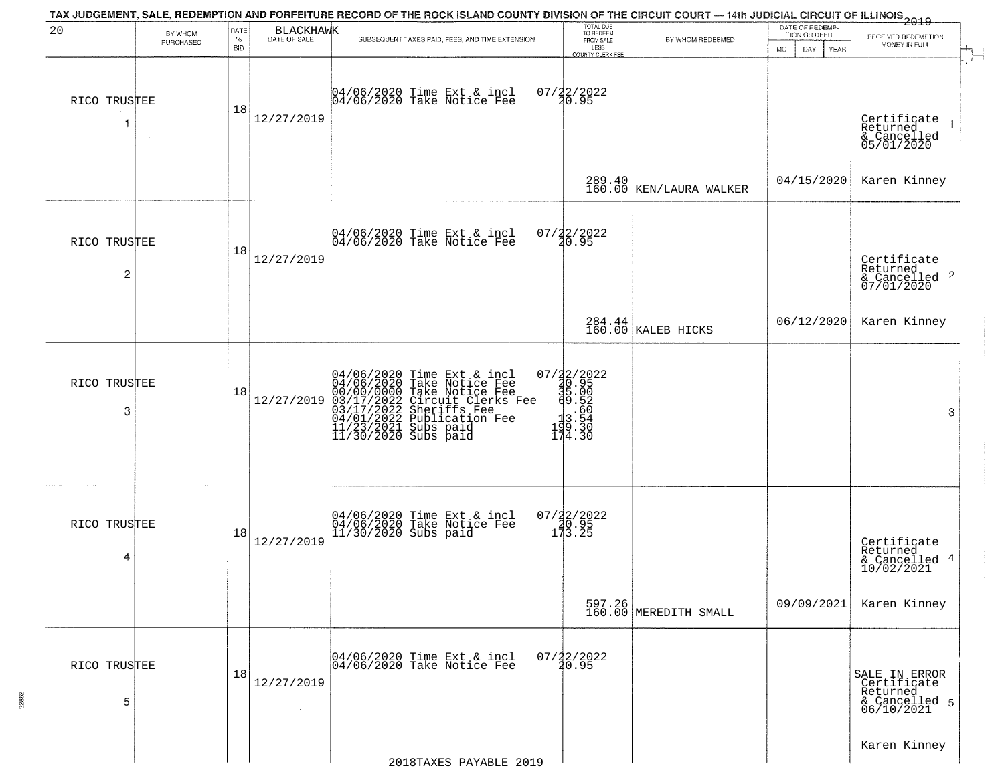| 20                             |                      | RATE               | <b>BLACKHAWK</b>             | TAX JUDGEMENT, SALE, REDEMPTION AND FORFEITURE RECORD OF THE ROCK ISLAND COUNTY DIVISION OF THE CIRCUIT COURT — 14th JUDICIAL CIRCUIT OF ILLINOIS 2019                                                                               | TOTAL DUE<br>TO REDEEM                                                                                                |                                                                                        | DATE OF REDEMP-                     |                                                                         |
|--------------------------------|----------------------|--------------------|------------------------------|--------------------------------------------------------------------------------------------------------------------------------------------------------------------------------------------------------------------------------------|-----------------------------------------------------------------------------------------------------------------------|----------------------------------------------------------------------------------------|-------------------------------------|-------------------------------------------------------------------------|
|                                | BY WHOM<br>PURCHASED | $\%$<br><b>BID</b> | DATE OF SALE                 | SUBSEQUENT TAXES PAID, FEES, AND TIME EXTENSION                                                                                                                                                                                      | FROM SALE<br>LESS                                                                                                     | BY WHOM REDEEMED                                                                       | TION OR DEED<br>MO.<br>DAY.<br>YEAR | RECEIVED REDEMPTION<br>MONEY IN FULL                                    |
| RICO TRUSTEE<br>1              | $\sim$               | 18                 | 12/27/2019                   | 04/06/2020 Time Ext & incl<br>04/06/2020 Take Notice Fee                                                                                                                                                                             | COUNTY CLERK FEE<br>$07/22/2022$<br>20.95                                                                             |                                                                                        |                                     | Certificate<br>Returned<br>& Cancelled<br>05/01/2020                    |
|                                |                      |                    |                              |                                                                                                                                                                                                                                      |                                                                                                                       | $\left. \begin{array}{c} 289.40 \\ 160.00 \end{array} \right  \hbox{KEN/LAURA WALKER}$ | 04/15/2020                          | Karen Kinney                                                            |
| RICO TRUSTEE<br>$\overline{c}$ |                      | 18                 | 12/27/2019                   | 04/06/2020 Time Ext & incl<br>04/06/2020 Take Notice Fee                                                                                                                                                                             | 07/22/2022<br>20.95                                                                                                   |                                                                                        |                                     | Certificate<br>Returned<br>& Cancelled 2<br>07/01/2020                  |
|                                |                      |                    |                              |                                                                                                                                                                                                                                      |                                                                                                                       | 284.44<br>160.00 KALEB HICKS                                                           | 06/12/2020                          | Karen Kinney                                                            |
| RICO TRUSTEE<br>3              |                      | 18                 | 12/27/2019                   | 04/06/2020 Time Ext & incl<br>04/06/2020 Take Notice Fee<br>00/00/00000 Take Notice Fee<br>03/17/2022 Circuit Clerks Fee<br>03/17/2022 Sublication Fee<br>04/01/2022 Sublication Fee<br>11/23/2021 Subs paid<br>11/30/2020 Subs paid | $\begin{array}{r} 07 / 22 / 2022 \\ 40 . 95 \\ 35 . 00 \\ -19 . 52 \\ 13 . 54 \\ 199 . 30 \\ 174 . 30 \\ \end{array}$ |                                                                                        |                                     | 3                                                                       |
| RICO TRUSTEE<br>4              |                      | 18                 | 12/27/2019                   | 04/06/2020 Time Ext & incl<br>04/06/2020 Take Notice Fee<br>11/30/2020 Subs paid                                                                                                                                                     | 07/22/2022<br>20.95<br>173.25                                                                                         |                                                                                        |                                     | Certificate<br>Returned<br>& Cancelled 4<br>10/02/2021                  |
|                                |                      |                    |                              |                                                                                                                                                                                                                                      |                                                                                                                       | 597.26<br>160.00 MEREDITH SMALL                                                        | 09/09/2021                          | Karen Kinney                                                            |
| RICO TRUSTEE<br>5              |                      | 18                 | 12/27/2019<br>$\sim 10^{-1}$ | 04/06/2020 Time Ext & incl<br>04/06/2020 Take Notice Fee                                                                                                                                                                             | $07/22/2022$<br>$20.95$                                                                                               |                                                                                        |                                     | SALE IN ERROR<br>Certificate<br>Returned<br>& Cancelled 5<br>06/10/2021 |
|                                |                      |                    |                              | 2018TAXES PAYABLE 2019                                                                                                                                                                                                               |                                                                                                                       |                                                                                        |                                     | Karen Kinney                                                            |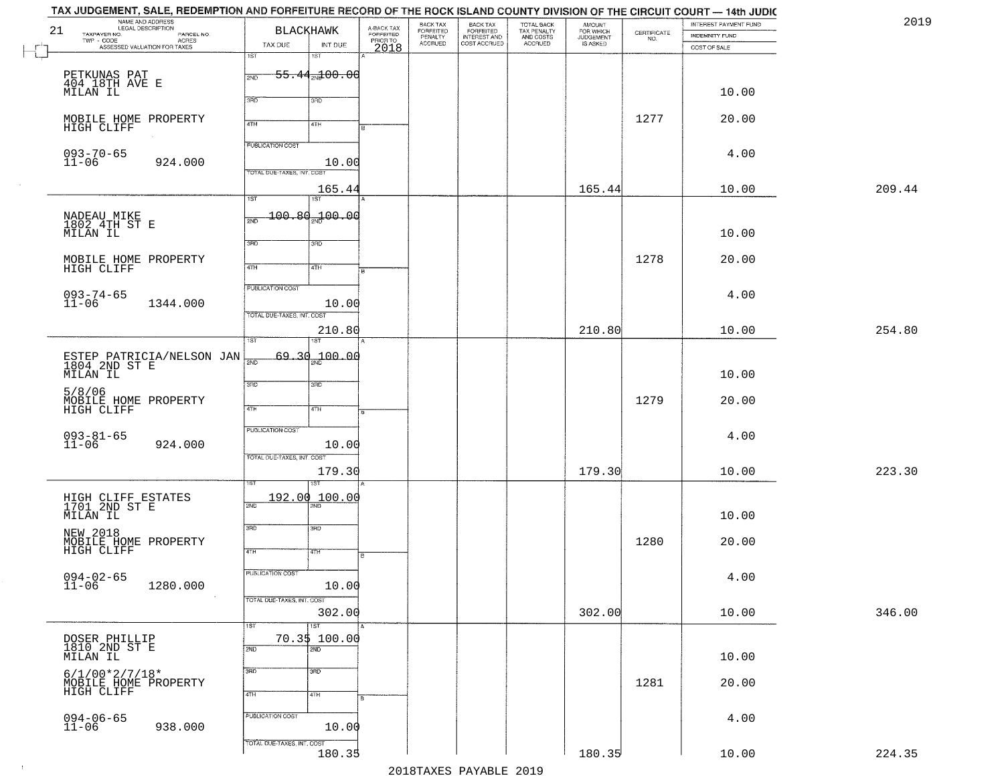| 21 | NAME AND ADDRESS<br>TAXPAYER NO.<br>PARCEL NO. |                            | <b>BLACKHAWK</b>         |                                             | BACK TAX                        | BACK TAX<br>FORFEITED<br>INTEREST AND | TOTAL BACK<br>TAX PENALTY<br>AND COSTS<br>ACCRUED | AMOUNT<br>FOR WHICH<br>JUDGEMENT | $\begin{array}{c} \text{CERTIFICATE} \\ \text{NO.} \end{array}$ | INTEREST PAYMENT FUND<br>INDEMNITY FUND |        |
|----|------------------------------------------------|----------------------------|--------------------------|---------------------------------------------|---------------------------------|---------------------------------------|---------------------------------------------------|----------------------------------|-----------------------------------------------------------------|-----------------------------------------|--------|
|    | TWP - CODE<br>ASSESSED VALUATION FOR TAXES     | TAX DUE                    | INT DUE                  | A-BACK TAX<br>FORFEITED<br>PRIOR TO<br>2018 | FORFEITED<br>PENALTY<br>ACCRUED | COST ACCRUED                          |                                                   | IS ASKED                         |                                                                 | COST OF SALE                            |        |
|    |                                                | 1ST                        | 1ST                      |                                             |                                 |                                       |                                                   |                                  |                                                                 |                                         |        |
|    | PETKUNAS PAT<br>404 18TH AVE E                 | 2ND                        | <del>55.44 Ml00.00</del> |                                             |                                 |                                       |                                                   |                                  |                                                                 |                                         |        |
|    | MILAN IL                                       |                            |                          |                                             |                                 |                                       |                                                   |                                  |                                                                 | 10.00                                   |        |
|    |                                                | 3RD                        | 3RD                      |                                             |                                 |                                       |                                                   |                                  |                                                                 |                                         |        |
|    | MOBILE HOME PROPERTY                           | 4TH                        | 4TH                      |                                             |                                 |                                       |                                                   |                                  | 1277                                                            | 20.00                                   |        |
|    | HIGH CLIFF                                     |                            |                          |                                             |                                 |                                       |                                                   |                                  |                                                                 |                                         |        |
|    | $093 - 70 - 65$                                | <b>PUBLICATION COST</b>    |                          |                                             |                                 |                                       |                                                   |                                  |                                                                 | 4.00                                    |        |
|    | $11 - 06$<br>924.000                           | TOTAL DUE-TAXES, INT. COST | 10.00                    |                                             |                                 |                                       |                                                   |                                  |                                                                 |                                         |        |
|    |                                                |                            |                          |                                             |                                 |                                       |                                                   |                                  |                                                                 |                                         | 209.44 |
|    |                                                | $\overline{\text{1ST}}$    | 165.44<br>1ST            |                                             |                                 |                                       |                                                   | 165.44                           |                                                                 | 10.00                                   |        |
|    |                                                |                            | 100.8d 100.0d            |                                             |                                 |                                       |                                                   |                                  |                                                                 |                                         |        |
|    | NADEAU MIKE<br>1802 4TH ST E<br>MILAN IL       | 2ND                        |                          |                                             |                                 |                                       |                                                   |                                  |                                                                 | 10.00                                   |        |
|    |                                                | 3BD                        | 3RD                      |                                             |                                 |                                       |                                                   |                                  |                                                                 |                                         |        |
|    | MOBILE HOME PROPERTY<br>HIGH CLIFF             |                            |                          |                                             |                                 |                                       |                                                   |                                  | 1278                                                            | 20.00                                   |        |
|    |                                                | 47H                        | 4TH                      |                                             |                                 |                                       |                                                   |                                  |                                                                 |                                         |        |
|    |                                                | PUBLICATION COST           |                          |                                             |                                 |                                       |                                                   |                                  |                                                                 | 4.00                                    |        |
|    | 093-74-65<br>11-06<br>1344.000                 |                            | 10.00                    |                                             |                                 |                                       |                                                   |                                  |                                                                 |                                         |        |
|    |                                                | TOTAL DUE-TAXES, INT. COST |                          |                                             |                                 |                                       |                                                   |                                  |                                                                 |                                         |        |
|    |                                                | TST                        | 210.80                   |                                             |                                 |                                       |                                                   | 210.80                           |                                                                 | 10.00                                   | 254.80 |
|    |                                                |                            | $69.30 - 20.00$          |                                             |                                 |                                       |                                                   |                                  |                                                                 |                                         |        |
|    | ESTEP PATRICIA/NELSON JAN 3804 2ND ST E        |                            |                          |                                             |                                 |                                       |                                                   |                                  |                                                                 |                                         |        |
|    | MILAN IL                                       | 3 <sub>BD</sub>            | 3BD                      |                                             |                                 |                                       |                                                   |                                  |                                                                 | 10.00                                   |        |
|    | 5/8/06                                         |                            |                          |                                             |                                 |                                       |                                                   |                                  | 1279                                                            | 20.00                                   |        |
|    | MOBILE HOME PROPERTY<br>HIGH CLIFF             | 4TH                        | 4TH                      |                                             |                                 |                                       |                                                   |                                  |                                                                 |                                         |        |
|    |                                                | <b>PUBLICATION COST</b>    |                          |                                             |                                 |                                       |                                                   |                                  |                                                                 | 4.00                                    |        |
|    | $093 - 81 - 65$<br>11-06<br>924.000            |                            | 10.00                    |                                             |                                 |                                       |                                                   |                                  |                                                                 |                                         |        |
|    |                                                | TOTAL OUE-TAXES, INT. COST |                          |                                             |                                 |                                       |                                                   |                                  |                                                                 |                                         |        |
|    |                                                |                            | 179.30<br>۱۹T            |                                             |                                 |                                       |                                                   | 179.30                           |                                                                 | 10.00                                   | 223.30 |
|    |                                                |                            | 192.00 100.00            |                                             |                                 |                                       |                                                   |                                  |                                                                 |                                         |        |
|    | HIGH CLIFF ESTATES<br>1701 2ND ST E            | 2ND                        |                          |                                             |                                 |                                       |                                                   |                                  |                                                                 |                                         |        |
|    | MILAN IL                                       | 3RD                        | 3BD                      |                                             |                                 |                                       |                                                   |                                  |                                                                 | 10.00                                   |        |
|    | NEW 2018                                       |                            |                          |                                             |                                 |                                       |                                                   |                                  | 1280                                                            | 20.00                                   |        |
|    | MOBILE HOME PROPERTY<br>HIGH CLIFF             | 4TH                        | 47H                      | в                                           |                                 |                                       |                                                   |                                  |                                                                 |                                         |        |
|    | $094 - 02 - 65$                                | <b>PUBLICATION COST</b>    |                          |                                             |                                 |                                       |                                                   |                                  |                                                                 | 4.00                                    |        |
|    | $11 - 06$<br>1280.000                          |                            | 10.00                    |                                             |                                 |                                       |                                                   |                                  |                                                                 |                                         |        |
|    | $\sim$ 10 $\pm$                                | TOTAL DUE-TAXES, INT. COST |                          |                                             |                                 |                                       |                                                   |                                  |                                                                 |                                         |        |
|    |                                                |                            | 302.00                   |                                             |                                 |                                       |                                                   | 302.00                           |                                                                 | 10.00                                   | 346.00 |
|    |                                                | 1ST                        | 1ST<br>70.3\$ 100.00     |                                             |                                 |                                       |                                                   |                                  |                                                                 |                                         |        |
|    | DOSER PHILLIP<br>1810 2ND ST E                 | 2ND                        | 2ND                      |                                             |                                 |                                       |                                                   |                                  |                                                                 |                                         |        |
|    | MILAN IL                                       | 3RD                        |                          |                                             |                                 |                                       |                                                   |                                  |                                                                 | 10.00                                   |        |
|    | $6/1/00*2/7/18*$                               |                            | 3 <sub>BD</sub>          |                                             |                                 |                                       |                                                   |                                  | 1281                                                            | 20.00                                   |        |
|    | MOBILE HOME PROPERTY<br>HIGH CLIFF             | 4TH                        | 4TH                      |                                             |                                 |                                       |                                                   |                                  |                                                                 |                                         |        |
|    |                                                | PUBLICATION COST           |                          |                                             |                                 |                                       |                                                   |                                  |                                                                 |                                         |        |
|    | $094 - 06 - 65$<br>11-06<br>938.000            |                            | 10.00                    |                                             |                                 |                                       |                                                   |                                  |                                                                 | 4.00                                    |        |
|    |                                                | TOTAL DUE-TAXES, INT. COST |                          |                                             |                                 |                                       |                                                   |                                  |                                                                 |                                         |        |
|    |                                                |                            | 180.35                   |                                             |                                 |                                       |                                                   | 180.35                           |                                                                 | 10.00                                   | 224.35 |

| JUDGEMENT, SALE, REDEMPTION AND FORFEITURE RECORD OF THE ROCK ISLAND COUNTY DIVISION OF THE CIRCUIT COURT - 14th |
|------------------------------------------------------------------------------------------------------------------|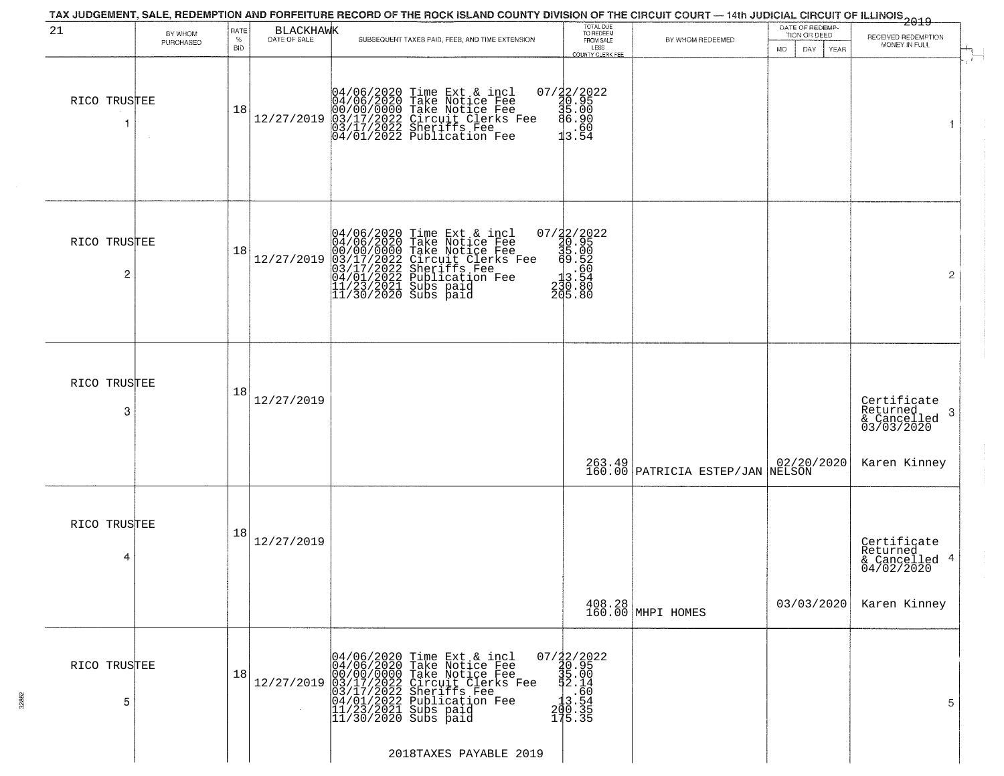| 21                             | BY WHOM   | RATE               | <b>BLACKHAWK</b> | TAX JUDGEMENT, SALE, REDEMPTION AND FORFEITURE RECORD OF THE ROCK ISLAND COUNTY DIVISION OF THE CIRCUIT COURT — 14th JUDICIAL CIRCUIT OF ILLINOIS 2019                                                                                                                 | TOTAL DUE<br>TO REDEEM                                                      |                                                  | DATE OF REDEMP-<br>TION OR DEED | RECEIVED REDEMPTION                                                                                                 |
|--------------------------------|-----------|--------------------|------------------|------------------------------------------------------------------------------------------------------------------------------------------------------------------------------------------------------------------------------------------------------------------------|-----------------------------------------------------------------------------|--------------------------------------------------|---------------------------------|---------------------------------------------------------------------------------------------------------------------|
|                                | PURCHASED | $\%$<br><b>BID</b> | DATE OF SALE     | SUBSEQUENT TAXES PAID, FEES, AND TIME EXTENSION                                                                                                                                                                                                                        | FROM SALE<br>LESS<br><b>COUNTY CLERK FEE</b>                                | BY WHOM REDEEMED                                 | MO.<br>DAY.<br>YEAR             | MONEY IN FULL                                                                                                       |
| RICO TRUSTEE                   |           | 18                 | 12/27/2019       | 04/06/2020 Time Ext & incl<br>04/06/2020 Take Notice Fee<br>00/00/00000 Take Notice Fee<br>03/17/2022 Circuit Clerks Fee<br>03/17/2022 Sheriffs Fee<br>04/01/2022 Publication Fee                                                                                      | 07/22/2022<br>30.95<br>35.00<br>36.90<br>30.50<br>13.54                     |                                                  |                                 | 1                                                                                                                   |
| RICO TRUSTEE<br>$\overline{c}$ |           | 18                 | 12/27/2019       | 04/06/2020 Time Ext & incl<br>04/06/2020 Take Notice Fee<br>00/00/0000 Take Notice Fee<br>03/17/2022 Circuit Clerks Fee<br>03/17/2022 Suberiffs Fee<br>04/01/2022 Publication Fee<br>11/23/2021 Subs paid<br>11/30/2020 Subs paid                                      | 07/22/2022<br>30.95<br>35.00<br>=<br>33.52<br>33.54<br>230.80<br>205.80     |                                                  |                                 | $\overline{2}$                                                                                                      |
| RICO TRUSTEE<br>3              |           | 18                 | 12/27/2019       |                                                                                                                                                                                                                                                                        |                                                                             | 263.49  <br>160.00   PATRICIA ESTEP/JAN   NELSON |                                 | Certificate<br>Returned<br>3<br>$\begin{array}{c}\n 2.764160 \\  0.30000 \\  0.30000\n \end{array}$<br>Karen Kinney |
| RICO TRUSTEE<br>4              |           | 18                 | 12/27/2019       |                                                                                                                                                                                                                                                                        |                                                                             | 408.28<br>160.00 MHPI HOMES                      | 03/03/2020                      | Certificate<br>Returned<br>& Cancelled 4<br>04/02/2020<br>Karen Kinney                                              |
| RICO TRUSTEE<br>5              |           | 18                 | 12/27/2019       | 04/06/2020 Time Ext & incl<br>04/06/2020 Take Notice Fee<br>$00/00/0000$ Take Notice Fee<br>$03/17/2022$ Circuit Clerks Fee<br>$03/17/2022$ Sheriffs Fee<br>$04/01/2022$ Publication Fee<br>$11/23/2021$ Subs paid<br>$11/30/2020$ Subs paid<br>2018TAXES PAYABLE 2019 | 07/22/2022<br>30.95<br>35.00<br>32.14<br>30.54<br>30.54<br>200.35<br>175.35 |                                                  |                                 | 5                                                                                                                   |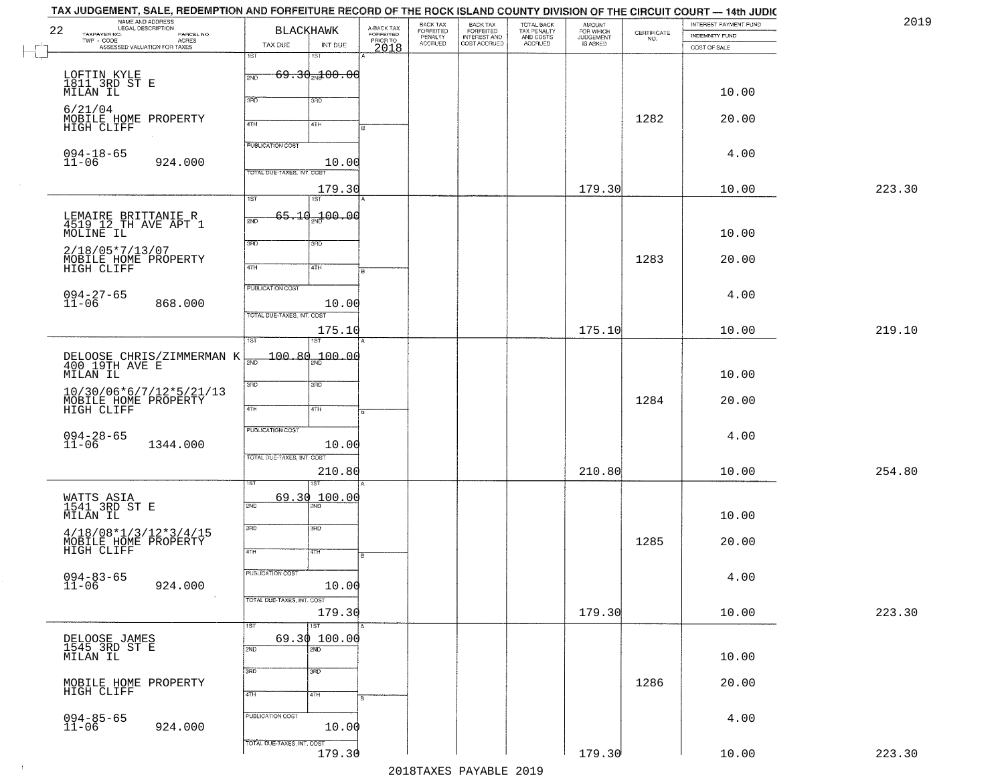|        | INTEREST PAYMENT FUND          |                                                                 | <b>AMOUNT</b><br>FOR WHICH<br>JUDGEMENT |                                                   |                                                       |                                 |                                             | <b>BLACKHAWK</b>                 |                            | NAME AND ADDRESS<br>TAXPAYER NO.<br>PARCEL NO.                                                               | 22 |
|--------|--------------------------------|-----------------------------------------------------------------|-----------------------------------------|---------------------------------------------------|-------------------------------------------------------|---------------------------------|---------------------------------------------|----------------------------------|----------------------------|--------------------------------------------------------------------------------------------------------------|----|
|        | INDEMNITY FUND<br>COST OF SALE | $\begin{array}{c} \text{CERTIFICATE} \\ \text{NO.} \end{array}$ | IS ASKED                                | TOTAL BACK<br>TAX PENALTY<br>AND COSTS<br>ACCRUED | BACK TAX<br>FORFEITED<br>INTEREST AND<br>COST ACCRUED | FORFEITED<br>PENALTY<br>ACCRUED | A-BACK TAX<br>FORFEITED<br>PRIOR TO<br>2018 | INT DUE                          | TAX DUE                    | TWP - CODE<br>ASSESSED VALUATION FOR TAXES                                                                   |    |
|        |                                |                                                                 |                                         |                                                   |                                                       |                                 |                                             | 1ST                              | 1ST                        |                                                                                                              |    |
|        |                                |                                                                 |                                         |                                                   |                                                       |                                 |                                             | $69.30 \text{ m}100.00$          | 2ND                        |                                                                                                              |    |
|        | 10.00                          |                                                                 |                                         |                                                   |                                                       |                                 |                                             |                                  |                            | LOFTIN KYLE<br>1811 3RD ST E<br>MILAN IL                                                                     |    |
|        |                                |                                                                 |                                         |                                                   |                                                       |                                 |                                             | 3RD                              | 3BD                        |                                                                                                              |    |
|        | 20.00                          | 1282                                                            |                                         |                                                   |                                                       |                                 |                                             | 4TH                              | 4TH                        | 6/21/04<br>MOBILE HOME PROPERTY                                                                              |    |
|        |                                |                                                                 |                                         |                                                   |                                                       |                                 |                                             |                                  |                            | HIGH CLIFF                                                                                                   |    |
|        | 4.00                           |                                                                 |                                         |                                                   |                                                       |                                 |                                             |                                  | <b>PUBLICATION COST</b>    | $094 - 18 - 65$                                                                                              |    |
|        |                                |                                                                 |                                         |                                                   |                                                       |                                 |                                             | 10.00                            |                            | $11 - 06$<br>924.000                                                                                         |    |
|        |                                |                                                                 |                                         |                                                   |                                                       |                                 |                                             |                                  | TOTAL DUE-TAXES, INT. COST |                                                                                                              |    |
| 223.30 | 10.00                          |                                                                 | 179.30                                  |                                                   |                                                       |                                 |                                             | 179.30<br>1ST                    | $\overline{1ST}$           |                                                                                                              |    |
|        |                                |                                                                 |                                         |                                                   |                                                       |                                 |                                             | 65,10,100,00                     |                            |                                                                                                              |    |
|        | 10.00                          |                                                                 |                                         |                                                   |                                                       |                                 |                                             |                                  | 2ND                        | LEMAIRE BRITTANIE R<br>4519 12 TH AVE APT 1                                                                  |    |
|        |                                |                                                                 |                                         |                                                   |                                                       |                                 |                                             | 3RD                              | 3BD                        | MOLINE IL                                                                                                    |    |
|        | 20.00                          | 1283                                                            |                                         |                                                   |                                                       |                                 |                                             |                                  |                            | $2/18/05*7/13/07$<br>MOBILE HOME PROPERTY                                                                    |    |
|        |                                |                                                                 |                                         |                                                   |                                                       |                                 |                                             | 4TH                              | 47H                        | HIGH CLIFF                                                                                                   |    |
|        | 4.00                           |                                                                 |                                         |                                                   |                                                       |                                 |                                             |                                  | PUBLICATION COST           |                                                                                                              |    |
|        |                                |                                                                 |                                         |                                                   |                                                       |                                 |                                             | 10.00                            |                            | 094-27-65<br>11-06<br>868.000                                                                                |    |
|        |                                |                                                                 |                                         |                                                   |                                                       |                                 |                                             |                                  | TOTAL DUE-TAXES, INT. COST |                                                                                                              |    |
| 219.10 | 10.00                          |                                                                 | 175.10                                  |                                                   |                                                       |                                 |                                             | 175.10                           | TST                        |                                                                                                              |    |
|        |                                |                                                                 |                                         |                                                   |                                                       |                                 |                                             |                                  | $\frac{100.80}{200.00}$    |                                                                                                              |    |
|        | 10.00                          |                                                                 |                                         |                                                   |                                                       |                                 |                                             |                                  |                            | DELOOSE CHRIS/ZIMMERMAN K<br>400 19TH AVE E<br>MILAN IL                                                      |    |
|        |                                |                                                                 |                                         |                                                   |                                                       |                                 |                                             | 3BD                              | 3RD                        |                                                                                                              |    |
|        | 20.00                          | 1284                                                            |                                         |                                                   |                                                       |                                 |                                             |                                  |                            | 10/30/06*6/7/12*5/21/13<br>MOBILE HOME PROPERTY                                                              |    |
|        |                                |                                                                 |                                         |                                                   |                                                       |                                 |                                             | 4TH                              | 4TH                        |                                                                                                              |    |
|        | 4.00                           |                                                                 |                                         |                                                   |                                                       |                                 |                                             |                                  | <b>PUBLICATION COST</b>    |                                                                                                              |    |
|        |                                |                                                                 |                                         |                                                   |                                                       |                                 |                                             | 10.00                            |                            | $094 - 28 - 65$<br>11-06<br>1344.000                                                                         |    |
| 254.80 | 10.00                          |                                                                 | 210.80                                  |                                                   |                                                       |                                 |                                             | 210.80                           | TOTAL OUE-TAXES, INT. COST |                                                                                                              |    |
|        |                                |                                                                 |                                         |                                                   |                                                       |                                 |                                             |                                  |                            |                                                                                                              |    |
|        |                                |                                                                 |                                         |                                                   |                                                       |                                 |                                             | 100.00                           | 69.30                      | WATTS ASIA<br>1541 3RD ST E                                                                                  |    |
|        | 10.00                          |                                                                 |                                         |                                                   |                                                       |                                 |                                             |                                  | 2ND                        | MILAN IL                                                                                                     |    |
|        |                                |                                                                 |                                         |                                                   |                                                       |                                 |                                             | 3BD                              | 3RD                        |                                                                                                              |    |
|        | 20.00                          | 1285                                                            |                                         |                                                   |                                                       |                                 |                                             | 47H                              | 4TH                        | $\begin{array}{c} 4/18/08 * 1/3/12 * 3/4/15 \\ \text{MOBILE HOME PROPERTY} \\ \text{HIGH CLIFF} \end{array}$ |    |
|        |                                |                                                                 |                                         |                                                   |                                                       |                                 | в                                           |                                  |                            |                                                                                                              |    |
|        | 4.00                           |                                                                 |                                         |                                                   |                                                       |                                 |                                             |                                  | <b>PUBLICATION COST</b>    | $094 - 83 - 65$<br>11-06                                                                                     |    |
|        |                                |                                                                 |                                         |                                                   |                                                       |                                 |                                             | 10.00                            | TOTAL DUE-TAXES, INT. COST | 924.000<br>$\sim 100$                                                                                        |    |
| 223.30 | 10.00                          |                                                                 | 179.30                                  |                                                   |                                                       |                                 |                                             | 179.30                           |                            |                                                                                                              |    |
|        |                                |                                                                 |                                         |                                                   |                                                       |                                 |                                             | 1ST                              | 1ST                        |                                                                                                              |    |
|        |                                |                                                                 |                                         |                                                   |                                                       |                                 |                                             | 69.30 100.00<br>$\overline{2ND}$ | 2ND                        | DELOOSE JAMES<br>1545 3RD ST E                                                                               |    |
|        | 10.00                          |                                                                 |                                         |                                                   |                                                       |                                 |                                             |                                  |                            | MILAN IL                                                                                                     |    |
|        |                                |                                                                 |                                         |                                                   |                                                       |                                 |                                             | 3 <sub>BD</sub>                  | 3RD                        |                                                                                                              |    |
|        | 20.00                          | 1286                                                            |                                         |                                                   |                                                       |                                 |                                             | 4TH                              | 4TH                        | MOBILE HOME PROPERTY<br>HIGH CLIFF                                                                           |    |
|        |                                |                                                                 |                                         |                                                   |                                                       |                                 |                                             |                                  |                            |                                                                                                              |    |
|        | 4.00                           |                                                                 |                                         |                                                   |                                                       |                                 |                                             |                                  | PUBLICATION COST           | 094-85-65<br>11-06                                                                                           |    |
|        |                                |                                                                 |                                         |                                                   |                                                       |                                 |                                             | 10.00                            |                            | 924.000                                                                                                      |    |
|        |                                |                                                                 | 179.30                                  |                                                   |                                                       |                                 |                                             |                                  | TOTAL DUE-TAXES, INT. COST |                                                                                                              |    |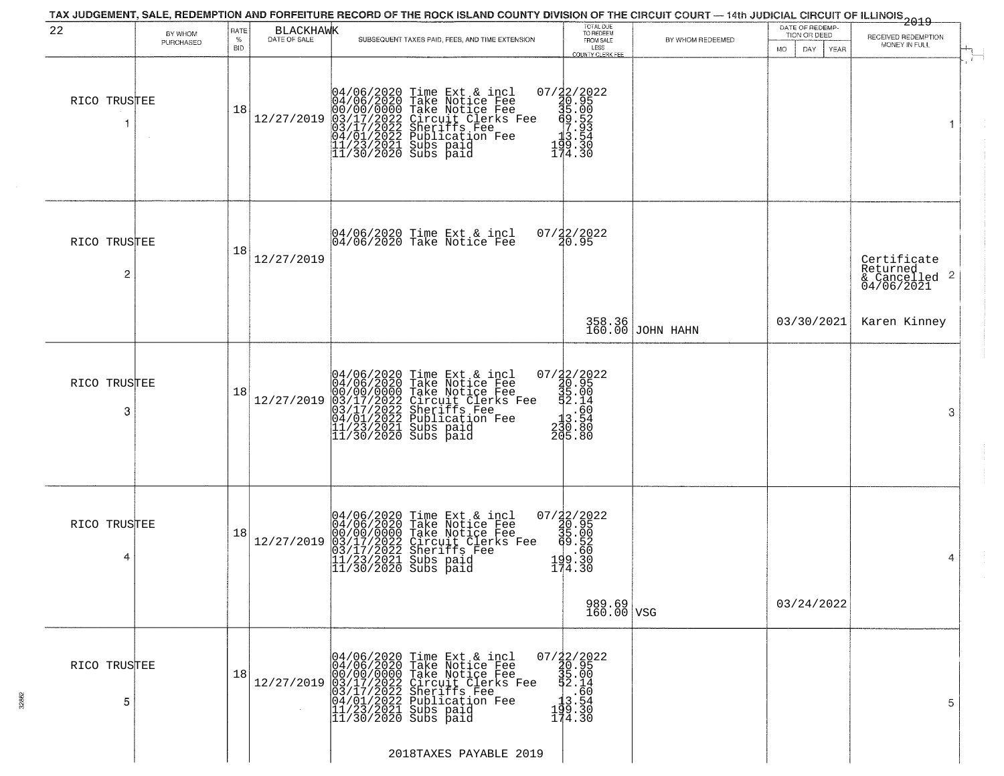| 22                             | BY WHOM   | RATE            | <b>BLACKHAWK</b><br>DATE OF SALE | TAX JUDGEMENT, SALE, REDEMPTION AND FORFEITURE RECORD OF THE ROCK ISLAND COUNTY DIVISION OF THE CIRCUIT COURT — 14th JUDICIAL CIRCUIT OF ILLINOIS 2019                                                                                | TOTAL DUE<br>TO REDEEM<br>FROM SALE                                                                                                                                                                                                                                                                                                                                                                                                  |                            | DATE OF REDEMP<br>TION OR DEED | RECEIVED REDEMPTION                                       |
|--------------------------------|-----------|-----------------|----------------------------------|---------------------------------------------------------------------------------------------------------------------------------------------------------------------------------------------------------------------------------------|--------------------------------------------------------------------------------------------------------------------------------------------------------------------------------------------------------------------------------------------------------------------------------------------------------------------------------------------------------------------------------------------------------------------------------------|----------------------------|--------------------------------|-----------------------------------------------------------|
|                                | PURCHASED | %<br><b>BID</b> |                                  | SUBSEQUENT TAXES PAID, FEES, AND TIME EXTENSION                                                                                                                                                                                       | LESS<br>COUNTY CLERK FEE                                                                                                                                                                                                                                                                                                                                                                                                             | BY WHOM REDEEMED           | MO.<br>DAY.<br>YEAR            | MONEY IN FULL                                             |
| RICO TRUSTEE                   |           | 18              | 12/27/2019                       | 04/06/2020 Time Ext & incl<br>04/06/2020 Take Notice Fee<br>00/00/00/000 Take Notice Fee<br>03/17/2022 Circuit Clerks Fee<br>04/01/2022 Denrifts Fee<br>04/01/2022 Publication Fee<br>11/23/2021 Subs paid<br>11/30/2020 Subs paid    | $\begin{array}{r} 07 \overline{)2} \\ 2 \overline{)3} \\ 4 \overline{)3} \\ 5 \overline{)5} \\ 6 \overline{)5} \\ 1 \overline{)5} \\ 1 \overline{)5} \\ 1 \overline{)5} \\ 1 \overline{)5} \\ 1 \overline{)5} \\ 1 \overline{)5} \\ 1 \overline{)5} \\ 1 \overline{)5} \\ 1 \overline{)5} \\ 1 \overline{)5} \\ 1 \overline{)5} \\ 1 \overline{)5} \\ 1 \overline{)5} \\ 1 \overline{)5} \\ 1 \overline{)5} \\ 1 \overline{)5} \\ 1$ |                            |                                | 1                                                         |
| RICO TRUSTEE<br>$\overline{c}$ |           | 18              | 12/27/2019                       | 04/06/2020 Time Ext & incl<br>04/06/2020 Take Notice Fee                                                                                                                                                                              | 07/32/2022<br>20.95                                                                                                                                                                                                                                                                                                                                                                                                                  |                            |                                | Certificate<br>Returned<br>& Cancelled<br>04/06/2021<br>2 |
|                                |           |                 |                                  |                                                                                                                                                                                                                                       |                                                                                                                                                                                                                                                                                                                                                                                                                                      | 358.36<br>160.00 JOHN HAHN | 03/30/2021                     | Karen Kinney                                              |
| RICO TRUSTEE<br>3              |           | 18              | 12/27/2019                       | 04/06/2020 Time Ext & incl<br>04/06/2020 Take Notice Fee<br>00/00/00/000 Take Notice Fee<br>03/17/2022 Circuit Clerks Fee<br>03/17/2022 Sublication Fee<br>04/01/2022 Publication Fee<br>11/23/2021 Subs paid<br>11/30/2020 Subs paid | 07/22/2022<br>30.95<br>35.00<br>34.14<br>.60<br>!3.54<br>230.80<br>205.80                                                                                                                                                                                                                                                                                                                                                            |                            |                                | 3                                                         |
| RICO TRUSTEE<br>4              |           | 18              | 12/27/2019                       | 04/06/2020 Time Ext & incl<br>04/06/2020 Take Notice Fee<br>00/00/00000 Take Notice Fee<br>03/17/2022 Circuit Clerks Fee<br>11/23/2021 Subs paid<br>11/30/2020 Subs paid<br>11/30/2020 Subs paid                                      | 07/22/2022<br>20.95<br>36.00<br>39.52<br>.60<br>199.30<br>174.30                                                                                                                                                                                                                                                                                                                                                                     |                            |                                | 4                                                         |
|                                |           |                 |                                  |                                                                                                                                                                                                                                       | $989.69 \n160.00 \nVSG$                                                                                                                                                                                                                                                                                                                                                                                                              |                            | 03/24/2022                     |                                                           |
| RICO TRUSTEE<br>5              |           | 18              | 12/27/2019                       | 04/06/2020 Time Ext & incl<br>04/06/2020 Take Notice Fee<br>00/00/00/000 Take Notice Fee<br>03/17/2022 Circuit Clerks Fee<br>03/17/2022 Sublication Fee<br>04/01/2022 Publication Fee<br>11/23/2021 Subs paid<br>11/30/2020 Subs paid | 07/22/2022<br>20.95<br>35.00<br>34.14<br>$1\overline{)3.54}$<br>$1\overline{)3.54}$<br>$1\overline{)4.30}$                                                                                                                                                                                                                                                                                                                           |                            |                                | 5                                                         |
|                                |           |                 |                                  | 2018TAXES PAYABLE 2019                                                                                                                                                                                                                |                                                                                                                                                                                                                                                                                                                                                                                                                                      |                            |                                |                                                           |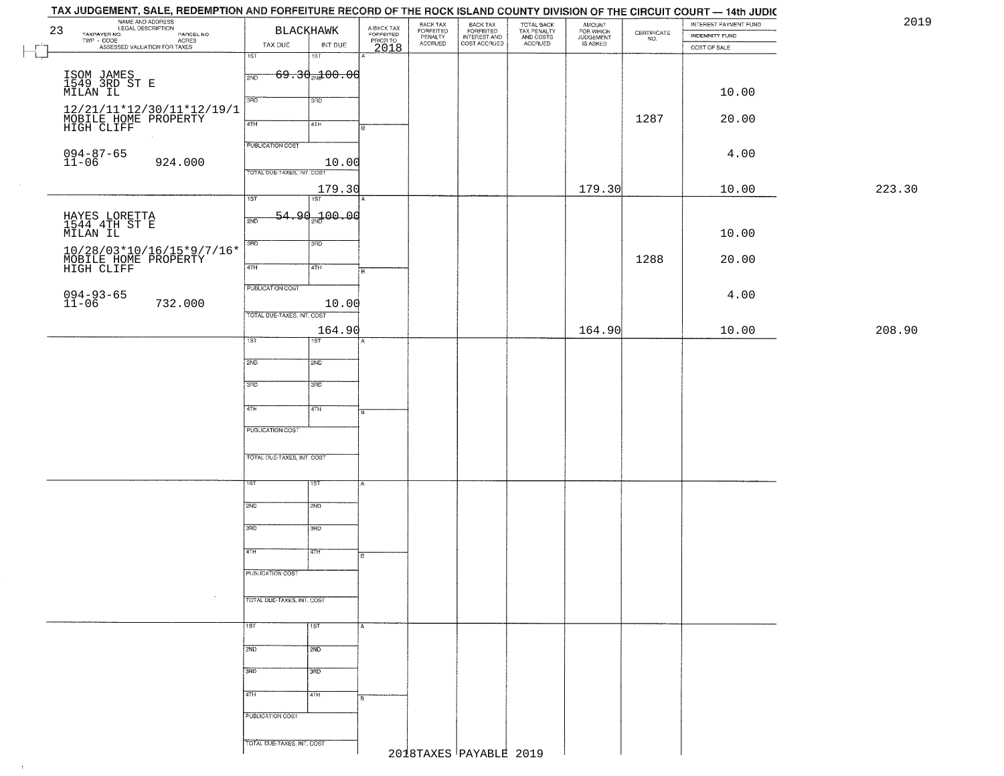| NAME AND ADDRESS<br>LEGAL DESCRIPTION<br>23<br>TAXPAYER NO.                       | <b>BLACKHAWK</b>                           |         | A-BACK TAX<br>FORFEITED<br>PRIOR TO | BACK TAX<br>FORFEITED<br>PENALTY | BACK TAX<br>FORFEITED<br>INTEREST AND<br>COST ACCRUED | TOTAL BACK<br>TAX PENALTY<br>AND COSTS<br>ACCRUED | AMOUNT<br>FOR WHICH<br>JUDGEMENT<br>IS ASKED | $\begin{array}{c} \text{CERTIFICATE} \\ \text{NO.} \end{array}$ | INTEREST PAYMENT FUND<br>INDEMNITY FUND | 2019   |
|-----------------------------------------------------------------------------------|--------------------------------------------|---------|-------------------------------------|----------------------------------|-------------------------------------------------------|---------------------------------------------------|----------------------------------------------|-----------------------------------------------------------------|-----------------------------------------|--------|
| ECONOMIC DESCRIPTION PARCEL NO.<br>- CODE ACRES<br>- ASSESSED VALUATION FOR TAXES | TAX DUE                                    | INT DUE | 2018                                | <b>ACCRUED</b>                   |                                                       |                                                   |                                              |                                                                 | COST OF SALE                            |        |
|                                                                                   | 18T<br>$\overline{1ST}$                    |         |                                     |                                  |                                                       |                                                   |                                              |                                                                 |                                         |        |
| ISOM JAMES<br>1549 3RD ST E<br>MILAN IL                                           | <del>69.30<sub>2№</sub>100.00</del><br>2ND |         |                                     |                                  |                                                       |                                                   |                                              |                                                                 |                                         |        |
|                                                                                   | 3RD<br>3RD                                 |         |                                     |                                  |                                                       |                                                   |                                              |                                                                 | 10.00                                   |        |
| 12/21/11*12/30/11*12/19/1<br>MOBILE HOME PROPERTY                                 |                                            |         |                                     |                                  |                                                       |                                                   |                                              | 1287                                                            | 20.00                                   |        |
| HIGH CLIFF                                                                        | 4TH<br>4TH                                 |         |                                     |                                  |                                                       |                                                   |                                              |                                                                 |                                         |        |
|                                                                                   | <b>PUBLICATION COST</b>                    |         |                                     |                                  |                                                       |                                                   |                                              |                                                                 | 4.00                                    |        |
| $094 - 87 - 65$<br>11-06<br>924.000                                               | TOTAL DUE-TAXES, INT. COST                 | 10.00   |                                     |                                  |                                                       |                                                   |                                              |                                                                 |                                         |        |
|                                                                                   |                                            | 179.30  |                                     |                                  |                                                       |                                                   | 179.30                                       |                                                                 | 10.00                                   | 223.30 |
|                                                                                   | 1ST<br>1ST                                 |         |                                     |                                  |                                                       |                                                   |                                              |                                                                 |                                         |        |
| HAYES LORETTA<br>1544 4TH ST E<br>MILAN IL                                        | <del>54.90.100.00</del><br>2ND             |         |                                     |                                  |                                                       |                                                   |                                              |                                                                 | 10.00                                   |        |
| 10/28/03*10/16/15*9/7/16*                                                         | 3RD<br>3BD                                 |         |                                     |                                  |                                                       |                                                   |                                              |                                                                 |                                         |        |
| MOBĪLE HOMĚ PŘÓPĚRTÝ<br>HIGH CLIFF                                                | 47H<br>4TH                                 |         | $\overline{B}$                      |                                  |                                                       |                                                   |                                              | 1288                                                            | 20.00                                   |        |
|                                                                                   | PUBLICATION COST                           |         |                                     |                                  |                                                       |                                                   |                                              |                                                                 |                                         |        |
| $094 - 93 - 65$<br>11-06<br>732.000                                               |                                            | 10.00   |                                     |                                  |                                                       |                                                   |                                              |                                                                 | 4.00                                    |        |
|                                                                                   | TOTAL DUE-TAXES, INT. COST                 |         |                                     |                                  |                                                       |                                                   |                                              |                                                                 |                                         |        |
|                                                                                   | 1ST<br>1ST                                 | 164.90  | А                                   |                                  |                                                       |                                                   | 164.90                                       |                                                                 | 10.00                                   | 208.90 |
|                                                                                   | 2ND<br>2ND                                 |         |                                     |                                  |                                                       |                                                   |                                              |                                                                 |                                         |        |
|                                                                                   |                                            |         |                                     |                                  |                                                       |                                                   |                                              |                                                                 |                                         |        |
|                                                                                   | 3RD<br>3RD                                 |         |                                     |                                  |                                                       |                                                   |                                              |                                                                 |                                         |        |
|                                                                                   | 4TH<br>4TH                                 |         |                                     |                                  |                                                       |                                                   |                                              |                                                                 |                                         |        |
|                                                                                   | <b>PUBLICATION COST</b>                    |         |                                     |                                  |                                                       |                                                   |                                              |                                                                 |                                         |        |
|                                                                                   |                                            |         |                                     |                                  |                                                       |                                                   |                                              |                                                                 |                                         |        |
|                                                                                   | TOTAL OUE-TAXES, INT. COST                 |         |                                     |                                  |                                                       |                                                   |                                              |                                                                 |                                         |        |
|                                                                                   | 15T<br>1ST                                 |         |                                     |                                  |                                                       |                                                   |                                              |                                                                 |                                         |        |
|                                                                                   | 2ND<br>2ND                                 |         |                                     |                                  |                                                       |                                                   |                                              |                                                                 |                                         |        |
|                                                                                   | 3RD<br>3BD                                 |         |                                     |                                  |                                                       |                                                   |                                              |                                                                 |                                         |        |
|                                                                                   |                                            |         |                                     |                                  |                                                       |                                                   |                                              |                                                                 |                                         |        |
|                                                                                   | 4TH<br>47H                                 |         | B.                                  |                                  |                                                       |                                                   |                                              |                                                                 |                                         |        |
|                                                                                   | PUBLICATION COST                           |         |                                     |                                  |                                                       |                                                   |                                              |                                                                 |                                         |        |
| $\sim$                                                                            | TOTAL DUE-TAXES, INT. COST                 |         |                                     |                                  |                                                       |                                                   |                                              |                                                                 |                                         |        |
|                                                                                   |                                            |         |                                     |                                  |                                                       |                                                   |                                              |                                                                 |                                         |        |
|                                                                                   | 1ST<br>$\overline{1}$ 1st                  |         |                                     |                                  |                                                       |                                                   |                                              |                                                                 |                                         |        |
|                                                                                   | 2ND<br>2ND                                 |         |                                     |                                  |                                                       |                                                   |                                              |                                                                 |                                         |        |
|                                                                                   | 3BD<br>3 <sub>RD</sub>                     |         |                                     |                                  |                                                       |                                                   |                                              |                                                                 |                                         |        |
|                                                                                   |                                            |         |                                     |                                  |                                                       |                                                   |                                              |                                                                 |                                         |        |
|                                                                                   | 4TH<br>4TH                                 |         |                                     |                                  |                                                       |                                                   |                                              |                                                                 |                                         |        |
|                                                                                   | PUBLICATION COST                           |         |                                     |                                  |                                                       |                                                   |                                              |                                                                 |                                         |        |
|                                                                                   |                                            |         |                                     |                                  |                                                       |                                                   |                                              |                                                                 |                                         |        |
|                                                                                   | TOTAL DUE-TAXES, INT. COST                 |         |                                     |                                  | 2018TAXES PAYABLE 2019                                |                                                   |                                              |                                                                 |                                         |        |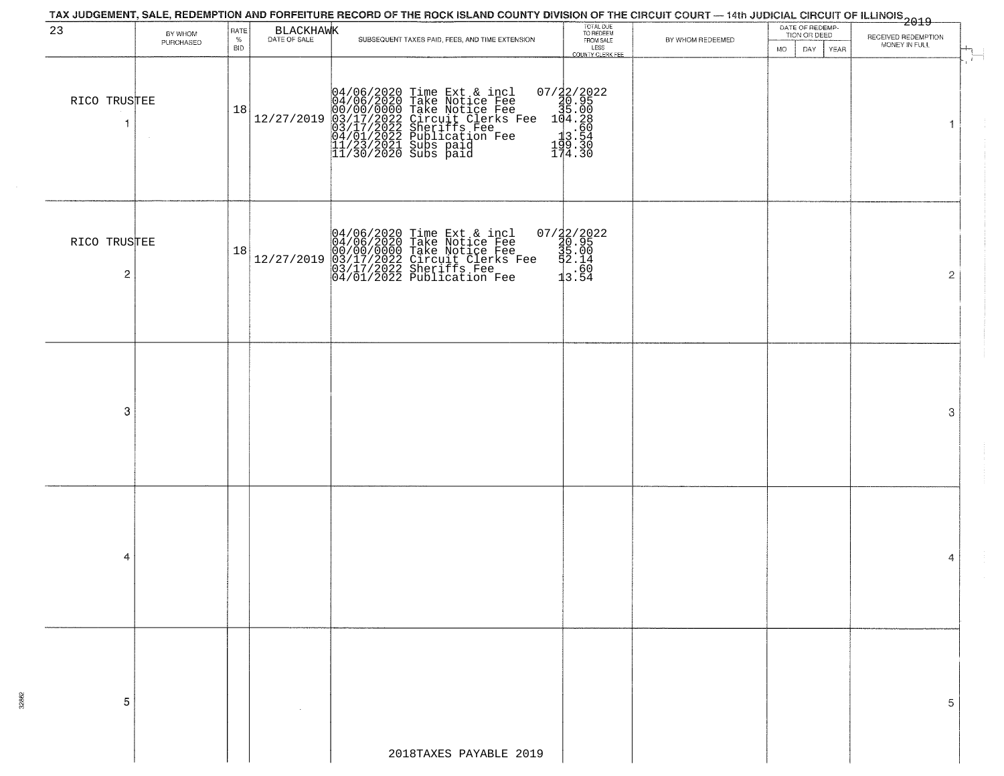| 23                | BY WHOM   | RATE<br>$\%$ | BLACKHAWK  | SUBSEQUENT TAXES PAID, FEES, AND TIME EXTENSION                                                                                                                                                                                    | TOTAL DUE<br>TO REDEEM                                                |                  | DATE OF REDEMP-<br>TION OR DEED |             | RECEIVED REDEMPTION |
|-------------------|-----------|--------------|------------|------------------------------------------------------------------------------------------------------------------------------------------------------------------------------------------------------------------------------------|-----------------------------------------------------------------------|------------------|---------------------------------|-------------|---------------------|
|                   | PURCHASED | BID          |            |                                                                                                                                                                                                                                    | FROM SALE<br>LESS<br>COUNTY CLERK FEE                                 | BY WHOM REDEEMED | <b>MO</b><br>DAY -              | <b>YEAR</b> | MONEY IN FULL       |
| RICO TRUSTEE<br>1 |           | 18           | 12/27/2019 | 04/06/2020 Time Ext & incl 0<br>04/06/2020 Take Notice Fee<br>00/00/0000 Take Notice Fee<br>03/17/2022 Circuit Clerks Fee<br>03/17/2022 Sheriffs Fee<br>04/01/2022 Publication Fee<br>11/23/2021 Subs paid<br>11/30/2020 Subs paid | 07/22/2022<br>30.95<br>35.00<br>e 104.28<br>13.54<br>199.30<br>174.30 |                  |                                 |             | $\mathbf{f}$<br>1   |
| RICO TRUSTEE<br>2 |           | 18           | 12/27/2019 | 04/06/2020 Time Ext & incl<br>04/06/2020 Take Notice Fee<br>00/00/0000 Take Notice Fee<br>00/00/0000 Take Notice Fee<br>03/17/2022 Sheriffs Fee<br>04/01/2022 Publication Fee                                                      | 07/22/2022<br>30.95<br>35.00<br>34.14<br>$\frac{3}{13.54}$            |                  |                                 |             | $\overline{2}$      |
| З                 |           |              |            |                                                                                                                                                                                                                                    |                                                                       |                  |                                 |             | 3                   |
| 4                 |           |              |            |                                                                                                                                                                                                                                    |                                                                       |                  |                                 |             | 4                   |
| 5                 |           |              |            | 2018TAXES PAYABLE 2019                                                                                                                                                                                                             |                                                                       |                  |                                 |             | 5                   |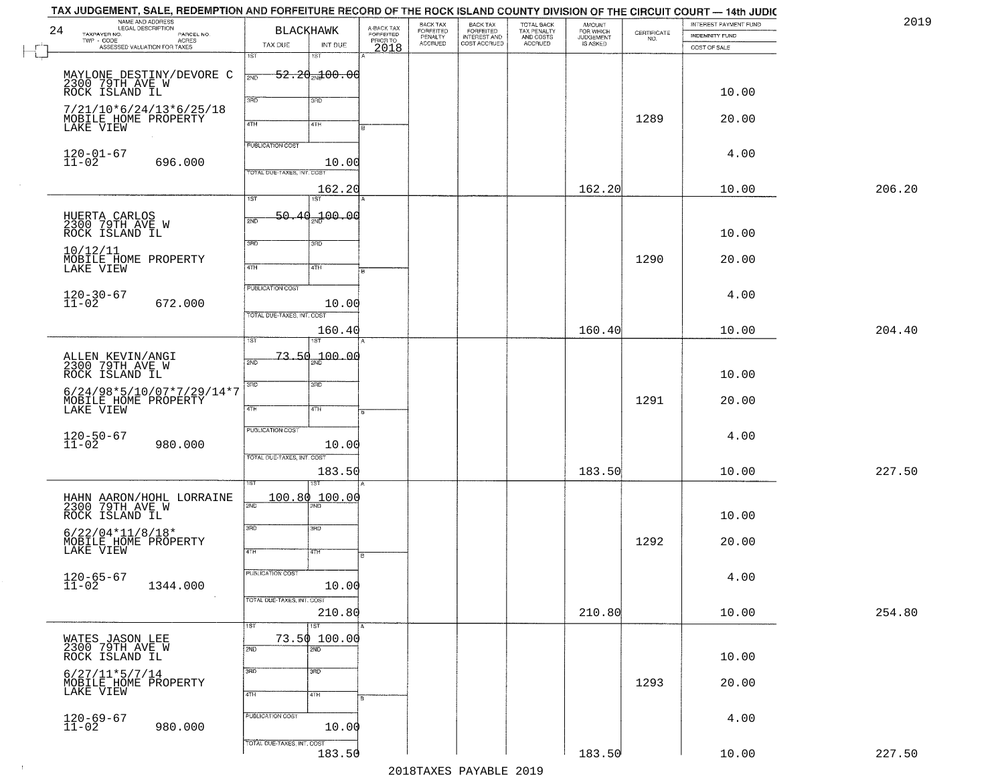| NAME AND ADDRESS<br>LEGAL DESCRIPTION<br>24<br>TAXPAYER NO.   | PARCEL NO. |                            | <b>BLACKHAWK</b>                      | A-BACK TAX<br>FORFEITED<br>PRIOR TO | BACK TAX<br>FORFEITED<br>PENALTY | BACK TAX<br>FORFEITED<br>INTEREST AND | TOTAL BACK<br>TAX PENALTY<br>AND COSTS | AMOUNT<br>FOR WHICH<br>JUDGEMENT | $\begin{array}{c} \text{CERTIFICATE} \\ \text{NO.} \end{array}$ | INTEREST PAYMENT FUND<br>INDEMNITY FUND |  |
|---------------------------------------------------------------|------------|----------------------------|---------------------------------------|-------------------------------------|----------------------------------|---------------------------------------|----------------------------------------|----------------------------------|-----------------------------------------------------------------|-----------------------------------------|--|
| CODE<br>ASSESSED VALUATION FOR TAXES<br>$TWP - CODE$          |            | TAX DUE                    | INT DUE                               | 2018                                | <b>ACCRUED</b>                   | COST ACCRUED                          | ACCRUED                                | IS ASKED                         |                                                                 | COST OF SALE                            |  |
|                                                               |            | 1ST                        | 1ST                                   |                                     |                                  |                                       |                                        |                                  |                                                                 |                                         |  |
|                                                               |            | 2ND                        | - <del>52.20<sub>2N</sub>100.00</del> |                                     |                                  |                                       |                                        |                                  |                                                                 |                                         |  |
| MAYLONE DESTINY/DEVORE C<br>2300 79TH AVE W<br>ROCK ISLAND IL |            |                            |                                       |                                     |                                  |                                       |                                        |                                  |                                                                 | 10.00                                   |  |
|                                                               |            | 3BD                        | 3RD                                   |                                     |                                  |                                       |                                        |                                  |                                                                 |                                         |  |
| $7/21/10*6/24/13*6/25/18$<br>MOBILE HOME PROPERTY             |            |                            |                                       |                                     |                                  |                                       |                                        |                                  | 1289                                                            | 20.00                                   |  |
| LAKE VIEW                                                     |            | 4TH                        | 41H                                   |                                     |                                  |                                       |                                        |                                  |                                                                 |                                         |  |
|                                                               |            | <b>PUBLICATION COST</b>    |                                       |                                     |                                  |                                       |                                        |                                  |                                                                 |                                         |  |
| $120 - 01 - 67$<br>$11 - 02$                                  | 696.000    |                            | 10.00                                 |                                     |                                  |                                       |                                        |                                  |                                                                 | 4.00                                    |  |
|                                                               |            | TOTAL DUE-TAXES, INT. COST |                                       |                                     |                                  |                                       |                                        |                                  |                                                                 |                                         |  |
|                                                               |            |                            | 162.20                                |                                     |                                  |                                       |                                        | 162.20                           |                                                                 | 10.00                                   |  |
|                                                               |            | 1ST                        | 1ST                                   |                                     |                                  |                                       |                                        |                                  |                                                                 |                                         |  |
| HUERTA CARLOS<br>2300 79TH AVE W                              |            | $50 -$<br>2ND              | 00.00 <del>% 4</del> 04-              |                                     |                                  |                                       |                                        |                                  |                                                                 |                                         |  |
| ROCK ISLAND IL                                                |            |                            |                                       |                                     |                                  |                                       |                                        |                                  |                                                                 | 10.00                                   |  |
| 10/12/11                                                      |            | $\overline{3BD}$           | 3RD                                   |                                     |                                  |                                       |                                        |                                  |                                                                 |                                         |  |
| MOBILE HOME PROPERTY<br>LAKE VIEW                             |            | $\overline{47H}$           | 4TH                                   |                                     |                                  |                                       |                                        |                                  | 1290                                                            | 20.00                                   |  |
|                                                               |            |                            |                                       |                                     |                                  |                                       |                                        |                                  |                                                                 |                                         |  |
| $120 - 30 - 67$<br>$11 - 02$                                  |            | PUBLICATION COST           |                                       |                                     |                                  |                                       |                                        |                                  |                                                                 | 4.00                                    |  |
|                                                               | 672.000    | TOTAL DUE-TAXES, INT. COST | 10.00                                 |                                     |                                  |                                       |                                        |                                  |                                                                 |                                         |  |
|                                                               |            |                            | 160.40                                |                                     |                                  |                                       |                                        | 160.40                           |                                                                 | 10.00                                   |  |
|                                                               |            | 1ST                        |                                       |                                     |                                  |                                       |                                        |                                  |                                                                 |                                         |  |
|                                                               |            |                            | $73.50_{\text{m}1}00.00$              |                                     |                                  |                                       |                                        |                                  |                                                                 |                                         |  |
| ALLEN KEVIN/ANGI<br>2300 79TH AVE W<br>ROCK ISLAND IL         |            | 2ND                        |                                       |                                     |                                  |                                       |                                        |                                  |                                                                 | 10.00                                   |  |
|                                                               |            | 3BD                        | 3RD                                   |                                     |                                  |                                       |                                        |                                  |                                                                 |                                         |  |
| 6/24/98*5/10/07*7/29/14*7<br>MOBILE HOME PROPERTY             |            |                            |                                       |                                     |                                  |                                       |                                        |                                  | 1291                                                            | 20.00                                   |  |
|                                                               |            | 4TH                        | 4TH                                   |                                     |                                  |                                       |                                        |                                  |                                                                 |                                         |  |
|                                                               |            | <b>PUBLICATION COST</b>    |                                       |                                     |                                  |                                       |                                        |                                  |                                                                 | 4.00                                    |  |
| $120 - 50 - 67$<br>$11 - 02$                                  | 980.000    |                            | 10.00                                 |                                     |                                  |                                       |                                        |                                  |                                                                 |                                         |  |
|                                                               |            | TOTAL OUE-TAXES, INT. COST |                                       |                                     |                                  |                                       |                                        |                                  |                                                                 |                                         |  |
|                                                               |            |                            | 183.50                                |                                     |                                  |                                       |                                        | 183.50                           |                                                                 | 10.00                                   |  |
|                                                               |            |                            |                                       |                                     |                                  |                                       |                                        |                                  |                                                                 |                                         |  |
| HAHN AARON/HOHL LORRAINE<br>2300 79TH AVE W                   |            | 100.80<br>2ND              | 100.00                                |                                     |                                  |                                       |                                        |                                  |                                                                 |                                         |  |
| ROCK ISLAND IL                                                |            |                            |                                       |                                     |                                  |                                       |                                        |                                  |                                                                 | 10.00                                   |  |
| $6/22/04*11/8/18*$<br>MOBILE HOME PROPERTY                    |            | 3RD                        | 3BD                                   |                                     |                                  |                                       |                                        |                                  | 1292                                                            | 20.00                                   |  |
| LAKE VIEW                                                     |            | 4TH                        | 47H                                   | в                                   |                                  |                                       |                                        |                                  |                                                                 |                                         |  |
|                                                               |            | PUBLICATION COST           |                                       |                                     |                                  |                                       |                                        |                                  |                                                                 |                                         |  |
| $120 - 65 - 67$<br>$11 - 02$                                  | 1344.000   |                            | 10.00                                 |                                     |                                  |                                       |                                        |                                  |                                                                 | 4.00                                    |  |
|                                                               |            | TOTAL DUE-TAXES, INT. COST |                                       |                                     |                                  |                                       |                                        |                                  |                                                                 |                                         |  |
|                                                               |            |                            | 210.80                                |                                     |                                  |                                       |                                        | 210.80                           |                                                                 | 10.00                                   |  |
|                                                               |            | 1ST                        | 1ST                                   |                                     |                                  |                                       |                                        |                                  |                                                                 |                                         |  |
| WATES JASON LEE                                               |            | 2ND                        | 73.50 100.00<br>2ND                   |                                     |                                  |                                       |                                        |                                  |                                                                 |                                         |  |
| 2300 79TH AVE W<br>ROCK ISLAND IL                             |            |                            |                                       |                                     |                                  |                                       |                                        |                                  |                                                                 | 10.00                                   |  |
| $6/27/11*5/7/14$                                              |            | 3RD                        | 3HD                                   |                                     |                                  |                                       |                                        |                                  |                                                                 |                                         |  |
| MOBILE HOME PROPERTY<br>LAKE VIEW                             |            | 4TH                        | 4TH                                   |                                     |                                  |                                       |                                        |                                  | 1293                                                            | 20.00                                   |  |
|                                                               |            |                            |                                       |                                     |                                  |                                       |                                        |                                  |                                                                 |                                         |  |
| $120 - 69 - 67$<br>$11 - 02$                                  |            | PUBLICATION COST           |                                       |                                     |                                  |                                       |                                        |                                  |                                                                 | 4.00                                    |  |
|                                                               | 980.000    |                            | 10.00                                 |                                     |                                  |                                       |                                        |                                  |                                                                 |                                         |  |
|                                                               |            | TOTAL DUE-TAXES, INT. COST |                                       |                                     |                                  |                                       |                                        |                                  |                                                                 |                                         |  |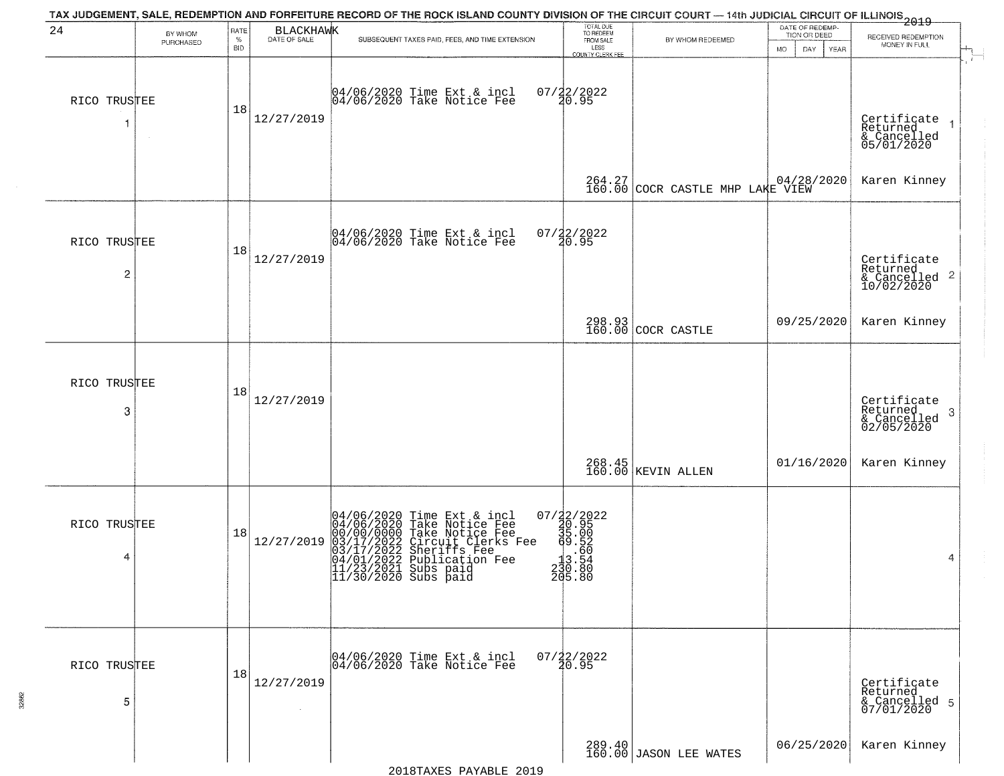| 24                | BY WHOM<br>PURCHASED | RATE<br>$\%$<br><b>BID</b> | <b>BLACKHAWK</b><br>DATE OF SALE | TAX JUDGEMENT, SALE, REDEMPTION AND FORFEITURE RECORD OF THE ROCK ISLAND COUNTY DIVISION OF THE CIRCUIT COURT — 14th JUDICIAL CIRCUIT OF ILLINOIS 2019<br>SUBSEQUENT TAXES PAID, FEES, AND TIME EXTENSION                         | TOTAL DUE<br>TO REDEEM<br>FROM SALE<br>LESS<br><b>COUNTY CLERK FEE</b>          | BY WHOM REDEEMED                 | DATE OF REDEMP-<br>TION OR DEED<br><b>MO</b><br>DAY<br>YEAR | RECEIVED REDEMPTION<br>MONEY IN FULL                                   |
|-------------------|----------------------|----------------------------|----------------------------------|-----------------------------------------------------------------------------------------------------------------------------------------------------------------------------------------------------------------------------------|---------------------------------------------------------------------------------|----------------------------------|-------------------------------------------------------------|------------------------------------------------------------------------|
| RICO TRUSTEE<br>1 | $\sim$               | 18                         | 12/27/2019                       | 04/06/2020 Time Ext & incl<br>04/06/2020 Take Notice Fee                                                                                                                                                                          | $07/22/2022$<br>$30.95$                                                         |                                  |                                                             | Certificate<br>Returned<br>& Cancelled<br>05/01/2020                   |
|                   |                      |                            |                                  |                                                                                                                                                                                                                                   |                                                                                 | 264.27 COCR CASTLE MHP LAKE VIEW |                                                             | Karen Kinney                                                           |
| RICO TRUSTEE<br>2 |                      | 18                         | 12/27/2019                       | 04/06/2020 Time Ext & incl<br>04/06/2020 Take Notice Fee                                                                                                                                                                          | $07/22/2022$<br>20.95                                                           |                                  |                                                             | Certificate<br>Returned<br>$\overline{c}$<br>& Cancelled<br>10/02/2020 |
|                   |                      |                            |                                  |                                                                                                                                                                                                                                   |                                                                                 | 298.93<br>160.00 COCR CASTLE     | 09/25/2020                                                  | Karen Kinney                                                           |
| RICO TRUSTEE<br>3 |                      | 18                         | 12/27/2019                       |                                                                                                                                                                                                                                   |                                                                                 |                                  |                                                             | Certificate<br>Returned<br>3<br>& Cancelled<br>02/05/2020              |
|                   |                      |                            |                                  |                                                                                                                                                                                                                                   |                                                                                 | 268.45<br>160.00 KEVIN ALLEN     | 01/16/2020                                                  | Karen Kinney                                                           |
| RICO TRUSTEE<br>4 |                      | 18                         | 12/27/2019                       | 04/06/2020 Time Ext & incl<br>04/06/2020 Take Notice Fee<br>00/00/00000 Take Notice Fee<br>03/17/2022 Circuit Clerks Fee<br>03/17/2022 Sheriffs Fee<br>04/01/2022 Publication Fee<br>11/23/2021 Subs paid<br>11/30/2020 Subs paid | 07/22/2022<br>30.95<br>35.00<br>a 49.52<br>a - 52<br>230.80<br>230.80<br>205.80 |                                  |                                                             | 4                                                                      |
| RICO TRUSTEE<br>5 |                      | 18                         | 12/27/2019                       | 04/06/2020 Time Ext & incl<br>04/06/2020 Take Notice Fee                                                                                                                                                                          | $07/22/2022$<br>$20.95$                                                         |                                  |                                                             | Certificate<br>Returned<br>& Cancelled 5<br>07/01/2020                 |
|                   |                      |                            |                                  |                                                                                                                                                                                                                                   |                                                                                 | 289.40<br>160.00 JASON LEE WATES | 06/25/2020                                                  | Karen Kinney                                                           |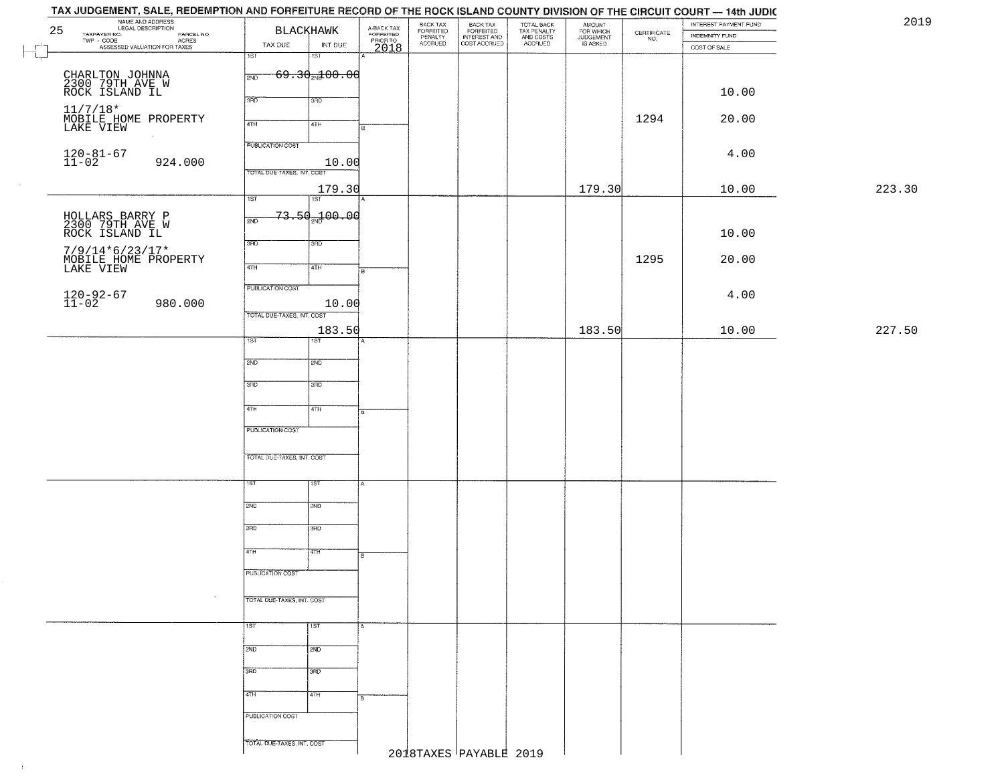| 25           | NAME AND ADDRESS<br>LEGAL DESCRIPTION<br>TAXPAYER NO.<br>PARCEL NO.<br>ACRES<br>TWP - CODE<br>ASSESSED VALUATION FOR TAXES | BLACKHAWK<br>TAX DUE<br>INT DUE       | A-BACK TAX<br>FORFEITED<br>PRIOR TO | BACK TAX<br>FORFEITED<br>PENALTY<br><b>ACCRUED</b> | BACK TAX<br>FORFEITED<br>INTEREST AND<br>COST ACCRUED | TOTAL BACK<br>TAX PENALTY<br>AND COSTS<br>ACCRUED | AMOUNT<br>FOR WHICH<br>JUDGEMENT<br>IS ASKED | $\begin{array}{c} \text{CERTIFICATE} \\ \text{NO.} \end{array}$ | INTEREST PAYMENT FUND<br><b>INDEMNITY FUND</b> | 2019   |
|--------------|----------------------------------------------------------------------------------------------------------------------------|---------------------------------------|-------------------------------------|----------------------------------------------------|-------------------------------------------------------|---------------------------------------------------|----------------------------------------------|-----------------------------------------------------------------|------------------------------------------------|--------|
| $\mathbb{H}$ |                                                                                                                            | 1ST<br>1ST                            | 2018                                |                                                    |                                                       |                                                   |                                              |                                                                 | COST OF SALE                                   |        |
|              |                                                                                                                            | $69.30$ <sub>2N</sub> $200.00$<br>2ND |                                     |                                                    |                                                       |                                                   |                                              |                                                                 |                                                |        |
|              | CHARLTON JOHNNA<br>2300 79TH AVE W<br>ROCK ISLAND IL                                                                       | 3RD<br>3RD                            |                                     |                                                    |                                                       |                                                   |                                              |                                                                 | 10.00                                          |        |
|              |                                                                                                                            |                                       |                                     |                                                    |                                                       |                                                   |                                              | 1294                                                            |                                                |        |
|              | 11/7/18*<br>MOBILE HOME PROPERTY<br>LAKE VIEW                                                                              | 4TH<br>4TH                            | l B                                 |                                                    |                                                       |                                                   |                                              |                                                                 | 20.00                                          |        |
|              |                                                                                                                            | <b>PUBLICATION COST</b>               |                                     |                                                    |                                                       |                                                   |                                              |                                                                 | 4.00                                           |        |
|              | $120 - 81 - 67$<br>$11 - 02$<br>924.000                                                                                    | 10.00<br>TOTAL DUE-TAXES, INT. COST   |                                     |                                                    |                                                       |                                                   |                                              |                                                                 |                                                |        |
|              |                                                                                                                            | 179.30                                |                                     |                                                    |                                                       |                                                   | 179.30                                       |                                                                 | 10.00                                          | 223.30 |
|              |                                                                                                                            | $\overline{1ST}$<br>1ST               |                                     |                                                    |                                                       |                                                   |                                              |                                                                 |                                                |        |
|              | HOLLARS BARRY P<br>2300 79TH AVE W<br>ROCK ISLAND IL                                                                       | $73.50 + 00.00$<br>2ND                |                                     |                                                    |                                                       |                                                   |                                              |                                                                 |                                                |        |
|              |                                                                                                                            | 3RD<br>3RD                            |                                     |                                                    |                                                       |                                                   |                                              |                                                                 | 10.00                                          |        |
|              | 7/9/14*6/23/17*<br>MOBILE HOME PROPERTY<br>LAKE VIEW                                                                       | $\overline{47H}$<br>4TH               |                                     |                                                    |                                                       |                                                   |                                              | 1295                                                            | 20.00                                          |        |
|              |                                                                                                                            |                                       | Fв                                  |                                                    |                                                       |                                                   |                                              |                                                                 |                                                |        |
|              | $120 - 92 - 67$<br>$11 - 02$<br>980.000                                                                                    | PUBLICATION COST<br>10.00             |                                     |                                                    |                                                       |                                                   |                                              |                                                                 | 4.00                                           |        |
|              |                                                                                                                            | TOTAL DUE-TAXES, INT. COST            |                                     |                                                    |                                                       |                                                   |                                              |                                                                 |                                                |        |
|              |                                                                                                                            | 183.50<br>ist.<br>1ST                 |                                     |                                                    |                                                       |                                                   | 183.50                                       |                                                                 | 10.00                                          | 227.50 |
|              |                                                                                                                            |                                       |                                     |                                                    |                                                       |                                                   |                                              |                                                                 |                                                |        |
|              |                                                                                                                            | 2ND<br>2ND                            |                                     |                                                    |                                                       |                                                   |                                              |                                                                 |                                                |        |
|              |                                                                                                                            | 3 <sub>BD</sub><br>3 <sub>3</sub>     |                                     |                                                    |                                                       |                                                   |                                              |                                                                 |                                                |        |
|              |                                                                                                                            | 4TH<br>4TH                            | l B.                                |                                                    |                                                       |                                                   |                                              |                                                                 |                                                |        |
|              |                                                                                                                            | PUBLICATION COST                      |                                     |                                                    |                                                       |                                                   |                                              |                                                                 |                                                |        |
|              |                                                                                                                            |                                       |                                     |                                                    |                                                       |                                                   |                                              |                                                                 |                                                |        |
|              |                                                                                                                            | TOTAL OUE-TAXES, INT. COST            |                                     |                                                    |                                                       |                                                   |                                              |                                                                 |                                                |        |
|              |                                                                                                                            | 15T<br>IST                            |                                     |                                                    |                                                       |                                                   |                                              |                                                                 |                                                |        |
|              |                                                                                                                            | 2ND<br>2ND                            |                                     |                                                    |                                                       |                                                   |                                              |                                                                 |                                                |        |
|              |                                                                                                                            | 3RD<br>3BD                            |                                     |                                                    |                                                       |                                                   |                                              |                                                                 |                                                |        |
|              |                                                                                                                            |                                       |                                     |                                                    |                                                       |                                                   |                                              |                                                                 |                                                |        |
|              |                                                                                                                            | 4TH<br>4TH                            | ۱B.                                 |                                                    |                                                       |                                                   |                                              |                                                                 |                                                |        |
|              |                                                                                                                            | PUBLICATION COST                      |                                     |                                                    |                                                       |                                                   |                                              |                                                                 |                                                |        |
|              | $\sim$                                                                                                                     | TOTAL DUE-TAXES, INT. COST            |                                     |                                                    |                                                       |                                                   |                                              |                                                                 |                                                |        |
|              |                                                                                                                            |                                       |                                     |                                                    |                                                       |                                                   |                                              |                                                                 |                                                |        |
|              |                                                                                                                            | 1ST<br>15T                            | A.                                  |                                                    |                                                       |                                                   |                                              |                                                                 |                                                |        |
|              |                                                                                                                            | 2ND<br>2ND                            |                                     |                                                    |                                                       |                                                   |                                              |                                                                 |                                                |        |
|              |                                                                                                                            | 3BD<br>3 <sub>RD</sub>                |                                     |                                                    |                                                       |                                                   |                                              |                                                                 |                                                |        |
|              |                                                                                                                            | 4TH<br>4TH                            |                                     |                                                    |                                                       |                                                   |                                              |                                                                 |                                                |        |
|              |                                                                                                                            | PUBLICATION COST                      |                                     |                                                    |                                                       |                                                   |                                              |                                                                 |                                                |        |
|              |                                                                                                                            |                                       |                                     |                                                    |                                                       |                                                   |                                              |                                                                 |                                                |        |
|              |                                                                                                                            | TOTAL DUE-TAXES, INT. COST            |                                     |                                                    | 2018TAXES PAYABLE 2019                                |                                                   |                                              |                                                                 |                                                |        |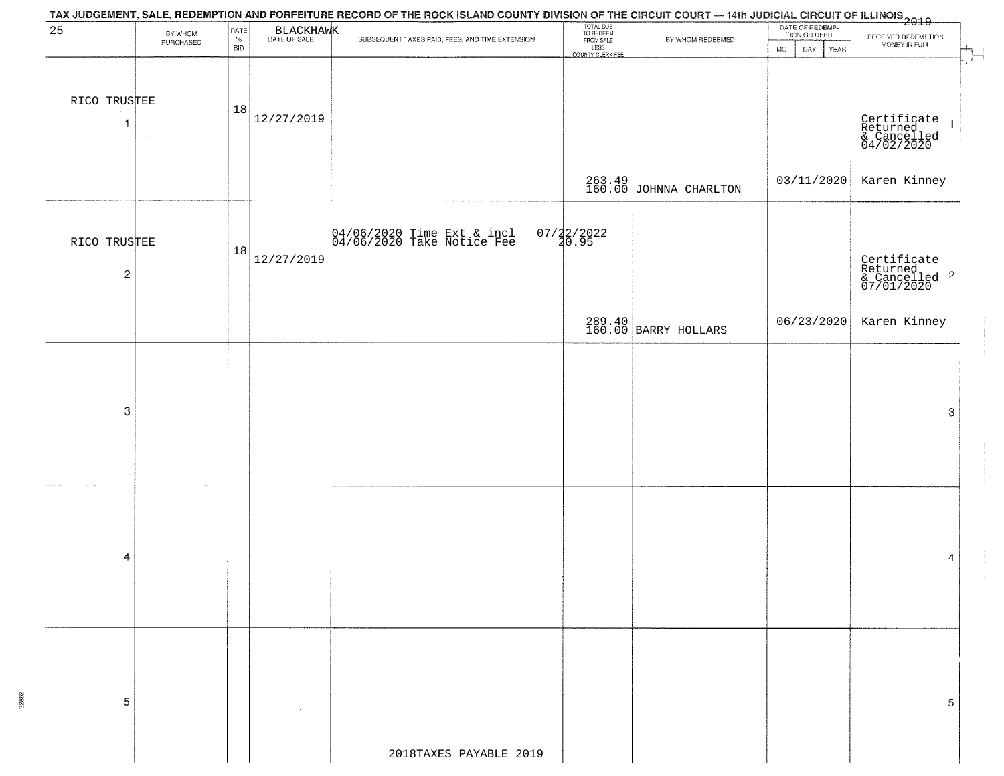| 25                             | BY WHOM<br>PURCHASED | $\ensuremath{\mathsf{PATE}}\xspace_{\%}$<br><b>BID</b> | BLACKHAWK  | SUBSEQUENT TAXES PAID, FEES, AND TIME EXTENSION          | TOTAL DUE<br>TO REDEEM<br>FROM SALE<br>LESS<br>COUNTY CLERK FEE | BY WHOM REDEEMED               | DATE OF REDEMP-<br>TION OR DEED<br>MO.<br>DAY<br>YEAR | RECEIVED REDEMPTION<br>MONEY IN FULL                                      |
|--------------------------------|----------------------|--------------------------------------------------------|------------|----------------------------------------------------------|-----------------------------------------------------------------|--------------------------------|-------------------------------------------------------|---------------------------------------------------------------------------|
| RICO TRUSTEE<br>$\overline{1}$ |                      | 18                                                     | 12/27/2019 |                                                          |                                                                 |                                |                                                       | $\mathcal{X}$<br>Certificate 1<br>Returned 1<br>& Cancelled<br>04/02/2020 |
|                                |                      |                                                        |            |                                                          |                                                                 | $263.49$ JOHNNA CHARLTON       | 03/11/2020                                            | Karen Kinney                                                              |
| RICO TRUSTEE<br>$\sqrt{2}$     |                      | 18                                                     | 12/27/2019 | 04/06/2020 Time Ext & incl<br>04/06/2020 Take Notice Fee | $07/22/2022$<br>$20.95$                                         |                                |                                                       | Certificate<br>Returned<br>& Cancelled <sup>2</sup><br>07/01/2020         |
|                                |                      |                                                        |            |                                                          |                                                                 | 289.40<br>160.00 BARRY HOLLARS | 06/23/2020                                            | Karen Kinney                                                              |
| $\boldsymbol{3}$               |                      |                                                        |            |                                                          |                                                                 |                                |                                                       | 3                                                                         |
| 4                              |                      |                                                        |            |                                                          |                                                                 |                                |                                                       | 4                                                                         |
| 5                              |                      |                                                        |            | 2018TAXES PAYABLE 2019                                   |                                                                 |                                |                                                       | 5                                                                         |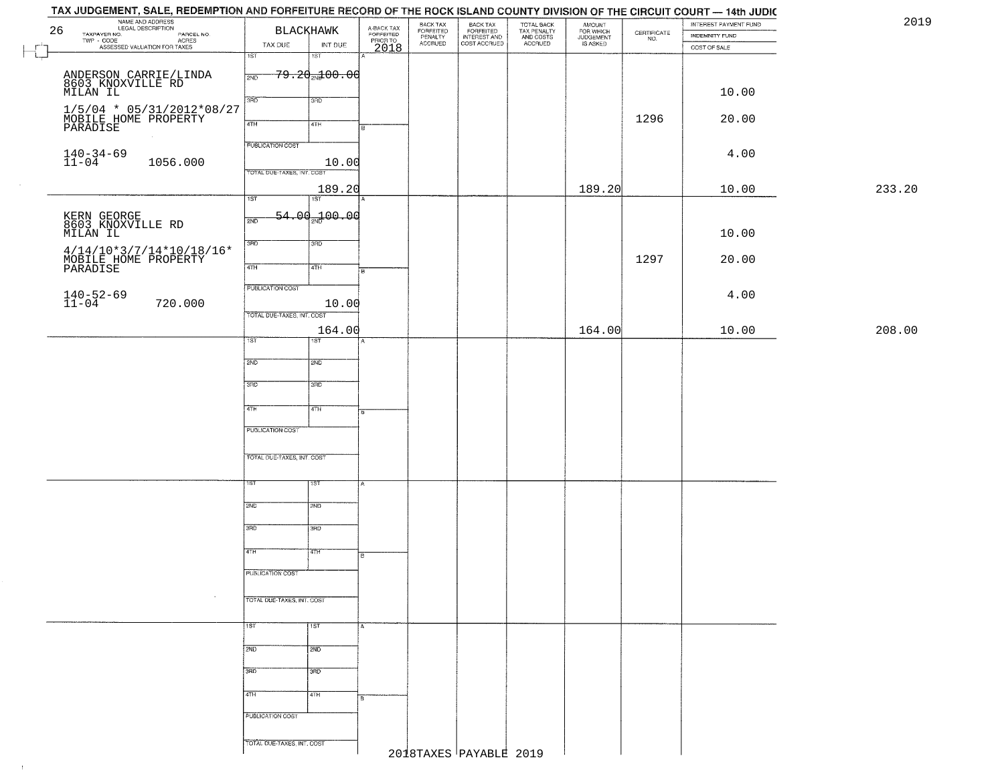|        | INTEREST PAYMENT FUND<br><b>INDEMNITY FUND</b> | $\begin{array}{c} \text{CERTIFICATE} \\ \text{NO.} \end{array}$ | AMOUNT<br>FOR WHICH<br>JUDGEMENT<br>IS ASKED | TOTAL BACK<br>TAX PENALTY<br>AND COSTS<br>ACCRUED | BACK TAX<br>FORFEITED<br>INTEREST AND<br>COST ACCRUED | BACK TAX<br>FORFEITED<br>PENALTY | A-BACK TAX<br>FORFEITED<br>PRIOR TO |                                | <b>BLACKHAWK</b>           | NAME AND ADDRESS<br>LEGAL DESCRIPTION<br>26<br>TAXPAYER NO.                       |
|--------|------------------------------------------------|-----------------------------------------------------------------|----------------------------------------------|---------------------------------------------------|-------------------------------------------------------|----------------------------------|-------------------------------------|--------------------------------|----------------------------|-----------------------------------------------------------------------------------|
|        | COST OF SALE                                   |                                                                 |                                              |                                                   |                                                       | <b>ACCRUED</b>                   | 2018                                | INT DUE                        | TAX DUE                    | ECONOMIC DESCRIPTION PARCEL NO.<br>- CODE ACRES<br>- ASSESSED VALUATION FOR TAXES |
|        |                                                |                                                                 |                                              |                                                   |                                                       |                                  |                                     | 18T                            | 1ST                        |                                                                                   |
|        |                                                |                                                                 |                                              |                                                   |                                                       |                                  |                                     | $79.20$ <sub>2N</sub> $100.00$ | 2ND                        | ANDERSON CARRIE/LINDA<br>8603 KNOXVILLE RD                                        |
|        | 10.00                                          |                                                                 |                                              |                                                   |                                                       |                                  |                                     |                                |                            | MILAN IL                                                                          |
|        |                                                |                                                                 |                                              |                                                   |                                                       |                                  |                                     | 3RD                            | 3BD                        | $1/5/04$ * 05/31/2012*08/27                                                       |
|        | 20.00                                          | 1296                                                            |                                              |                                                   |                                                       |                                  |                                     | 4TH                            | 4TH                        | MOBILE HOME PROPERTY<br>PARADISE                                                  |
|        |                                                |                                                                 |                                              |                                                   |                                                       |                                  |                                     |                                | <b>PUBLICATION COST</b>    |                                                                                   |
|        | 4.00                                           |                                                                 |                                              |                                                   |                                                       |                                  |                                     |                                |                            | $140 - 34 - 69$<br>$11 - 04$                                                      |
|        |                                                |                                                                 |                                              |                                                   |                                                       |                                  |                                     | 10.00                          | TOTAL DUE-TAXES, INT. COST | 1056.000                                                                          |
| 233.20 | 10.00                                          |                                                                 | 189.20                                       |                                                   |                                                       |                                  |                                     | 189.20                         |                            |                                                                                   |
|        |                                                |                                                                 |                                              |                                                   |                                                       |                                  |                                     | 1ST                            | $\overline{1ST}$           |                                                                                   |
|        |                                                |                                                                 |                                              |                                                   |                                                       |                                  |                                     | $54.00 + 00.00$                | 2ND                        | KERN GEORGE<br>8603 KNOXVILLE RD                                                  |
|        | 10.00                                          |                                                                 |                                              |                                                   |                                                       |                                  |                                     | 3RD                            | 3BD                        | MILAN IL                                                                          |
|        |                                                |                                                                 |                                              |                                                   |                                                       |                                  |                                     |                                |                            | $4/14/10*3/7/14*10/18/16*$                                                        |
|        | 20.00                                          | 1297                                                            |                                              |                                                   |                                                       |                                  | īв                                  | 4TH                            | 47H                        | MOBILE HOME PROPERTY                                                              |
|        |                                                |                                                                 |                                              |                                                   |                                                       |                                  |                                     |                                | PUBLICATION COST           |                                                                                   |
|        | 4.00                                           |                                                                 |                                              |                                                   |                                                       |                                  |                                     | 10.00                          |                            | $140 - 52 - 69$<br>11-04<br>720.000                                               |
|        |                                                |                                                                 |                                              |                                                   |                                                       |                                  |                                     |                                | TOTAL DUE-TAXES, INT. COST |                                                                                   |
| 208.00 | 10.00                                          |                                                                 | 164.00                                       |                                                   |                                                       |                                  |                                     | 164.00<br>1ST                  | 1ST                        |                                                                                   |
|        |                                                |                                                                 |                                              |                                                   |                                                       |                                  |                                     |                                |                            |                                                                                   |
|        |                                                |                                                                 |                                              |                                                   |                                                       |                                  |                                     | 2ND                            | 2ND                        |                                                                                   |
|        |                                                |                                                                 |                                              |                                                   |                                                       |                                  |                                     | 3BD                            | 3 <sub>BD</sub>            |                                                                                   |
|        |                                                |                                                                 |                                              |                                                   |                                                       |                                  |                                     | 4TH                            | 4TH                        |                                                                                   |
|        |                                                |                                                                 |                                              |                                                   |                                                       |                                  |                                     |                                |                            |                                                                                   |
|        |                                                |                                                                 |                                              |                                                   |                                                       |                                  |                                     |                                | PUBLICATION COST           |                                                                                   |
|        |                                                |                                                                 |                                              |                                                   |                                                       |                                  |                                     |                                | TOTAL OUE-TAXES, INT. COST |                                                                                   |
|        |                                                |                                                                 |                                              |                                                   |                                                       |                                  |                                     |                                |                            |                                                                                   |
|        |                                                |                                                                 |                                              |                                                   |                                                       |                                  |                                     | १९४                            | 1ST                        |                                                                                   |
|        |                                                |                                                                 |                                              |                                                   |                                                       |                                  |                                     | 2ND                            | 2ND                        |                                                                                   |
|        |                                                |                                                                 |                                              |                                                   |                                                       |                                  |                                     |                                |                            |                                                                                   |
|        |                                                |                                                                 |                                              |                                                   |                                                       |                                  |                                     | $\overline{3BD}$               | 3RD                        |                                                                                   |
|        |                                                |                                                                 |                                              |                                                   |                                                       |                                  | B.                                  | 4TH                            | 4TH                        |                                                                                   |
|        |                                                |                                                                 |                                              |                                                   |                                                       |                                  |                                     |                                | PUBLICATION COST           |                                                                                   |
|        |                                                |                                                                 |                                              |                                                   |                                                       |                                  |                                     |                                |                            |                                                                                   |
|        |                                                |                                                                 |                                              |                                                   |                                                       |                                  |                                     |                                | TOTAL DUE-TAXES, INT. COST | $\cdot$                                                                           |
|        |                                                |                                                                 |                                              |                                                   |                                                       |                                  |                                     |                                |                            |                                                                                   |
|        |                                                |                                                                 |                                              |                                                   |                                                       |                                  |                                     | 1ST                            | 15T                        |                                                                                   |
|        |                                                |                                                                 |                                              |                                                   |                                                       |                                  |                                     | 2ND                            | 2ND                        |                                                                                   |
|        |                                                |                                                                 |                                              |                                                   |                                                       |                                  |                                     | 3 <sub>BD</sub>                | 3RD                        |                                                                                   |
|        |                                                |                                                                 |                                              |                                                   |                                                       |                                  |                                     |                                |                            |                                                                                   |
|        |                                                |                                                                 |                                              |                                                   |                                                       |                                  |                                     | 4TH                            | 4TH                        |                                                                                   |
|        |                                                |                                                                 |                                              |                                                   |                                                       |                                  |                                     |                                | PUBLICATION COST           |                                                                                   |
|        |                                                |                                                                 |                                              |                                                   |                                                       |                                  |                                     |                                |                            |                                                                                   |

 $\langle \uparrow \rangle$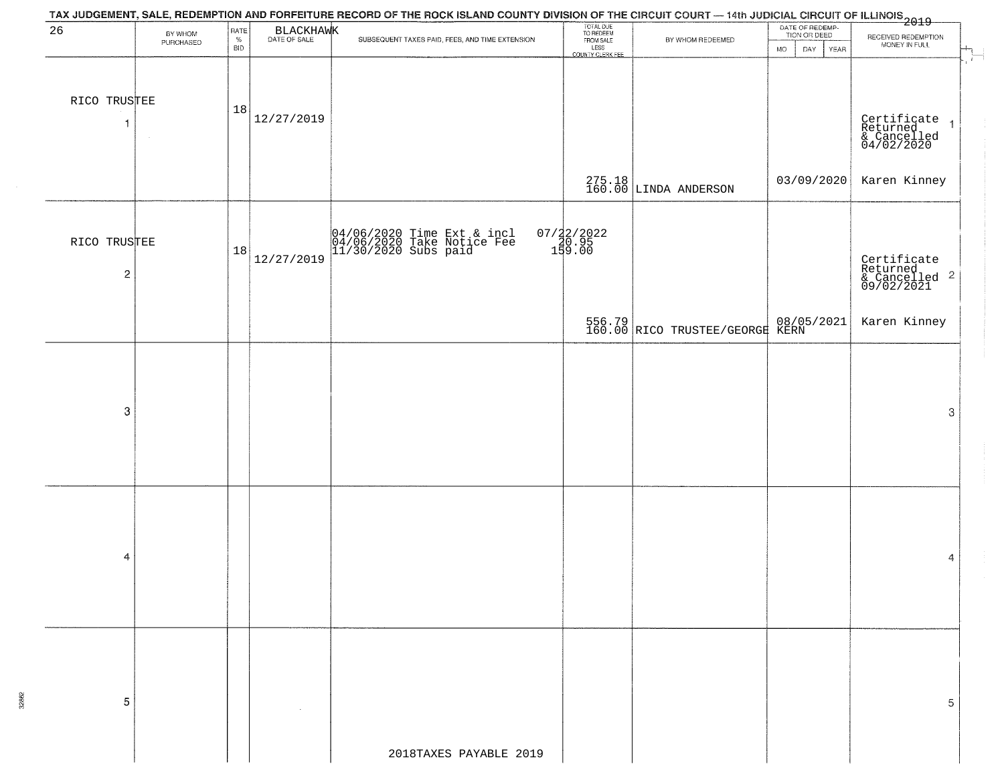| 26                             | BY WHOM<br>PURCHASED | RATE<br>$\%$<br><b>BID</b> | BLACKHAWK  | SUBSEQUENT TAXES PAID, FEES, AND TIME EXTENSION                                  | TOTAL DUE<br>TO REDEEM<br>FROM SALE<br>LESS<br>COUNTY CLERK FEE | BY WHOM REDEEMED                                                   | DATE OF REDEMP-<br>TION OR DEED<br>MO.<br>DAY.<br><b>YEAR</b> | RECEIVED REDEMPTION<br>MONEY IN FULL<br>$\pm$                     |
|--------------------------------|----------------------|----------------------------|------------|----------------------------------------------------------------------------------|-----------------------------------------------------------------|--------------------------------------------------------------------|---------------------------------------------------------------|-------------------------------------------------------------------|
| RICO TRUSTEE<br>$\overline{1}$ |                      | 18                         | 12/27/2019 |                                                                                  |                                                                 |                                                                    |                                                               | Certificate 1<br>Returned 1<br>& Cancelled<br>04/02/2020          |
|                                |                      |                            |            |                                                                                  |                                                                 | 275.18<br>160.00 LINDA ANDERSON                                    | 03/09/2020                                                    | Karen Kinney                                                      |
| RICO TRUSTEE<br>$\mathbf{2}$   |                      | 18                         | 12/27/2019 | 04/06/2020 Time Ext & incl<br>04/06/2020 Take Notice Fee<br>11/30/2020 Subs paid | 07/22/2022<br>20.95<br>159.00                                   |                                                                    |                                                               | Certificate<br>Returned<br>& Cancelled <sup>2</sup><br>09/02/2021 |
|                                |                      |                            |            |                                                                                  |                                                                 | 556.79 RICO TRUSTEE/GEORGE KERN<br>160.00 RICO TRUSTEE/GEORGE KERN |                                                               | Karen Kinney                                                      |
| 3                              |                      |                            |            |                                                                                  |                                                                 |                                                                    |                                                               | 3                                                                 |
| 4                              |                      |                            |            |                                                                                  |                                                                 |                                                                    |                                                               | 4                                                                 |
| 5                              |                      |                            |            | 2018TAXES PAYABLE 2019                                                           |                                                                 |                                                                    |                                                               | 5                                                                 |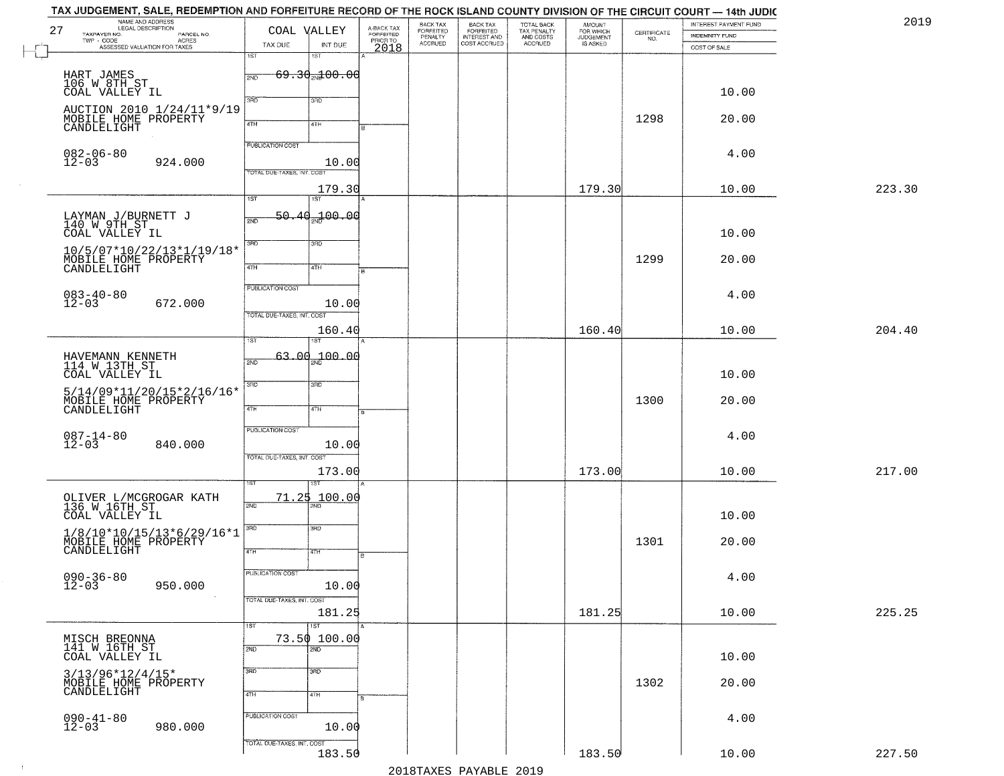| NAME AND ADDRESS<br>LEGAL DESCRIPTION<br>27<br>TAXPAYER NO.<br>PARCEL NO.                                   |                            | COAL VALLEY                         | A-BACK TAX<br>FORFEITED<br>PRIOR TO | BACK TAX<br>FORFEITED<br>PENALTY | BACK TAX<br>FORFEITED<br>INTEREST AND | TOTAL BACK<br>TAX PENALTY<br>AND COSTS | AMOUNT<br>FOR WHICH          | $\begin{array}{c} \text{CERTIFICATE} \\ \text{NO.} \end{array}$ | INTEREST PAYMENT FUND<br>INDEMNITY FUND |  |
|-------------------------------------------------------------------------------------------------------------|----------------------------|-------------------------------------|-------------------------------------|----------------------------------|---------------------------------------|----------------------------------------|------------------------------|-----------------------------------------------------------------|-----------------------------------------|--|
| - CODE<br>CODE ACRES<br>ASSESSED VALUATION FOR TAXES<br>$\textsf{TWP} \textsf{-CODE}$                       | TAX DUE                    | INT DUE                             | 2018                                | <b>ACCRUED</b>                   | COST ACCRUED                          | ACCRUED                                | <b>JUDGEMENT</b><br>IS ASKED |                                                                 | COST OF SALE                            |  |
|                                                                                                             | 1ST                        | 1ST                                 |                                     |                                  |                                       |                                        |                              |                                                                 |                                         |  |
| HART JAMES                                                                                                  | 2ND                        | <del>69.30<sub>2N</sub>100.00</del> |                                     |                                  |                                       |                                        |                              |                                                                 |                                         |  |
| 106 W 8TH ST<br>COAL VALLEY IL                                                                              |                            |                                     |                                     |                                  |                                       |                                        |                              |                                                                 | 10.00                                   |  |
| AUCTION 2010 1/24/11*9/19                                                                                   | 3RD                        | 3RD                                 |                                     |                                  |                                       |                                        |                              |                                                                 |                                         |  |
| MOBILE HOME PROPERTY<br>CANDLELIGHT                                                                         | 4TH                        | 4TH                                 |                                     |                                  |                                       |                                        |                              | 1298                                                            | 20.00                                   |  |
|                                                                                                             |                            |                                     |                                     |                                  |                                       |                                        |                              |                                                                 |                                         |  |
| $082 - 06 - 80$<br>12-03                                                                                    | <b>PUBLICATION COST</b>    |                                     |                                     |                                  |                                       |                                        |                              |                                                                 | 4.00                                    |  |
| 924.000                                                                                                     | TOTAL DUE-TAXES, INT. COST | 10.00                               |                                     |                                  |                                       |                                        |                              |                                                                 |                                         |  |
|                                                                                                             |                            | 179.30                              |                                     |                                  |                                       |                                        | 179.30                       |                                                                 | 10.00                                   |  |
|                                                                                                             | 1ST                        | 1ST                                 |                                     |                                  |                                       |                                        |                              |                                                                 |                                         |  |
| LAYMAN J/BURNETT J<br>140 W 9TH ST                                                                          | 2ND                        | <del>50.40 100.0</del> 0            |                                     |                                  |                                       |                                        |                              |                                                                 |                                         |  |
| COAL VALLEY IL                                                                                              |                            |                                     |                                     |                                  |                                       |                                        |                              |                                                                 | 10.00                                   |  |
| 10/5/07*10/22/13*1/19/18*                                                                                   | $\overline{3BD}$           | 3RD                                 |                                     |                                  |                                       |                                        |                              |                                                                 |                                         |  |
| MOBILE HOME PROPERTY<br>CANDLELIGHT                                                                         | $\overline{47H}$           | 4TH                                 |                                     |                                  |                                       |                                        |                              | 1299                                                            | 20.00                                   |  |
|                                                                                                             | PUBLICATION COST           |                                     |                                     |                                  |                                       |                                        |                              |                                                                 |                                         |  |
| $083 - 40 - 80$<br>$12 - 03$<br>672.000                                                                     |                            | 10.00                               |                                     |                                  |                                       |                                        |                              |                                                                 | 4.00                                    |  |
|                                                                                                             | TOTAL DUE-TAXES, INT. COST |                                     |                                     |                                  |                                       |                                        |                              |                                                                 |                                         |  |
|                                                                                                             |                            | 160.40                              |                                     |                                  |                                       |                                        | 160.40                       |                                                                 | 10.00                                   |  |
|                                                                                                             | 1ST                        |                                     |                                     |                                  |                                       |                                        |                              |                                                                 |                                         |  |
| HAVEMANN KENNETH<br>114 W 13TH ST                                                                           | 2ND                        | $63.00_{\text{em}}100.00$           |                                     |                                  |                                       |                                        |                              |                                                                 |                                         |  |
| COAL VALLEY IL                                                                                              | 3BD                        | 3RD                                 |                                     |                                  |                                       |                                        |                              |                                                                 | 10.00                                   |  |
| 5/14/09*11/20/15*2/16/16*                                                                                   |                            |                                     |                                     |                                  |                                       |                                        |                              | 1300                                                            | 20.00                                   |  |
| MOBILE HOME PROPERTY<br>CANDLELIGHT                                                                         | 4TH                        | 4TH                                 |                                     |                                  |                                       |                                        |                              |                                                                 |                                         |  |
|                                                                                                             | <b>PUBLICATION COST</b>    |                                     |                                     |                                  |                                       |                                        |                              |                                                                 |                                         |  |
| $087 - 14 - 80$<br>12-03<br>840.000                                                                         |                            | 10.00                               |                                     |                                  |                                       |                                        |                              |                                                                 | 4.00                                    |  |
|                                                                                                             | TOTAL OUE-TAXES, INT. COST |                                     |                                     |                                  |                                       |                                        |                              |                                                                 |                                         |  |
|                                                                                                             |                            | 173.00                              |                                     |                                  |                                       |                                        | 173.00                       |                                                                 | 10.00                                   |  |
|                                                                                                             | 71.25                      | 100.00                              |                                     |                                  |                                       |                                        |                              |                                                                 |                                         |  |
| OLIVER L/MCGROGAR KATH<br>136 W 16TH ST<br>COAL VALLEY IL                                                   | 2ND                        |                                     |                                     |                                  |                                       |                                        |                              |                                                                 | 10.00                                   |  |
|                                                                                                             | 3RD                        | $\overline{3BD}$                    |                                     |                                  |                                       |                                        |                              |                                                                 |                                         |  |
| $\begin{array}{c} 1/8/10*10/15/13*6/29/16*1\\ \text{MOBILE HOME PROPERTY}\\ \text{CANDLELIGHT} \end{array}$ | 4TH                        |                                     |                                     |                                  |                                       |                                        |                              | 1301                                                            | 20.00                                   |  |
|                                                                                                             |                            | 47H                                 | в                                   |                                  |                                       |                                        |                              |                                                                 |                                         |  |
| $090 - 36 - 80$<br>12-03                                                                                    | <b>PUBLICATION COST</b>    |                                     |                                     |                                  |                                       |                                        |                              |                                                                 | 4.00                                    |  |
| 950.000<br>$\sim 100$                                                                                       | TOTAL DUE-TAXES, INT. COST | 10.00                               |                                     |                                  |                                       |                                        |                              |                                                                 |                                         |  |
|                                                                                                             |                            | 181.25                              |                                     |                                  |                                       |                                        | 181.25                       |                                                                 | 10.00                                   |  |
|                                                                                                             | 1ST                        | 1ST                                 |                                     |                                  |                                       |                                        |                              |                                                                 |                                         |  |
| MISCH BREONNA<br>141 W 16TH ST                                                                              | 2ND                        | 73.50 100.00<br>2ND                 |                                     |                                  |                                       |                                        |                              |                                                                 |                                         |  |
| COAL VALLEY IL                                                                                              |                            |                                     |                                     |                                  |                                       |                                        |                              |                                                                 | 10.00                                   |  |
| $3/13/96*12/4/15*$                                                                                          | 3RD                        | 3HD                                 |                                     |                                  |                                       |                                        |                              |                                                                 |                                         |  |
| MOBILE HOME PROPERTY<br>CANDLELIGHT                                                                         | 4TH                        | 4TH                                 |                                     |                                  |                                       |                                        |                              | 1302                                                            | 20.00                                   |  |
|                                                                                                             |                            |                                     |                                     |                                  |                                       |                                        |                              |                                                                 |                                         |  |
| $090 - 41 - 80$<br>12-03<br>980.000                                                                         | PUBLICATION COST           | 10.00                               |                                     |                                  |                                       |                                        |                              |                                                                 | 4.00                                    |  |
|                                                                                                             | TOTAL DUE-TAXES, INT. COST |                                     |                                     |                                  |                                       |                                        |                              |                                                                 |                                         |  |
|                                                                                                             |                            | 183.50                              |                                     |                                  |                                       |                                        | 183.50                       |                                                                 | 10.00                                   |  |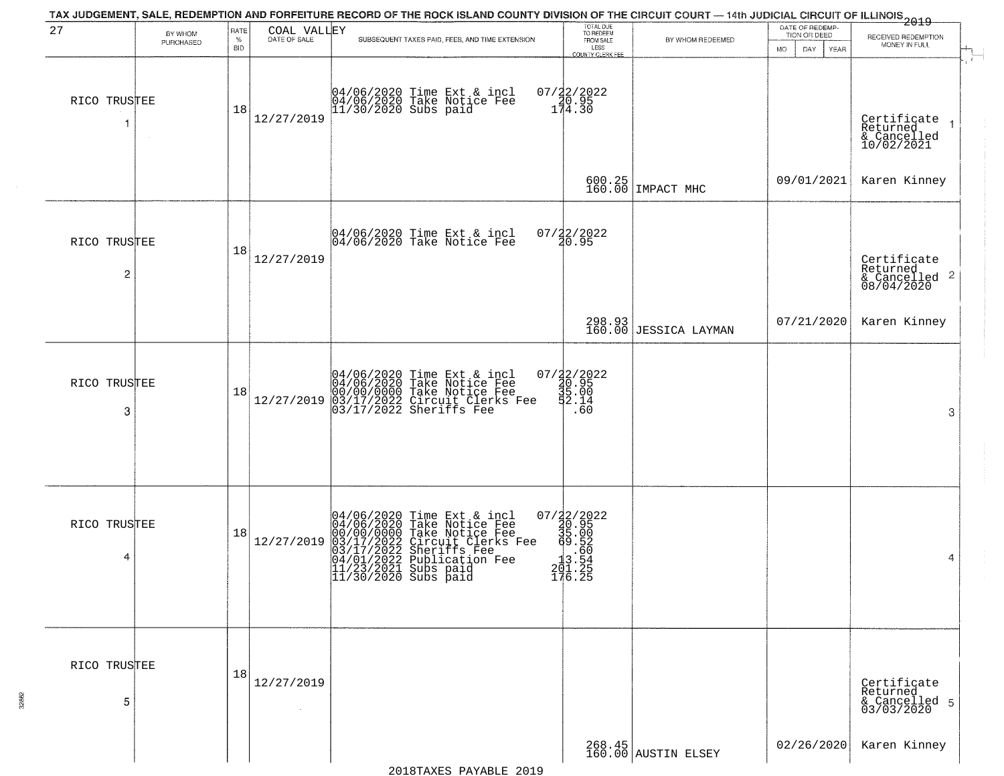| 27                             |                      | RATE               | COAL VALLEY  | TAX JUDGEMENT, SALE, REDEMPTION AND FORFEITURE RECORD OF THE ROCK ISLAND COUNTY DIVISION OF THE CIRCUIT COURT — 14th JUDICIAL CIRCUIT OF ILLINOIS 2019                                                                               | TOTAL DUE<br>TO REDEEM<br>FROM SALE                                               |                                 | DATE OF REDEMP-<br>TION OR DEED |                                                                        |
|--------------------------------|----------------------|--------------------|--------------|--------------------------------------------------------------------------------------------------------------------------------------------------------------------------------------------------------------------------------------|-----------------------------------------------------------------------------------|---------------------------------|---------------------------------|------------------------------------------------------------------------|
|                                | BY WHOM<br>PURCHASED | $\%$<br><b>BID</b> | DATE OF SALE | SUBSEQUENT TAXES PAID, FEES, AND TIME EXTENSION                                                                                                                                                                                      | LESS                                                                              | BY WHOM REDEEMED                | <b>MO</b>                       | RECEIVED REDEMPTION<br>MONEY IN FULL                                   |
| RICO TRUSTEE<br>-1             | $\sim$               | 18                 | 12/27/2019   | 04/06/2020 Time Ext & incl<br>04/06/2020 Take Notice Fee<br>11/30/2020 Subs paid                                                                                                                                                     | <b>COUNTY CLERK FEE</b><br>07/22/2022<br>20.95<br>174.30                          |                                 | DAY<br>YEAR                     | Certificate<br>Returned<br>& Cancelled<br>10/02/2021                   |
|                                |                      |                    |              |                                                                                                                                                                                                                                      |                                                                                   | 600.25<br>160.00 IMPACT MHC     | 09/01/2021                      | Karen Kinney                                                           |
| RICO TRUSTEE<br>$\overline{c}$ |                      | 18                 | 12/27/2019   | 04/06/2020 Time Ext & incl<br>04/06/2020 Take Notice Fee                                                                                                                                                                             | 07/32/2022<br>20.95                                                               |                                 |                                 | Certificate<br>Returned<br>$\overline{c}$<br>& Cancelled<br>08/04/2020 |
|                                |                      |                    |              |                                                                                                                                                                                                                                      |                                                                                   | 298.93<br>160.00 JESSICA LAYMAN | 07/21/2020                      | Karen Kinney                                                           |
| RICO TRUSTEE<br>3              |                      | 18                 | 12/27/2019   | 04/06/2020 Time Ext & incl<br>04/06/2020 Take Notice Fee<br>00/00/0000 Take Notice Fee<br>00/00/0000 Take Notice Fee<br>03/17/2022 Sheriffs Fee                                                                                      | 07/22/2022<br>20.95<br>30.95<br>34.14<br>2.14<br>.60                              |                                 |                                 | 3                                                                      |
| RICO TRUSTEE<br>4              |                      | 18                 | 12/27/2019   | 04/06/2020 Time Ext & incl<br>04/06/2020 Take Notice Fee<br>00/00/00000 Take Notice Fee<br>03/17/2022 Circuit Clerks Fee<br>03/17/2022 Sublication Fee<br>04/01/2022 Publication Fee<br>11/23/2021 Subs paid<br>11/30/2020 Subs paid | 07/22/2022<br>30.95<br>35.00<br>36.52<br>3.52<br>$\frac{13.54}{201.25}$<br>176.25 |                                 |                                 | 4                                                                      |
| RICO TRUSTEE<br>5              |                      | 18                 | 12/27/2019   |                                                                                                                                                                                                                                      |                                                                                   |                                 |                                 | Certificate<br>Returned<br>& Cancelled 5<br>03/03/2020                 |
|                                |                      |                    |              |                                                                                                                                                                                                                                      |                                                                                   | 268.45<br>160.00 AUSTIN ELSEY   | 02/26/2020                      | Karen Kinney                                                           |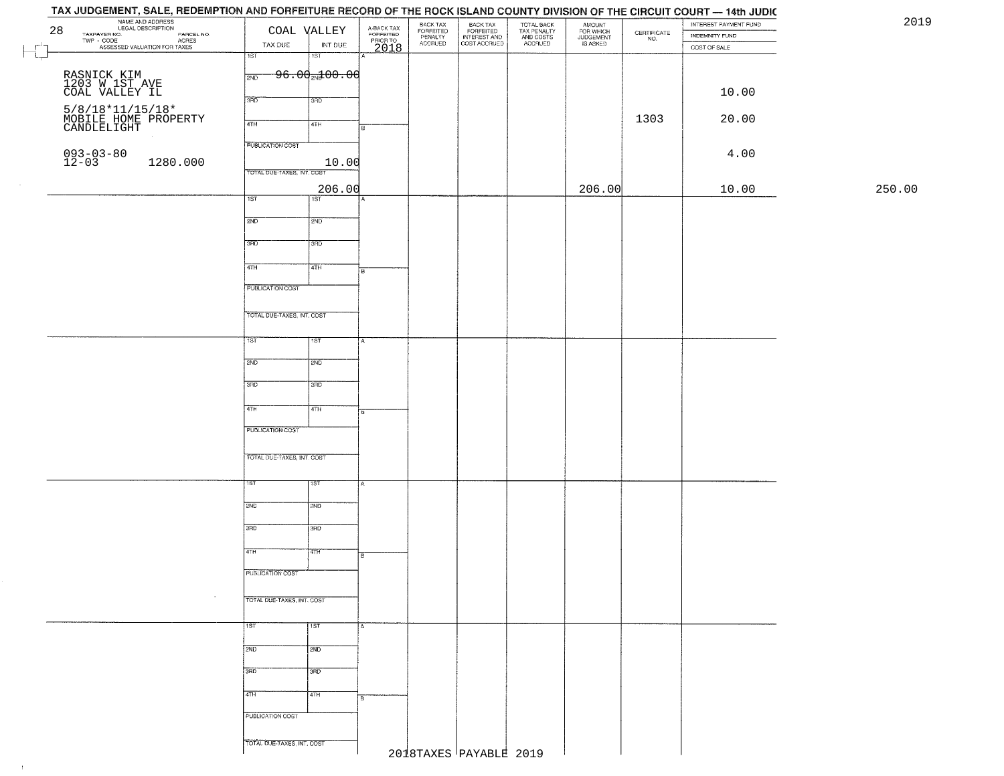| NAME AND ADDRESS<br>LEGAL DESCRIPTION<br>TAXPAYER NO.      |                                      |                             | BACK TAX<br>FORFEITED |                                                       |                                                   | AMOUNT<br>FOR WHICH<br>JUDGEMENT<br>IS ASKED |                                                                 | INTEREST PAYMENT FUND |        |
|------------------------------------------------------------|--------------------------------------|-----------------------------|-----------------------|-------------------------------------------------------|---------------------------------------------------|----------------------------------------------|-----------------------------------------------------------------|-----------------------|--------|
| 28<br>PARCEL NO.                                           | COAL VALLEY                          | A-BACK TAX<br>FORFEITED     | PENALTY<br>ACCRUED    | BACK TAX<br>FORFEITED<br>INTEREST AND<br>COST ACCRUED | TOTAL BACK<br>TAX PENALTY<br>AND COSTS<br>ACCRUED |                                              | $\begin{array}{c} \text{CERTIFICATE} \\ \text{NO.} \end{array}$ | INDEMNITY FUND        |        |
| TWP - CODE<br>- CODE ACRES<br>ASSESSED VALUATION FOR TAXES | TAX DUE                              | PRIOR TO<br>INT DUE<br>2018 |                       |                                                       |                                                   |                                              |                                                                 | COST OF SALE          |        |
|                                                            | $\overline{1ST}$<br>$\overline{181}$ |                             |                       |                                                       |                                                   |                                              |                                                                 |                       |        |
|                                                            |                                      |                             |                       |                                                       |                                                   |                                              |                                                                 |                       |        |
| RASNICK KIM<br>1203 W 1ST AVE<br>COAL VALLEY IL            | $96.00 - 00.00$<br>2ND               |                             |                       |                                                       |                                                   |                                              |                                                                 |                       |        |
|                                                            |                                      |                             |                       |                                                       |                                                   |                                              |                                                                 | 10.00                 |        |
|                                                            | 3RD<br>3RD                           |                             |                       |                                                       |                                                   |                                              |                                                                 |                       |        |
| 5/8/18*11/15/18*<br>MOBILE HOME PROPERTY<br>CANDLELIGHT    |                                      |                             |                       |                                                       |                                                   |                                              | 1303                                                            | 20.00                 |        |
|                                                            | 4TH<br>4TH                           |                             |                       |                                                       |                                                   |                                              |                                                                 |                       |        |
|                                                            |                                      |                             |                       |                                                       |                                                   |                                              |                                                                 |                       |        |
|                                                            | <b>PUBLICATION COST</b>              |                             |                       |                                                       |                                                   |                                              |                                                                 |                       |        |
| $093 - 03 - 80$<br>12-03<br>1280.000                       |                                      | 10.00                       |                       |                                                       |                                                   |                                              |                                                                 | 4.00                  |        |
|                                                            | TOTAL DUE-TAXES, INT. COST           |                             |                       |                                                       |                                                   |                                              |                                                                 |                       |        |
|                                                            |                                      |                             |                       |                                                       |                                                   |                                              |                                                                 |                       |        |
|                                                            | 1ST<br>$\overline{1ST}$              | 206.00                      |                       |                                                       |                                                   | 206.00                                       |                                                                 | 10.00                 | 250.00 |
|                                                            |                                      |                             |                       |                                                       |                                                   |                                              |                                                                 |                       |        |
|                                                            | 2ND<br>2ND                           |                             |                       |                                                       |                                                   |                                              |                                                                 |                       |        |
|                                                            |                                      |                             |                       |                                                       |                                                   |                                              |                                                                 |                       |        |
|                                                            | 3RD<br>3RD                           |                             |                       |                                                       |                                                   |                                              |                                                                 |                       |        |
|                                                            |                                      |                             |                       |                                                       |                                                   |                                              |                                                                 |                       |        |
|                                                            | 47H<br>4TH                           |                             |                       |                                                       |                                                   |                                              |                                                                 |                       |        |
|                                                            |                                      | łв.                         |                       |                                                       |                                                   |                                              |                                                                 |                       |        |
|                                                            | PUBLICATION COST                     |                             |                       |                                                       |                                                   |                                              |                                                                 |                       |        |
|                                                            |                                      |                             |                       |                                                       |                                                   |                                              |                                                                 |                       |        |
|                                                            | TOTAL DUE-TAXES, INT. COST           |                             |                       |                                                       |                                                   |                                              |                                                                 |                       |        |
|                                                            |                                      |                             |                       |                                                       |                                                   |                                              |                                                                 |                       |        |
|                                                            |                                      |                             |                       |                                                       |                                                   |                                              |                                                                 |                       |        |
|                                                            | 1ST <sup>-</sup><br>1ST              |                             |                       |                                                       |                                                   |                                              |                                                                 |                       |        |
|                                                            | 2ND                                  |                             |                       |                                                       |                                                   |                                              |                                                                 |                       |        |
|                                                            | 2ND                                  |                             |                       |                                                       |                                                   |                                              |                                                                 |                       |        |
|                                                            | 3 <sub>3</sub><br>3 <sub>BD</sub>    |                             |                       |                                                       |                                                   |                                              |                                                                 |                       |        |
|                                                            |                                      |                             |                       |                                                       |                                                   |                                              |                                                                 |                       |        |
|                                                            |                                      |                             |                       |                                                       |                                                   |                                              |                                                                 |                       |        |
|                                                            | 4TH<br>4TH                           | ΕF                          |                       |                                                       |                                                   |                                              |                                                                 |                       |        |
|                                                            | <b>PUBLICATION COST</b>              |                             |                       |                                                       |                                                   |                                              |                                                                 |                       |        |
|                                                            |                                      |                             |                       |                                                       |                                                   |                                              |                                                                 |                       |        |
|                                                            |                                      |                             |                       |                                                       |                                                   |                                              |                                                                 |                       |        |
|                                                            | TOTAL OUE-TAXES, INT. COST           |                             |                       |                                                       |                                                   |                                              |                                                                 |                       |        |
|                                                            |                                      |                             |                       |                                                       |                                                   |                                              |                                                                 |                       |        |
|                                                            | १९४                                  |                             |                       |                                                       |                                                   |                                              |                                                                 |                       |        |
|                                                            |                                      |                             |                       |                                                       |                                                   |                                              |                                                                 |                       |        |
|                                                            | 2ND<br>2ND                           |                             |                       |                                                       |                                                   |                                              |                                                                 |                       |        |
|                                                            |                                      |                             |                       |                                                       |                                                   |                                              |                                                                 |                       |        |
|                                                            | 3RD<br>3BD                           |                             |                       |                                                       |                                                   |                                              |                                                                 |                       |        |
|                                                            |                                      |                             |                       |                                                       |                                                   |                                              |                                                                 |                       |        |
|                                                            | 4TH<br>4TH                           | В.                          |                       |                                                       |                                                   |                                              |                                                                 |                       |        |
|                                                            |                                      |                             |                       |                                                       |                                                   |                                              |                                                                 |                       |        |
|                                                            | PUBLICATION COST                     |                             |                       |                                                       |                                                   |                                              |                                                                 |                       |        |
|                                                            |                                      |                             |                       |                                                       |                                                   |                                              |                                                                 |                       |        |
| $\sim$                                                     | TOTAL DUE-TAXES, INT. COST           |                             |                       |                                                       |                                                   |                                              |                                                                 |                       |        |
|                                                            |                                      |                             |                       |                                                       |                                                   |                                              |                                                                 |                       |        |
|                                                            | $\overline{115}$<br>$\overline{11}$  | A                           |                       |                                                       |                                                   |                                              |                                                                 |                       |        |
|                                                            |                                      |                             |                       |                                                       |                                                   |                                              |                                                                 |                       |        |
|                                                            | 2ND<br>2ND                           |                             |                       |                                                       |                                                   |                                              |                                                                 |                       |        |
|                                                            |                                      |                             |                       |                                                       |                                                   |                                              |                                                                 |                       |        |
|                                                            | 3BD<br>उत्तर                         |                             |                       |                                                       |                                                   |                                              |                                                                 |                       |        |
|                                                            |                                      |                             |                       |                                                       |                                                   |                                              |                                                                 |                       |        |
|                                                            | 4TH<br>4TH                           | В.                          |                       |                                                       |                                                   |                                              |                                                                 |                       |        |
|                                                            |                                      |                             |                       |                                                       |                                                   |                                              |                                                                 |                       |        |
|                                                            |                                      |                             |                       |                                                       |                                                   |                                              |                                                                 |                       |        |
|                                                            | PUBLICATION COST                     |                             |                       |                                                       |                                                   |                                              |                                                                 |                       |        |
|                                                            |                                      |                             |                       |                                                       |                                                   |                                              |                                                                 |                       |        |
|                                                            | TOTAL DUE-TAXES, INT. COST           |                             |                       |                                                       |                                                   |                                              |                                                                 |                       |        |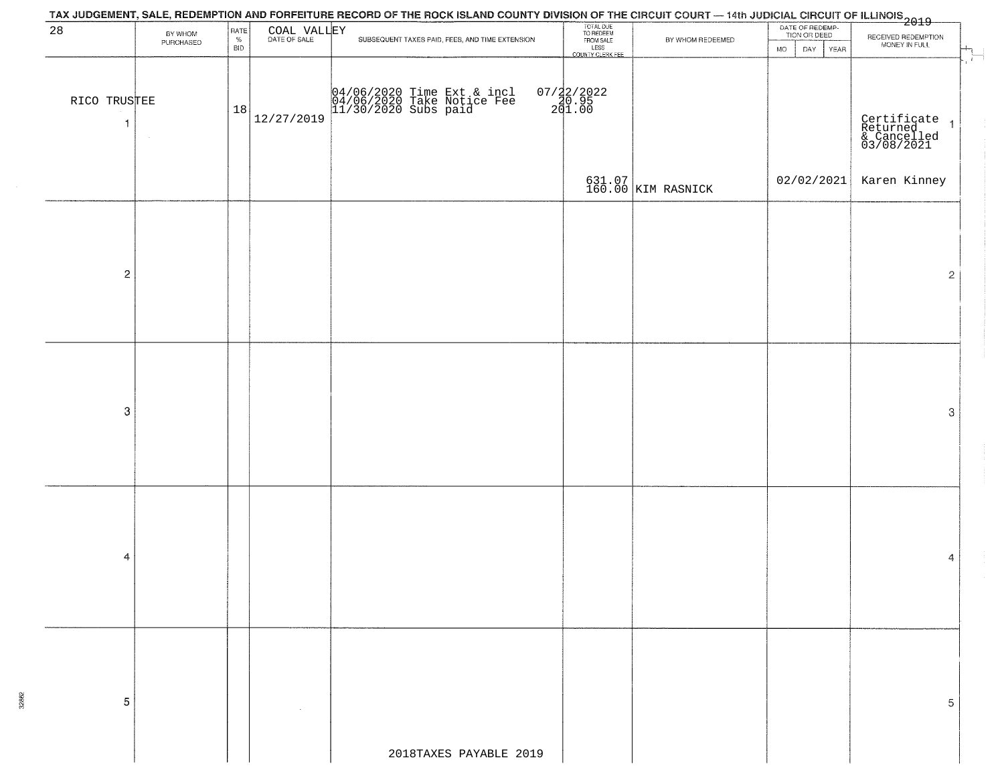|                   |                      |                         |             | TAX JUDGEMENT, SALE, REDEMPTION AND FORFEITURE RECORD OF THE ROCK ISLAND COUNTY DIVISION OF THE CIRCUIT COURT — 14th JUDICIAL CIRCUIT OF ILLINOIS<br>1 2019 - 1 2016 10:00 10:00 10:00 10:00 10:00 10:00 10:00 10:00 10:00 10:00 |                                                                 |                              |                                                             |                                                                           |
|-------------------|----------------------|-------------------------|-------------|----------------------------------------------------------------------------------------------------------------------------------------------------------------------------------------------------------------------------------|-----------------------------------------------------------------|------------------------------|-------------------------------------------------------------|---------------------------------------------------------------------------|
| 28                | BY WHOM<br>PURCHASED | RATE<br>%<br><b>BID</b> | COAL VALLEY | SUBSEQUENT TAXES PAID, FEES, AND TIME EXTENSION                                                                                                                                                                                  | TOTAL DUE<br>TO REDEEM<br>FROM SALE<br>LESS<br>COUNTY CLERK FEE | BY WHOM REDEEMED             | DATE OF REDEMP-<br>TION OR DEED<br>DAY<br>YEAR<br><b>MO</b> | RECEIVED REDEMPTION<br>MONEY IN FULL                                      |
| RICO TRUSTEE<br>1 |                      | 18                      | 12/27/2019  | 04/06/2020 Time Ext & incl<br>04/06/2020 Take Notice Fee<br>11/30/2020 Subs paid                                                                                                                                                 | $07/22/2022$<br>20.95<br>201.00                                 |                              |                                                             | $\mathcal{X}$<br>Certificate 1<br>Returned 1<br>& Cancelled<br>03/08/2021 |
|                   |                      |                         |             |                                                                                                                                                                                                                                  |                                                                 | 631.07<br>160.00 KIM RASNICK |                                                             | $02/02/2021$ Karen Kinney                                                 |
| $\mathbf 2$       |                      |                         |             |                                                                                                                                                                                                                                  |                                                                 |                              |                                                             | $\mathbf{2}$                                                              |
| $\mbox{3}$        |                      |                         |             |                                                                                                                                                                                                                                  |                                                                 |                              |                                                             | 3                                                                         |
| 4                 |                      |                         |             |                                                                                                                                                                                                                                  |                                                                 |                              |                                                             | 4                                                                         |
| 5                 |                      |                         |             | 2018TAXES PAYABLE 2019                                                                                                                                                                                                           |                                                                 |                              |                                                             | 5                                                                         |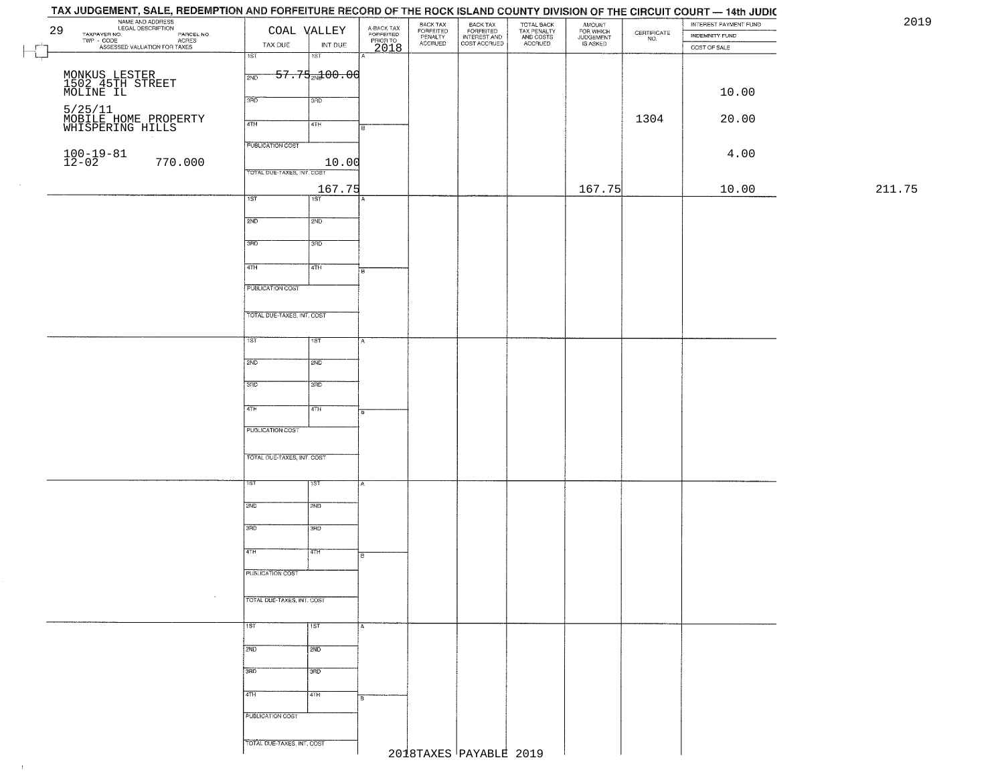| BACK TAX<br>BACK TAX<br>FORFEITED<br>INTEREST AND<br>COST ACCRUED<br>TOTAL BACK<br>TAX PENALTY<br>AND COSTS<br>ACCRUED<br>A-BACK TAX<br>FORFEITED<br>PRIOR TO<br>2018<br>COAL VALLEY | INTEREST PAYMENT FUND                                                                                                                    |        |
|--------------------------------------------------------------------------------------------------------------------------------------------------------------------------------------|------------------------------------------------------------------------------------------------------------------------------------------|--------|
| FORFEITED<br>PENALTY<br>ACCRUED                                                                                                                                                      | AMOUNT<br>FOR WHICH<br>JUDGEMENT<br>IS ASKED<br>$\begin{array}{c} \text{CERTIFICATE} \\ \text{NO.} \end{array}$<br><b>INDEMNITY FUND</b> |        |
| TAX DUE<br>INT DUE<br>18T                                                                                                                                                            | COST OF SALE                                                                                                                             |        |
|                                                                                                                                                                                      |                                                                                                                                          |        |
| <del>57.75 al00.00</del>                                                                                                                                                             |                                                                                                                                          |        |
|                                                                                                                                                                                      | 10.00                                                                                                                                    |        |
| 3RD                                                                                                                                                                                  |                                                                                                                                          |        |
|                                                                                                                                                                                      |                                                                                                                                          |        |
| 4TH                                                                                                                                                                                  | 1304<br>20.00                                                                                                                            |        |
|                                                                                                                                                                                      |                                                                                                                                          |        |
| <b>PUBLICATION COST</b>                                                                                                                                                              | 4.00                                                                                                                                     |        |
| 10.00                                                                                                                                                                                |                                                                                                                                          |        |
| TOTAL DUE-TAXES, INT. COST                                                                                                                                                           |                                                                                                                                          |        |
| 167.75                                                                                                                                                                               | 167.75<br>10.00                                                                                                                          | 211.75 |
| $\overline{\text{1str}}$                                                                                                                                                             |                                                                                                                                          |        |
|                                                                                                                                                                                      |                                                                                                                                          |        |
| 2ND                                                                                                                                                                                  |                                                                                                                                          |        |
|                                                                                                                                                                                      |                                                                                                                                          |        |
| 3RD                                                                                                                                                                                  |                                                                                                                                          |        |
|                                                                                                                                                                                      |                                                                                                                                          |        |
| 4TH<br>'nв                                                                                                                                                                           |                                                                                                                                          |        |
| PUBLICATION COST                                                                                                                                                                     |                                                                                                                                          |        |
|                                                                                                                                                                                      |                                                                                                                                          |        |
| TOTAL DUE-TAXES, INT. COST                                                                                                                                                           |                                                                                                                                          |        |
|                                                                                                                                                                                      |                                                                                                                                          |        |
| 1ST                                                                                                                                                                                  |                                                                                                                                          |        |
|                                                                                                                                                                                      |                                                                                                                                          |        |
| 2ND                                                                                                                                                                                  |                                                                                                                                          |        |
|                                                                                                                                                                                      |                                                                                                                                          |        |
| 3RD                                                                                                                                                                                  |                                                                                                                                          |        |
|                                                                                                                                                                                      |                                                                                                                                          |        |
| 4TH                                                                                                                                                                                  |                                                                                                                                          |        |
| <b>PUBLICATION COST</b>                                                                                                                                                              |                                                                                                                                          |        |
|                                                                                                                                                                                      |                                                                                                                                          |        |
| TOTAL OUE-TAXES, INT. COST                                                                                                                                                           |                                                                                                                                          |        |
|                                                                                                                                                                                      |                                                                                                                                          |        |
|                                                                                                                                                                                      |                                                                                                                                          |        |
| ৰঙ্গ                                                                                                                                                                                 |                                                                                                                                          |        |
| 2ND                                                                                                                                                                                  |                                                                                                                                          |        |
|                                                                                                                                                                                      |                                                                                                                                          |        |
| 3BD                                                                                                                                                                                  |                                                                                                                                          |        |
|                                                                                                                                                                                      |                                                                                                                                          |        |
| 47H<br>╔                                                                                                                                                                             |                                                                                                                                          |        |
|                                                                                                                                                                                      |                                                                                                                                          |        |
| PUBLICATION COST                                                                                                                                                                     |                                                                                                                                          |        |
|                                                                                                                                                                                      |                                                                                                                                          |        |
| TOTAL DUE-TAXES, INT. COST                                                                                                                                                           |                                                                                                                                          |        |
|                                                                                                                                                                                      |                                                                                                                                          |        |
| 1ST<br>A                                                                                                                                                                             |                                                                                                                                          |        |
| 2ND                                                                                                                                                                                  |                                                                                                                                          |        |
|                                                                                                                                                                                      |                                                                                                                                          |        |
| 3BD                                                                                                                                                                                  |                                                                                                                                          |        |
|                                                                                                                                                                                      |                                                                                                                                          |        |
| 4TH<br>l B                                                                                                                                                                           |                                                                                                                                          |        |
|                                                                                                                                                                                      |                                                                                                                                          |        |
| PUBLICATION COST                                                                                                                                                                     |                                                                                                                                          |        |
|                                                                                                                                                                                      |                                                                                                                                          |        |
| TOTAL DUE-TAXES, INT. COST                                                                                                                                                           |                                                                                                                                          |        |
| 2018TAXES PAYABLE 2019                                                                                                                                                               |                                                                                                                                          |        |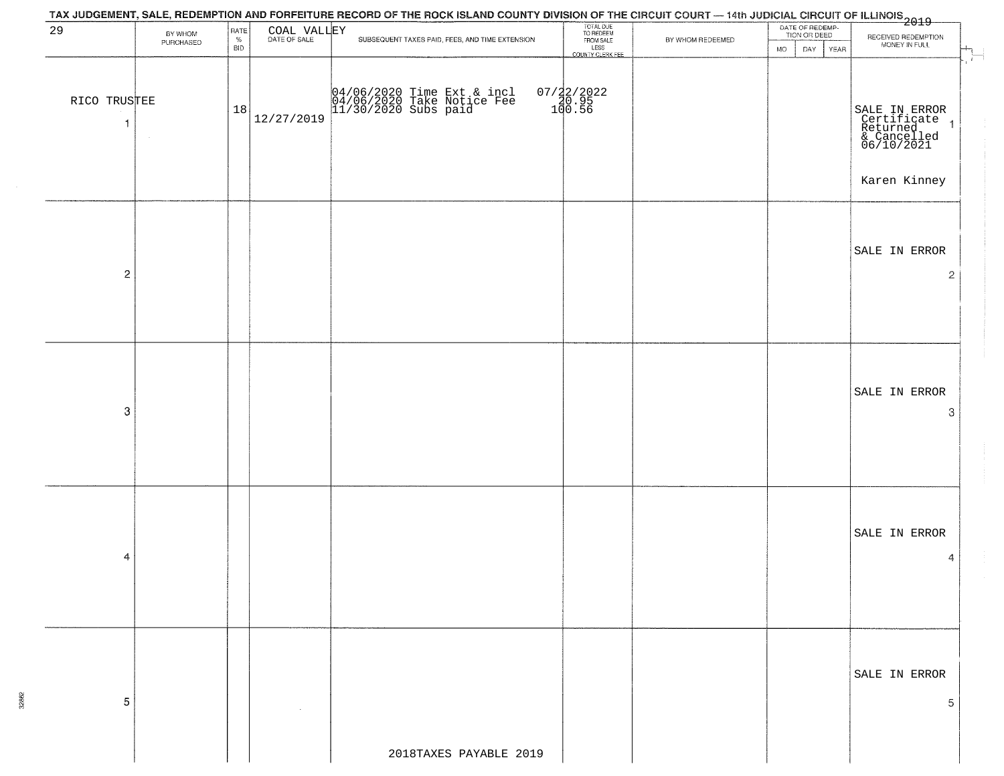|                    |                      |                            |             | TAX JUDGEMENT, SALE, REDEMPTION AND FORFEITURE RECORD OF THE ROCK ISLAND COUNTY DIVISION OF THE CIRCUIT COURT — 14th JUDICIAL CIRCUIT OF ILLINOIS<br>2019 |                                                                 |                  |                                                             |                                                                                       |
|--------------------|----------------------|----------------------------|-------------|-----------------------------------------------------------------------------------------------------------------------------------------------------------|-----------------------------------------------------------------|------------------|-------------------------------------------------------------|---------------------------------------------------------------------------------------|
| 29                 | BY WHOM<br>PURCHASED | RATE<br>$\%$<br><b>BID</b> | COAL VALLEY | SUBSEQUENT TAXES PAID, FEES, AND TIME EXTENSION                                                                                                           | TOTAL DUE<br>TO REDEEM<br>FROM SALE<br>LESS<br>COUNTY CLERK FEE | BY WHOM REDEEMED | DATE OF REDEMP-<br>TION OR DEED<br>YEAR<br><b>MO</b><br>DAY | RECEIVED REDEMPTION<br>MONEY IN FULL<br>$\overline{\phantom{a}}$                      |
| RICO TRUSTEE<br>-1 |                      | 18                         | 12/27/2019  | 04/06/2020 Time Ext & incl<br>04/06/2020 Take Notice Fee<br>11/30/2020 Subs paid                                                                          | $07/22/2022$<br>10.95<br>100.56                                 |                  |                                                             | SALE IN ERROR<br>Certificate<br>Returned<br>& Cancelled<br>06/10/2021<br>Karen Kinney |
| $\mathbf 2$        |                      |                            |             |                                                                                                                                                           |                                                                 |                  |                                                             | SALE IN ERROR<br>$\overline{2}$                                                       |
| $\mbox{3}$         |                      |                            |             |                                                                                                                                                           |                                                                 |                  |                                                             | SALE IN ERROR<br>3                                                                    |
| 4                  |                      |                            |             |                                                                                                                                                           |                                                                 |                  |                                                             | SALE IN ERROR<br>4                                                                    |
| 5                  |                      |                            |             | 2018TAXES PAYABLE 2019                                                                                                                                    |                                                                 |                  |                                                             | SALE IN ERROR<br>5                                                                    |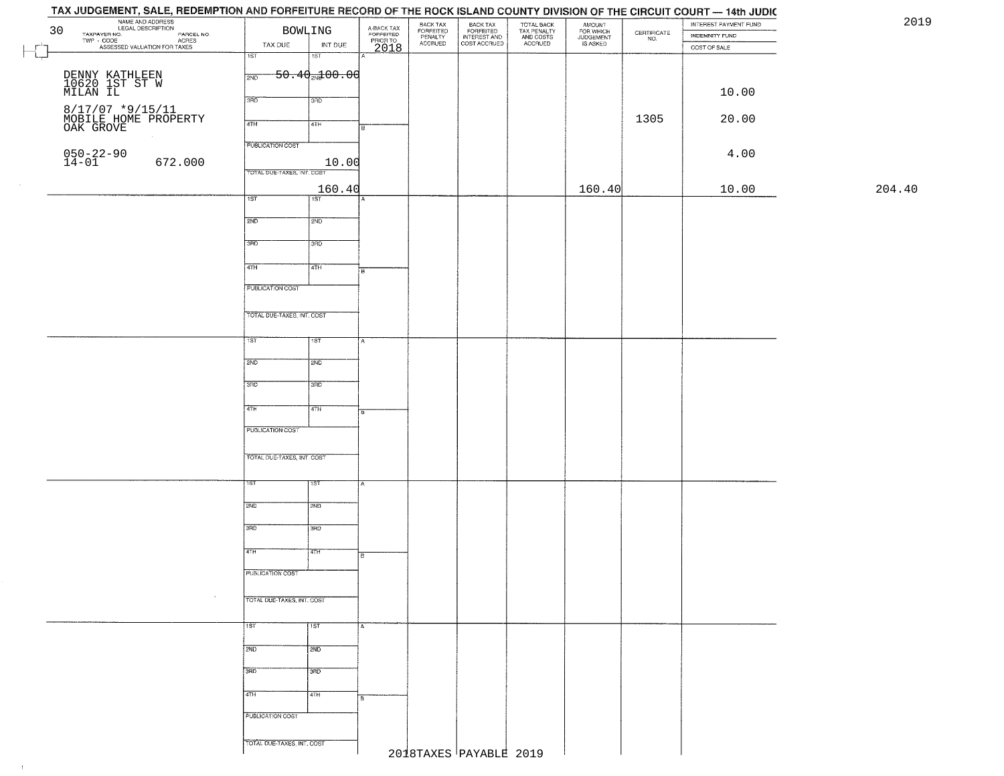| 30                                                                                                                |                            | <b>BOWLING</b>                  |                                             | BACK TAX                        |                                                       |                                                   |                                              |                                                                 | INTEREST PAYMENT FUND |        |
|-------------------------------------------------------------------------------------------------------------------|----------------------------|---------------------------------|---------------------------------------------|---------------------------------|-------------------------------------------------------|---------------------------------------------------|----------------------------------------------|-----------------------------------------------------------------|-----------------------|--------|
| NAME AND ADDRESS<br>TAXPAYER NO. LEGAL DESCRIPTION<br>TWP - CODE PARCEL NO. ACRES<br>ASSESSED VALUATION FOR TAXES | TAX DUE                    | INT DUE                         | A-BACK TAX<br>FORFEITED<br>PRIOR TO<br>2018 | FORFEITED<br>PENALTY<br>ACCRUED | BACK TAX<br>FORFEITED<br>INTEREST AND<br>COST ACCRUED | TOTAL BACK<br>TAX PENALTY<br>AND COSTS<br>ACCRUED | AMOUNT<br>FOR WHICH<br>JUDGEMENT<br>IS ASKED | $\begin{array}{c} \text{CERTIFICATE} \\ \text{NO.} \end{array}$ | INDEMNITY FUND        |        |
|                                                                                                                   | $\overline{1ST}$           | 18T                             |                                             |                                 |                                                       |                                                   |                                              |                                                                 | COST OF SALE          |        |
|                                                                                                                   |                            |                                 |                                             |                                 |                                                       |                                                   |                                              |                                                                 |                       |        |
| DENNY KATHLEEN<br>10620 1ST ST W<br>MILAN IL                                                                      | 2ND                        | $-50.40$ <sub>2N</sub> $100.00$ |                                             |                                 |                                                       |                                                   |                                              |                                                                 |                       |        |
|                                                                                                                   |                            |                                 |                                             |                                 |                                                       |                                                   |                                              |                                                                 | 10.00                 |        |
|                                                                                                                   | 3RD                        | 3RD                             |                                             |                                 |                                                       |                                                   |                                              |                                                                 |                       |        |
| 8/17/07 *9/15/11<br>MOBILE HOME PROPERTY<br>OAK GROVE                                                             |                            |                                 |                                             |                                 |                                                       |                                                   |                                              |                                                                 |                       |        |
|                                                                                                                   | 4TH                        | 4TH                             |                                             |                                 |                                                       |                                                   |                                              | 1305                                                            | 20.00                 |        |
|                                                                                                                   |                            |                                 |                                             |                                 |                                                       |                                                   |                                              |                                                                 |                       |        |
|                                                                                                                   | <b>PUBLICATION COST</b>    |                                 |                                             |                                 |                                                       |                                                   |                                              |                                                                 |                       |        |
| $050 - 22 - 90$<br>14-01                                                                                          |                            |                                 |                                             |                                 |                                                       |                                                   |                                              |                                                                 | 4.00                  |        |
| 672.000                                                                                                           | TOTAL DUE-TAXES, INT. COST | 10.00                           |                                             |                                 |                                                       |                                                   |                                              |                                                                 |                       |        |
|                                                                                                                   |                            |                                 |                                             |                                 |                                                       |                                                   |                                              |                                                                 |                       |        |
|                                                                                                                   | 1ST                        | 160.40<br>$\overline{1ST}$      |                                             |                                 |                                                       |                                                   | 160.40                                       |                                                                 | 10.00                 | 204.40 |
|                                                                                                                   |                            |                                 |                                             |                                 |                                                       |                                                   |                                              |                                                                 |                       |        |
|                                                                                                                   | 2ND                        | 2ND                             |                                             |                                 |                                                       |                                                   |                                              |                                                                 |                       |        |
|                                                                                                                   |                            |                                 |                                             |                                 |                                                       |                                                   |                                              |                                                                 |                       |        |
|                                                                                                                   | 3BD                        | 3RD                             |                                             |                                 |                                                       |                                                   |                                              |                                                                 |                       |        |
|                                                                                                                   |                            |                                 |                                             |                                 |                                                       |                                                   |                                              |                                                                 |                       |        |
|                                                                                                                   | 47H                        | 4TH                             |                                             |                                 |                                                       |                                                   |                                              |                                                                 |                       |        |
|                                                                                                                   |                            |                                 |                                             |                                 |                                                       |                                                   |                                              |                                                                 |                       |        |
|                                                                                                                   | PUBLICATION COST           |                                 |                                             |                                 |                                                       |                                                   |                                              |                                                                 |                       |        |
|                                                                                                                   |                            |                                 |                                             |                                 |                                                       |                                                   |                                              |                                                                 |                       |        |
|                                                                                                                   | TOTAL DUE-TAXES, INT. COST |                                 |                                             |                                 |                                                       |                                                   |                                              |                                                                 |                       |        |
|                                                                                                                   |                            |                                 |                                             |                                 |                                                       |                                                   |                                              |                                                                 |                       |        |
|                                                                                                                   | 1ST <sup>"</sup>           | 1ST                             |                                             |                                 |                                                       |                                                   |                                              |                                                                 |                       |        |
|                                                                                                                   |                            |                                 |                                             |                                 |                                                       |                                                   |                                              |                                                                 |                       |        |
|                                                                                                                   | 2ND                        | 2ND                             |                                             |                                 |                                                       |                                                   |                                              |                                                                 |                       |        |
|                                                                                                                   |                            |                                 |                                             |                                 |                                                       |                                                   |                                              |                                                                 |                       |        |
|                                                                                                                   | 3RD                        | 3RD                             |                                             |                                 |                                                       |                                                   |                                              |                                                                 |                       |        |
|                                                                                                                   |                            |                                 |                                             |                                 |                                                       |                                                   |                                              |                                                                 |                       |        |
|                                                                                                                   | 4TH                        | 4TH                             |                                             |                                 |                                                       |                                                   |                                              |                                                                 |                       |        |
|                                                                                                                   |                            |                                 |                                             |                                 |                                                       |                                                   |                                              |                                                                 |                       |        |
|                                                                                                                   | PUBLICATION COST           |                                 |                                             |                                 |                                                       |                                                   |                                              |                                                                 |                       |        |
|                                                                                                                   |                            |                                 |                                             |                                 |                                                       |                                                   |                                              |                                                                 |                       |        |
|                                                                                                                   | TOTAL OUE-TAXES, INT. COST |                                 |                                             |                                 |                                                       |                                                   |                                              |                                                                 |                       |        |
|                                                                                                                   |                            |                                 |                                             |                                 |                                                       |                                                   |                                              |                                                                 |                       |        |
|                                                                                                                   | 1ST                        | १९४                             |                                             |                                 |                                                       |                                                   |                                              |                                                                 |                       |        |
|                                                                                                                   |                            |                                 |                                             |                                 |                                                       |                                                   |                                              |                                                                 |                       |        |
|                                                                                                                   | 2ND                        | 2ND                             |                                             |                                 |                                                       |                                                   |                                              |                                                                 |                       |        |
|                                                                                                                   |                            |                                 |                                             |                                 |                                                       |                                                   |                                              |                                                                 |                       |        |
|                                                                                                                   | 3RD                        | 3BD                             |                                             |                                 |                                                       |                                                   |                                              |                                                                 |                       |        |
|                                                                                                                   |                            |                                 |                                             |                                 |                                                       |                                                   |                                              |                                                                 |                       |        |
|                                                                                                                   | 4TH                        | 47H                             | छ                                           |                                 |                                                       |                                                   |                                              |                                                                 |                       |        |
|                                                                                                                   |                            |                                 |                                             |                                 |                                                       |                                                   |                                              |                                                                 |                       |        |
|                                                                                                                   | <b>PUBLICATION COST</b>    |                                 |                                             |                                 |                                                       |                                                   |                                              |                                                                 |                       |        |
|                                                                                                                   |                            |                                 |                                             |                                 |                                                       |                                                   |                                              |                                                                 |                       |        |
| $\cdot$                                                                                                           | TOTAL DUE-TAXES, INT. COST |                                 |                                             |                                 |                                                       |                                                   |                                              |                                                                 |                       |        |
|                                                                                                                   |                            |                                 |                                             |                                 |                                                       |                                                   |                                              |                                                                 |                       |        |
|                                                                                                                   | 1ST                        | 1ST                             |                                             |                                 |                                                       |                                                   |                                              |                                                                 |                       |        |
|                                                                                                                   |                            |                                 |                                             |                                 |                                                       |                                                   |                                              |                                                                 |                       |        |
|                                                                                                                   | 2ND                        | 2ND                             |                                             |                                 |                                                       |                                                   |                                              |                                                                 |                       |        |
|                                                                                                                   |                            |                                 |                                             |                                 |                                                       |                                                   |                                              |                                                                 |                       |        |
|                                                                                                                   | 3RD                        | 3BD                             |                                             |                                 |                                                       |                                                   |                                              |                                                                 |                       |        |
|                                                                                                                   |                            |                                 |                                             |                                 |                                                       |                                                   |                                              |                                                                 |                       |        |
|                                                                                                                   | 4TH                        | 4TH                             | в.                                          |                                 |                                                       |                                                   |                                              |                                                                 |                       |        |
|                                                                                                                   |                            |                                 |                                             |                                 |                                                       |                                                   |                                              |                                                                 |                       |        |
|                                                                                                                   | PUBLICATION COST           |                                 |                                             |                                 |                                                       |                                                   |                                              |                                                                 |                       |        |
|                                                                                                                   |                            |                                 |                                             |                                 |                                                       |                                                   |                                              |                                                                 |                       |        |
|                                                                                                                   | TOTAL DUE-TAXES, INT. COST |                                 |                                             |                                 |                                                       |                                                   |                                              |                                                                 |                       |        |
|                                                                                                                   |                            |                                 |                                             |                                 | 2018TAXES PAYABLE 2019                                |                                                   |                                              |                                                                 |                       |        |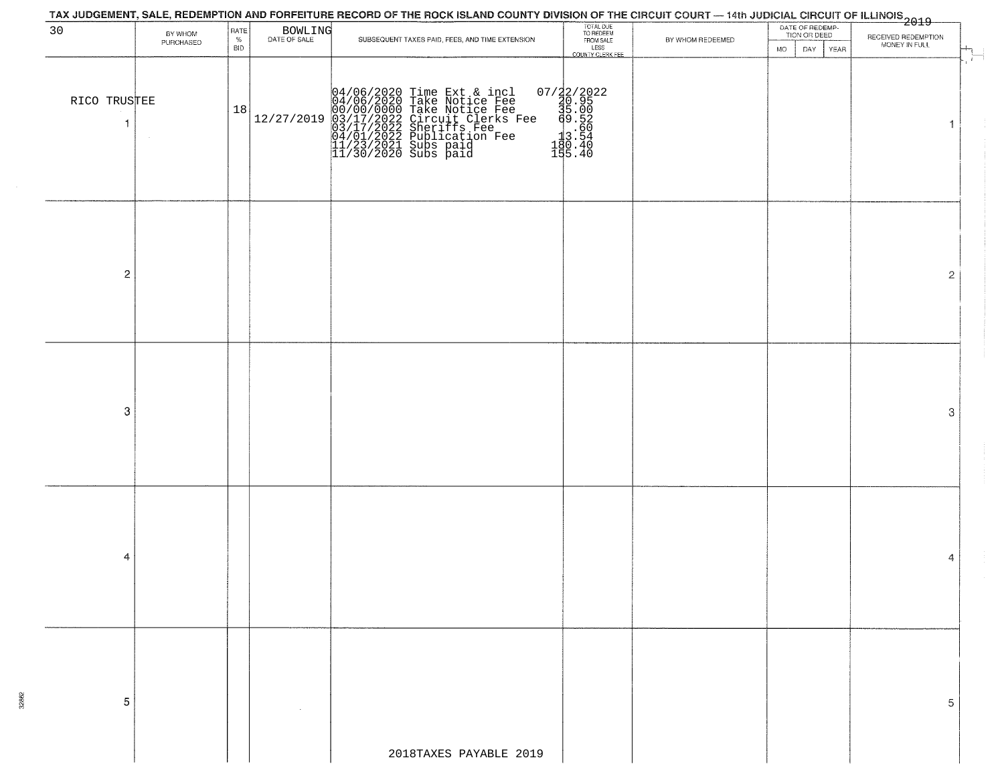## 2019 TOTAL DUE<br>TO REDEEM<br>FROM SALE DATE OF REDEMP-<br>TION OR DEED 30 BOWLING RECEIVED REDEMPTION SUBSEQUENT TAXES PAID, FEES, AND TIME EXTENSION BY WHOM REDEEMED PURCHASED MONEY IN FULL **BID** LESS<sup>1</sup> MO. DAY YEAR **COUNTY CLERK FEE** RICO TRUSTEE<br>
18<br>
18<br>
12/27/2019 09/06/2020 Time Ext & incl<br>
00/06/2020 Take Notice Fee<br>
00/00/000 Take Notice Fee<br>
00/00/000 Take Notice Fee<br>
03/17/2022 Publication Fee<br>
11/23/2021 Subs paid<br>
130.40<br>
195.40<br>
195.40<br>
195.4  $\overline{\mathbf{1}}$  $\overline{1}$  $\overline{\mathbf{c}}$  $\overline{2}$ 3 3  $\overline{4}$ 4 5 5

2018TAXES PAYABLE 2019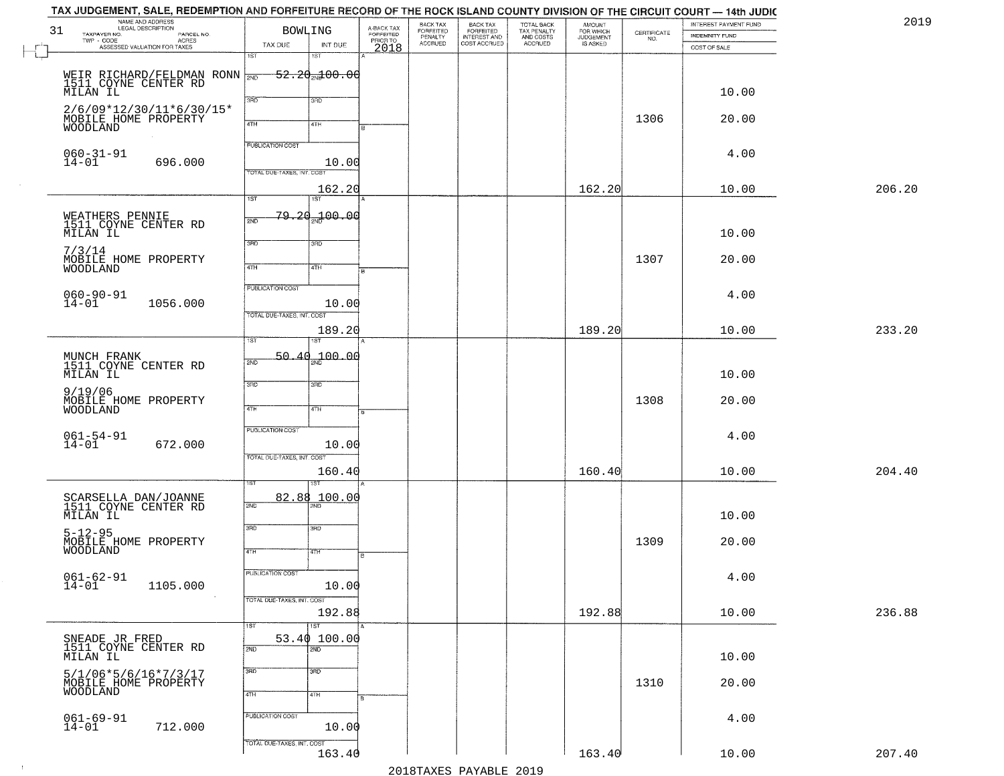| NAME AND ADDRESS<br>LEGAL DESCRIPTION                    |                            | BOWLING                    |                                     | BACK TAX<br>FORFEITED     |                                                       |                                                   | <b>AMOUNT</b>                      |                                                                 | INTEREST PAYMENT FUND |        |
|----------------------------------------------------------|----------------------------|----------------------------|-------------------------------------|---------------------------|-------------------------------------------------------|---------------------------------------------------|------------------------------------|-----------------------------------------------------------------|-----------------------|--------|
| TAXPAYER NO.<br>PARCEL NO.<br>TWP - CODE<br>ACRES        |                            |                            | A-BACK TAX<br>FORFEITED<br>PRIOR TO | PENALTY<br><b>ACCRUED</b> | BACK TAX<br>FORFEITED<br>INTEREST AND<br>COST ACCRUED | TOTAL BACK<br>TAX PENALTY<br>AND COSTS<br>ACCRUED | FOR WHICH<br>JUDGEMENT<br>IS ASKED | $\begin{array}{c} \text{CERTIFICATE} \\ \text{NO.} \end{array}$ | <b>INDEMNITY FUND</b> |        |
| ASSESSED VALUATION FOR TAXES                             | TAX DUE<br>1ST             | INT DUE<br>1ST             | 2018                                |                           |                                                       |                                                   |                                    |                                                                 | COST OF SALE          |        |
|                                                          |                            |                            |                                     |                           |                                                       |                                                   |                                    |                                                                 |                       |        |
| WEIR RICHARD/FELDMAN RONN 3ND                            |                            | <del>52.20 al00.00</del>   |                                     |                           |                                                       |                                                   |                                    |                                                                 |                       |        |
| MILAN IL                                                 |                            |                            |                                     |                           |                                                       |                                                   |                                    |                                                                 | 10.00                 |        |
| $2/6/09*12/30/11*6/30/15*$                               | 3BD                        | 3RD                        |                                     |                           |                                                       |                                                   |                                    |                                                                 |                       |        |
| MOBILE HOME PROPERTY                                     |                            |                            |                                     |                           |                                                       |                                                   |                                    | 1306                                                            | 20.00                 |        |
| WOODLAND                                                 | 4TH                        | 4TH                        |                                     |                           |                                                       |                                                   |                                    |                                                                 |                       |        |
|                                                          | <b>PUBLICATION COST</b>    |                            |                                     |                           |                                                       |                                                   |                                    |                                                                 |                       |        |
| $060 - 31 - 91$                                          |                            |                            |                                     |                           |                                                       |                                                   |                                    |                                                                 | 4.00                  |        |
| $14 - 01$<br>696.000                                     | TOTAL DUE-TAXES, INT. COST | 10.00                      |                                     |                           |                                                       |                                                   |                                    |                                                                 |                       |        |
|                                                          |                            |                            |                                     |                           |                                                       |                                                   | 162.20                             |                                                                 | 10.00                 | 206.20 |
|                                                          | $\overline{1ST}$           | 162.20<br>1ST              |                                     |                           |                                                       |                                                   |                                    |                                                                 |                       |        |
|                                                          |                            | <del>79.20100.00</del>     |                                     |                           |                                                       |                                                   |                                    |                                                                 |                       |        |
| WEATHERS PENNIE<br>1511 COYNE CENTER RD                  | 2ND                        |                            |                                     |                           |                                                       |                                                   |                                    |                                                                 |                       |        |
| MILAN IL                                                 |                            |                            |                                     |                           |                                                       |                                                   |                                    |                                                                 | 10.00                 |        |
| 7/3/14                                                   | 3RD                        | 3RD                        |                                     |                           |                                                       |                                                   |                                    |                                                                 |                       |        |
| MOBILE HOME PROPERTY<br><b>WOODLAND</b>                  | $\overline{47H}$           | 4TH                        |                                     |                           |                                                       |                                                   |                                    | 1307                                                            | 20.00                 |        |
|                                                          |                            |                            |                                     |                           |                                                       |                                                   |                                    |                                                                 |                       |        |
| $060 - 90 - 91$                                          | PUBLICATION COST           |                            |                                     |                           |                                                       |                                                   |                                    |                                                                 | 4.00                  |        |
| $14 - 01$<br>1056.000                                    |                            | 10.00                      |                                     |                           |                                                       |                                                   |                                    |                                                                 |                       |        |
|                                                          | TOTAL DUE-TAXES, INT. COST |                            |                                     |                           |                                                       |                                                   |                                    |                                                                 |                       |        |
|                                                          |                            | 189.20                     |                                     |                           |                                                       |                                                   | 189.20                             |                                                                 | 10.00                 | 233.20 |
|                                                          | ist                        | 18T                        |                                     |                           |                                                       |                                                   |                                    |                                                                 |                       |        |
| MUNCH FRANK<br>1511 COYNE CENTER RD                      | 2ND                        | 50.40 <sub>22</sub> 100.00 |                                     |                           |                                                       |                                                   |                                    |                                                                 |                       |        |
| MILAN IL                                                 |                            |                            |                                     |                           |                                                       |                                                   |                                    |                                                                 | 10.00                 |        |
|                                                          | 3BD                        | 3 <sub>BD</sub>            |                                     |                           |                                                       |                                                   |                                    |                                                                 |                       |        |
| 9/19/06<br>MOBILE HOME PROPERTY                          |                            |                            |                                     |                           |                                                       |                                                   |                                    | 1308                                                            | 20.00                 |        |
| WOODLAND                                                 | 4TH                        | 4TH                        |                                     |                           |                                                       |                                                   |                                    |                                                                 |                       |        |
|                                                          | PUBLICATION COST           |                            |                                     |                           |                                                       |                                                   |                                    |                                                                 |                       |        |
| $061 - 54 - 91$                                          |                            |                            |                                     |                           |                                                       |                                                   |                                    |                                                                 | 4.00                  |        |
| $14-01$<br>672.000                                       | TOTAL OUE-TAXES, INT. COST | 10.00                      |                                     |                           |                                                       |                                                   |                                    |                                                                 |                       |        |
|                                                          |                            |                            |                                     |                           |                                                       |                                                   |                                    |                                                                 |                       |        |
|                                                          |                            | 160.40                     |                                     |                           |                                                       |                                                   | 160.40                             |                                                                 | 10.00                 | 204.40 |
|                                                          | 82.88                      | 100.00                     |                                     |                           |                                                       |                                                   |                                    |                                                                 |                       |        |
| SCARSELLA DAN/JOANNE<br>1511 COYNE CENTER RD<br>MILAN IL | 2ND                        |                            |                                     |                           |                                                       |                                                   |                                    |                                                                 |                       |        |
|                                                          |                            |                            |                                     |                           |                                                       |                                                   |                                    |                                                                 | 10.00                 |        |
| $5 - 12 - 95$                                            | 3RD                        | 3BD                        |                                     |                           |                                                       |                                                   |                                    |                                                                 |                       |        |
| MOBILE HOME PROPERTY<br>WOODLAND                         | 4TH                        | वाम                        |                                     |                           |                                                       |                                                   |                                    | 1309                                                            | 20.00                 |        |
|                                                          |                            |                            |                                     |                           |                                                       |                                                   |                                    |                                                                 |                       |        |
| $061 - 62 - 91$                                          | PUBLICATION COST           |                            |                                     |                           |                                                       |                                                   |                                    |                                                                 | 4.00                  |        |
| $14 - 01$<br>1105.000                                    |                            | 10.00                      |                                     |                           |                                                       |                                                   |                                    |                                                                 |                       |        |
|                                                          | TOTAL DUE-TAXES, INT. COST |                            |                                     |                           |                                                       |                                                   |                                    |                                                                 |                       |        |
|                                                          |                            | 192.88                     |                                     |                           |                                                       |                                                   | 192.88                             |                                                                 | 10.00                 | 236.88 |
|                                                          | 1ST                        | 1ST                        |                                     |                           |                                                       |                                                   |                                    |                                                                 |                       |        |
| SNEADE JR FRED<br>1511 COYNE CENTER RD                   |                            | 53.40 100.00               |                                     |                           |                                                       |                                                   |                                    |                                                                 |                       |        |
| MILAN IL                                                 | 2ND                        | 2ND                        |                                     |                           |                                                       |                                                   |                                    |                                                                 | 10.00                 |        |
| $5/1/06*5/6/16*7/3/17$                                   | 3RD                        | 3 <sub>BD</sub>            |                                     |                           |                                                       |                                                   |                                    |                                                                 |                       |        |
| MOBILE HOME PROPERTY                                     |                            |                            |                                     |                           |                                                       |                                                   |                                    | 1310                                                            | 20.00                 |        |
| WOODLAND                                                 | 4TH                        | 4TH                        |                                     |                           |                                                       |                                                   |                                    |                                                                 |                       |        |
|                                                          |                            |                            |                                     |                           |                                                       |                                                   |                                    |                                                                 |                       |        |
| $061 - 69 - 91$<br>712.000                               | PUBLICATION COST           |                            |                                     |                           |                                                       |                                                   |                                    |                                                                 | 4.00                  |        |
| $14 - 01$                                                |                            | 10.00                      |                                     |                           |                                                       |                                                   |                                    |                                                                 |                       |        |
|                                                          | TOTAL DUE-TAXES, INT. COST |                            |                                     |                           |                                                       |                                                   |                                    |                                                                 |                       |        |
|                                                          |                            | 163.40                     |                                     |                           |                                                       |                                                   | 163.40                             |                                                                 | 10.00                 | 207.40 |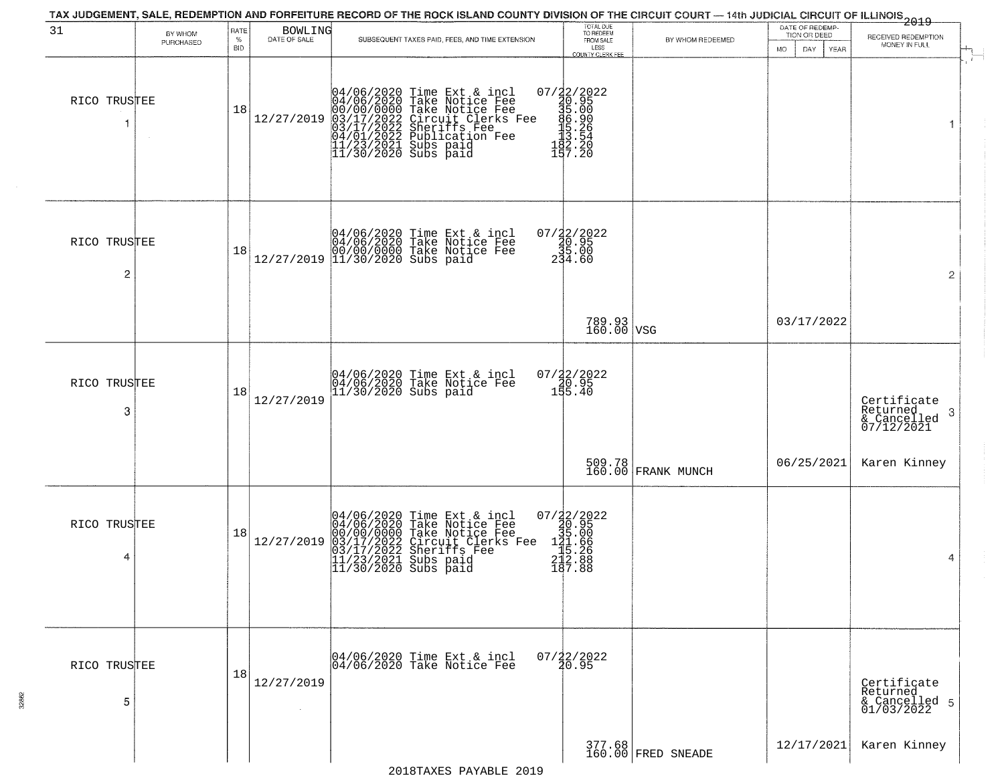| 31                | BY WHOM   | RATE               |                         | TAX JUDGEMENT, SALE, REDEMPTION AND FORFEITURE RECORD OF THE ROCK ISLAND COUNTY DIVISION OF THE CIRCUIT COURT — 14th JUDICIAL CIRCUIT OF ILLINOIS 2019                                                                                | TOTAL DUE<br>TO REDEEM                                                                                                                                                                                                                                                                                                                                                                                                                                        |                              | DATE OF REDEMP-                          |                                                            |
|-------------------|-----------|--------------------|-------------------------|---------------------------------------------------------------------------------------------------------------------------------------------------------------------------------------------------------------------------------------|---------------------------------------------------------------------------------------------------------------------------------------------------------------------------------------------------------------------------------------------------------------------------------------------------------------------------------------------------------------------------------------------------------------------------------------------------------------|------------------------------|------------------------------------------|------------------------------------------------------------|
|                   | PURCHASED | $\%$<br><b>BID</b> | BOWLING<br>DATE OF SALE | SUBSEQUENT TAXES PAID, FEES, AND TIME EXTENSION                                                                                                                                                                                       | FROM SALE<br>LESS<br>COUNTY CLERK FEE                                                                                                                                                                                                                                                                                                                                                                                                                         | BY WHOM REDEEMED             | TION OR DEED<br><b>MO</b><br>DAY<br>YEAR | RECEIVED REDEMPTION<br>MONEY IN FULL                       |
| RICO TRUSTEE      |           | 18                 | 12/27/2019              | 04/06/2020 Time Ext & incl<br>04/06/2020 Take Notice Fee<br>00/00/00/000 Take Notice Fee<br>03/17/2022 Circuit Clerks Fee<br>03/17/2022 Sublication Fee<br>04/01/2022 Publication Fee<br>11/23/2021 Subs paid<br>11/30/2020 Subs paid | $\begin{smallmatrix} 07/32/2022\\ 420.95\\ 35.00\\ 195.90\\ 15.26\\ 115.26\\ 132.20\\ 157.20 \end{smallmatrix}$                                                                                                                                                                                                                                                                                                                                               |                              |                                          | $\overline{F}$<br>1                                        |
| RICO TRUSTEE<br>2 |           | 18                 |                         | $[04/06/2020 \t\t Time \t\t Ext & incl \\ 04/06/2020 \t\t Take \t Notice \t Free \\ 00/00/0000 \t\t Take \t Notice \t Free \\ 12/27/2019 \t\t 11/30/2020 \tSubs \t paid$                                                              | $07/22/2022$<br>20.95<br>234.00<br>234.60                                                                                                                                                                                                                                                                                                                                                                                                                     |                              |                                          | $\overline{2}$                                             |
|                   |           |                    |                         |                                                                                                                                                                                                                                       | 789.93<br>160.00 VSG                                                                                                                                                                                                                                                                                                                                                                                                                                          |                              | 03/17/2022                               |                                                            |
| RICO TRUSTEE<br>3 |           | 18                 | 12/27/2019              | 04/06/2020 Time Ext & incl<br>04/06/2020 Take Notice Fee<br>11/30/2020 Subs paid                                                                                                                                                      | 07/22/2022<br>20.95<br>155.40                                                                                                                                                                                                                                                                                                                                                                                                                                 |                              |                                          | Certificate<br>Returned<br>-3<br>& Cancelled<br>07/12/2021 |
|                   |           |                    |                         |                                                                                                                                                                                                                                       |                                                                                                                                                                                                                                                                                                                                                                                                                                                               | 509.78<br>160.00 FRANK MUNCH | 06/25/2021                               | Karen Kinney                                               |
| RICO TRUSTEE<br>4 |           | 18                 | 12/27/2019              | 04/06/2020 Time Ext & incl<br>04/06/2020 Take Notice Fee<br>00/00/0000 Take Notice Fee<br>03/17/2022 Circuit Clerks Fee<br>03/17/2022 Sheriffs Fee<br>11/23/2021 Subs paid<br>11/30/2020 Subs paid                                    | $\begin{array}{r} 07 / \frac{1}{2} \left( \frac{2}{3} \right) \left( \frac{2}{3} \right) \left( \frac{2}{3} \right) \\ 20.95 \\ 1 \left( \frac{2}{3} \right) \left( \frac{2}{3} \right) \\ 1 \left( \frac{2}{3} \right) \left( \frac{2}{3} \right) \\ 2 \left( \frac{2}{3} \right) \left( \frac{2}{3} \right) \left( \frac{2}{3} \right) \\ 1 \left( \frac{2}{3} \right) \left( \frac{2}{3} \right) \left( \frac{2}{3} \right) \left( \frac{2}{3} \right) \\$ |                              |                                          | 4                                                          |
| RICO TRUSTEE<br>5 |           | 18                 | 12/27/2019<br>$\sim$    | 04/06/2020 Time Ext & incl<br>04/06/2020 Take Notice Fee                                                                                                                                                                              | $07/22/2022$<br>$20.95$                                                                                                                                                                                                                                                                                                                                                                                                                                       |                              |                                          | Certificate<br>Returned<br>& Cancelled 5<br>01/03/2022     |
|                   |           |                    |                         |                                                                                                                                                                                                                                       |                                                                                                                                                                                                                                                                                                                                                                                                                                                               | 377.68<br>160.00 FRED SNEADE | 12/17/2021                               | Karen Kinney                                               |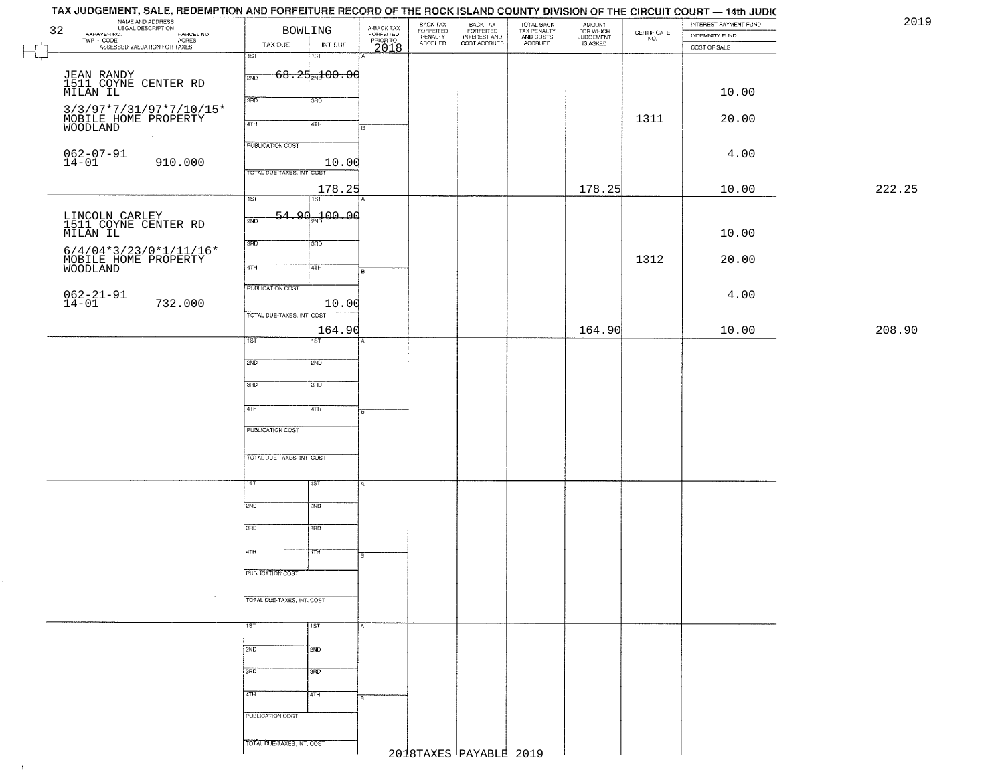| NAME AND ADDRESS<br>LEGAL DESCRIPTION<br>32                                                         | BOWLING                              | A-BACK TAX<br>FORFEITED<br>PRIOR TO | BACK TAX<br>FORFEITED<br>PENALTY | BACK TAX<br>FORFEITED<br>INTEREST AND<br>COST ACCRUED | TOTAL BACK<br>TAX PENALTY<br>AND COSTS<br>ACCRUED | AMOUNT<br>FOR WHICH<br>JUDGEMENT<br>IS ASKED |                                                                 | INTEREST PAYMENT FUND | 2019   |
|-----------------------------------------------------------------------------------------------------|--------------------------------------|-------------------------------------|----------------------------------|-------------------------------------------------------|---------------------------------------------------|----------------------------------------------|-----------------------------------------------------------------|-----------------------|--------|
| TAXPAYER NO.<br>LEGAL DESCRIPTION<br>- CODE ACRES<br>- CODE ACRES<br>- ASSESSED VALUATION FOR TAXES | TAX DUE<br>INT DUE                   |                                     | <b>ACCRUED</b>                   |                                                       |                                                   |                                              | $\begin{array}{c} \text{CERTIFICATE} \\ \text{NO.} \end{array}$ | INDEMNITY FUND        |        |
|                                                                                                     | 18T<br>$\overline{1ST}$              | 2018                                |                                  |                                                       |                                                   |                                              |                                                                 | COST OF SALE          |        |
|                                                                                                     |                                      |                                     |                                  |                                                       |                                                   |                                              |                                                                 |                       |        |
| JEAN RANDY<br>1511 COYNE CENTER RD                                                                  | $68.25$ $100.00$<br>2ND              |                                     |                                  |                                                       |                                                   |                                              |                                                                 |                       |        |
| MILAN IL                                                                                            | 3RD<br>3RD                           |                                     |                                  |                                                       |                                                   |                                              |                                                                 | 10.00                 |        |
| 3/3/97*7/31/97*7/10/15*<br>MOBILE HOME PROPERTY                                                     |                                      |                                     |                                  |                                                       |                                                   |                                              |                                                                 |                       |        |
| WOODLAND                                                                                            | 4TH<br>4TH                           |                                     |                                  |                                                       |                                                   |                                              | 1311                                                            | 20.00                 |        |
|                                                                                                     | <b>PUBLICATION COST</b>              |                                     |                                  |                                                       |                                                   |                                              |                                                                 |                       |        |
| $062 - 07 - 91$<br>14-01                                                                            |                                      |                                     |                                  |                                                       |                                                   |                                              |                                                                 | 4.00                  |        |
| 910.000                                                                                             | 10.00<br>TOTAL DUE-TAXES, INT. COST  |                                     |                                  |                                                       |                                                   |                                              |                                                                 |                       |        |
|                                                                                                     | 178.25                               |                                     |                                  |                                                       |                                                   | 178.25                                       |                                                                 | 10.00                 | 222.25 |
|                                                                                                     | 1ST<br>1ST                           |                                     |                                  |                                                       |                                                   |                                              |                                                                 |                       |        |
|                                                                                                     | <del>54.90.100.00</del>              |                                     |                                  |                                                       |                                                   |                                              |                                                                 |                       |        |
| LINCOLN CARLEY<br>1511 COYNE CENTER RD<br>MILAN IL                                                  | 2ND                                  |                                     |                                  |                                                       |                                                   |                                              |                                                                 | 10.00                 |        |
|                                                                                                     | 3RD<br>3RD                           |                                     |                                  |                                                       |                                                   |                                              |                                                                 |                       |        |
| $6/4/04*3/23/0*1/11/16*$                                                                            |                                      |                                     |                                  |                                                       |                                                   |                                              | 1312                                                            | 20.00                 |        |
| MOBILE HOME PROPERTY                                                                                | 47H<br>4TH                           | $\overline{B}$                      |                                  |                                                       |                                                   |                                              |                                                                 |                       |        |
|                                                                                                     | PUBLICATION COST                     |                                     |                                  |                                                       |                                                   |                                              |                                                                 |                       |        |
| $062 - 21 - 91$<br>$14 - 01$<br>732.000                                                             | 10.00                                |                                     |                                  |                                                       |                                                   |                                              |                                                                 | 4.00                  |        |
|                                                                                                     | TOTAL DUE-TAXES, INT. COST           |                                     |                                  |                                                       |                                                   |                                              |                                                                 |                       |        |
|                                                                                                     | 164.90                               |                                     |                                  |                                                       |                                                   | 164.90                                       |                                                                 | 10.00                 | 208.90 |
|                                                                                                     | 1ST<br>1ST                           | А                                   |                                  |                                                       |                                                   |                                              |                                                                 |                       |        |
|                                                                                                     | 2ND<br>2ND                           |                                     |                                  |                                                       |                                                   |                                              |                                                                 |                       |        |
|                                                                                                     |                                      |                                     |                                  |                                                       |                                                   |                                              |                                                                 |                       |        |
|                                                                                                     | 3RD<br>3RD                           |                                     |                                  |                                                       |                                                   |                                              |                                                                 |                       |        |
|                                                                                                     | 4TH<br>4TH                           |                                     |                                  |                                                       |                                                   |                                              |                                                                 |                       |        |
|                                                                                                     |                                      |                                     |                                  |                                                       |                                                   |                                              |                                                                 |                       |        |
|                                                                                                     | <b>PUBLICATION COST</b>              |                                     |                                  |                                                       |                                                   |                                              |                                                                 |                       |        |
|                                                                                                     |                                      |                                     |                                  |                                                       |                                                   |                                              |                                                                 |                       |        |
|                                                                                                     | TOTAL OUE-TAXES, INT. COST           |                                     |                                  |                                                       |                                                   |                                              |                                                                 |                       |        |
|                                                                                                     | 15T<br>1ST                           |                                     |                                  |                                                       |                                                   |                                              |                                                                 |                       |        |
|                                                                                                     |                                      |                                     |                                  |                                                       |                                                   |                                              |                                                                 |                       |        |
|                                                                                                     | 2ND<br>2ND                           |                                     |                                  |                                                       |                                                   |                                              |                                                                 |                       |        |
|                                                                                                     | 3RD<br>3BD                           |                                     |                                  |                                                       |                                                   |                                              |                                                                 |                       |        |
|                                                                                                     |                                      |                                     |                                  |                                                       |                                                   |                                              |                                                                 |                       |        |
|                                                                                                     | 4TH<br>  विभाग                       | в                                   |                                  |                                                       |                                                   |                                              |                                                                 |                       |        |
|                                                                                                     | PUBLICATION COST                     |                                     |                                  |                                                       |                                                   |                                              |                                                                 |                       |        |
|                                                                                                     |                                      |                                     |                                  |                                                       |                                                   |                                              |                                                                 |                       |        |
|                                                                                                     | $\sim$<br>TOTAL DUE-TAXES, INT. COST |                                     |                                  |                                                       |                                                   |                                              |                                                                 |                       |        |
|                                                                                                     |                                      |                                     |                                  |                                                       |                                                   |                                              |                                                                 |                       |        |
|                                                                                                     | 1ST<br>$\overline{1}$ 1st            |                                     |                                  |                                                       |                                                   |                                              |                                                                 |                       |        |
|                                                                                                     |                                      |                                     |                                  |                                                       |                                                   |                                              |                                                                 |                       |        |
|                                                                                                     | 2ND<br>2ND                           |                                     |                                  |                                                       |                                                   |                                              |                                                                 |                       |        |
|                                                                                                     | 3BD<br>3 <sub>RD</sub>               |                                     |                                  |                                                       |                                                   |                                              |                                                                 |                       |        |
|                                                                                                     |                                      |                                     |                                  |                                                       |                                                   |                                              |                                                                 |                       |        |
|                                                                                                     | 4TH<br>4TH                           |                                     |                                  |                                                       |                                                   |                                              |                                                                 |                       |        |
|                                                                                                     | PUBLICATION COST                     |                                     |                                  |                                                       |                                                   |                                              |                                                                 |                       |        |
|                                                                                                     |                                      |                                     |                                  |                                                       |                                                   |                                              |                                                                 |                       |        |
|                                                                                                     | TOTAL DUE-TAXES, INT. COST           |                                     |                                  |                                                       |                                                   |                                              |                                                                 |                       |        |
|                                                                                                     |                                      |                                     |                                  | 2018TAXES PAYABLE 2019                                |                                                   |                                              |                                                                 |                       |        |